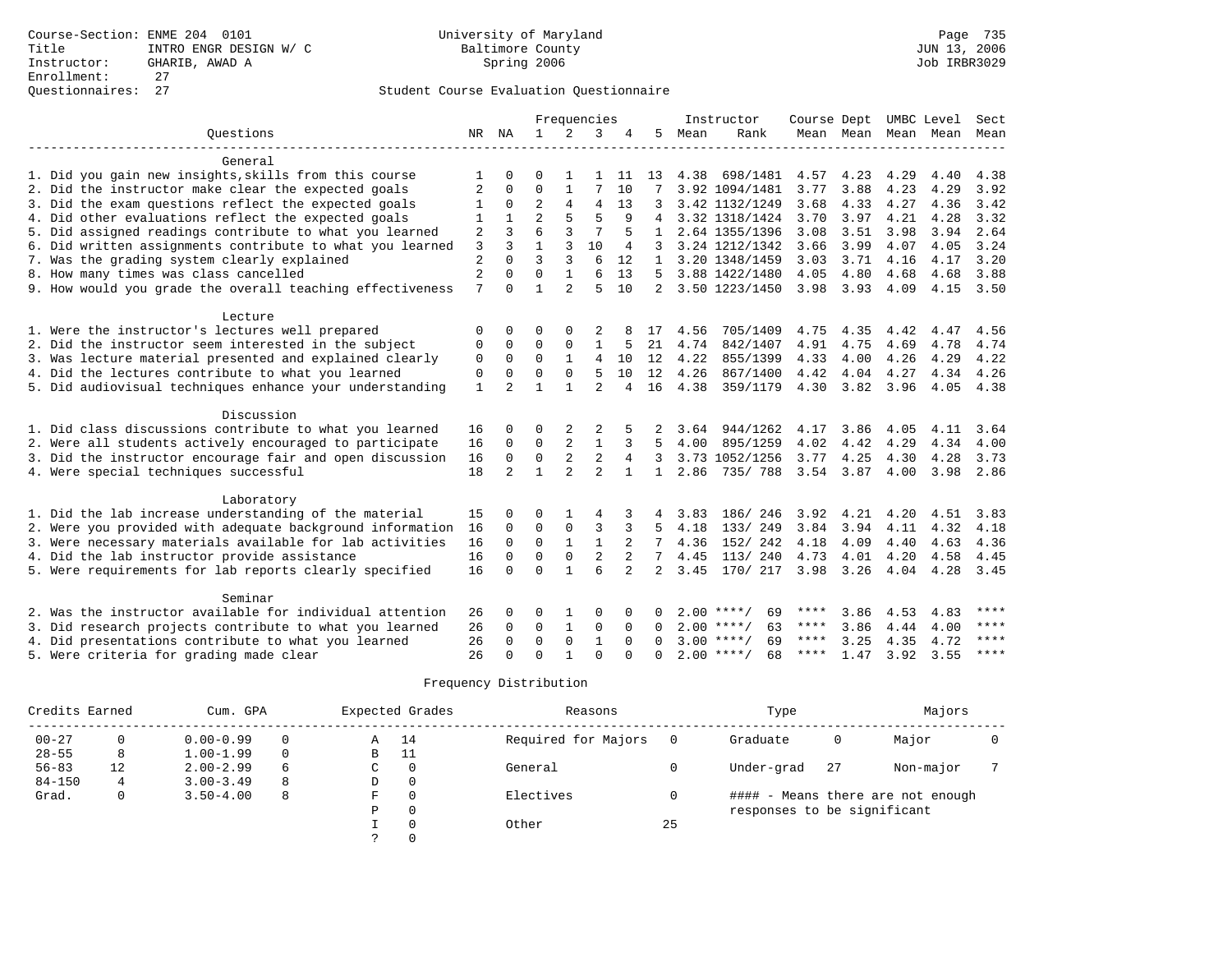|                                                           |                |                |                |                | Frequencies    |                |              |      | Instructor         | Course Dept UMBC Level |           |      |                          | Sect        |
|-----------------------------------------------------------|----------------|----------------|----------------|----------------|----------------|----------------|--------------|------|--------------------|------------------------|-----------|------|--------------------------|-------------|
| Ouestions                                                 |                | NR NA          | $\mathbf{1}$   | 2              | 3              | 4              | 5            | Mean | Rank               |                        |           |      | Mean Mean Mean Mean Mean |             |
|                                                           |                |                |                |                |                |                |              |      |                    |                        |           |      |                          |             |
| General                                                   |                |                |                |                |                |                |              |      |                    |                        |           |      |                          |             |
| 1. Did you gain new insights, skills from this course     |                |                |                |                |                | 11             | 13           | 4.38 | 698/1481           | 4.57                   | 4.23      | 4.29 | 4.40                     | 4.38        |
| 2. Did the instructor make clear the expected goals       | 2              | $\Omega$       | $\Omega$       |                | 7              | 10             |              |      | 3.92 1094/1481     | 3.77                   | 3.88      | 4.23 | 4.29                     | 3.92        |
| 3. Did the exam questions reflect the expected goals      | 1              | $\Omega$       | $\overline{a}$ | $\overline{4}$ | 4              | 13             | 3            |      | 3.42 1132/1249     | 3.68                   | 4.33      | 4.27 | 4.36                     | 3.42        |
| 4. Did other evaluations reflect the expected goals       | 1              |                | $\overline{a}$ | 5              | 5              | 9              |              |      | 3.32 1318/1424     | 3.70                   | 3.97      | 4.21 | 4.28                     | 3.32        |
| 5. Did assigned readings contribute to what you learned   | 2              | $\mathbf{3}$   | 6              | 3              | 7              | 5              | $\mathbf{1}$ |      | 2.64 1355/1396     | 3.08                   | 3.51      | 3.98 | 3.94                     | 2.64        |
| 6. Did written assignments contribute to what you learned | 3              | ς              |                | 3              | 10             | 4              | 3            |      | 3.24 1212/1342     | 3.66                   | 3.99      | 4.07 | 4.05                     | 3.24        |
| 7. Was the grading system clearly explained               | $\overline{2}$ | $\Omega$       | $\overline{3}$ | 3              | 6              | 12             | 1            |      | 3.20 1348/1459     | 3.03                   | 3.71      | 4.16 | 4.17                     | 3.20        |
| 8. How many times was class cancelled                     | $\overline{2}$ | $\Omega$       | $\mathbf 0$    | $\mathbf{1}$   | 6              | 13             | 5            |      | 3.88 1422/1480     | 4.05                   | 4.80      | 4.68 | 4.68                     | 3.88        |
| 9. How would you grade the overall teaching effectiveness | 7              | $\cap$         | $\mathbf{1}$   | $\overline{a}$ | 5              | 10             | 2            |      | 3.50 1223/1450     | 3.98                   | 3.93      | 4.09 | 4.15                     | 3.50        |
| Lecture                                                   |                |                |                |                |                |                |              |      |                    |                        |           |      |                          |             |
| 1. Were the instructor's lectures well prepared           | $\Omega$       | $\Omega$       | $\Omega$       | $\Omega$       |                |                | 17           | 4.56 | 705/1409           | 4.75                   | 4.35      | 4.42 | 4.47                     | 4.56        |
| 2. Did the instructor seem interested in the subject      | 0              | $\Omega$       | $\Omega$       | $\Omega$       | 1              | 5              | 21           | 4.74 | 842/1407           | 4.91                   | 4.75      | 4.69 | 4.78                     | 4.74        |
| 3. Was lecture material presented and explained clearly   | $\mathbf 0$    | $\mathbf 0$    | 0              |                | 4              | 10             | 12           | 4.22 | 855/1399           | 4.33                   | 4.00      | 4.26 | 4.29                     | 4.22        |
| 4. Did the lectures contribute to what you learned        | $\mathbf 0$    | $\Omega$       | $\Omega$       | $\Omega$       | .5             | 10             | 12           | 4.26 | 867/1400           | 4.42                   | 4.04      | 4.27 | 4.34                     | 4.26        |
| 5. Did audiovisual techniques enhance your understanding  | $\mathbf{1}$   | $\mathfrak{D}$ | 1              |                | $\mathfrak{D}$ | 4              | 16           | 4.38 | 359/1179           | 4.30                   | 3.82 3.96 |      | 4.05                     | 4.38        |
|                                                           |                |                |                |                |                |                |              |      |                    |                        |           |      |                          |             |
| Discussion                                                |                |                |                |                |                |                |              |      |                    |                        |           |      |                          |             |
| 1. Did class discussions contribute to what you learned   | 16             | $\Omega$       | $\Omega$       | 2              | 2              |                |              | 3.64 | 944/1262           | 4.17                   | 3.86      | 4.05 | 4.11                     | 3.64        |
| 2. Were all students actively encouraged to participate   | 16             | $\Omega$       | $\mathbf 0$    | 2              | $\mathbf{1}$   | 3              | 5            | 4.00 | 895/1259           | 4.02                   | 4.42      | 4.29 | 4.34                     | 4.00        |
| 3. Did the instructor encourage fair and open discussion  | 16             | $\mathbf 0$    | $\mathbf 0$    | $\overline{2}$ | $\overline{2}$ | 4              | 3            |      | 3.73 1052/1256     | 3.77                   | 4.25      | 4.30 | 4.28                     | 3.73        |
| 4. Were special techniques successful                     | 18             | $\overline{2}$ | $\mathbf{1}$   | $\overline{2}$ | $\overline{2}$ |                | $\mathbf{1}$ | 2.86 | 735/788            | 3.54 3.87              |           | 4.00 |                          | 3.98 2.86   |
| Laboratory                                                |                |                |                |                |                |                |              |      |                    |                        |           |      |                          |             |
| 1. Did the lab increase understanding of the material     | 15             | $\Omega$       | $\Omega$       |                | 4              |                | 4            | 3.83 | 186/246            | 3.92                   | 4.21      | 4.20 | 4.51                     | 3.83        |
| 2. Were you provided with adequate background information | 16             | $\mathbf 0$    | $\Omega$       | $\mathbf{0}$   | 3              | 3              | .5           | 4.18 | 133/ 249           | 3.84                   | 3.94      | 4.11 | 4.32                     | 4.18        |
| 3. Were necessary materials available for lab activities  | 16             | $\Omega$       | $\Omega$       |                |                | $\overline{2}$ | 7            | 4.36 | 152/ 242           | 4.18                   | 4.09      | 4.40 | 4.63                     | 4.36        |
| 4. Did the lab instructor provide assistance              | 16             | $\Omega$       | $\Omega$       | $\Omega$       | $\overline{2}$ | $\overline{2}$ | 7            | 4.45 | 113/240            | 4.73                   | 4.01      | 4.20 | 4.58                     | 4.45        |
|                                                           |                |                | $\Omega$       |                | 6              |                |              |      |                    |                        |           |      |                          |             |
| 5. Were requirements for lab reports clearly specified    | 16             | $\Omega$       |                |                |                |                | 2            | 3.45 | 170/ 217           | 3.98                   | 3.26      | 4.04 | 4.28                     | 3.45        |
| Seminar                                                   |                |                |                |                |                |                |              |      |                    |                        |           |      |                          |             |
| 2. Was the instructor available for individual attention  | 26             | $\Omega$       | $\Omega$       |                | $\Omega$       |                |              |      | $2.00$ ****/<br>69 | ****                   | 3.86      | 4.53 | 4.83                     | ****        |
| 3. Did research projects contribute to what you learned   | 26             | $\Omega$       | $\Omega$       | 1              | 0              | $\Omega$       | $\Omega$     |      | $2.00$ ****/<br>63 | ****                   | 3.86      | 4.44 | 4.00                     | $***$ * * * |
| 4. Did presentations contribute to what you learned       | 26             | $\Omega$       | $\Omega$       | $\Omega$       | $\mathbf{1}$   | $\Omega$       | $\Omega$     |      | $3.00$ ****/<br>69 | ****                   | 3.25      | 4.35 | 4.72                     | $***$ *     |
| 5. Were criteria for grading made clear                   | 26             | $\cap$         | $\Omega$       |                | $\Omega$       |                | $\Omega$     |      | $2.00$ ****/<br>68 | ****                   | 1.47      | 3.92 | 3.55                     | $* * * * *$ |

| Credits Earned |    | Cum. GPA      |          |   | Expected Grades | Reasons             |    | Type                        |    | Majors                            |  |
|----------------|----|---------------|----------|---|-----------------|---------------------|----|-----------------------------|----|-----------------------------------|--|
| $00 - 27$      |    | $0.00 - 0.99$ | 0        | Α | 14              | Required for Majors |    | Graduate                    | 0  | Major                             |  |
| $28 - 55$      | 8  | $1.00 - 1.99$ | $\Omega$ | В | -11             |                     |    |                             |    |                                   |  |
| $56 - 83$      | 12 | $2.00 - 2.99$ | 6        | C |                 | General             |    | Under-grad                  | 27 | Non-major                         |  |
| $84 - 150$     | 4  | $3.00 - 3.49$ | 8        | D |                 |                     |    |                             |    |                                   |  |
| Grad.          | 0  | $3.50 - 4.00$ | 8        | F |                 | Electives           |    |                             |    | #### - Means there are not enough |  |
|                |    |               |          | Ρ | 0               |                     |    | responses to be significant |    |                                   |  |
|                |    |               |          |   |                 | Other               | 25 |                             |    |                                   |  |
|                |    |               |          |   |                 |                     |    |                             |    |                                   |  |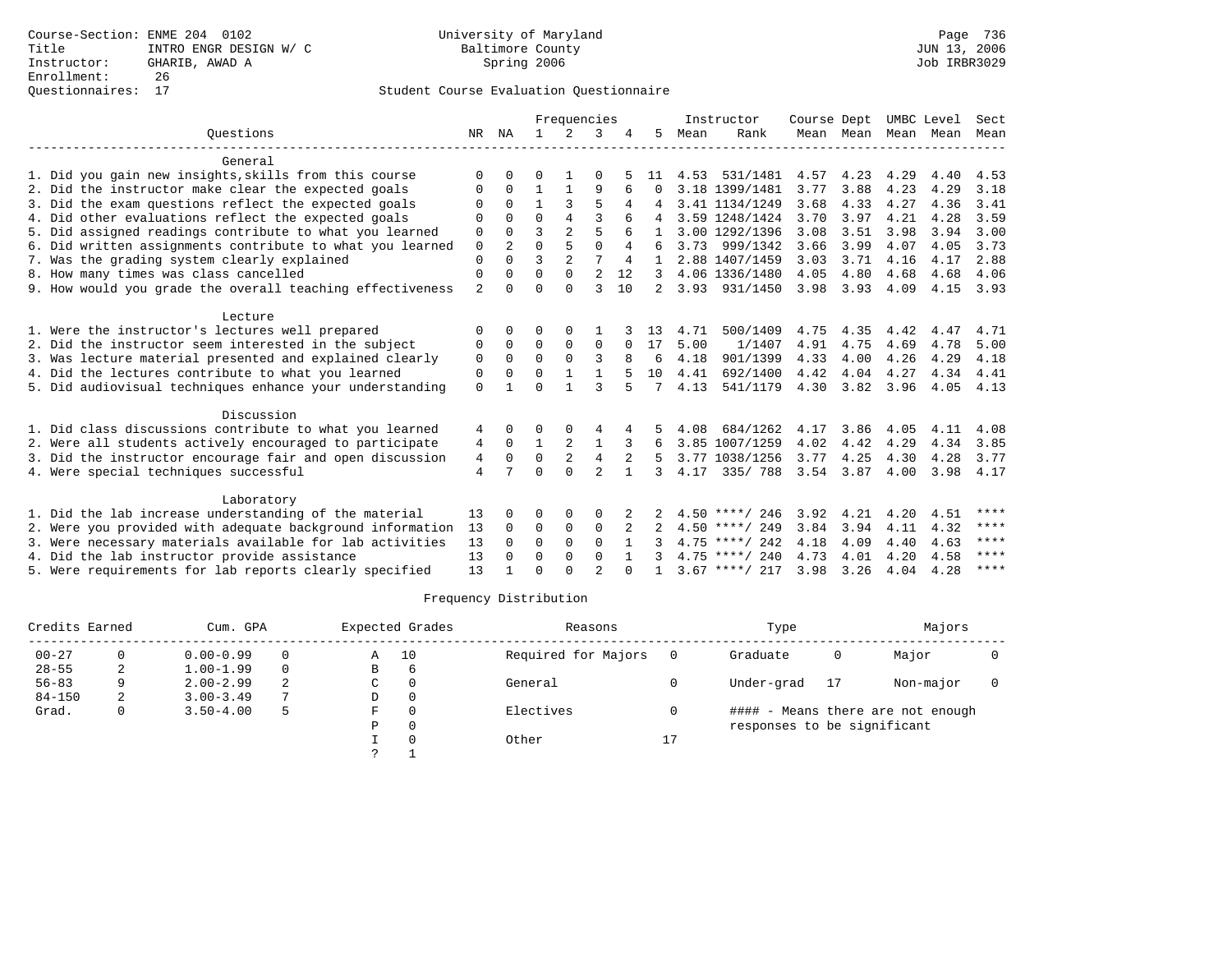|                                                           |                |                |              | Frequencies    |                |                |    |      | Instructor       | Course Dept |           | UMBC Level |      | Sect |
|-----------------------------------------------------------|----------------|----------------|--------------|----------------|----------------|----------------|----|------|------------------|-------------|-----------|------------|------|------|
| Ouestions                                                 | NR             | ΝA             | $\mathbf{1}$ | $\mathcal{L}$  | 3              |                | 5. | Mean | Rank             |             | Mean Mean | Mean       | Mean | Mean |
| General                                                   |                |                |              |                |                |                |    |      |                  |             |           |            |      |      |
| 1. Did you gain new insights, skills from this course     | $\Omega$       | <sup>0</sup>   | 0            |                | 0              |                | 11 | 4.53 | 531/1481         | 4.57        | 4.23      | 4.29       | 4.40 | 4.53 |
| 2. Did the instructor make clear the expected goals       | $\Omega$       | 0              | 1            | 1              | 9              |                | U  |      | 3.18 1399/1481   | 3.77        | 3.88      | 4.23       | 4.29 | 3.18 |
| 3. Did the exam questions reflect the expected goals      |                | $\Omega$       | 1            | 3              | 5              |                |    |      | 3.41 1134/1249   | 3.68        | 4.33      | 4.27       | 4.36 | 3.41 |
| 4. Did other evaluations reflect the expected goals       | $\Omega$       | U              | $\Omega$     | 4              | ζ              |                |    |      | 3.59 1248/1424   | 3.70        | 3.97      | 4.21       | 4.28 | 3.59 |
| 5. Did assigned readings contribute to what you learned   | 0              | 0              | 3            | $\overline{a}$ | 5              |                |    |      | 3.00 1292/1396   | 3.08        | 3.51      | 3.98       | 3.94 | 3.00 |
| 6. Did written assignments contribute to what you learned | $\mathbf 0$    | $\overline{2}$ | $\Omega$     | 5              | $\Omega$       |                | 6  |      | 3.73 999/1342    | 3.66        | 3.99      | 4.07       | 4.05 | 3.73 |
| 7. Was the grading system clearly explained               | $\Omega$       |                | ζ            | $\overline{a}$ | 7              | $\overline{4}$ |    |      | 2.88 1407/1459   | 3.03        | 3.71      | 4.16       | 4.17 | 2.88 |
| 8. How many times was class cancelled                     | 0              | 0              | $\Omega$     | $\Omega$       | $\overline{2}$ | 12             | 3  |      | 4.06 1336/1480   | 4.05        | 4.80      | 4.68       | 4.68 | 4.06 |
| 9. How would you grade the overall teaching effectiveness | $\overline{a}$ | U              | $\Omega$     | $\Omega$       | ζ              | 10             |    | 3.93 | 931/1450         | 3.98        | 3.93      | 4.09       | 4.15 | 3.93 |
| Lecture                                                   |                |                |              |                |                |                |    |      |                  |             |           |            |      |      |
| 1. Were the instructor's lectures well prepared           | $\Omega$       | <sup>0</sup>   | O            | $\Omega$       |                |                | 13 | 4.71 | 500/1409         | 4.75        | 4.35      | 4.42       | 4.47 | 4.71 |
| 2. Did the instructor seem interested in the subject      | 0              | $\Omega$       | $\Omega$     | $\mathbf 0$    | $\Omega$       |                | 17 | 5.00 | 1/1407           | 4.91        | 4.75      | 4.69       | 4.78 | 5.00 |
| 3. Was lecture material presented and explained clearly   | 0              | $\Omega$       | $\Omega$     | $\Omega$       | 3              |                | 6  | 4.18 | 901/1399         | 4.33        | 4.00      | 4.26       | 4.29 | 4.18 |
| 4. Did the lectures contribute to what you learned        | $\Omega$       | 0              | $\Omega$     |                |                |                | 10 | 4.41 | 692/1400         | 4.42        | 4.04      | 4.27       | 4.34 | 4.41 |
| 5. Did audiovisual techniques enhance your understanding  | $\Omega$       |                | $\cap$       | 1              | ζ              |                | 7  | 4.13 | 541/1179         | 4.30        | 3.82      | 3.96       | 4.05 | 4.13 |
| Discussion                                                |                |                |              |                |                |                |    |      |                  |             |           |            |      |      |
| 1. Did class discussions contribute to what you learned   | 4              | 0              | 0            |                |                |                |    | 4.08 | 684/1262         | 4.17        | 3.86      | 4.05       | 4.11 | 4.08 |
| 2. Were all students actively encouraged to participate   | 4              | $\Omega$       | $\mathbf{1}$ | $\overline{2}$ | 1              | 3              | 6  |      | 3.85 1007/1259   | 4.02        | 4.42      | 4.29       | 4.34 | 3.85 |
| 3. Did the instructor encourage fair and open discussion  | 4              | $\Omega$       | 0            | 2              | $\overline{4}$ | $\overline{2}$ |    |      | 3.77 1038/1256   | 3.77        | 4.25      | 4.30       | 4.28 | 3.77 |
| 4. Were special techniques successful                     | $\overline{4}$ | 7              | $\Omega$     | $\cap$         | $\overline{a}$ | $\mathbf{1}$   | 3  | 4.17 | 335/788          |             | 3.54 3.87 | 4.00       | 3.98 | 4.17 |
| Laboratory                                                |                |                |              |                |                |                |    |      |                  |             |           |            |      |      |
| 1. Did the lab increase understanding of the material     | 13             | 0              | 0            | 0              | $\Omega$       | 2              |    |      | $4.50$ ****/ 246 | 3.92        | 4.21      | 4.20       | 4.51 | **** |
| 2. Were you provided with adequate background information | 13             | $\Omega$       | 0            | $\mathbf 0$    | $\mathbf 0$    |                |    |      | $4.50$ ****/ 249 | 3.84        | 3.94      | 4.11       | 4.32 | **** |
| 3. Were necessary materials available for lab activities  | 13             | <sup>0</sup>   | $\Omega$     | $\Omega$       | $\Omega$       |                |    |      | $4.75$ ****/ 242 | 4.18        | 4.09      | 4.40       | 4.63 | **** |
| 4. Did the lab instructor provide assistance              | 13             | $\Omega$       | 0            | 0              | $\Omega$       | $\mathbf{1}$   | 3  |      | $4.75$ ****/ 240 | 4.73        | 4.01      | 4.20       | 4.58 | **** |
| 5. Were requirements for lab reports clearly specified    | 13             |                | $\Omega$     | $\cap$         | $\mathfrak{D}$ |                |    |      | $3.67$ ****/ 217 | 3.98        | 3.26      | 4.04       | 4.28 | **** |

| Credits Earned |   | Cum. GPA      |          |   | Expected Grades | Reasons             |    | Type                        |    | Majors                            |  |
|----------------|---|---------------|----------|---|-----------------|---------------------|----|-----------------------------|----|-----------------------------------|--|
| $00 - 27$      |   | $0.00 - 0.99$ | $\Omega$ | Α | 10              | Required for Majors |    | Graduate                    | 0  | Major                             |  |
| $28 - 55$      | 2 | $1.00 - 1.99$ | $\Omega$ | В | 6               |                     |    |                             |    |                                   |  |
| $56 - 83$      | 9 | $2.00 - 2.99$ | 2        | C |                 | General             |    | Under-grad                  | 17 | Non-major                         |  |
| $84 - 150$     | 2 | $3.00 - 3.49$ | 7        | D |                 |                     |    |                             |    |                                   |  |
| Grad.          | 0 | $3.50 - 4.00$ | 5        | F |                 | Electives           |    |                             |    | #### - Means there are not enough |  |
|                |   |               |          | P |                 |                     |    | responses to be significant |    |                                   |  |
|                |   |               |          |   |                 | Other               | Δ, |                             |    |                                   |  |
|                |   |               |          | っ |                 |                     |    |                             |    |                                   |  |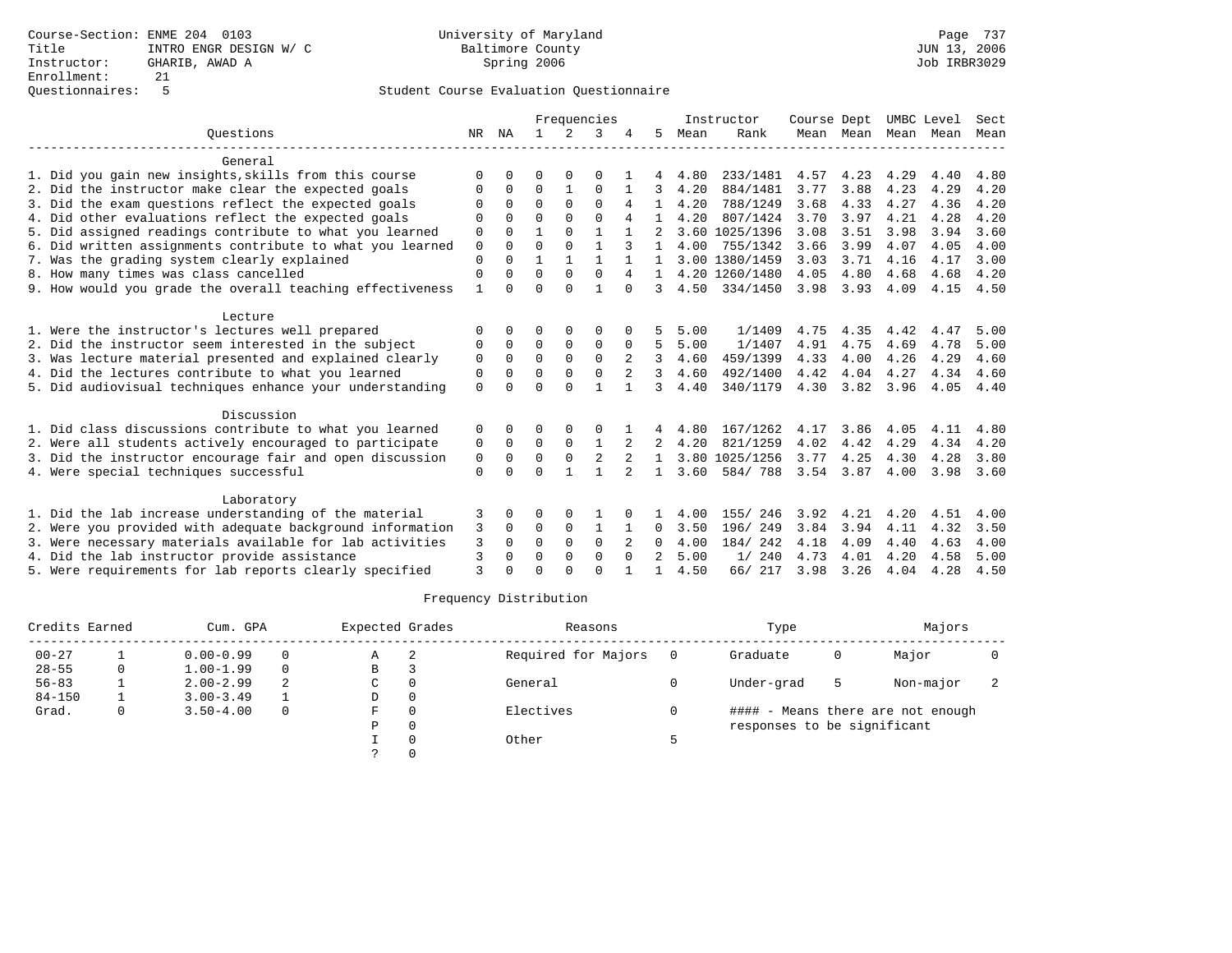|                                                           |              |          |          |               | Frequencies    |                |                |      | Instructor     | Course Dept |                |      | UMBC Level | Sect |
|-----------------------------------------------------------|--------------|----------|----------|---------------|----------------|----------------|----------------|------|----------------|-------------|----------------|------|------------|------|
| Ouestions                                                 | NR           | ΝA       |          | $\mathcal{L}$ | 3              |                | 5              | Mean | Rank           |             | Mean Mean Mean |      | Mean       | Mean |
| General                                                   |              |          |          |               |                |                |                |      |                |             |                |      |            |      |
| 1. Did you gain new insights, skills from this course     | $\Omega$     |          | O        |               | 0              |                |                | 4.80 | 233/1481       | 4.57        | 4.23           | 4.29 | 4.40       | 4.80 |
| 2. Did the instructor make clear the expected goals       | $\Omega$     | 0        | $\Omega$ | 1             | $\mathbf 0$    |                | 3              | 4.20 | 884/1481       | 3.77        | 3.88           | 4.23 | 4.29       | 4.20 |
| 3. Did the exam questions reflect the expected goals      | $\Omega$     | $\Omega$ | $\Omega$ | $\Omega$      | $\Omega$       | 4              |                | 4.20 | 788/1249       | 3.68        | 4.33           | 4.27 | 4.36       | 4.20 |
| 4. Did other evaluations reflect the expected goals       | $\Omega$     | U        | $\Omega$ | $\Omega$      | $\cap$         |                |                | 4.20 | 807/1424       | 3.70        | 3.97           | 4.21 | 4.28       | 4.20 |
| 5. Did assigned readings contribute to what you learned   | 0            | O        |          | $\Omega$      | $\mathbf{1}$   |                |                |      | 3.60 1025/1396 | 3.08        | 3.51           | 3.98 | 3.94       | 3.60 |
| 6. Did written assignments contribute to what you learned | $\mathbf 0$  | $\Omega$ | $\Omega$ | $\Omega$      | 1              | 3              | 1              | 4.00 | 755/1342       | 3.66        | 3.99           | 4.07 | 4.05       | 4.00 |
| 7. Was the grading system clearly explained               | 0            | $\Omega$ | 1        |               |                |                |                |      | 3.00 1380/1459 | 3.03        | 3.71           | 4.16 | 4.17       | 3.00 |
| 8. How many times was class cancelled                     | $\Omega$     | 0        | $\Omega$ | $\Omega$      | $\Omega$       | 4              | $\mathbf{1}$   |      | 4.20 1260/1480 | 4.05        | 4.80           | 4.68 | 4.68       | 4.20 |
| 9. How would you grade the overall teaching effectiveness | $\mathbf{1}$ | U        | $\Omega$ | $\cap$        | $\mathbf{1}$   | $\Omega$       | 3              | 4.50 | 334/1450       | 3.98        | 3.93           | 4.09 | 4.15       | 4.50 |
| Lecture                                                   |              |          |          |               |                |                |                |      |                |             |                |      |            |      |
| 1. Were the instructor's lectures well prepared           | $\Omega$     |          | 0        | $\Omega$      | $\Omega$       |                |                | 5.00 | 1/1409         | 4.75        | 4.35           | 4.42 | 4.47       | 5.00 |
| 2. Did the instructor seem interested in the subject      | 0            | 0        | 0        | 0             | $\mathbf 0$    | $\Omega$       | 5              | 5.00 | 1/1407         | 4.91        | 4.75           | 4.69 | 4.78       | 5.00 |
| 3. Was lecture material presented and explained clearly   | 0            | $\Omega$ | $\Omega$ | $\Omega$      | $\Omega$       | 2              | ζ              | 4.60 | 459/1399       | 4.33        | 4.00           | 4.26 | 4.29       | 4.60 |
| 4. Did the lectures contribute to what you learned        | $\Omega$     | $\Omega$ | $\Omega$ | $\Omega$      | $\mathbf 0$    |                | ζ              | 4.60 | 492/1400       | 4.42        | 4.04           | 4.27 | 4.34       | 4.60 |
| 5. Did audiovisual techniques enhance your understanding  | $\Omega$     |          | $\Omega$ | $\cap$        | $\mathbf{1}$   | 1              | 3              | 4.40 | 340/1179       | 4.30        | 3.82           | 3.96 | 4.05       | 4.40 |
| Discussion                                                |              |          |          |               |                |                |                |      |                |             |                |      |            |      |
| 1. Did class discussions contribute to what you learned   | 0            | 0        | 0        |               |                |                |                | 4.80 | 167/1262       | 4.17        | 3.86           | 4.05 | 4.11       | 4.80 |
| 2. Were all students actively encouraged to participate   | 0            | $\Omega$ | $\Omega$ | $\Omega$      | $\mathbf{1}$   | 2              | 2              | 4.20 | 821/1259       | 4.02        | 4.42           | 4.29 | 4.34       | 4.20 |
| 3. Did the instructor encourage fair and open discussion  | 0            | $\Omega$ | $\Omega$ | $\mathbf 0$   | $\overline{2}$ |                |                |      | 3.80 1025/1256 | 3.77        | 4.25           | 4.30 | 4.28       | 3.80 |
| 4. Were special techniques successful                     | $\Omega$     | $\Omega$ | $\Omega$ |               | 1              | $\mathfrak{D}$ | $\mathbf{1}$   | 3.60 | 584/788        | 3.54        | 3.87           | 4.00 | 3.98       | 3.60 |
| Laboratory                                                |              |          |          |               |                |                |                |      |                |             |                |      |            |      |
| 1. Did the lab increase understanding of the material     | 3            | 0        | 0        | 0             |                |                |                | 4.00 | 155/ 246       | 3.92        | 4.21           | 4.20 | 4.51       | 4.00 |
| 2. Were you provided with adequate background information | 3            | $\Omega$ | $\Omega$ | $\mathbf 0$   | 1              |                | 0              | 3.50 | 196/249        | 3.84        | 3.94           | 4.11 | 4.32       | 3.50 |
| 3. Were necessary materials available for lab activities  | 3            | $\Omega$ | $\Omega$ | $\Omega$      | $\Omega$       |                | 0              | 4.00 | 184/ 242       | 4.18        | 4.09           | 4.40 | 4.63       | 4.00 |
| 4. Did the lab instructor provide assistance              | 3            | 0        | $\Omega$ | 0             | $\mathbf 0$    | $\Omega$       | $\mathfrak{D}$ | 5.00 | 1/240          | 4.73        | 4.01           | 4.20 | 4.58       | 5.00 |
| 5. Were requirements for lab reports clearly specified    | $\mathbf{3}$ |          | $\cap$   | $\cap$        | $\Omega$       |                |                | 4.50 | 66/ 217        | 3.98        | 3.26           | 4.04 | 4.28       | 4.50 |

| Credits Earned | Cum. GPA      |   | Expected Grades |   | Reasons             |   | Type                        |   | Majors                            |  |
|----------------|---------------|---|-----------------|---|---------------------|---|-----------------------------|---|-----------------------------------|--|
| $00 - 27$      | $0.00 - 0.99$ | 0 | A               | 2 | Required for Majors |   | Graduate                    | 0 | Major                             |  |
| $28 - 55$      | $1.00 - 1.99$ | 0 | В               |   |                     |   |                             |   |                                   |  |
| $56 - 83$      | $2.00 - 2.99$ | 2 | C               |   | General             |   | Under-grad                  | 5 | Non-major                         |  |
| $84 - 150$     | $3.00 - 3.49$ |   | D               |   |                     |   |                             |   |                                   |  |
| Grad.          | $3.50 - 4.00$ | 0 | F               |   | Electives           |   |                             |   | #### - Means there are not enough |  |
|                |               |   | Ρ               | 0 |                     |   | responses to be significant |   |                                   |  |
|                |               |   |                 |   | Other               | ᇊ |                             |   |                                   |  |
|                |               |   |                 |   |                     |   |                             |   |                                   |  |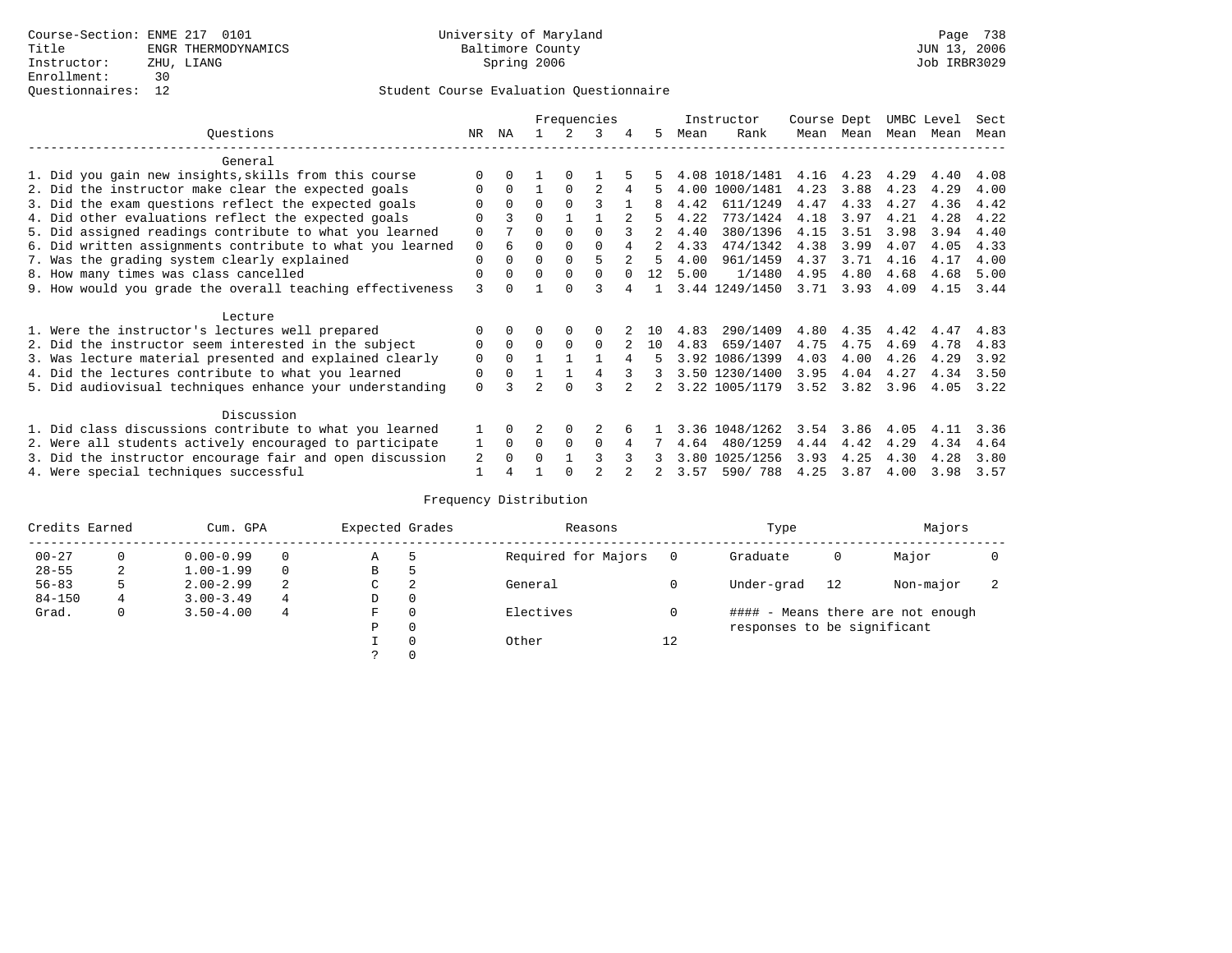#### Questionnaires: 12 Student Course Evaluation Questionnaire

|                                                           |          |          |          |          | Frequencies    |             |    |      | Instructor     | Course Dept |      | UMBC Level |      | Sect |
|-----------------------------------------------------------|----------|----------|----------|----------|----------------|-------------|----|------|----------------|-------------|------|------------|------|------|
| Ouestions                                                 | NR.      | ΝA       |          |          | 3              | 4           | 5  | Mean | Rank           | Mean        | Mean | Mean       | Mean | Mean |
| General                                                   |          |          |          |          |                |             |    |      |                |             |      |            |      |      |
| 1. Did you gain new insights, skills from this course     |          | 0        |          | $\Omega$ |                |             |    |      | 4.08 1018/1481 | 4.16        | 4.23 | 4.29       | 4.40 | 4.08 |
| 2. Did the instructor make clear the expected goals       | 0        | $\Omega$ |          | $\Omega$ | $\mathfrak{D}$ | 4           |    |      | 4.00 1000/1481 | 4.23        | 3.88 | 4.23       | 4.29 | 4.00 |
| 3. Did the exam questions reflect the expected goals      | O        | $\Omega$ | $\Omega$ | $\Omega$ | ζ              |             |    | 4.42 | 611/1249       | 4.47        | 4.33 | 4.27       | 4.36 | 4.42 |
| 4. Did other evaluations reflect the expected goals       | 0        | 3        | $\Omega$ |          |                |             |    | 4.22 | 773/1424       | 4.18        | 3.97 | 4.21       | 4.28 | 4.22 |
| 5. Did assigned readings contribute to what you learned   | 0        |          | U        | $\Omega$ |                |             |    | 4.40 | 380/1396       | 4.15        | 3.51 | 3.98       | 3.94 | 4.40 |
| 6. Did written assignments contribute to what you learned | 0        | 6        | 0        | $\Omega$ | $\Omega$       | 4           | 2  | 4.33 | 474/1342       | 4.38        | 3.99 | 4.07       | 4.05 | 4.33 |
| 7. Was the grading system clearly explained               | $\Omega$ | $\Omega$ | 0        | $\Omega$ | 5              | $2^{\circ}$ | 5  | 4.00 | 961/1459       | 4.37        | 3.71 | 4.16       | 4.17 | 4.00 |
| 8. How many times was class cancelled                     | $\Omega$ | $\Omega$ | $\Omega$ | $\Omega$ | $\Omega$       |             | 12 | 5.00 | 1/1480         | 4.95        | 4.80 | 4.68       | 4.68 | 5.00 |
| 9. How would you grade the overall teaching effectiveness | 3        |          |          | $\Omega$ |                | 4           |    |      | 3.44 1249/1450 | 3.71        | 3.93 | 4.09       | 4.15 | 3.44 |
| Lecture                                                   |          |          |          |          |                |             |    |      |                |             |      |            |      |      |
| 1. Were the instructor's lectures well prepared           |          | $\Omega$ |          | $\Omega$ | 0              |             | 10 | 4.83 | 290/1409       | 4.80        | 4.35 | 4.42       | 4.47 | 4.83 |
| 2. Did the instructor seem interested in the subject      | 0        | $\Omega$ | $\Omega$ | $\Omega$ | $\Omega$       |             | 10 | 4.83 | 659/1407       | 4.75        | 4.75 | 4.69       | 4.78 | 4.83 |
| 3. Was lecture material presented and explained clearly   | $\Omega$ | $\Omega$ |          |          |                | 4           | 5  |      | 3.92 1086/1399 | 4.03        | 4.00 | 4.26       | 4.29 | 3.92 |
| 4. Did the lectures contribute to what you learned        | 0        | $\Omega$ |          |          | 4              |             | 3  |      | 3.50 1230/1400 | 3.95        | 4.04 | 4.27       | 4.34 | 3.50 |
| 5. Did audiovisual techniques enhance your understanding  | $\Omega$ |          |          | $\Omega$ |                |             |    |      | 3.22 1005/1179 | 3.52        | 3.82 | 3.96       | 4.05 | 3.22 |
| Discussion                                                |          |          |          |          |                |             |    |      |                |             |      |            |      |      |
| 1. Did class discussions contribute to what you learned   | 1        | $\Omega$ | 2        | $\Omega$ |                |             |    |      | 3.36 1048/1262 | 3.54        | 3.86 | 4.05       | 4.11 | 3.36 |
| 2. Were all students actively encouraged to participate   | 1        | $\Omega$ | $\Omega$ | $\Omega$ | $\Omega$       | 4           |    | 4.64 | 480/1259       | 4.44        | 4.42 | 4.29       | 4.34 | 4.64 |
| 3. Did the instructor encourage fair and open discussion  | 2        | $\Omega$ | O        |          |                |             |    | 3.80 | 1025/1256      | 3.93        | 4.25 | 4.30       | 4.28 | 3.80 |
| 4. Were special techniques successful                     |          |          |          | $\cap$   |                |             |    | 3.57 | 590/788        | 4.25        | 3.87 | 4.00       | 3.98 | 3.57 |

| Credits Earned |          | Cum. GPA      |   | Expected Grades |          | Reasons             |          | Type                        |    | Majors                            |  |
|----------------|----------|---------------|---|-----------------|----------|---------------------|----------|-----------------------------|----|-----------------------------------|--|
| $00 - 27$      | $\Omega$ | $0.00 - 0.99$ |   | Α               | 5        | Required for Majors | $\Omega$ | Graduate                    | 0  | Major                             |  |
| $28 - 55$      | 2        | $1.00 - 1.99$ |   | В               | 5        |                     |          |                             |    |                                   |  |
| $56 - 83$      | 5        | $2.00 - 2.99$ | 2 | $\sim$<br>◡     | 2        | General             |          | Under-grad                  | 12 | Non-major                         |  |
| $84 - 150$     | 4        | $3.00 - 3.49$ | 4 | D               | 0        |                     |          |                             |    |                                   |  |
| Grad.          | 0        | $3.50 - 4.00$ | 4 | F               | 0        | Electives           | 0        |                             |    | #### - Means there are not enough |  |
|                |          |               |   | Ρ               | 0        |                     |          | responses to be significant |    |                                   |  |
|                |          |               |   |                 | $\Omega$ | Other               | 12       |                             |    |                                   |  |
|                |          |               |   |                 |          |                     |          |                             |    |                                   |  |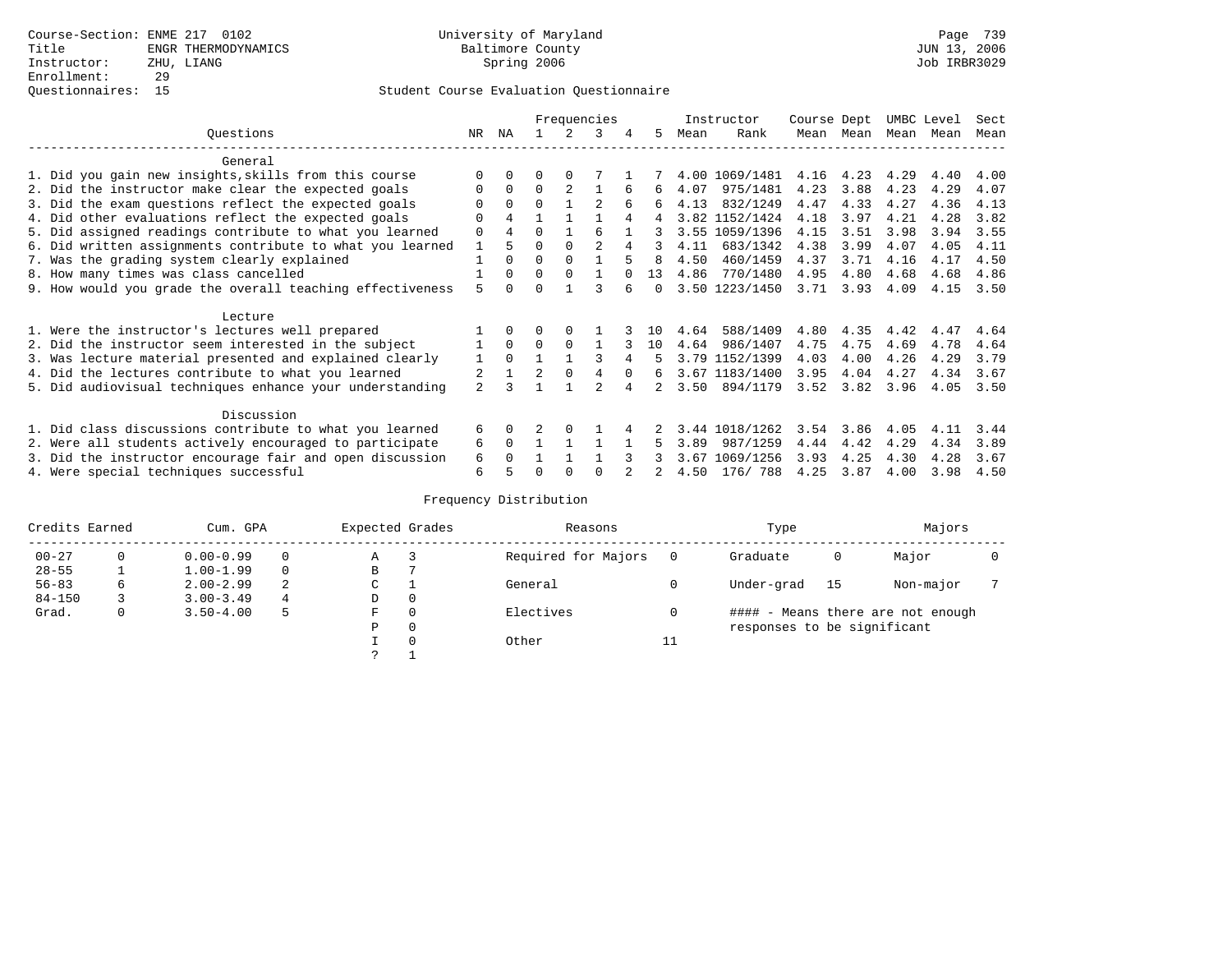|                                                           |                |          |          |              | Frequencies    |   |        |      | Instructor     | Course Dept |      | UMBC Level |      | Sect |
|-----------------------------------------------------------|----------------|----------|----------|--------------|----------------|---|--------|------|----------------|-------------|------|------------|------|------|
| Questions                                                 | NR.            | ΝA       |          |              | 3              | 4 | 5.     | Mean | Rank           | Mean        | Mean | Mean       | Mean | Mean |
| General                                                   |                |          |          |              |                |   |        |      |                |             |      |            |      |      |
| 1. Did you gain new insights, skills from this course     |                | $\Omega$ | U        | <sup>0</sup> |                |   |        |      | 4.00 1069/1481 | 4.16        | 4.23 | 4.29       | 4.40 | 4.00 |
| 2. Did the instructor make clear the expected goals       |                | $\Omega$ | $\Omega$ |              |                |   | 6      | 4.07 | 975/1481       | 4.23        | 3.88 | 4.23       | 4.29 | 4.07 |
| 3. Did the exam questions reflect the expected goals      |                | $\Omega$ | $\Omega$ |              |                | 6 | 6      | 4.13 | 832/1249       | 4.47        | 4.33 | 4.27       | 4.36 | 4.13 |
| 4. Did other evaluations reflect the expected goals       | O              | 4        |          |              |                |   | 4      |      | 3.82 1152/1424 | 4.18        | 3.97 | 4.21       | 4.28 | 3.82 |
| 5. Did assigned readings contribute to what you learned   | 0              |          | 0        |              | 6              |   |        |      | 3.55 1059/1396 | 4.15        | 3.51 | 3.98       | 3.94 | 3.55 |
| 6. Did written assignments contribute to what you learned |                | 5        | U        |              | $\mathfrak{D}$ |   |        | 4.11 | 683/1342       | 4.38        | 3.99 | 4.07       | 4.05 | 4.11 |
| 7. Was the grading system clearly explained               |                | $\Omega$ | O        | $\Omega$     |                |   |        | 4.50 | 460/1459       | 4.37        | 3.71 | 4.16       | 4.17 | 4.50 |
| 8. How many times was class cancelled                     |                | $\Omega$ | $\Omega$ | $\Omega$     |                |   | 13     | 4.86 | 770/1480       | 4.95        | 4.80 | 4.68       | 4.68 | 4.86 |
| 9. How would you grade the overall teaching effectiveness | 5              |          |          |              |                |   | $\cap$ |      | 3.50 1223/1450 | 3.71        | 3.93 | 4.09       | 4.15 | 3.50 |
| Lecture                                                   |                |          |          |              |                |   |        |      |                |             |      |            |      |      |
| 1. Were the instructor's lectures well prepared           |                |          |          |              |                |   | 1 N    | 4.64 | 588/1409       | 4.80        | 4.35 | 4.42       | 4.47 | 4.64 |
| 2. Did the instructor seem interested in the subject      |                | $\Omega$ | $\Omega$ | $\Omega$     |                |   | 10     | 4.64 | 986/1407       | 4.75        | 4.75 | 4.69       | 4.78 | 4.64 |
| 3. Was lecture material presented and explained clearly   | 1              | $\Omega$ |          |              | २              |   |        |      | 3.79 1152/1399 | 4.03        | 4.00 | 4.26       | 4.29 | 3.79 |
| 4. Did the lectures contribute to what you learned        |                |          | 2        | $\Omega$     | 4              |   | 6      |      | 3.67 1183/1400 | 3.95        | 4.04 | 4.27       | 4.34 | 3.67 |
| 5. Did audiovisual techniques enhance your understanding  | $\overline{a}$ |          |          |              |                |   |        | 3.50 | 894/1179       | 3.52        | 3.82 | 3.96       | 4.05 | 3.50 |
| Discussion                                                |                |          |          |              |                |   |        |      |                |             |      |            |      |      |
| 1. Did class discussions contribute to what you learned   | 6              | $\Omega$ |          | $\Omega$     |                |   |        | 3.44 | 1018/1262      | 3.54        | 3.86 | 4.05       | 4.11 | 3.44 |
| 2. Were all students actively encouraged to participate   | 6              | $\Omega$ |          |              |                |   |        | 3.89 | 987/1259       | 4.44        | 4.42 | 4.29       | 4.34 | 3.89 |
| 3. Did the instructor encourage fair and open discussion  | 6              |          |          |              |                |   |        | 3.67 | 1069/1256      | 3.93        | 4.25 | 4.30       | 4.28 | 3.67 |
| 4. Were special techniques successful                     | 6              |          |          |              |                |   |        | 4.50 | 176/788        | 4.25        | 3.87 | 4.00       | 3.98 | 4.50 |

| Credits Earned |   | Cum. GPA      |          | Expected Grades |          | Reasons             |    | Type                        |    | Majors                            |  |
|----------------|---|---------------|----------|-----------------|----------|---------------------|----|-----------------------------|----|-----------------------------------|--|
| $00 - 27$      |   | $0.00 - 0.99$ |          | Α               |          | Required for Majors |    | Graduate                    | 0  | Major                             |  |
| $28 - 55$      |   | $1.00 - 1.99$ | $\Omega$ | В               |          |                     |    |                             |    |                                   |  |
| $56 - 83$      | 6 | $2.00 - 2.99$ |          | С               |          | General             |    | Under-grad                  | 15 | Non-major                         |  |
| $84 - 150$     |   | $3.00 - 3.49$ | 4        | D               | 0        |                     |    |                             |    |                                   |  |
| Grad.          | 0 | $3.50 - 4.00$ |          | F               | $\Omega$ | Electives           |    |                             |    | #### - Means there are not enough |  |
|                |   |               |          | Ρ               | 0        |                     |    | responses to be significant |    |                                   |  |
|                |   |               |          |                 | $\Omega$ | Other               | 11 |                             |    |                                   |  |
|                |   |               |          |                 |          |                     |    |                             |    |                                   |  |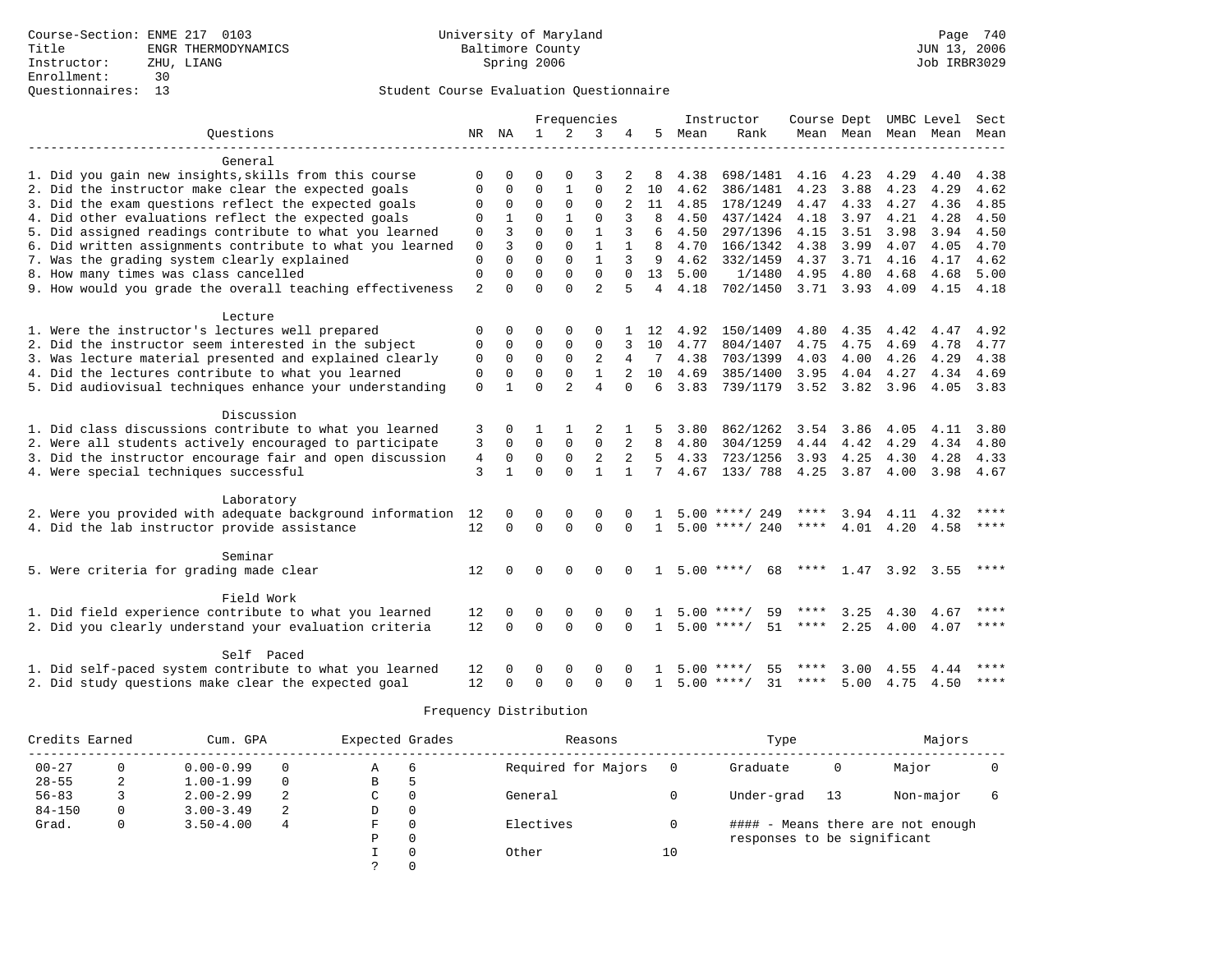|                                                              |                |              |              |                | Frequencies    |              |                |      | Instructor         | Course Dept UMBC Level |                |                |           | Sect  |
|--------------------------------------------------------------|----------------|--------------|--------------|----------------|----------------|--------------|----------------|------|--------------------|------------------------|----------------|----------------|-----------|-------|
| Ouestions                                                    | NR             | ΝA           | $\mathbf{1}$ | 2              | 3              | 4            | 5              | Mean | Rank               |                        | Mean Mean Mean |                | Mean      | Mean  |
|                                                              |                |              |              |                |                |              |                |      |                    |                        |                |                |           |       |
| General                                                      |                |              |              |                |                |              |                |      |                    |                        |                |                |           |       |
| 1. Did you gain new insights, skills from this course        | 0              | $\Omega$     | $\Omega$     | $\Omega$       | 3              |              | 8              | 4.38 | 698/1481           | 4.16 4.23              |                | 4.29           | 4.40      | 4.38  |
| 2. Did the instructor make clear the expected goals          | $\Omega$       | $\Omega$     | $\Omega$     | $\mathbf{1}$   | $\Omega$       |              | 10             | 4.62 | 386/1481           | 4.23                   | 3.88           | 4.23           | 4.29      | 4.62  |
| 3. Did the exam questions reflect the expected goals         | $\mathbf{0}$   | $\mathbf 0$  | $\Omega$     | $\Omega$       | $\Omega$       | 2            | 11             | 4.85 | 178/1249           | 4.47                   | 4.33           | 4.27           | 4.36      | 4.85  |
| 4. Did other evaluations reflect the expected goals          | $\Omega$       | $\mathbf 1$  | $\Omega$     | $\mathbf{1}$   | $\Omega$       |              | 8              | 4.50 | 437/1424           | 4.18                   | 3.97           | 4.21           | 4.28      | 4.50  |
| 5. Did assigned readings contribute to what you learned      | $\mathbf{0}$   | 3            | $\Omega$     | $\Omega$       | $\mathbf{1}$   | 3            | 6              | 4.50 | 297/1396           | 4.15                   | 3.51           | 3.98           | 3.94      | 4.50  |
| 6. Did written assignments contribute to what you learned    | 0              | 3            | $\Omega$     | $\Omega$       | $\mathbf{1}$   | $\mathbf{1}$ | 8              | 4.70 | 166/1342           | 4.38                   | 3.99           | 4.07           | 4.05      | 4.70  |
| 7. Was the grading system clearly explained                  | $\mathbf 0$    | $\Omega$     | $\Omega$     | $\Omega$       | $\mathbf{1}$   | 3            | 9              | 4.62 | 332/1459           | 4.37                   | 3.71           | 4.16           | 4.17      | 4.62  |
| 8. How many times was class cancelled                        | $\mathbf{0}$   | $\Omega$     | $\Omega$     | $\Omega$       | $\Omega$       | $\cap$       | 13             | 5.00 | 1/1480             | 4.95                   | 4.80           | 4.68           | 4.68      | 5.00  |
| 9. How would you grade the overall teaching effectiveness    | $\overline{a}$ | $\Omega$     | $\Omega$     | $\Omega$       | $\overline{a}$ |              | $\overline{4}$ | 4.18 | 702/1450           | $3.71$ $3.93$          |                | 4.09           | 4.15      | 4.18  |
|                                                              |                |              |              |                |                |              |                |      |                    |                        |                |                |           |       |
| Lecture                                                      |                |              |              |                |                |              |                |      |                    |                        |                |                |           |       |
| 1. Were the instructor's lectures well prepared              | 0              | $\Omega$     | $\Omega$     | $\Omega$       | $\Omega$       |              | 12             | 4.92 | 150/1409           | 4.80                   | 4.35           | 4.42           | 4.47      | 4.92  |
| 2. Did the instructor seem interested in the subject         | $\mathbf{0}$   | $\mathbf 0$  | $\mathbf 0$  | $\mathbf{0}$   | $\mathbf 0$    | 3            | 10             | 4.77 | 804/1407           | 4.75                   | 4.75           | 4.69           | 4.78      | 4.77  |
| 3. Was lecture material presented and explained clearly      | $\mathbf 0$    | $\mathbf 0$  | $\Omega$     | $\Omega$       | 2              | 4            | 7              | 4.38 | 703/1399           | 4.03                   | 4.00           | 4.26           | 4.29      | 4.38  |
| 4. Did the lectures contribute to what you learned           | $\mathbf{0}$   | $\mathbf 0$  | $\Omega$     | $\Omega$       | $\mathbf{1}$   |              | 10             | 4.69 | 385/1400           | 3.95                   | 4.04           | 4.27           | 4.34      | 4.69  |
| 5. Did audiovisual techniques enhance your understanding     | $\Omega$       | $\mathbf{1}$ | $\cap$       | $\mathfrak{D}$ | 4              | $\cap$       | 6              | 3.83 | 739/1179           |                        | 3.52 3.82 3.96 |                | 4.05 3.83 |       |
| Discussion                                                   |                |              |              |                |                |              |                |      |                    |                        |                |                |           |       |
| 1. Did class discussions contribute to what you learned      | 3              | $\Omega$     | 1            | $\mathbf{1}$   | $\overline{c}$ | 1            | 5              | 3.80 | 862/1262           | 3.54                   | 3.86           | 4.05           | 4.11      | 3.80  |
| 2. Were all students actively encouraged to participate      | 3              | $\Omega$     | $\Omega$     | $\mathbf 0$    | $\mathbf 0$    | 2            | 8              | 4.80 | 304/1259           | 4.44 4.42              |                | 4.29           | 4.34      | 4.80  |
| 3. Did the instructor encourage fair and open discussion     | $\overline{4}$ | $\Omega$     | $\Omega$     | $\Omega$       | $\overline{2}$ |              | 5              | 4.33 | 723/1256           | 3.93                   | 4.25           | 4.30           | 4.28      | 4.33  |
| 4. Were special techniques successful                        | 3              | $\mathbf{1}$ | $\Omega$     | $\Omega$       | $\mathbf{1}$   | $\mathbf{1}$ | 7              | 4.67 | 133/788            | 4.25                   | 3.87           | 4.00           | 3.98      | 4.67  |
|                                                              |                |              |              |                |                |              |                |      |                    |                        |                |                |           |       |
| Laboratory                                                   |                |              |              |                |                |              |                |      |                    |                        |                |                |           |       |
| 2. Were you provided with adequate background information 12 |                | 0            | 0            | $\mathbf 0$    | $\mathbf 0$    | $\Omega$     | $\mathbf{1}$   |      | $5.00$ ****/ 249   | ****                   |                | 3.94 4.11      | 4.32      | ****  |
| 4. Did the lab instructor provide assistance                 | 12             | $\Omega$     | $\Omega$     | $\Omega$       | $\Omega$       | $\Omega$     | $\mathbf{1}$   |      | $5.00$ ****/ 240   | ****                   | 4.01           | 4.20           | 4.58      | ****  |
|                                                              |                |              |              |                |                |              |                |      |                    |                        |                |                |           |       |
| Seminar                                                      |                |              |              |                |                |              |                |      |                    |                        |                |                |           |       |
| 5. Were criteria for grading made clear                      | 12             |              | $\Omega$     | $\Omega$       | $\Omega$       |              | 1.             |      | $5.00$ ****/<br>68 | ****                   |                | 1.47 3.92 3.55 |           | ****  |
|                                                              |                |              |              |                |                |              |                |      |                    |                        |                |                |           |       |
| Field Work                                                   |                |              |              |                |                |              |                |      |                    |                        |                |                |           |       |
| 1. Did field experience contribute to what you learned       | 12             | $\Omega$     | $\Omega$     | 0              | $\Omega$       |              |                | 5.00 | 59<br>**** ,       |                        | 3.25           | 4.30           | 4.67      | $***$ |
| 2. Did you clearly understand your evaluation criteria       | 12             | $\Omega$     | $\Omega$     | $\Omega$       | $\Omega$       | $\Omega$     | $\mathbf{1}$   |      | $5.00$ ****/<br>51 | ****                   | 2.25           | 4.00           | 4.07      | $***$ |
| Self Paced                                                   |                |              |              |                |                |              |                |      |                    |                        |                |                |           |       |
| 1. Did self-paced system contribute to what you learned      | 12             |              | $\Omega$     | $\Omega$       | $\Omega$       |              |                |      | $5.00$ ****/<br>55 | ****                   | 3.00           | 4.55           | 4.44      |       |
| 2. Did study questions make clear the expected goal          | 12             | O            | $\Omega$     | $\Omega$       | $\mathbf{0}$   | $\Omega$     | $\mathbf{1}$   |      | $5.00$ ****/<br>31 | ****                   | 5.00           | 4.75           | 4.50      | $***$ |
|                                                              |                |              |              |                |                |              |                |      |                    |                        |                |                |           |       |

| Credits Earned |   | Cum. GPA      |          | Expected Grades |          | Reasons             |    | Type                        |    | Majors                            |  |
|----------------|---|---------------|----------|-----------------|----------|---------------------|----|-----------------------------|----|-----------------------------------|--|
| $00 - 27$      |   | $0.00 - 0.99$ | 0        | A               | 6        | Required for Majors |    | Graduate                    | 0  | Major                             |  |
| $28 - 55$      |   | $1.00 - 1.99$ | $\Omega$ | B               |          |                     |    |                             |    |                                   |  |
| $56 - 83$      |   | $2.00 - 2.99$ |          | C               |          | General             |    | Under-grad                  | 13 | Non-major                         |  |
| $84 - 150$     | 0 | $3.00 - 3.49$ | 2        | D               | $\Omega$ |                     |    |                             |    |                                   |  |
| Grad.          | 0 | $3.50 - 4.00$ | 4        | F               |          | Electives           |    |                             |    | #### - Means there are not enough |  |
|                |   |               |          | Ρ               |          |                     |    | responses to be significant |    |                                   |  |
|                |   |               |          |                 |          | Other               | 10 |                             |    |                                   |  |
|                |   |               |          |                 |          |                     |    |                             |    |                                   |  |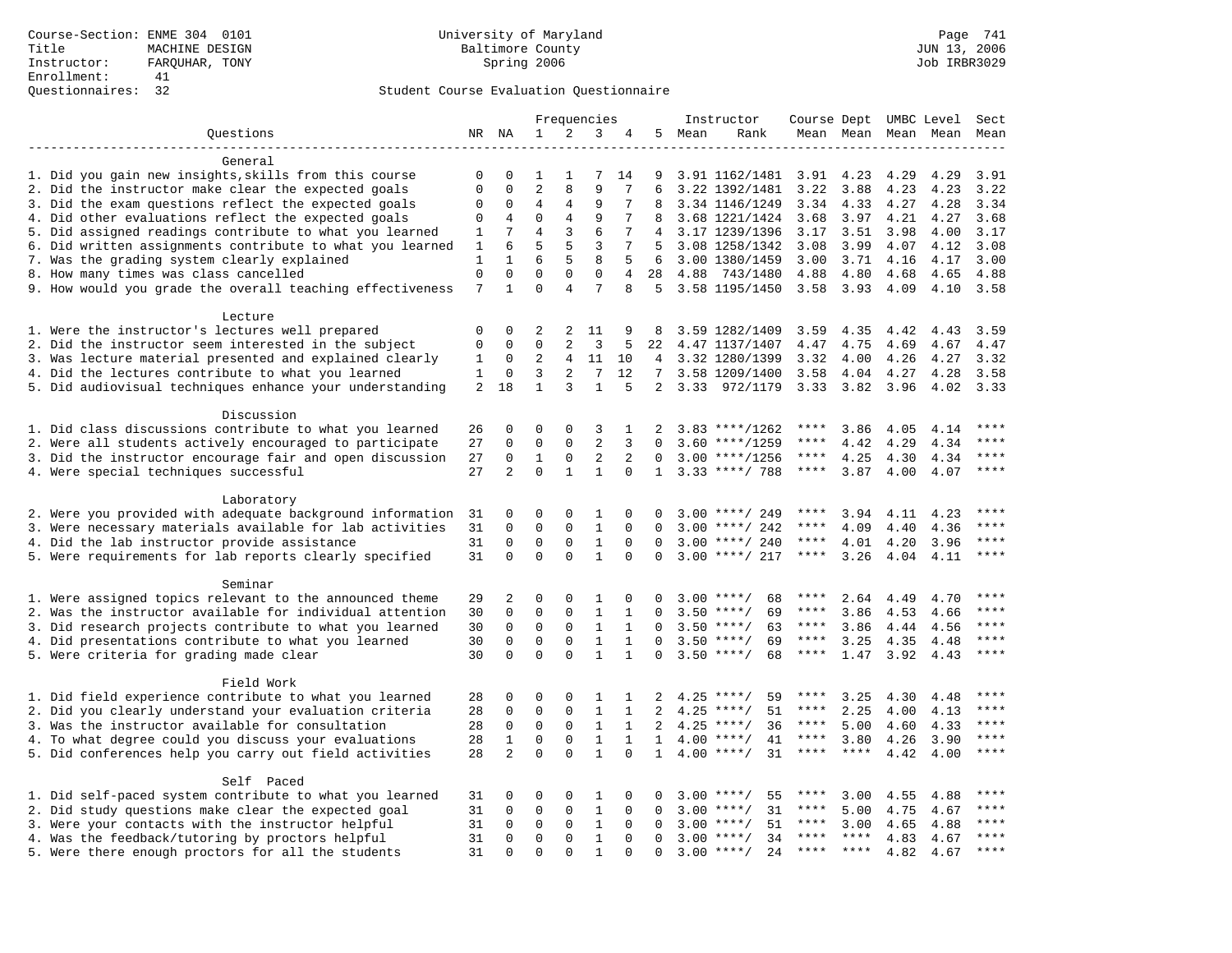|                                                           |              |                | Frequencies    |                | Instructor      |              |                |        |                     |             | Course Dept UMBC Level | Sect |           |             |
|-----------------------------------------------------------|--------------|----------------|----------------|----------------|-----------------|--------------|----------------|--------|---------------------|-------------|------------------------|------|-----------|-------------|
| Ouestions                                                 |              | NR NA          | 1              | 2              | 3               | 4            |                | 5 Mean | Rank                |             | Mean Mean              |      | Mean Mean | Mean        |
|                                                           |              |                |                |                |                 |              |                |        |                     |             |                        |      |           |             |
| General                                                   |              |                |                |                |                 |              |                |        |                     |             |                        |      |           |             |
| 1. Did you gain new insights, skills from this course     | 0            | 0              | 1              | 1              | 7               | 14           | 9              |        | 3.91 1162/1481 3.91 |             | 4.23                   | 4.29 | 4.29      | 3.91        |
| 2. Did the instructor make clear the expected goals       | $\mathbf 0$  | $\Omega$       | $\overline{2}$ | 8              | 9               | 7            | 6              |        | 3.22 1392/1481      | 3.22        | 3.88                   | 4.23 | 4.23      | 3.22        |
| 3. Did the exam questions reflect the expected goals      | $\mathbf 0$  | 0              | 4              | 4              | 9               | 7            |                |        | 3.34 1146/1249      | 3.34        | 4.33                   | 4.27 | 4.28      | 3.34        |
| 4. Did other evaluations reflect the expected goals       | $\mathbf 0$  | 4              | $\mathbf 0$    | $\overline{4}$ | 9               | 7            |                |        | 3.68 1221/1424      | 3.68        | 3.97                   | 4.21 | 4.27      | 3.68        |
| 5. Did assigned readings contribute to what you learned   | 1            | 7              | $\overline{4}$ | 3              | 6               | 7            |                |        | 3.17 1239/1396      | 3.17        | 3.51                   | 3.98 | 4.00      | 3.17        |
| 6. Did written assignments contribute to what you learned | 1            | 6              | 5              | 5              | 3               | 7            | 5              |        | 3.08 1258/1342      | 3.08        | 3.99                   | 4.07 | 4.12      | 3.08        |
| 7. Was the grading system clearly explained               | $\mathbf{1}$ | $\mathbf{1}$   | 6              | 5              | 8               | 5            | 6              |        | 3.00 1380/1459      | 3.00        | 3.71                   | 4.16 | 4.17      | 3.00        |
| 8. How many times was class cancelled                     | $\mathbf 0$  | $\mathbf 0$    | $\mathbf{0}$   | $\mathbf 0$    | $\mathbf 0$     | 4            | 28             |        | 4.88 743/1480       | 4.88        | 4.80                   | 4.68 | 4.65      | 4.88        |
| 9. How would you grade the overall teaching effectiveness | 7            | $\mathbf{1}$   | $\Omega$       | $\overline{4}$ | 7               | 8            | 5              |        | 3.58 1195/1450      | 3.58        | 3.93                   | 4.09 | 4.10      | 3.58        |
| Lecture                                                   |              |                |                |                |                 |              |                |        |                     |             |                        |      |           |             |
| 1. Were the instructor's lectures well prepared           | $\mathbf 0$  | 0              | 2              | 2              | 11              | 9            | 8              |        | 3.59 1282/1409      | 3.59        | 4.35                   | 4.42 | 4.43      | 3.59        |
| 2. Did the instructor seem interested in the subject      | $\mathbf 0$  | 0              | $\mathbf{0}$   | 2              | 3               | 5            | 22             |        | 4.47 1137/1407      | 4.47        | 4.75                   | 4.69 | 4.67      | 4.47        |
| 3. Was lecture material presented and explained clearly   | 1            | 0              | $\overline{2}$ | 4              | 11              | 10           | 4              |        | 3.32 1280/1399      | 3.32        | 4.00                   | 4.26 | 4.27      | 3.32        |
| 4. Did the lectures contribute to what you learned        | 1            | $\mathbf 0$    | 3              | 2              | $7\phantom{.0}$ | 12           | 7 <sup>7</sup> |        | 3.58 1209/1400      | 3.58        | 4.04                   | 4.27 | 4.28      | 3.58        |
| 5. Did audiovisual techniques enhance your understanding  | 2            | 18             | $\mathbf{1}$   | 3              | $\mathbf{1}$    | 5            |                |        | 2 3.33 972/1179     | 3.33 3.82   |                        | 3.96 | 4.02      | 3.33        |
|                                                           |              |                |                |                |                 |              |                |        |                     |             |                        |      |           |             |
| Discussion                                                |              |                |                |                |                 |              |                |        |                     |             |                        |      |           |             |
| 1. Did class discussions contribute to what you learned   | 26           | 0              | $\mathbf 0$    | $\mathbf 0$    | 3               | 1            |                |        | $3.83$ ****/1262    | ****        | 3.86                   | 4.05 | 4.14      | $***$       |
| 2. Were all students actively encouraged to participate   | 27           | $\mathbf 0$    | $\mathbf 0$    | $\Omega$       | 2               | 3            | $\Omega$       |        | $3.60$ ****/1259    | ****        | 4.42                   | 4.29 | 4.34      | $***$       |
| 3. Did the instructor encourage fair and open discussion  | 27           | $\mathbf 0$    | $\mathbf{1}$   | $\mathbf 0$    | $\mathbf{2}$    | 2            | $\mathbf 0$    |        | $3.00$ ****/1256    | $***$ * * * | 4.25                   | 4.30 | 4.34      | ****        |
| 4. Were special techniques successful                     | 27           | $\overline{2}$ | $\Omega$       | $\mathbf{1}$   | $\mathbf{1}$    | $\Omega$     | $\mathbf{1}$   |        | $3.33$ ****/ 788    | $***$ * * * | 3.87                   | 4.00 | 4.07      | $***$       |
| Laboratory                                                |              |                |                |                |                 |              |                |        |                     |             |                        |      |           |             |
| 2. Were you provided with adequate background information | 31           | 0              | $\mathbf{0}$   | $\Omega$       | 1               | $\Omega$     | $\Omega$       |        | $3.00$ ****/ 249    | ****        | 3.94                   | 4.11 | 4.23      | ****        |
| 3. Were necessary materials available for lab activities  | 31           | $\mathbf 0$    | $\mathbf{0}$   | $\mathbf 0$    | $\mathbf{1}$    | $\mathbf 0$  | $\Omega$       |        | $3.00$ ****/ 242    | ****        | 4.09                   | 4.40 | 4.36      | ****        |
| 4. Did the lab instructor provide assistance              | 31           | 0              | $\mathbf 0$    | 0              | $\mathbf{1}$    | 0            | 0              |        | $3.00$ ****/ 240    | $***$ * *   | 4.01                   | 4.20 | 3.96      | $***$       |
| 5. Were requirements for lab reports clearly specified    | 31           | $\Omega$       | $\Omega$       | $\Omega$       | $\mathbf{1}$    | $\Omega$     | $\Omega$       |        | $3.00$ ****/ 217    | $***$ * * * | 3.26                   | 4.04 | 4.11      | $***$       |
|                                                           |              |                |                |                |                 |              |                |        |                     |             |                        |      |           |             |
| Seminar                                                   |              |                |                |                |                 |              |                |        |                     |             |                        |      |           |             |
| 1. Were assigned topics relevant to the announced theme   | 29           | 2              | $\mathbf{0}$   | $\mathbf 0$    | 1               | 0            | $\Omega$       |        | 68<br>$3.00$ ****/  | ****        | 2.64                   | 4.49 | 4.70      |             |
| 2. Was the instructor available for individual attention  | 30           | 0              | $\mathbf 0$    | $\mathbf 0$    | $\mathbf{1}$    | $\mathbf{1}$ | $\Omega$       | 3.50   | $***/$<br>69        | ****        | 3.86                   | 4.53 | 4.66      | $***$       |
| 3. Did research projects contribute to what you learned   | 30           | $\mathbf 0$    | $\mathbf 0$    | $\mathbf 0$    | $\mathbf{1}$    | $\mathbf{1}$ | $\Omega$       |        | $3.50$ ****/<br>63  | $***$ * * * | 3.86                   | 4.44 | 4.56      | $***$ * * * |
| 4. Did presentations contribute to what you learned       | 30           | $\mathbf 0$    | $\mathbf 0$    | $\mathbf 0$    | $\mathbf{1}$    | $\mathbf{1}$ | $\Omega$       | 3.50   | $***/$<br>69        | $***$ * * * | 3.25                   | 4.35 | 4.48      | $***$       |
| 5. Were criteria for grading made clear                   | 30           | $\Omega$       | $\Omega$       | $\Omega$       | $\mathbf{1}$    | $\mathbf{1}$ | $\Omega$       |        | $3.50$ ****/<br>68  | ****        | 1.47                   | 3.92 | 4.43      | ****        |
| Field Work                                                |              |                |                |                |                 |              |                |        |                     |             |                        |      |           |             |
| 1. Did field experience contribute to what you learned    | 28           | 0              | $\mathbf 0$    | $\mathbf 0$    | 1               | 1            | 2              |        | $4.25$ ****/<br>59  | ****        | 3.25                   | 4.30 | 4.48      | ****        |
| 2. Did you clearly understand your evaluation criteria    | 28           | $\mathbf 0$    | $\mathbf 0$    | $\mathbf 0$    | $\mathbf{1}$    | $\mathbf{1}$ | 2              |        | 51<br>$4.25$ ****/  | $***$ * * * | 2.25                   | 4.00 | 4.13      | $***$ * * * |
| 3. Was the instructor available for consultation          | 28           | $\mathbf 0$    | $\mathbf 0$    | $\mathbf 0$    | $\mathbf{1}$    | $\mathbf{1}$ | 2              |        | $4.25$ ****/<br>36  | $***$ * * * | 5.00                   | 4.60 | 4.33      | ****        |
| 4. To what degree could you discuss your evaluations      | 28           | $\mathbf{1}$   | $\mathbf 0$    | $\mathbf 0$    | $\mathbf{1}$    | $\mathbf{1}$ | $\mathbf{1}$   |        | $4.00$ ****/<br>41  | $***$ * *   | 3.80                   | 4.26 | 3.90      | $***$       |
| 5. Did conferences help you carry out field activities    | 28           | $\overline{2}$ | $\Omega$       | $\Omega$       | $\mathbf{1}$    | $\Omega$     | $\mathbf{1}$   |        | $4.00$ ****/<br>31  | ****        | $***$ *                | 4.42 | 4.00      | $***$       |
|                                                           |              |                |                |                |                 |              |                |        |                     |             |                        |      |           |             |
| Self Paced                                                |              |                |                |                |                 |              |                |        |                     |             |                        |      |           |             |
| 1. Did self-paced system contribute to what you learned   | 31           | 0              | $\mathbf 0$    | $\mathbf 0$    | 1               | 0            | <sup>n</sup>   | 3.00   | $***/$<br>55        | ****        | 3.00                   | 4.55 | 4.88      |             |
| 2. Did study questions make clear the expected goal       | 31           | $\Omega$       | $\mathbf{0}$   | $\Omega$       | $\mathbf{1}$    | $\Omega$     | $\Omega$       | 3.00   | 31<br>$***/$        | ****        | 5.00                   | 4.75 | 4.67      | $***$ * * * |
| 3. Were your contacts with the instructor helpful         | 31           | 0              | $\mathbf 0$    | $\mathbf 0$    | $\mathbf{1}$    | $\Omega$     | $\Omega$       |        | $3.00$ ****/<br>51  | ****        | 3.00                   | 4.65 | 4.88      | ****        |
| 4. Was the feedback/tutoring by proctors helpful          | 31           | $\Omega$       | $\Omega$       | $\Omega$       | $\mathbf{1}$    | $\Omega$     | $\Omega$       | 3.00   | $***/$<br>34        | ****        | $***$                  | 4.83 | 4.67      | $***$       |
| 5. Were there enough proctors for all the students        | 31           | $\Omega$       | $\Omega$       | $\Omega$       | $\mathbf{1}$    | $\Omega$     | $\Omega$       |        | $3.00$ ****/<br>2.4 | $***$ * * * | $***$ *                | 4.82 | 4.67      | $***$       |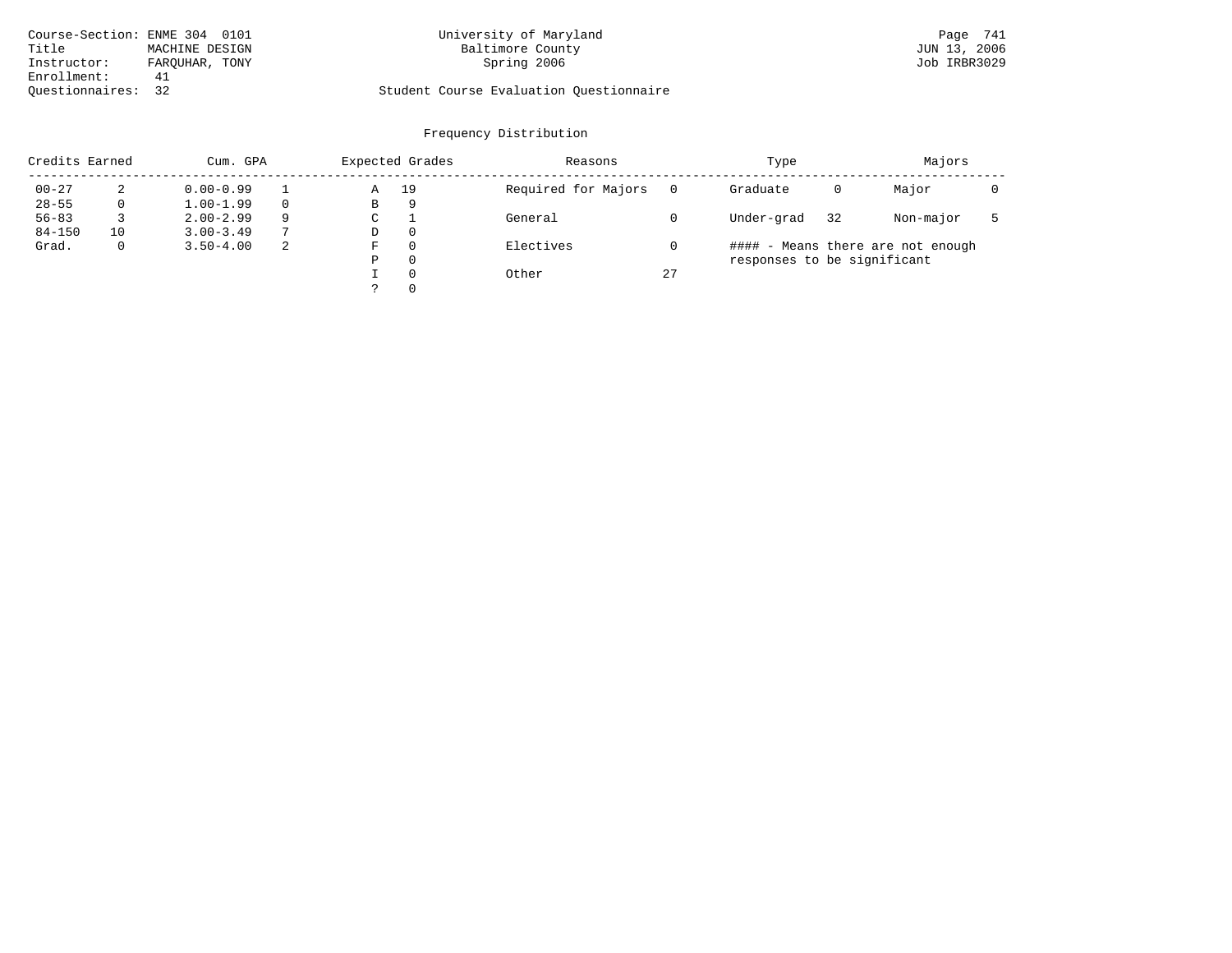| Course-Section: ENME 304 0101 |                | University of Maryland                  | Page 741     |
|-------------------------------|----------------|-----------------------------------------|--------------|
| Title                         | MACHINE DESIGN | Baltimore County                        | JUN 13, 2006 |
| Instructor:                   | FAROUHAR, TONY | Spring 2006                             | Job IRBR3029 |
| Enrollment:                   | 41             |                                         |              |
| Ouestionnaires: 32            |                | Student Course Evaluation Ouestionnaire |              |

# University of Maryland Page 741 Page 741 Daltimore County

# Questionnaires: 32 Student Course Evaluation Questionnaire

| Credits Earned |              | Cum. GPA      |    |   | Expected Grades | Reasons             |    | Type                        |    | Majors                            |  |
|----------------|--------------|---------------|----|---|-----------------|---------------------|----|-----------------------------|----|-----------------------------------|--|
| $00 - 27$      | 2            | $0.00 - 0.99$ |    | Α | 19              | Required for Majors |    | Graduate                    | 0  | Major                             |  |
| $28 - 55$      | 0            | $1.00 - 1.99$ |    | В | 9               |                     |    |                             |    |                                   |  |
| $56 - 83$      |              | $2.00 - 2.99$ | 9  | C |                 | General             |    | Under-grad                  | 32 | Non-major                         |  |
| $84 - 150$     | 10           | $3.00 - 3.49$ |    | D | $\Omega$        |                     |    |                             |    |                                   |  |
| Grad.          | $\mathbf{0}$ | $3.50 - 4.00$ | -2 | F | $\Omega$        | Electives           |    |                             |    | #### - Means there are not enough |  |
|                |              |               |    | Ρ | $\Omega$        |                     |    | responses to be significant |    |                                   |  |
|                |              |               |    |   | $\Omega$        | Other               | 27 |                             |    |                                   |  |
|                |              |               |    |   | $\Omega$        |                     |    |                             |    |                                   |  |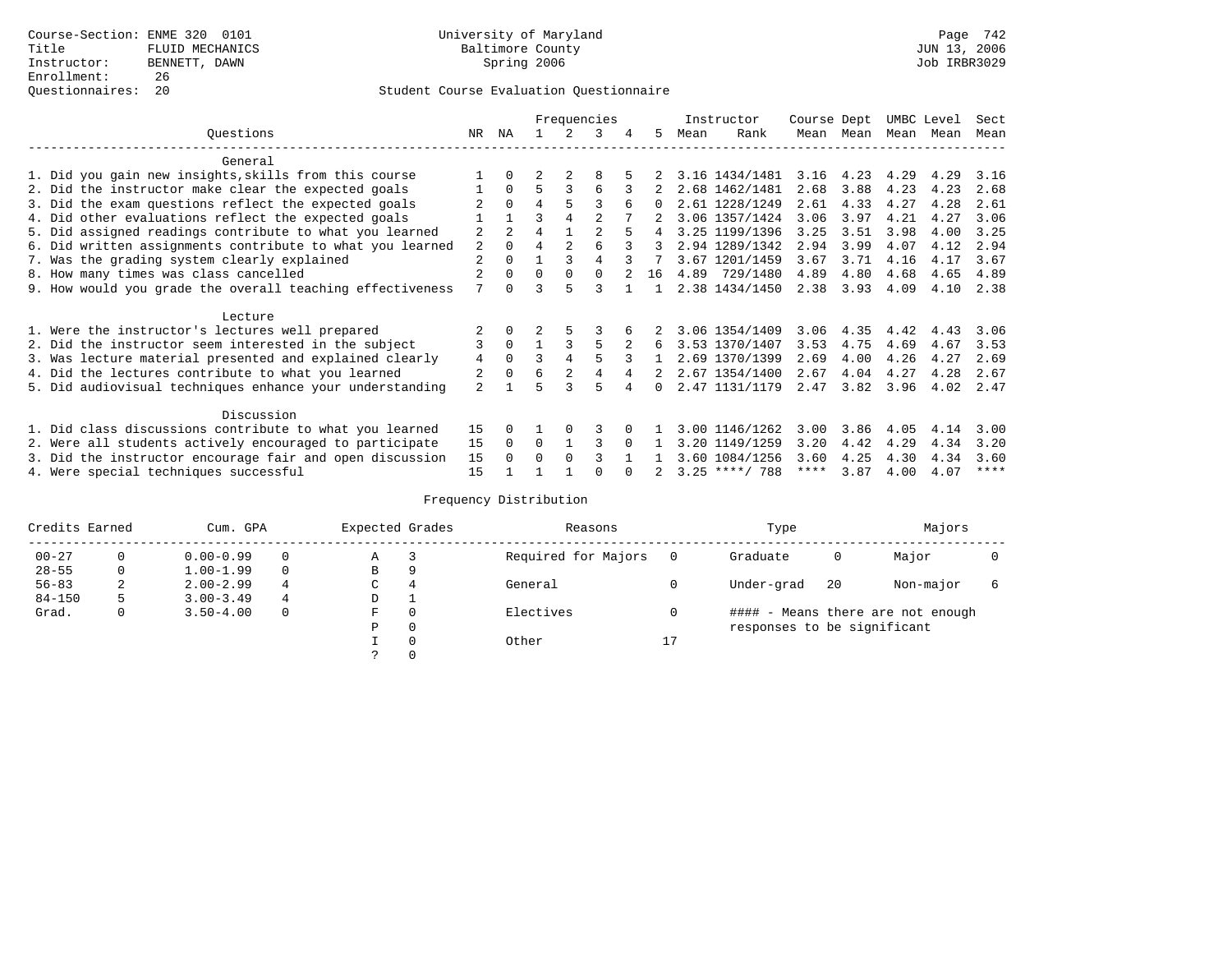### Questionnaires: 20 Student Course Evaluation Questionnaire

|                                                           |     |                |                |                | Frequencies    |    |      | Instructor       | Course Dept |             | UMBC Level |      | Sect        |
|-----------------------------------------------------------|-----|----------------|----------------|----------------|----------------|----|------|------------------|-------------|-------------|------------|------|-------------|
| Ouestions                                                 | NR. | ΝA             |                |                | 3              | 5. | Mean | Rank             | Mean        | Mean        | Mean       | Mean | Mean        |
| General                                                   |     |                |                |                |                |    |      |                  |             |             |            |      |             |
|                                                           |     |                |                |                |                |    |      |                  |             |             |            |      |             |
| 1. Did you gain new insights, skills from this course     |     |                |                |                | 8              |    |      | 3.16 1434/1481   |             | $3.16$ 4.23 | 4.29       | 4.29 | 3.16        |
| 2. Did the instructor make clear the expected goals       |     | $\Omega$       | 5              | 3              | 6              |    |      | 2.68 1462/1481   | 2.68        | 3.88        | 4.23       | 4.23 | 2.68        |
| 3. Did the exam questions reflect the expected goals      |     | $\Omega$       | 4              | 5              | ς              | 0  |      | 2.61 1228/1249   | 2.61        | 4.33        | 4.27       | 4.28 | 2.61        |
| 4. Did other evaluations reflect the expected goals       |     |                | ζ              |                |                |    |      | 3.06 1357/1424   | 3.06        | 3.97        | 4.21       | 4.27 | 3.06        |
| 5. Did assigned readings contribute to what you learned   | 2   | $\overline{2}$ | $\overline{4}$ |                | $\mathfrak{D}$ |    |      | 3.25 1199/1396   | 3.25        | 3.51        | 3.98       | 4.00 | 3.25        |
| 6. Did written assignments contribute to what you learned | 2   | $\Omega$       | 4              | $\mathfrak{D}$ |                | 3  |      | 2.94 1289/1342   | 2.94        | 3.99        | 4.07       | 4.12 | 2.94        |
| 7. Was the grading system clearly explained               |     |                |                |                | 4              |    |      | 3.67 1201/1459   | 3.67        | 3.71        | 4.16       | 4.17 | 3.67        |
| 8. How many times was class cancelled                     |     | $\Omega$       | $\Omega$       | $\Omega$       | $\Omega$       | 16 | 4.89 | 729/1480         | 4.89        | 4.80        | 4.68       | 4.65 | 4.89        |
| 9. How would you grade the overall teaching effectiveness | 7   | <sup>n</sup>   | ζ              | 5              | २              |    |      | 2.38 1434/1450   | 2.38        | 3.93        | 4.09       | 4.10 | 2.38        |
|                                                           |     |                |                |                |                |    |      |                  |             |             |            |      |             |
| Lecture                                                   |     |                |                |                |                |    |      |                  |             |             |            |      |             |
| 1. Were the instructor's lectures well prepared           |     |                |                |                |                |    |      | 3.06 1354/1409   | 3.06        | 4.35        | 4.42       | 4.43 | 3.06        |
| 2. Did the instructor seem interested in the subject      | 3   | $\Omega$       |                |                |                | 6  |      | 3.53 1370/1407   | 3.53        | 4.75        | 4.69       | 4.67 | 3.53        |
| 3. Was lecture material presented and explained clearly   | 4   | 0              | ζ              |                |                |    |      | 2.69 1370/1399   | 2.69        | 4.00        | 4.26       | 4.27 | 2.69        |
| 4. Did the lectures contribute to what you learned        |     | $\Omega$       | 6              |                |                |    |      | 2.67 1354/1400   | 2.67        | 4.04        | 4.27       | 4.28 | 2.67        |
| 5. Did audiovisual techniques enhance your understanding  | 2   |                |                |                | 5              | 0  |      | 2.47 1131/1179   | 2.47        | 3.82        | 3.96       | 4.02 | 2.47        |
|                                                           |     |                |                |                |                |    |      |                  |             |             |            |      |             |
| Discussion                                                |     |                |                |                |                |    |      |                  |             |             |            |      |             |
| 1. Did class discussions contribute to what you learned   | 15  |                |                |                | 3              |    |      | 3.00 1146/1262   | 3.00        | 3.86        | 4.05       | 4.14 | 3.00        |
| 2. Were all students actively encouraged to participate   | 15  | $\Omega$       | $\Omega$       |                | ς              |    |      | 3.20 1149/1259   | 3.20        | 4.42        | 4.29       | 4.34 | 3.20        |
| 3. Did the instructor encourage fair and open discussion  | 15  |                | $\Omega$       |                |                |    |      | 3.60 1084/1256   | 3.60        | 4.25        | 4.30       | 4.34 | 3.60        |
| 4. Were special techniques successful                     | 15  |                |                |                |                |    |      | $3.25$ ****/ 788 | ****        | 3.87        | 4.00       | 4.07 | $***$ * * * |

| Credits Earned |          | Cum. GPA      | Expected Grades |             | Reasons  |                     | Type     |                             | Majors |                                   |  |
|----------------|----------|---------------|-----------------|-------------|----------|---------------------|----------|-----------------------------|--------|-----------------------------------|--|
| $00 - 27$      | $\Omega$ | $0.00 - 0.99$ |                 | Α           |          | Required for Majors | $\Omega$ | Graduate                    | 0      | Major                             |  |
| $28 - 55$      | 0        | $1.00 - 1.99$ |                 | В           | 9        |                     |          |                             |        |                                   |  |
| $56 - 83$      | 2        | $2.00 - 2.99$ | 4               | $\sim$<br>◡ | 4        | General             |          | Under-grad                  | -20    | Non-major                         |  |
| $84 - 150$     | 5        | $3.00 - 3.49$ | 4               | D           | <b>.</b> |                     |          |                             |        |                                   |  |
| Grad.          | 0        | $3.50 - 4.00$ |                 | F           | 0        | Electives           | 0        |                             |        | #### - Means there are not enough |  |
|                |          |               |                 | Ρ           | 0        |                     |          | responses to be significant |        |                                   |  |
|                |          |               |                 |             | $\Omega$ | Other               | 17       |                             |        |                                   |  |
|                |          |               |                 |             |          |                     |          |                             |        |                                   |  |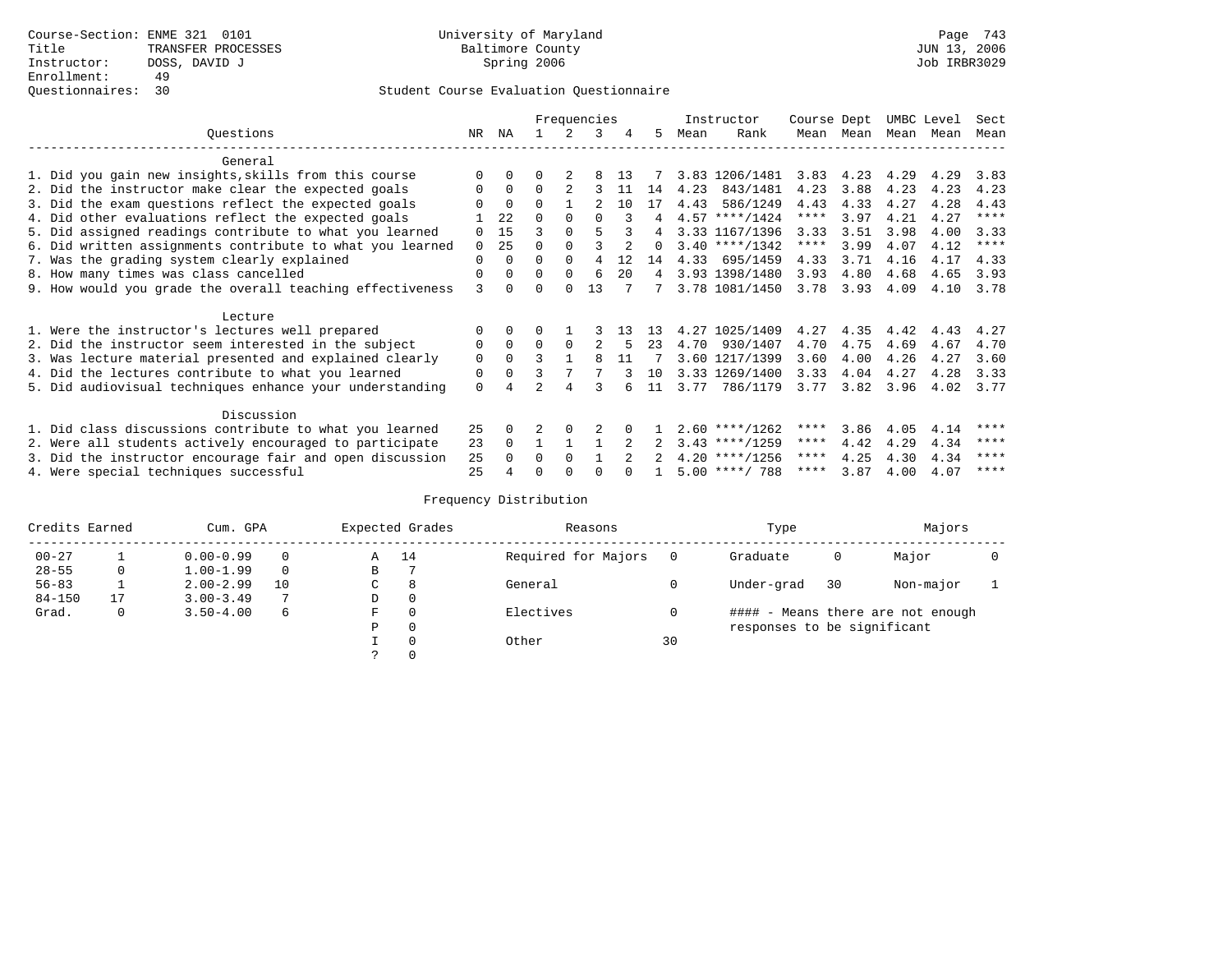|                                                           |          |          |          |          | Frequencies |              |          |      | Instructor       | Course Dept |      | UMBC Level |      | Sect        |
|-----------------------------------------------------------|----------|----------|----------|----------|-------------|--------------|----------|------|------------------|-------------|------|------------|------|-------------|
| Questions                                                 | NR.      | ΝA       |          |          | 3           | 4            | 5        | Mean | Rank             | Mean        | Mean | Mean       | Mean | Mean        |
| General                                                   |          |          |          |          |             |              |          |      |                  |             |      |            |      |             |
| 1. Did you gain new insights, skills from this course     |          | $\Omega$ | 0        |          |             | 1 3          |          |      | 3.83 1206/1481   | 3.83        | 4.23 | 4.29       | 4.29 | 3.83        |
| 2. Did the instructor make clear the expected goals       | 0        | $\Omega$ | $\Omega$ |          |             | 11           | 14       | 4.23 | 843/1481         | 4.23        | 3.88 | 4.23       | 4.23 | 4.23        |
| 3. Did the exam questions reflect the expected goals      |          | $\Omega$ | 0        |          |             | 10           | 17       | 4.43 | 586/1249         | 4.43        | 4.33 | 4.27       | 4.28 | 4.43        |
| 4. Did other evaluations reflect the expected goals       |          | 22       | O        | $\Omega$ |             |              | 4        |      | $4.57$ ****/1424 | $***$ * *   | 3.97 | 4.21       | 4.27 | ****        |
| 5. Did assigned readings contribute to what you learned   | $\Omega$ | 15       |          |          |             |              |          |      | 3.33 1167/1396   | 3.33        | 3.51 | 3.98       | 4.00 | 3.33        |
| 6. Did written assignments contribute to what you learned | $\Omega$ | 25       | U        |          |             |              | $\Omega$ |      | $3.40$ ****/1342 | $***$ * *   | 3.99 | 4.07       | 4.12 | $***$ * * * |
| 7. Was the grading system clearly explained               | 0        | $\Omega$ |          | $\Omega$ | 4           | 12           | 14       |      | 4.33 695/1459    | 4.33        | 3.71 | 4.16       | 4.17 | 4.33        |
| 8. How many times was class cancelled                     | 0        | $\Omega$ | $\Omega$ | $\Omega$ | 6           | $20^{\circ}$ | 4        |      | 3.93 1398/1480   | 3.93        | 4.80 | 4.68       | 4.65 | 3.93        |
| 9. How would you grade the overall teaching effectiveness | ζ        | $\cap$   |          | $\cap$   | 13          |              |          |      | 3.78 1081/1450   | 3.78        | 3.93 | 4.09       | 4.10 | 3.78        |
| Lecture                                                   |          |          |          |          |             |              |          |      |                  |             |      |            |      |             |
| 1. Were the instructor's lectures well prepared           |          |          |          |          |             |              |          | 4.27 | 1025/1409        | 4.27        | 4.35 | 4.42       | 4.43 | 4.27        |
| 2. Did the instructor seem interested in the subject      | 0        | $\Omega$ | $\Omega$ | $\Omega$ |             |              | 23       | 4.70 | 930/1407         | 4.70        | 4.75 | 4.69       | 4.67 | 4.70        |
| 3. Was lecture material presented and explained clearly   | 0        | $\Omega$ | ς        |          | 8           | 11           |          |      | 3.60 1217/1399   | 3.60        | 4.00 | 4.26       | 4.27 | 3.60        |
| 4. Did the lectures contribute to what you learned        | 0        | $\Omega$ |          |          |             |              | 10       |      | 3.33 1269/1400   | 3.33        | 4.04 | 4.27       | 4.28 | 3.33        |
| 5. Did audiovisual techniques enhance your understanding  | $\Omega$ | 4        |          | 4        |             |              | 11       | 3.77 | 786/1179         | 3.77        | 3.82 | 3.96       | 4.02 | 3.77        |
|                                                           |          |          |          |          |             |              |          |      |                  |             |      |            |      |             |
| Discussion                                                |          |          |          |          |             |              |          |      |                  |             |      |            |      |             |
| 1. Did class discussions contribute to what you learned   | 25       | $\Omega$ |          | $\Omega$ |             |              |          |      | $2.60$ ****/1262 | ****        | 3.86 | 4.05       | 4.14 | ****        |
| 2. Were all students actively encouraged to participate   | 23       | $\Omega$ |          |          |             |              |          |      | $3.43$ ****/1259 | $***$ * *   | 4.42 | 4.29       | 4.34 | ****        |
| 3. Did the instructor encourage fair and open discussion  | 25       |          | $\Omega$ | $\Omega$ |             |              |          |      | $4.20$ ****/1256 | ****        | 4.25 | 4.30       | 4.34 | ****        |
| 4. Were special techniques successful                     | 25       |          |          |          |             |              |          |      | $5.00$ ****/ 788 | ****        | 3.87 | 4.00       | 4.07 | ****        |

| Credits Earned |    | Cum. GPA      |    |               | Expected Grades | Reasons             |    | Type                        |    | Majors                            |  |
|----------------|----|---------------|----|---------------|-----------------|---------------------|----|-----------------------------|----|-----------------------------------|--|
| $00 - 27$      |    | $0.00 - 0.99$ |    | A             | 14              | Required for Majors |    | Graduate                    | 0  | Major                             |  |
| $28 - 55$      | 0  | $1.00 - 1.99$ |    | В             |                 |                     |    |                             |    |                                   |  |
| $56 - 83$      |    | $2.00 - 2.99$ | 10 | $\sim$<br>◡   | 8               | General             |    | Under-grad                  | 30 | Non-major                         |  |
| $84 - 150$     | 17 | $3.00 - 3.49$ | 7  | D             | 0               |                     |    |                             |    |                                   |  |
| Grad.          | 0  | $3.50 - 4.00$ | 6  | F             | 0               | Electives           |    |                             |    | #### - Means there are not enough |  |
|                |    |               |    | Ρ             | 0               |                     |    | responses to be significant |    |                                   |  |
|                |    |               |    |               | 0               | Other               | 30 |                             |    |                                   |  |
|                |    |               |    | $\mathcal{L}$ |                 |                     |    |                             |    |                                   |  |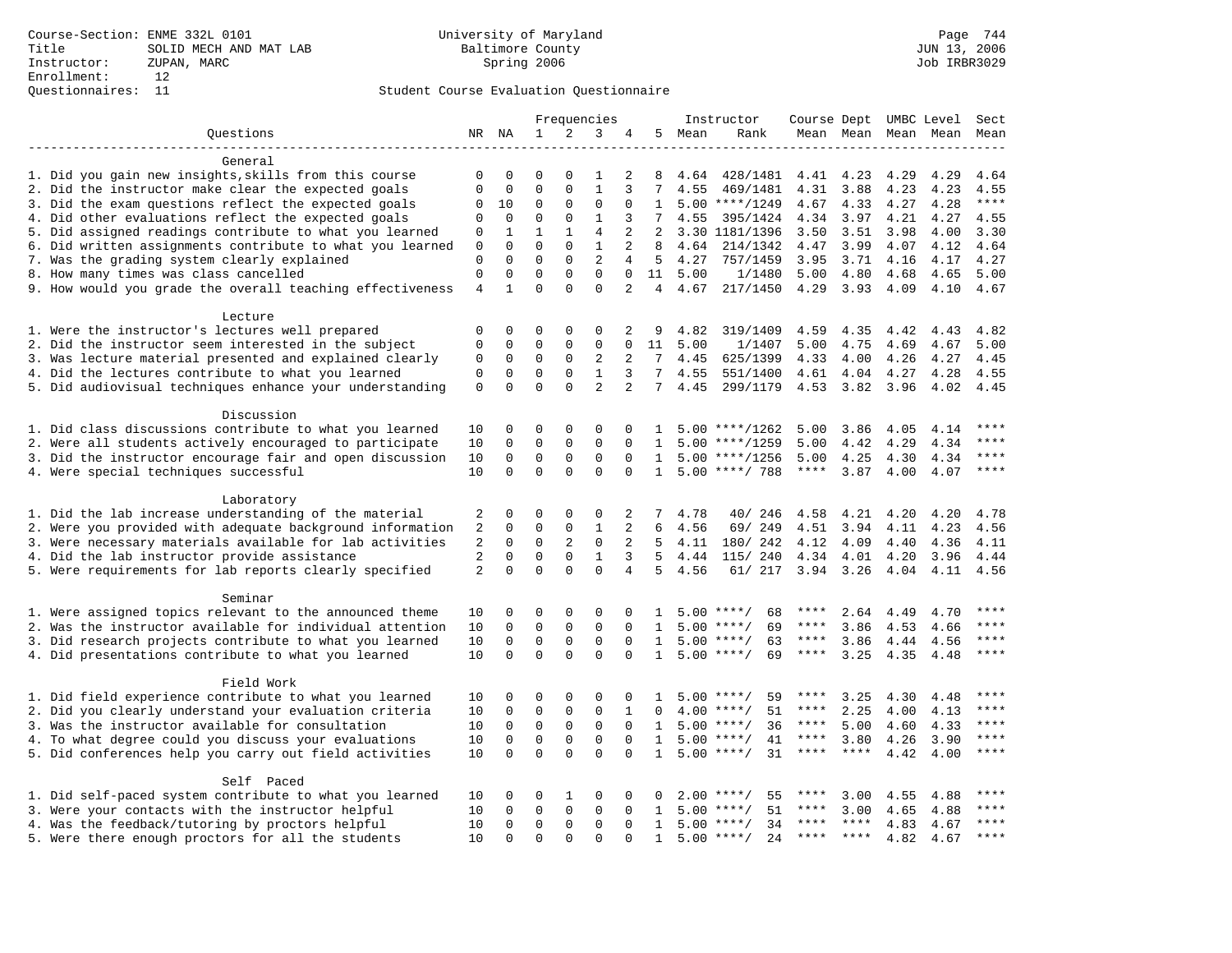### Questionnaires: 11 Student Course Evaluation Questionnaire

|                                                           |                  |                  |              |              | Frequencies    |                |                 |         | Instructor          | Course Dept UMBC Level Sect |             |      |                          |             |
|-----------------------------------------------------------|------------------|------------------|--------------|--------------|----------------|----------------|-----------------|---------|---------------------|-----------------------------|-------------|------|--------------------------|-------------|
| Questions                                                 |                  | NR NA            | 1            | 2            | 3              | 4              |                 | 5 Mean  | Rank                |                             |             |      | Mean Mean Mean Mean Mean |             |
|                                                           |                  |                  |              |              |                |                |                 |         |                     |                             |             |      |                          |             |
| General                                                   |                  |                  |              |              |                |                |                 |         |                     |                             |             |      |                          |             |
| 1. Did you gain new insights, skills from this course     | 0                | $\mathbf 0$      | $\Omega$     | $\Omega$     | 1              | 2              | 8               | 4.64    | 428/1481            | 4.41                        | 4.23        | 4.29 | 4.29                     | 4.64        |
| 2. Did the instructor make clear the expected goals       | $\mathbf{0}$     | $\mathbf 0$      | $\mathbf 0$  | $\mathbf 0$  | $\mathbf{1}$   | 3              | 7               | 4.55    | 469/1481            | 4.31                        | 3.88        | 4.23 | 4.23                     | 4.55        |
| 3. Did the exam questions reflect the expected goals      | 0                | 10               | 0            | $\mathbf 0$  | $\mathbf 0$    | 0              | $\mathbf{1}$    |         | $5.00$ ****/1249    | 4.67                        | 4.33        | 4.27 | 4.28                     | $***$       |
| 4. Did other evaluations reflect the expected goals       | $\mathbf 0$      | $\mathbf 0$      | $\mathbf 0$  | $\mathbf 0$  | $\mathbf{1}$   | 3              | 7               | 4.55    | 395/1424            | 4.34                        | 3.97        | 4.21 | 4.27                     | 4.55        |
| 5. Did assigned readings contribute to what you learned   | 0                | $\mathbf{1}$     | $\mathbf{1}$ | $\mathbf{1}$ | $\overline{4}$ | 2              | 2               |         | 3.30 1181/1396      | 3.50                        | 3.51        | 3.98 | 4.00                     | 3.30        |
| 6. Did written assignments contribute to what you learned | $\mathbf 0$      | $\mathbf{0}$     | $\mathbf 0$  | $\mathbf 0$  | $\mathbf{1}$   | 2              | 8               | 4.64    | 214/1342            | 4.47                        | 3.99        | 4.07 | 4.12                     | 4.64        |
| 7. Was the grading system clearly explained               | $\mathbf{0}$     | $\mathbf 0$      | $\Omega$     | $\mathbf 0$  | 2              | 4              | 5               | 4.27    | 757/1459            | 3.95                        | 3.71        | 4.16 | 4.17                     | 4.27        |
| 8. How many times was class cancelled                     | $\mathbf 0$      | $\Omega$         | $\Omega$     | $\Omega$     | $\Omega$       | $\Omega$       |                 | 11 5.00 | 1/1480              | 5.00                        | 4.80        | 4.68 | 4.65                     | 5.00        |
| 9. How would you grade the overall teaching effectiveness |                  |                  | $\Omega$     | $\Omega$     | $\Omega$       | $\overline{2}$ |                 | 4 4.67  | 217/1450            | 4.29                        | 3.93        | 4.09 | 4.10                     | 4.67        |
| Lecture                                                   |                  |                  |              |              |                |                |                 |         |                     |                             |             |      |                          |             |
| 1. Were the instructor's lectures well prepared           | 0                | 0                | 0            | 0            | 0              | 2              | 9               | 4.82    | 319/1409            | 4.59                        | 4.35        | 4.42 | 4.43                     | 4.82        |
| 2. Did the instructor seem interested in the subject      | $\mathbf{0}$     | 0                | 0            | $\mathbf{0}$ | $\mathbf 0$    | $\mathbf 0$    | 11              | 5.00    | 1/1407              | 5.00                        | 4.75        | 4.69 | 4.67                     | 5.00        |
| 3. Was lecture material presented and explained clearly   |                  |                  | 0            | 0            | 2              | 2              | $7^{\circ}$     | 4.45    | 625/1399            | 4.33                        | 4.00        | 4.26 | 4.27                     | 4.45        |
| 4. Did the lectures contribute to what you learned        | 0<br>$\mathbf 0$ | 0<br>$\mathbf 0$ | $\mathbf 0$  | $\mathsf 0$  | $\mathbf{1}$   | 3              | $7\overline{ }$ |         | 4.55 551/1400       | 4.61                        | 4.04        | 4.27 | 4.28                     | 4.55        |
| 5. Did audiovisual techniques enhance your understanding  | $\mathbf 0$      | $\Omega$         | $\Omega$     | $\Omega$     | $\overline{a}$ | $\overline{a}$ | 7               | 4.45    | 299/1179            |                             | 4.53 3.82   | 3.96 | 4.02                     | 4.45        |
|                                                           |                  |                  |              |              |                |                |                 |         |                     |                             |             |      |                          |             |
| Discussion                                                |                  |                  |              |              |                |                |                 |         |                     |                             |             |      |                          |             |
| 1. Did class discussions contribute to what you learned   | 10               | $\mathbf 0$      | 0            | $\Omega$     | $\Omega$       |                |                 |         | $5.00$ ****/1262    | 5.00                        | 3.86        | 4.05 | 4.14                     | ****        |
| 2. Were all students actively encouraged to participate   | 10               | $\mathbf 0$      | $\mathbf 0$  | $\mathbf 0$  | $\mathbf 0$    | $\Omega$       | 1               |         | $5.00$ ****/1259    | 5.00                        | 4.42        | 4.29 | 4.34                     | $***$       |
| 3. Did the instructor encourage fair and open discussion  | 10               | $\mathbf 0$      | $\mathbf 0$  | $\mathbf 0$  | 0              | $\Omega$       | 1               |         | $5.00$ ****/1256    | 5.00                        | 4.25        | 4.30 | 4.34                     | ****        |
| 4. Were special techniques successful                     | 10               | $\Omega$         | $\Omega$     | $\Omega$     | $\Omega$       | $\Omega$       | $\mathbf{1}$    |         | $5.00$ ****/ 788    | ****                        | 3.87        | 4.00 | 4.07                     | $***$       |
| Laboratory                                                |                  |                  |              |              |                |                |                 |         |                     |                             |             |      |                          |             |
| 1. Did the lab increase understanding of the material     | 2                | 0                | 0            | 0            | 0              | 2              | 7               | 4.78    | 40/ 246             | 4.58                        | 4.21        | 4.20 | 4.20                     | 4.78        |
| 2. Were you provided with adequate background information | $\sqrt{2}$       | $\mathbf 0$      | 0            | $\mathsf 0$  | 1              | 2              | 6               | 4.56    | 69/ 249             | 4.51                        | 3.94        | 4.11 | 4.23                     | 4.56        |
| 3. Were necessary materials available for lab activities  | 2                | $\mathbf 0$      | 0            | $\sqrt{2}$   | $\mathbf 0$    | 2              | 5               | 4.11    | 180/ 242            | 4.12                        | 4.09        | 4.40 | 4.36                     | 4.11        |
| 4. Did the lab instructor provide assistance              | 2                | $\mathbf 0$      | $\mathbf 0$  | $\mathbf{0}$ | $\mathbf{1}$   | 3              | $5^{\circ}$     | 4.44    | 115/ 240            | 4.34                        | 4.01        | 4.20 | 3.96                     | 4.44        |
| 5. Were requirements for lab reports clearly specified    | 2                | $\mathbf 0$      | $\Omega$     | $\Omega$     | $\Omega$       | $\overline{4}$ | 5               | 4.56    | 61/ 217             | 3.94 3.26                   |             | 4.04 | 4.11                     | 4.56        |
| Seminar                                                   |                  |                  |              |              |                |                |                 |         |                     |                             |             |      |                          |             |
| 1. Were assigned topics relevant to the announced theme   | 10               | 0                | 0            | 0            | 0              | 0              | 1               |         | $5.00$ ****/<br>68  | $***$ * *                   | 2.64        | 4.49 | 4.70                     | $***$       |
| 2. Was the instructor available for individual attention  | 10               | $\mathsf 0$      | $\mathbf 0$  | $\mathbf 0$  | $\mathbf 0$    | $\mathbf 0$    | 1               |         | $5.00$ ****/<br>69  | $\star\star\star\star$      | 3.86        | 4.53 | 4.66                     | $***$       |
| 3. Did research projects contribute to what you learned   | 10               | $\mathbf 0$      | $\mathbf 0$  | $\mathbf 0$  | $\mathbf 0$    | $\Omega$       | $\mathbf{1}$    |         | $5.00$ ****/<br>63  | $***$ * * *                 | 3.86        | 4.44 | 4.56                     | $* * * *$   |
| 4. Did presentations contribute to what you learned       | 10               | $\Omega$         | $\Omega$     | $\Omega$     | $\Omega$       | $\Omega$       | $\mathbf{1}$    |         | $5.00$ ****/<br>69  | $***$ * * *                 | 3.25        | 4.35 | 4.48                     | ****        |
|                                                           |                  |                  |              |              |                |                |                 |         |                     |                             |             |      |                          |             |
| Field Work                                                |                  |                  |              |              |                |                |                 |         |                     |                             |             |      |                          |             |
| 1. Did field experience contribute to what you learned    | 10               | 0                | 0            | 0            | $\Omega$       | 0              | 1               |         | $5.00$ ****/<br>59  | ****                        | 3.25        | 4.30 | 4.48                     | $***$ * * * |
| 2. Did you clearly understand your evaluation criteria    | 10               | $\mathbf 0$      | 0            | $\mathsf 0$  | $\mathbf 0$    | $\mathbf{1}$   | 0               | 4.00    | $***/$<br>51        | ****                        | 2.25        | 4.00 | 4.13                     | ****        |
| 3. Was the instructor available for consultation          | 10               | $\mathsf 0$      | $\mathbf 0$  | $\mathsf 0$  | $\mathbf 0$    | $\mathbf 0$    | $\mathbf{1}$    |         | $5.00$ ****/<br>36  | $***$ * *                   | 5.00        | 4.60 | 4.33                     | ****        |
| 4. To what degree could you discuss your evaluations      | 10               | $\mathbf 0$      | $\mathbf 0$  | $\mathsf 0$  | $\mathbf 0$    | $\mathbf 0$    | $\mathbf{1}$    |         | $5.00$ ****/<br>41  | $***$ * * *                 | 3.80        | 4.26 | 3.90                     | $***$       |
| 5. Did conferences help you carry out field activities    | 10               | $\mathbf 0$      | $\mathbf 0$  | $\Omega$     | $\mathbf 0$    | $\Omega$       | $\mathbf{1}$    |         | $5.00$ ****/<br>31  | $***$ * * *                 | $***$ * * * | 4.42 | 4.00                     | $***$       |
| Self Paced                                                |                  |                  |              |              |                |                |                 |         |                     |                             |             |      |                          |             |
| 1. Did self-paced system contribute to what you learned   |                  | $\mathbf 0$      | 0            | 1            | $\Omega$       | 0              | 0               | 2.00    | $***$ /<br>55       | ****                        | 3.00        | 4.55 | 4.88                     | $***$       |
| 3. Were your contacts with the instructor helpful         |                  | $\mathbf 0$      | $\mathbf 0$  | $\mathbf 0$  | $\mathbf 0$    | $\Omega$       | 1               | 5.00    | 51<br>$***/$        | ****                        | 3.00        | 4.65 | 4.88                     | $***$       |
| 4. Was the feedback/tutoring by proctors helpful          | 10<br>10         | $\Omega$         | $\Omega$     | $\mathbf{0}$ | $\Omega$       | $\Omega$       | 1               |         | $5.00$ ****/<br>34  | $***$ * *                   | $***$ *     | 4.83 | 4.67                     | ****        |
| 5. Were there enough proctors for all the students        | 10               | $\cap$           | $\Omega$     | $\cap$       | $\cap$         | $\cap$         | $\mathbf{1}$    |         | $5.00$ ****/<br>2.4 | ****                        | $***$ *     | 4.82 | 4.67                     | ****        |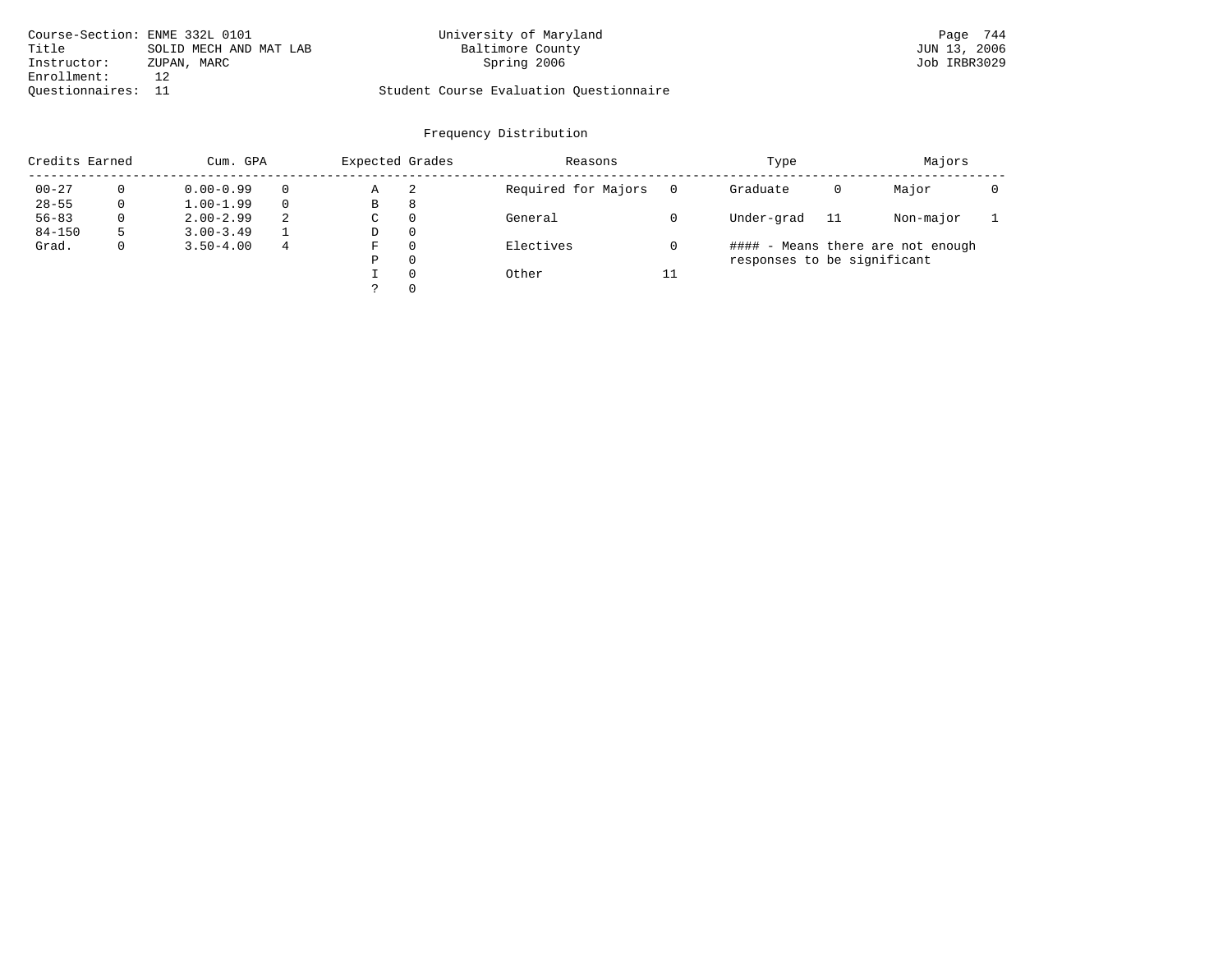| Course-Section: ENME 332L 0101 |                        | University of Maryland                  | Page 744     |
|--------------------------------|------------------------|-----------------------------------------|--------------|
| Title                          | SOLID MECH AND MAT LAB | Baltimore County                        | JUN 13, 2006 |
| Instructor:                    | ZUPAN, MARC            | Spring 2006                             | Job IRBR3029 |
| Enrollment:                    |                        |                                         |              |
| Ouestionnaires: 11             |                        | Student Course Evaluation Questionnaire |              |

| Credits Earned |          | Cum. GPA      |   |   | Expected Grades | Reasons             |    | Type                        |    | Majors                            |  |
|----------------|----------|---------------|---|---|-----------------|---------------------|----|-----------------------------|----|-----------------------------------|--|
| $00 - 27$      |          | $0.00 - 0.99$ |   | Α | 2               | Required for Majors |    | Graduate                    | 0  | Major                             |  |
| $28 - 55$      | 0        | $1.00 - 1.99$ |   | В | 8               |                     |    |                             |    |                                   |  |
| $56 - 83$      | $\Omega$ | $2.00 - 2.99$ | 2 | C | $\Omega$        | General             |    | Under-grad                  | 11 | Non-major                         |  |
| $84 - 150$     | 5        | $3.00 - 3.49$ |   | D | $\Omega$        |                     |    |                             |    |                                   |  |
| Grad.          | 0        | $3.50 - 4.00$ | 4 | F | $\Omega$        | Electives           |    |                             |    | #### - Means there are not enough |  |
|                |          |               |   | Ρ | $\Omega$        |                     |    | responses to be significant |    |                                   |  |
|                |          |               |   |   | $\Omega$        | Other               | 11 |                             |    |                                   |  |
|                |          |               |   |   | $\Omega$        |                     |    |                             |    |                                   |  |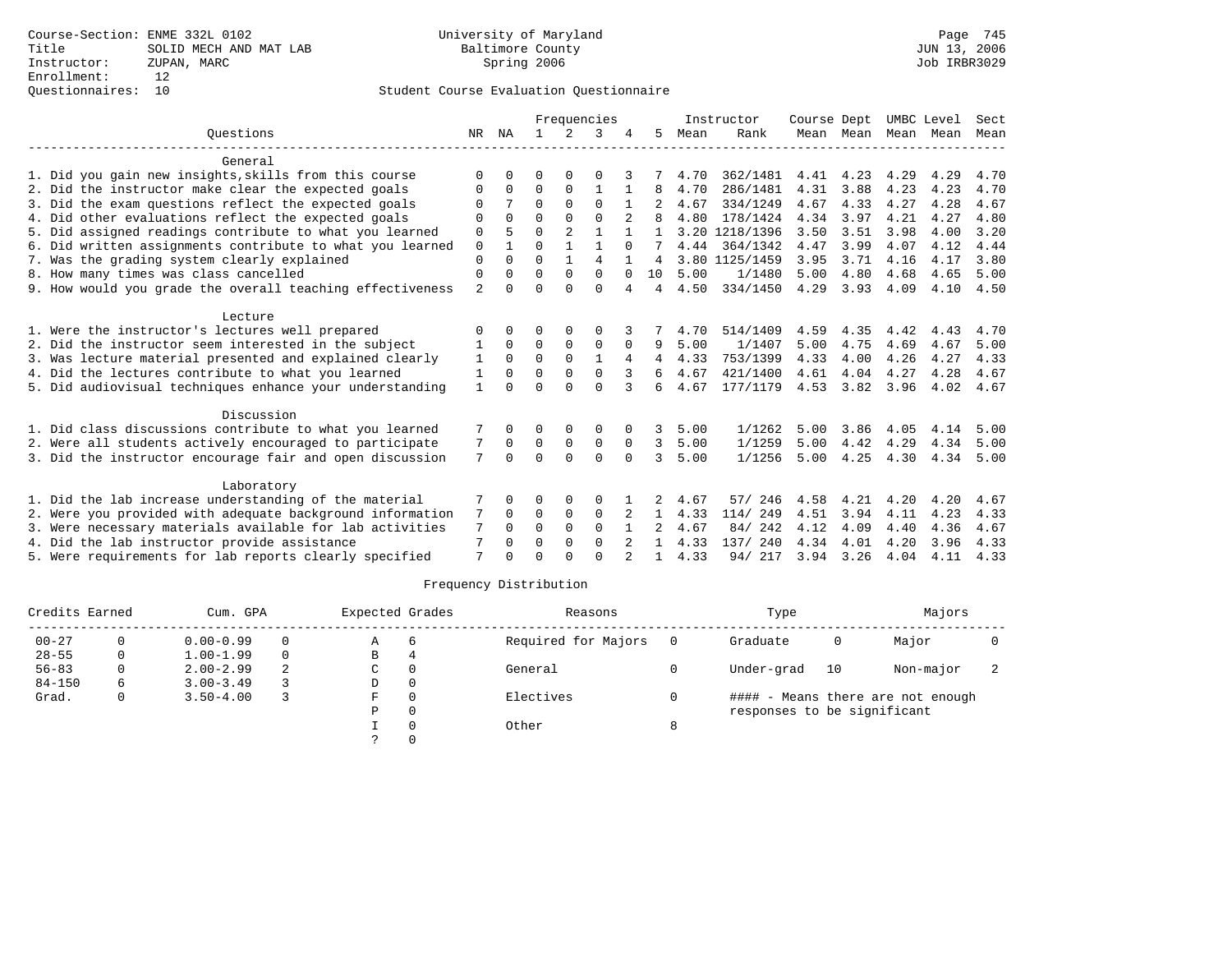### Questionnaires: 10 Student Course Evaluation Questionnaire

|                                                           |                | Frequencies  |          |                |                | Instructor | Course Dept |      | UMBC Level     |      | Sect           |      |      |      |
|-----------------------------------------------------------|----------------|--------------|----------|----------------|----------------|------------|-------------|------|----------------|------|----------------|------|------|------|
| Ouestions                                                 | NR             | ΝA           |          |                | 3              |            | 5.          | Mean | Rank           |      | Mean Mean      | Mean | Mean | Mean |
| General                                                   |                |              |          |                |                |            |             |      |                |      |                |      |      |      |
| 1. Did you gain new insights, skills from this course     | ∩              | <sup>n</sup> | O        | ∩              | ∩              |            |             | 4.70 | 362/1481       | 4.41 | 4.23           | 4.29 | 4.29 | 4.70 |
| 2. Did the instructor make clear the expected goals       | $\Omega$       | $\Omega$     | $\Omega$ | $\Omega$       | $\mathbf{1}$   |            | 8           | 4.70 | 286/1481       | 4.31 | 3.88           | 4.23 | 4.23 | 4.70 |
| 3. Did the exam questions reflect the expected goals      | $\Omega$       |              | $\Omega$ | $\Omega$       | $\Omega$       |            |             | 4.67 | 334/1249       | 4.67 | 4.33           | 4.27 | 4.28 | 4.67 |
| 4. Did other evaluations reflect the expected goals       | $\Omega$       | $\Omega$     | $\Omega$ | $\Omega$       | $\Omega$       |            |             | 4.80 | 178/1424       | 4.34 | 3.97           | 4.21 | 4.27 | 4.80 |
| 5. Did assigned readings contribute to what you learned   | $\Omega$       | 5            | $\cap$   | $\mathfrak{D}$ | 1              |            | 1           |      | 3.20 1218/1396 | 3.50 | 3.51           | 3.98 | 4.00 | 3.20 |
| 6. Did written assignments contribute to what you learned | $\mathbf 0$    |              | $\Omega$ |                | 1              | $\Omega$   |             | 4.44 | 364/1342       | 4.47 | 3.99           | 4.07 | 4.12 | 4.44 |
| 7. Was the grading system clearly explained               | $\Omega$       | $\Omega$     | $\Omega$ | $\mathbf{1}$   | $\overline{4}$ |            | 4           |      | 3.80 1125/1459 | 3.95 | 3.71           | 4.16 | 4.17 | 3.80 |
| 8. How many times was class cancelled                     | $\Omega$       | <sup>0</sup> | $\Omega$ | $\Omega$       | $\Omega$       | $\Omega$   | 10          | 5.00 | 1/1480         | 5.00 | 4.80           | 4.68 | 4.65 | 5.00 |
| 9. How would you grade the overall teaching effectiveness | $\overline{a}$ | <sup>0</sup> | $\Omega$ | $\Omega$       | $\Omega$       | 4          | 4           | 4.50 | 334/1450       | 4.29 | 3.93           | 4.09 | 4.10 | 4.50 |
| Lecture                                                   |                |              |          |                |                |            |             |      |                |      |                |      |      |      |
| 1. Were the instructor's lectures well prepared           | $\Omega$       | 0            | O        | 0              | $\Omega$       |            |             | 4.70 | 514/1409       | 4.59 | 4.35           | 4.42 | 4.43 | 4.70 |
| 2. Did the instructor seem interested in the subject      |                | $\Omega$     | $\Omega$ | $\Omega$       | $\Omega$       | $\Omega$   | 9           | 5.00 | 1/1407         | 5.00 | 4.75           | 4.69 | 4.67 | 5.00 |
| 3. Was lecture material presented and explained clearly   | 1              | 0            | $\Omega$ | $\Omega$       |                | 4          | 4           | 4.33 | 753/1399       | 4.33 | 4.00           | 4.26 | 4.27 | 4.33 |
| 4. Did the lectures contribute to what you learned        | 1              | $\Omega$     | 0        | 0              | $\mathbf 0$    |            | 6           | 4.67 | 421/1400       | 4.61 | 4.04           | 4.27 | 4.28 | 4.67 |
| 5. Did audiovisual techniques enhance your understanding  | $\mathbf{1}$   | $\cap$       | $\Omega$ | $\cap$         | $\cap$         | 3          | 6           | 4.67 | 177/1179       |      | 4.53 3.82 3.96 |      | 4.02 | 4.67 |
| Discussion                                                |                |              |          |                |                |            |             |      |                |      |                |      |      |      |
| 1. Did class discussions contribute to what you learned   |                | 0            | 0        | 0              | $\Omega$       | 0          | 3           | 5.00 | 1/1262         | 5.00 | 3.86           | 4.05 | 4.14 | 5.00 |
| 2. Were all students actively encouraged to participate   | 7              | $\Omega$     | $\Omega$ | $\mathbf 0$    | $\mathbf 0$    | 0          | 3           | 5.00 | 1/1259         | 5.00 | 4.42           | 4.29 | 4.34 | 5.00 |
| 3. Did the instructor encourage fair and open discussion  | 7              | $\Omega$     | $\Omega$ | $\Omega$       | $\Omega$       | $\Omega$   | 3           | 5.00 | 1/1256         | 5.00 | 4.25           | 4.30 | 4.34 | 5.00 |
| Laboratory                                                |                |              |          |                |                |            |             |      |                |      |                |      |      |      |
| 1. Did the lab increase understanding of the material     |                |              | 0        | 0              | $\Omega$       |            |             | 4.67 | 246<br>57/     | 4.58 | 4.21           | 4.20 | 4.20 | 4.67 |
| 2. Were you provided with adequate background information | 7              | 0            | $\Omega$ | $\mathbf 0$    | $\Omega$       | 2          |             | 4.33 | 114/ 249       | 4.51 | 3.94           | 4.11 | 4.23 | 4.33 |
| 3. Were necessary materials available for lab activities  | 7              | $\Omega$     | $\Omega$ | $\Omega$       | $\Omega$       |            |             | 4.67 | 84/242         | 4.12 | 4.09           | 4.40 | 4.36 | 4.67 |
| 4. Did the lab instructor provide assistance              | 7              | $\Omega$     | $\Omega$ | $\Omega$       | $\Omega$       | $2^{1}$    | 1.          | 4.33 | 137/ 240       | 4.34 | 4.01           | 4.20 | 3.96 | 4.33 |
| 5. Were requirements for lab reports clearly specified    | 7              |              | $\Omega$ | $\cap$         | $\cap$         |            |             | 4.33 | 94/ 217        |      | 3.94 3.26      | 4.04 | 4.11 | 4.33 |
|                                                           |                |              |          |                |                |            |             |      |                |      |                |      |      |      |

| Credits Earned |          | Cum. GPA      |          |    | Expected Grades | Reasons             |     | Type                        |    | Majors                            |  |
|----------------|----------|---------------|----------|----|-----------------|---------------------|-----|-----------------------------|----|-----------------------------------|--|
| $00 - 27$      | 0        | $0.00 - 0.99$ | $\Omega$ | Α  | 6               | Required for Majors | - 0 | Graduate                    | 0  | Major                             |  |
| $28 - 55$      | 0        | $1.00 - 1.99$ | $\Omega$ | В  | 4               |                     |     |                             |    |                                   |  |
| $56 - 83$      | 0        | $2.00 - 2.99$ | 2        | C  | $\Omega$        | General             |     | Under-grad                  | 10 | Non-major                         |  |
| $84 - 150$     | 6        | $3.00 - 3.49$ |          | D  | 0               |                     |     |                             |    |                                   |  |
| Grad.          | $\Omega$ | $3.50 - 4.00$ |          | F. | $\Omega$        | Electives           |     |                             |    | #### - Means there are not enough |  |
|                |          |               |          | Ρ  | 0               |                     |     | responses to be significant |    |                                   |  |
|                |          |               |          |    |                 | Other               | 8   |                             |    |                                   |  |
|                |          |               |          |    |                 |                     |     |                             |    |                                   |  |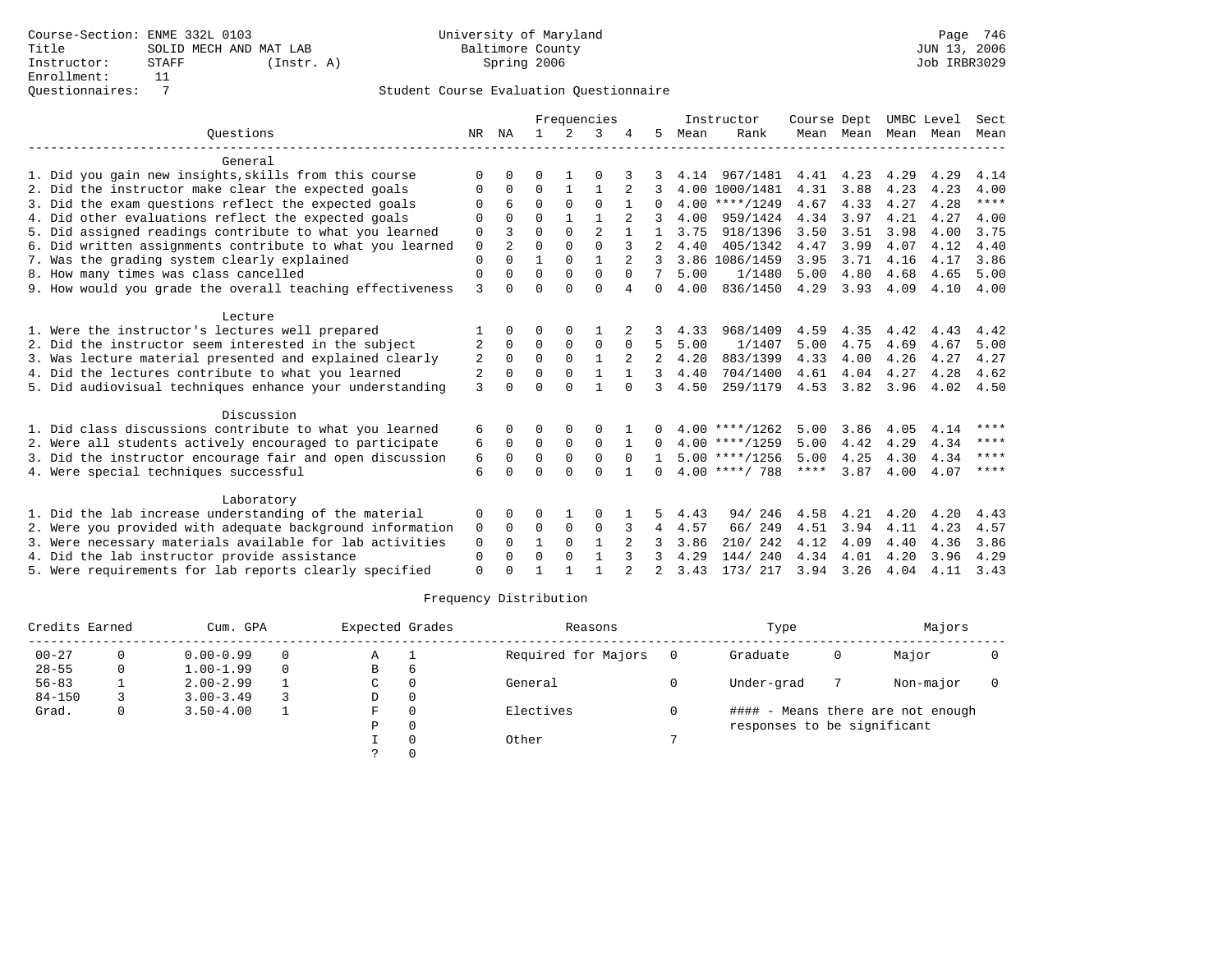|                                                           |             |          | Frequencies  |               |                |              |                |      | Instructor       | Course Dept |           | UMBC Level |      | Sect  |
|-----------------------------------------------------------|-------------|----------|--------------|---------------|----------------|--------------|----------------|------|------------------|-------------|-----------|------------|------|-------|
| Ouestions                                                 | NR          | ΝA       |              | $\mathcal{L}$ | κ              |              | 5              | Mean | Rank             |             | Mean Mean | Mean Mean  |      | Mean  |
| General                                                   |             |          |              |               |                |              |                |      |                  |             |           |            |      |       |
| 1. Did you gain new insights, skills from this course     | U           | U        | U            |               | U              |              |                | 4.14 | 967/1481         | 4.41        | 4.23      | 4.29       | 4.29 | 4.14  |
| 2. Did the instructor make clear the expected goals       | O           | $\Omega$ | $\Omega$     | $\mathbf{1}$  |                |              |                |      | 4.00 1000/1481   | 4.31        | 3.88      | 4.23       | 4.23 | 4.00  |
| 3. Did the exam questions reflect the expected goals      | O           | 6        | $\Omega$     | $\Omega$      | $\Omega$       | 1            | $\Omega$       |      | $4.00$ ****/1249 | 4.67        | 4.33      | 4.27       | 4.28 | $***$ |
| 4. Did other evaluations reflect the expected goals       | $\Omega$    | $\Omega$ | $\Omega$     | $\mathbf{1}$  |                |              |                | 4.00 | 959/1424         | 4.34        | 3.97      | 4.21       | 4.27 | 4.00  |
| 5. Did assigned readings contribute to what you learned   | 0           | 3        | $\Omega$     | $\Omega$      | $\overline{c}$ |              | 1              | 3.75 | 918/1396         | 3.50        | 3.51      | 3.98       | 4.00 | 3.75  |
| 6. Did written assignments contribute to what you learned | $\mathbf 0$ |          | $\Omega$     | $\Omega$      | $\Omega$       |              |                | 4.40 | 405/1342         | 4.47        | 3.99      | 4.07       | 4.12 | 4.40  |
| 7. Was the grading system clearly explained               | $\mathbf 0$ | $\Omega$ | 1            | $\Omega$      |                |              |                |      | 3.86 1086/1459   | 3.95        | 3.71      | 4.16       | 4.17 | 3.86  |
| 8. How many times was class cancelled                     | 0           | $\Omega$ | $\Omega$     | $\Omega$      | $\mathbf{0}$   | $\Omega$     | 7              | 5.00 | 1/1480           | 5.00        | 4.80      | 4.68       | 4.65 | 5.00  |
| 9. How would you grade the overall teaching effectiveness | 3           | 0        | $\Omega$     | $\cap$        | $\Omega$       | 4            | $\Omega$       | 4.00 | 836/1450         | 4.29        | 3.93      | 4.09       | 4.10 | 4.00  |
| Lecture                                                   |             |          |              |               |                |              |                |      |                  |             |           |            |      |       |
| 1. Were the instructor's lectures well prepared           |             | $\Omega$ | O            | $\Omega$      |                |              |                | 4.33 | 968/1409         | 4.59        | 4.35      | 4.42       | 4.43 | 4.42  |
| 2. Did the instructor seem interested in the subject      | 2           | $\Omega$ | $\Omega$     | $\Omega$      | $\Omega$       | $\Omega$     | 5              | 5.00 | 1/1407           | 5.00        | 4.75      | 4.69       | 4.67 | 5.00  |
| 3. Was lecture material presented and explained clearly   | 2           | $\Omega$ | $\Omega$     | $\Omega$      | $\mathbf{1}$   |              | $\mathfrak{D}$ | 4.20 | 883/1399         | 4.33        | 4.00      | 4.26       | 4.27 | 4.27  |
| 4. Did the lectures contribute to what you learned        | 2           | 0        | $\Omega$     | $\Omega$      |                |              | 3              | 4.40 | 704/1400         | 4.61        | 4.04      | 4.27       | 4.28 | 4.62  |
| 5. Did audiovisual techniques enhance your understanding  | 3           | $\Omega$ | $\Omega$     | $\Omega$      |                | $\Omega$     | ζ              | 4.50 | 259/1179         | 4.53        | 3.82      | 3.96       | 4.02 | 4.50  |
| Discussion                                                |             |          |              |               |                |              |                |      |                  |             |           |            |      |       |
| 1. Did class discussions contribute to what you learned   | 6           | 0        | 0            | 0             | O              |              | 0              |      | $4.00$ ****/1262 | 5.00        | 3.86      | 4.05       | 4.14 | ****  |
| 2. Were all students actively encouraged to participate   | 6           | $\Omega$ | 0            | $\Omega$      | $\Omega$       |              | $\Omega$       |      | $4.00$ ****/1259 | 5.00        | 4.42      | 4.29       | 4.34 | ****  |
| 3. Did the instructor encourage fair and open discussion  | 6           | $\Omega$ | $\Omega$     | $\Omega$      | $\Omega$       | $\Omega$     |                |      | $5.00$ ****/1256 | 5.00        | 4.25      | 4.30       | 4.34 | ****  |
| 4. Were special techniques successful                     | 6           | $\cap$   | $\cap$       | $\cap$        | $\cap$         | $\mathbf{1}$ | <sup>n</sup>   |      | $4.00$ ****/ 788 | ****        | 3.87      | 4.00       | 4.07 | ****  |
| Laboratory                                                |             |          |              |               |                |              |                |      |                  |             |           |            |      |       |
| 1. Did the lab increase understanding of the material     | 0           | $\Omega$ | $\Omega$     |               | 0              |              | 5.             | 4.43 | 94/246           | 4.58        | 4.21      | 4.20       | 4.20 | 4.43  |
| 2. Were you provided with adequate background information | 0           | $\Omega$ | $\Omega$     | $\Omega$      | $\Omega$       |              | 4              | 4.57 | 66/ 249          | 4.51        | 3.94      | 4.11       | 4.23 | 4.57  |
| 3. Were necessary materials available for lab activities  | 0           | $\Omega$ | $\mathbf{1}$ | $\Omega$      | $\mathbf{1}$   |              |                | 3.86 | 210/242          | 4.12        | 4.09      | 4.40       | 4.36 | 3.86  |
| 4. Did the lab instructor provide assistance              | $\mathbf 0$ | 0        | $\Omega$     | $\Omega$      | $\mathbf{1}$   | 3            | 3              | 4.29 | 144/240          | 4.34        | 4.01      | 4.20       | 3.96 | 4.29  |
| 5. Were requirements for lab reports clearly specified    | $\Omega$    | $\Omega$ |              |               |                |              |                | 3.43 | 173/ 217         | 3.94 3.26   |           | 4.04       | 4.11 | 3.43  |

| Credits Earned |   | Cum. GPA      |          | Expected Grades |          | Reasons             | Type                        |   | Majors                            |  |
|----------------|---|---------------|----------|-----------------|----------|---------------------|-----------------------------|---|-----------------------------------|--|
| $00 - 27$      |   | $0.00 - 0.99$ | $\Omega$ | Α               |          | Required for Majors | Graduate                    | 0 | Major                             |  |
| $28 - 55$      | 0 | $1.00 - 1.99$ | $\Omega$ | B               | b        |                     |                             |   |                                   |  |
| $56 - 83$      |   | $2.00 - 2.99$ |          | C               |          | General             | Under-grad                  |   | Non-major                         |  |
| $84 - 150$     |   | $3.00 - 3.49$ |          | D               | $\Omega$ |                     |                             |   |                                   |  |
| Grad.          |   | $3.50 - 4.00$ |          | F               |          | Electives           |                             |   | #### - Means there are not enough |  |
|                |   |               |          | Ρ               |          |                     | responses to be significant |   |                                   |  |
|                |   |               |          |                 |          | Other               |                             |   |                                   |  |
|                |   |               |          |                 |          |                     |                             |   |                                   |  |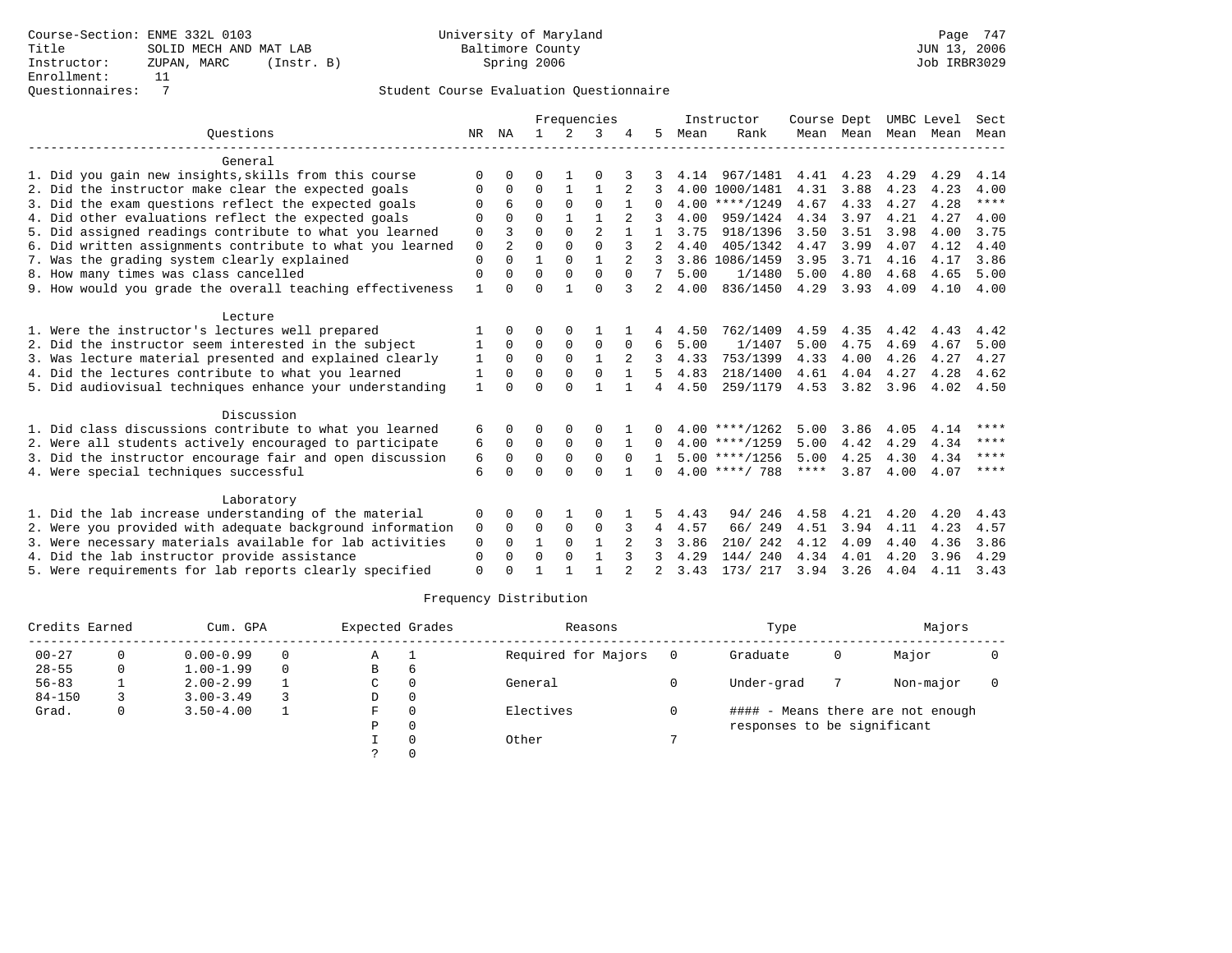### Questionnaires: 7 Student Course Evaluation Questionnaire

|                                                           |              | Frequencies    |              |               |                | Instructor   | Course Dept    |      |                  | UMBC Level  | Sect      |      |      |             |
|-----------------------------------------------------------|--------------|----------------|--------------|---------------|----------------|--------------|----------------|------|------------------|-------------|-----------|------|------|-------------|
| Ouestions                                                 | NR           | ΝA             | $\mathbf{1}$ | $\mathcal{L}$ | 3              |              | 5.             | Mean | Rank             |             | Mean Mean | Mean | Mean | Mean        |
| General                                                   |              |                |              |               |                |              |                |      |                  |             |           |      |      |             |
| 1. Did you gain new insights, skills from this course     | $\Omega$     | $\Omega$       | 0            |               | O              |              |                |      | 4.14 967/1481    | 4.41 4.23   |           | 4.29 | 4.29 | 4.14        |
| 2. Did the instructor make clear the expected goals       | O            | $\Omega$       | $\Omega$     | $\mathbf{1}$  | 1              |              |                |      | 4.00 1000/1481   | 4.31        | 3.88      | 4.23 | 4.23 | 4.00        |
| 3. Did the exam questions reflect the expected goals      | O            | 6              | $\Omega$     | $\Omega$      | $\Omega$       |              | 0              |      | $4.00$ ****/1249 | 4.67        | 4.33      | 4.27 | 4.28 | $***$       |
| 4. Did other evaluations reflect the expected goals       | 0            | $\Omega$       | $\Omega$     | $\mathbf{1}$  |                |              |                | 4.00 | 959/1424         | 4.34        | 3.97      | 4.21 | 4.27 | 4.00        |
| 5. Did assigned readings contribute to what you learned   | $\mathbf 0$  | ς              | $\Omega$     | $\Omega$      | $\overline{a}$ |              |                | 3.75 | 918/1396         | 3.50        | 3.51      | 3.98 | 4.00 | 3.75        |
| 6. Did written assignments contribute to what you learned | 0            | $\mathfrak{D}$ | $\Omega$     | $\Omega$      | $\Omega$       | 3            |                | 4.40 | 405/1342         | 4.47        | 3.99      | 4.07 | 4.12 | 4.40        |
| 7. Was the grading system clearly explained               | $\mathbf{0}$ | $\Omega$       |              | $\Omega$      |                |              |                |      | 3.86 1086/1459   | 3.95        | 3.71      | 4.16 | 4.17 | 3.86        |
| 8. How many times was class cancelled                     | 0            | $\Omega$       | $\Omega$     | $\Omega$      | $\mathbf{0}$   | $\Omega$     | 7              | 5.00 | 1/1480           | 5.00        | 4.80      | 4.68 | 4.65 | 5.00        |
| 9. How would you grade the overall teaching effectiveness | $\mathbf{1}$ | U              | $\Omega$     |               | $\Omega$       | 3            | $\overline{2}$ | 4.00 | 836/1450         | 4.29        | 3.93      | 4.09 | 4.10 | 4.00        |
| Lecture                                                   |              |                |              |               |                |              |                |      |                  |             |           |      |      |             |
| 1. Were the instructor's lectures well prepared           |              | $\Omega$       | 0            | $\Omega$      |                |              |                | 4.50 | 762/1409         | 4.59        | 4.35      | 4.42 | 4.43 | 4.42        |
| 2. Did the instructor seem interested in the subject      | 1            | $\Omega$       | $\Omega$     | $\Omega$      | $\Omega$       | $\Omega$     | 6              | 5.00 | 1/1407           | 5.00        | 4.75      | 4.69 | 4.67 | 5.00        |
| 3. Was lecture material presented and explained clearly   | $\mathbf{1}$ | $\Omega$       | $\Omega$     | $\Omega$      | $\mathbf{1}$   |              | 3              | 4.33 | 753/1399         | 4.33        | 4.00      | 4.26 | 4.27 | 4.27        |
| 4. Did the lectures contribute to what you learned        | 1            | $\Omega$       | $\Omega$     | $\Omega$      | $\Omega$       |              | 5              | 4.83 | 218/1400         | 4.61        | 4.04      | 4.27 | 4.28 | 4.62        |
| 5. Did audiovisual techniques enhance your understanding  | $\mathbf{1}$ | U              | $\Omega$     | $\cap$        | $\mathbf{1}$   |              | 4              | 4.50 | 259/1179         | 4.53        | 3.82      | 3.96 | 4.02 | 4.50        |
| Discussion                                                |              |                |              |               |                |              |                |      |                  |             |           |      |      |             |
| 1. Did class discussions contribute to what you learned   | 6            | 0              | O            | $\Omega$      | O              |              | 0              |      | $4.00$ ****/1262 | 5.00        | 3.86      | 4.05 | 4.14 | ****        |
| 2. Were all students actively encouraged to participate   | 6            | $\mathbf 0$    | 0            | $\mathbf 0$   | 0              | $\mathbf{1}$ | $\Omega$       |      | $4.00$ ****/1259 | 5.00        | 4.42      | 4.29 | 4.34 | $***$ * * * |
| 3. Did the instructor encourage fair and open discussion  | 6            | $\Omega$       | $\Omega$     | $\Omega$      | $\Omega$       | $\Omega$     | $\mathbf{1}$   |      | $5.00$ ****/1256 | 5.00        | 4.25      | 4.30 | 4.34 | ****        |
| 4. Were special techniques successful                     | 6            | $\cap$         | $\Omega$     | $\Omega$      | $\Omega$       | $\mathbf{1}$ | $\Omega$       |      | $4.00$ ****/ 788 | $***$ * * * | 3.87      | 4.00 | 4.07 | $***$ *     |
| Laboratory                                                |              |                |              |               |                |              |                |      |                  |             |           |      |      |             |
| 1. Did the lab increase understanding of the material     | 0            | $\Omega$       | O            | 1             | $\Omega$       |              |                | 4.43 | 94/246           | 4.58        | 4.21      | 4.20 | 4.20 | 4.43        |
| 2. Were you provided with adequate background information | 0            | $\Omega$       | $\mathbf 0$  | $\mathbf 0$   | $\mathbf 0$    |              | 4              | 4.57 | 66/249           | 4.51        | 3.94      | 4.11 | 4.23 | 4.57        |
| 3. Were necessary materials available for lab activities  | $\Omega$     | $\Omega$       | $\mathbf{1}$ | $\Omega$      | $\mathbf{1}$   | 2            | 3              | 3.86 | 210/242          | 4.12        | 4.09      | 4.40 | 4.36 | 3.86        |
| 4. Did the lab instructor provide assistance              | 0            | $\Omega$       | $\Omega$     | $\Omega$      | $\mathbf{1}$   |              | ζ              | 4.29 | 144/240          | 4.34        | 4.01      | 4.20 | 3.96 | 4.29        |
| 5. Were requirements for lab reports clearly specified    | $\Omega$     | $\cap$         | 1            |               | 1              |              | $\mathfrak{D}$ | 3.43 | 173/ 217         | 3.94        | 3.26      | 4.04 | 4.11 | 3.43        |

| Credits Earned |   | Cum. GPA      |          | Expected Grades |          | Reasons             | Type                        |   | Majors                            |  |
|----------------|---|---------------|----------|-----------------|----------|---------------------|-----------------------------|---|-----------------------------------|--|
| $00 - 27$      |   | $0.00 - 0.99$ | $\Omega$ | Α               |          | Required for Majors | Graduate                    | 0 | Major                             |  |
| $28 - 55$      | 0 | $1.00 - 1.99$ | $\Omega$ | B               | b        |                     |                             |   |                                   |  |
| $56 - 83$      |   | $2.00 - 2.99$ |          | C               |          | General             | Under-grad                  |   | Non-major                         |  |
| $84 - 150$     |   | $3.00 - 3.49$ |          | D               | $\Omega$ |                     |                             |   |                                   |  |
| Grad.          |   | $3.50 - 4.00$ |          | F               |          | Electives           |                             |   | #### - Means there are not enough |  |
|                |   |               |          | Ρ               |          |                     | responses to be significant |   |                                   |  |
|                |   |               |          |                 |          | Other               |                             |   |                                   |  |
|                |   |               |          |                 |          |                     |                             |   |                                   |  |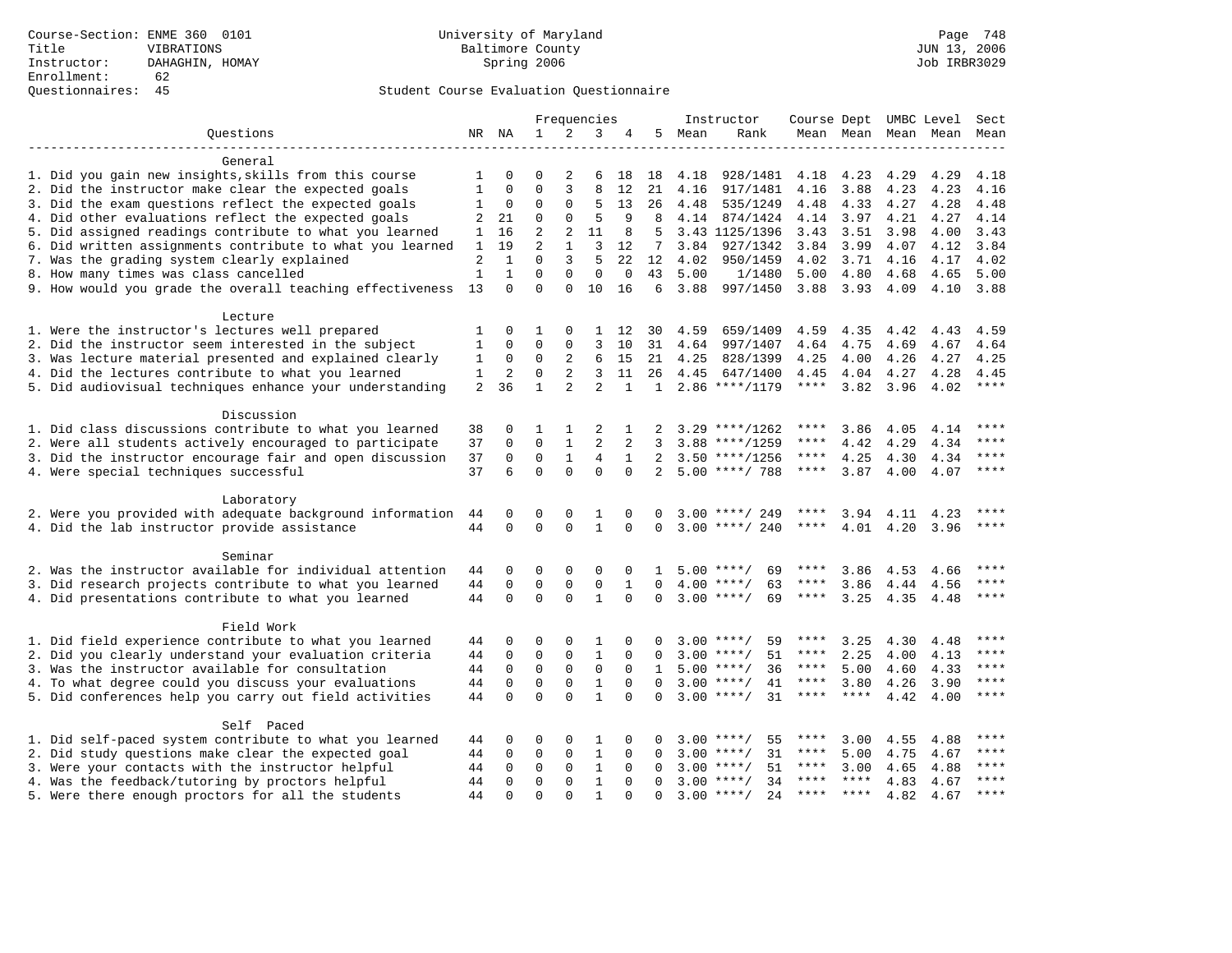|                                                           |              |              |                |                | Frequencies    |              |              |      | Instructor          | Course Dept UMBC Level |             |           |           | Sect        |
|-----------------------------------------------------------|--------------|--------------|----------------|----------------|----------------|--------------|--------------|------|---------------------|------------------------|-------------|-----------|-----------|-------------|
| Questions                                                 |              | NR NA        | $\mathbf{1}$   | 2              | 3              | 4            | 5            | Mean | Rank                |                        | Mean Mean   |           | Mean Mean | Mean        |
|                                                           |              |              |                |                |                |              |              |      |                     |                        |             |           |           |             |
| General                                                   |              |              |                |                |                |              |              |      |                     |                        |             |           |           |             |
| 1. Did you gain new insights, skills from this course     | 1            | 0            | $\Omega$       | 2              | 6              | 18           | 18           | 4.18 | 928/1481            | 4.18                   | 4.23        | 4.29      | 4.29      | 4.18        |
| 2. Did the instructor make clear the expected goals       | 1            | 0            | $\Omega$       | 3              | 8              | 12           | 21           | 4.16 | 917/1481            | 4.16                   | 3.88        | 4.23      | 4.23      | 4.16        |
| 3. Did the exam questions reflect the expected goals      | 1            | 0            | $\Omega$       | 0              | 5              | 13           | 26           | 4.48 | 535/1249            | 4.48                   | 4.33        | 4.27      | 4.28      | 4.48        |
| 4. Did other evaluations reflect the expected goals       | 2            | 21           | 0              | 0              | 5              | 9            | 8            |      | 4.14 874/1424       | 4.14                   | 3.97        | 4.21      | 4.27      | 4.14        |
| 5. Did assigned readings contribute to what you learned   | 1            | 16           | 2              | 2              | 11             | 8            | 5            |      | 3.43 1125/1396      | 3.43                   | 3.51        | 3.98      | 4.00      | 3.43        |
| 6. Did written assignments contribute to what you learned | 1            | 19           | $\overline{2}$ | $\mathbf{1}$   | 3              | 12           | 7            | 3.84 | 927/1342            | 3.84                   | 3.99        | 4.07      | 4.12      | 3.84        |
| 7. Was the grading system clearly explained               | 2            | $\mathbf{1}$ | $\Omega$       | 3              | 5              | 22           | 12           | 4.02 | 950/1459            | 4.02                   | 3.71        | 4.16      | 4.17      | 4.02        |
| 8. How many times was class cancelled                     | $\mathbf{1}$ | $\mathbf{1}$ | $\Omega$       | $\Omega$       | $\mathbf 0$    | $\mathbf 0$  | 43           | 5.00 | 1/1480              | 5.00                   | 4.80        | 4.68      | 4.65      | 5.00        |
| 9. How would you grade the overall teaching effectiveness | 13           | $\Omega$     | $\Omega$       | $\Omega$       | 10             | 16           | 6            | 3.88 | 997/1450            | 3.88                   | 3.93        | 4.09      | 4.10      | 3.88        |
| Lecture                                                   |              |              |                |                |                |              |              |      |                     |                        |             |           |           |             |
| 1. Were the instructor's lectures well prepared           | 1            | 0            | 1              | 0              | 1              | 12           | 30           | 4.59 | 659/1409            | 4.59                   | 4.35        | 4.42      | 4.43      | 4.59        |
| 2. Did the instructor seem interested in the subject      | 1            | 0            | $\Omega$       | 0              | 3              | 10           | 31           | 4.64 | 997/1407            | 4.64                   | 4.75        | 4.69      | 4.67      | 4.64        |
| 3. Was lecture material presented and explained clearly   | 1            | 0            | 0              | 2              | 6              | 15           | 21           | 4.25 | 828/1399            | 4.25                   | 4.00        | 4.26      | 4.27      | 4.25        |
| 4. Did the lectures contribute to what you learned        | 1            | 2            | $\Omega$       | $\overline{a}$ | 3              | 11           | 26           | 4.45 | 647/1400            | 4.45                   | 4.04        | 4.27      | 4.28      | 4.45        |
| 5. Did audiovisual techniques enhance your understanding  | 2            | 36           | $\mathbf{1}$   | $\overline{a}$ | $\overline{a}$ | $\mathbf{1}$ | $\mathbf{1}$ |      | 2.86 ****/1179      | $***$ * * *            | 3.82        | 3.96      | 4.02      | $***$       |
|                                                           |              |              |                |                |                |              |              |      |                     |                        |             |           |           |             |
| Discussion                                                |              |              |                |                |                |              |              |      |                     |                        |             |           |           |             |
| 1. Did class discussions contribute to what you learned   | 38           | 0            | 1              | 1              | 2              |              |              |      | $3.29$ ****/1262    | ****                   | 3.86        | 4.05      | 4.14      | ****        |
| 2. Were all students actively encouraged to participate   | 37           | 0            | $\mathbf 0$    | $\mathbf{1}$   | $\overline{2}$ | 2            | 3            |      | $3.88$ ****/1259    | ****                   | 4.42        | 4.29      | 4.34      | $***$       |
| 3. Did the instructor encourage fair and open discussion  | 37           | $\Omega$     | $\Omega$       | $\mathbf{1}$   | 4              | 1            | 2            |      | $3.50$ ****/1256    | ****                   | 4.25        | 4.30      | 4.34      | $***$       |
| 4. Were special techniques successful                     | 37           | 6            | $\Omega$       | $\Omega$       | $\Omega$       | $\Omega$     | 2            |      | $5.00$ ****/ 788    | $***$ * * *            | 3.87        | 4.00      | 4.07      | $***$ *     |
| Laboratory                                                |              |              |                |                |                |              |              |      |                     |                        |             |           |           |             |
| 2. Were you provided with adequate background information | 44           | 0            | 0              | 0              | 1              | $\Omega$     | 0            |      | $3.00$ ****/ 249    | ****                   |             | 3.94 4.11 | 4.23      | ****        |
| 4. Did the lab instructor provide assistance              | 44           | $\Omega$     | $\Omega$       | $\Omega$       | $\mathbf{1}$   | $\Omega$     | $\Omega$     |      | $3.00$ ****/ 240    | $***$ * * *            | 4.01        | 4.20      | 3.96      | ****        |
| Seminar                                                   |              |              |                |                |                |              |              |      |                     |                        |             |           |           |             |
| 2. Was the instructor available for individual attention  | 44           | 0            | $\mathbf 0$    | 0              | $\mathbf 0$    | $\mathbf 0$  | $\mathbf{1}$ |      | $5.00$ ****/<br>69  | ****                   | 3.86        | 4.53      | 4.66      |             |
| 3. Did research projects contribute to what you learned   | 44           | 0            | 0              | 0              | $\mathsf 0$    | 1            | $\Omega$     | 4.00 | $***/$<br>63        | ****                   | 3.86        | 4.44      | 4.56      | ****        |
| 4. Did presentations contribute to what you learned       | 44           | 0            | $\mathbf 0$    | $\Omega$       | $\mathbf{1}$   | $\mathbf 0$  | 0            |      | $3.00$ ****/<br>69  | ****                   | 3.25        | 4.35      | 4.48      | $***$       |
|                                                           |              |              |                |                |                |              |              |      |                     |                        |             |           |           |             |
| Field Work                                                |              |              |                |                |                |              |              |      |                     |                        |             |           |           |             |
| 1. Did field experience contribute to what you learned    | 44           | 0            | 0              | $\Omega$       | 1              | $\Omega$     |              |      | 59<br>$3.00$ ****/  | ****                   | 3.25        | 4.30      | 4.48      | $***$       |
| 2. Did you clearly understand your evaluation criteria    | 44           | 0            | $\mathbf{0}$   | $\Omega$       | $\mathbf{1}$   | $\Omega$     | U            |      | $3.00$ ****/<br>51  | ****                   | 2.25        | 4.00      | 4.13      | ****        |
| 3. Was the instructor available for consultation          | 44           | 0            | $\mathbf{0}$   | $\mathbf 0$    | $\mathbf 0$    | $\Omega$     | 1            |      | $5.00$ ****/<br>36  | $***$ * * *            | 5.00        | 4.60      | 4.33      | $***$       |
| 4. To what degree could you discuss your evaluations      | 44           | $\mathbf 0$  | $\mathbf 0$    | $\mathbf 0$    | $\mathbf{1}$   | $\Omega$     | $\Omega$     |      | $3.00$ ****/<br>41  | $***$ * * *            | 3.80        | 4.26      | 3.90      | $***$       |
| 5. Did conferences help you carry out field activities    | 44           | $\Omega$     | $\Omega$       | $\Omega$       | $\mathbf{1}$   | $\Omega$     | $\Omega$     |      | $3.00$ ****/<br>31  | $***$ * * *            | ****        | 4.42      | 4.00      | ****        |
| Self Paced                                                |              |              |                |                |                |              |              |      |                     |                        |             |           |           |             |
| 1. Did self-paced system contribute to what you learned   | 44           | 0            | 0              | $\Omega$       | 1              | 0            | 0            |      | $3.00$ ****/<br>55  | ****                   | 3.00        | 4.55      | 4.88      | $***$ * * * |
| 2. Did study questions make clear the expected goal       | 44           | $\Omega$     | $\mathbf 0$    | 0              | $\mathbf{1}$   | $\Omega$     | $\Omega$     |      | $3.00$ ****/<br>31  | ****                   | 5.00        | 4.75      | 4.67      | ****        |
| 3. Were your contacts with the instructor helpful         | 44           | $\Omega$     | $\mathbf 0$    | 0              | $\mathbf{1}$   | $\Omega$     | $\Omega$     |      | 51<br>$3.00$ ****/  | ****                   | 3.00        | 4.65      | 4.88      | ****        |
| 4. Was the feedback/tutoring by proctors helpful          | 44           | $\Omega$     | $\mathbf{0}$   | $\Omega$       | $\mathbf{1}$   | $\Omega$     | $\Omega$     |      | $3.00$ ****/<br>34  | ****                   | $***$ * * * | 4.83      | 4.67      | ****        |
| 5. Were there enough proctors for all the students        | 44           | $\Omega$     | $\Omega$       | $\Omega$       | 1              | $\Omega$     | $\Omega$     |      | $3.00$ ****/<br>2.4 |                        | **** ****   | 4.82      | 4.67      | $***$       |
|                                                           |              |              |                |                |                |              |              |      |                     |                        |             |           |           |             |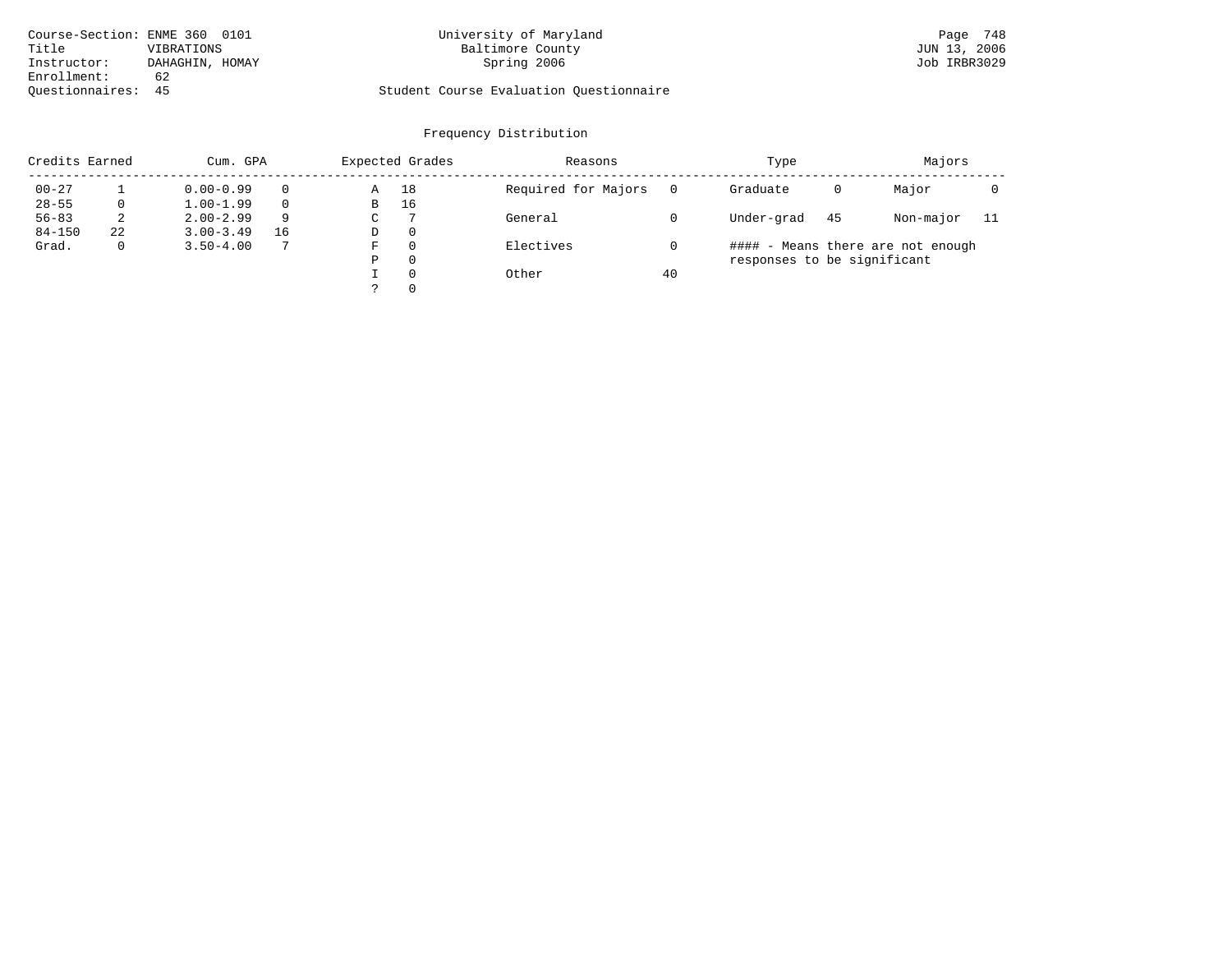| Course-Section: ENME 360 0101 |                 | University of Maryland                  | Page 748     |
|-------------------------------|-----------------|-----------------------------------------|--------------|
| Title                         | VIBRATIONS      | Baltimore County                        | JUN 13, 2006 |
| Instructor:                   | DAHAGHIN, HOMAY | Spring 2006                             | Job IRBR3029 |
| Enrollment:                   | 62              |                                         |              |
| Ouestionnaires: 45            |                 | Student Course Evaluation Questionnaire |              |

# Course-Section: ENME 360 0101 University of Maryland Page 748

| Credits Earned |    | Cum. GPA      |          |   | Expected Grades | Reasons             |    | Type                        |    | Majors                            |     |
|----------------|----|---------------|----------|---|-----------------|---------------------|----|-----------------------------|----|-----------------------------------|-----|
| $00 - 27$      |    | $0.00 - 0.99$ | $\Omega$ | Α | 18              | Required for Majors |    | Graduate                    | 0  | Major                             |     |
| $28 - 55$      |    | $1.00 - 1.99$ | $\Omega$ | B | 16              |                     |    |                             |    |                                   |     |
| $56 - 83$      | 2  | $2.00 - 2.99$ | 9        | C | -7              | General             |    | Under-grad                  | 45 | Non-major                         | -11 |
| $84 - 150$     | 22 | $3.00 - 3.49$ | 16       | D | -0              |                     |    |                             |    |                                   |     |
| Grad.          |    | $3.50 - 4.00$ | 7        | F | $\Omega$        | Electives           |    |                             |    | #### - Means there are not enough |     |
|                |    |               |          | Ρ | 0               |                     |    | responses to be significant |    |                                   |     |
|                |    |               |          |   | $\Omega$        | Other               | 40 |                             |    |                                   |     |
|                |    |               |          |   | $\Omega$        |                     |    |                             |    |                                   |     |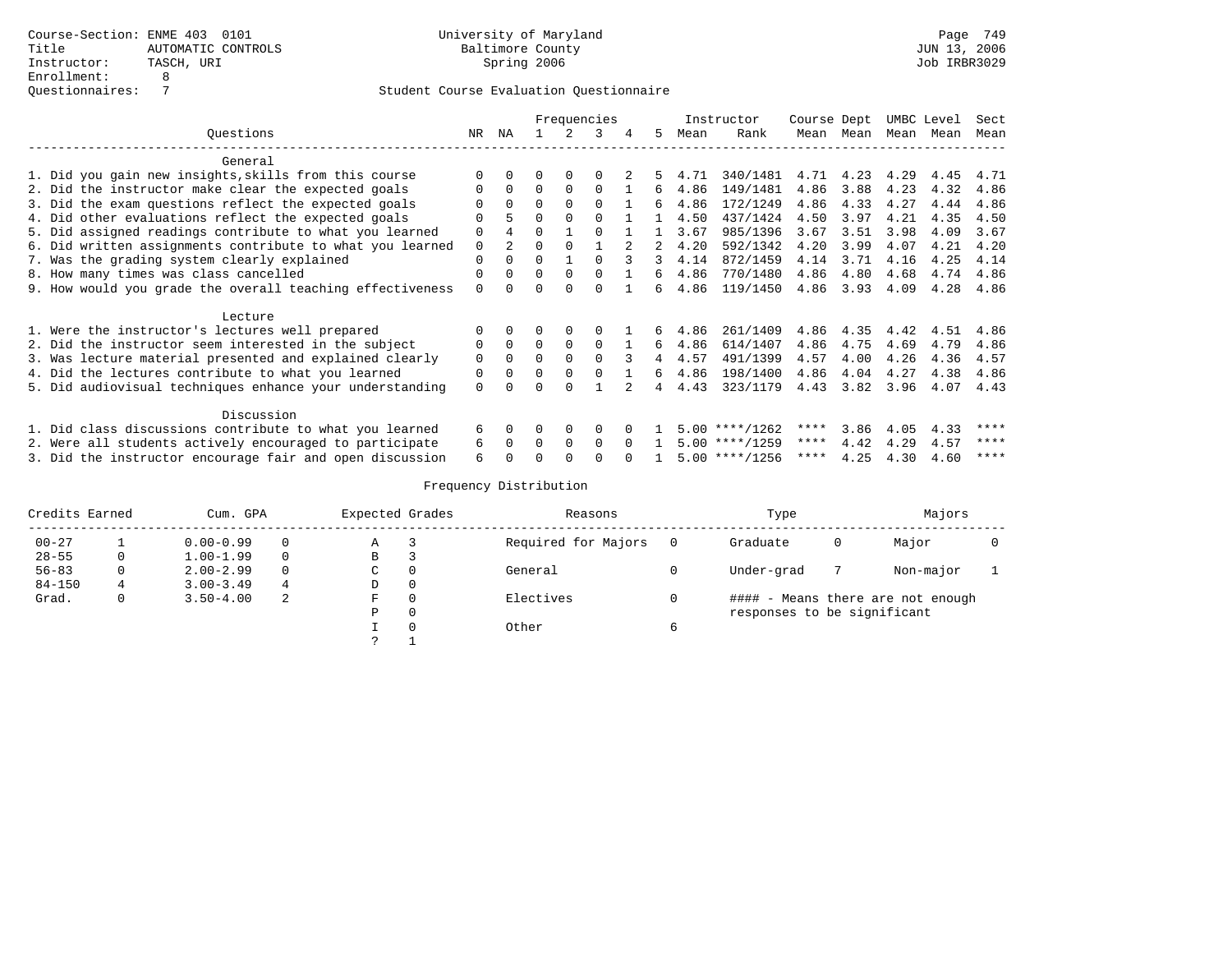|                                                           | Frequencies |          |              |          |          |   |    |      | Instructor       | Course Dept |      |      | UMBC Level | Sect |
|-----------------------------------------------------------|-------------|----------|--------------|----------|----------|---|----|------|------------------|-------------|------|------|------------|------|
| Ouestions                                                 | NR          | ΝA       |              |          | 3        | 4 | 5. | Mean | Rank             | Mean        | Mean | Mean | Mean       | Mean |
| General                                                   |             |          |              |          |          |   |    |      |                  |             |      |      |            |      |
| 1. Did you gain new insights, skills from this course     |             |          |              |          |          |   |    | 4.71 | 340/1481         | 4.71        | 4.23 | 4.29 | 4.45       | 4.71 |
| 2. Did the instructor make clear the expected goals       | O           | 0        | $\Omega$     | $\Omega$ | $\Omega$ |   | 6  | 4.86 | 149/1481         | 4.86        | 3.88 | 4.23 | 4.32       | 4.86 |
| 3. Did the exam questions reflect the expected goals      |             |          | $\Omega$     |          |          |   | б. | 4.86 | 172/1249         | 4.86        | 4.33 | 4.27 | 4.44       | 4.86 |
| 4. Did other evaluations reflect the expected goals       | O           |          | $\Omega$     |          |          |   |    | 4.50 | 437/1424         | 4.50        | 3.97 | 4.21 | 4.35       | 4.50 |
| 5. Did assigned readings contribute to what you learned   | $\Omega$    |          | $\Omega$     |          |          |   |    | 3.67 | 985/1396         | 3.67        | 3.51 | 3.98 | 4.09       | 3.67 |
| 6. Did written assignments contribute to what you learned | $\mathbf 0$ | 2.       | $\Omega$     |          |          |   |    | 4.20 | 592/1342         | 4.20        | 3.99 | 4.07 | 4.21       | 4.20 |
| 7. Was the grading system clearly explained               | $\Omega$    |          | $\Omega$     |          |          |   | 3  | 4.14 | 872/1459         | 4.14        | 3.71 | 4.16 | 4.25       | 4.14 |
| 8. How many times was class cancelled                     | $\Omega$    |          | $\Omega$     |          |          |   | 6  | 4.86 | 770/1480         | 4.86        | 4.80 | 4.68 | 4.74       | 4.86 |
| 9. How would you grade the overall teaching effectiveness | $\Omega$    |          | U            |          |          |   | б. | 4.86 | 119/1450         | 4.86        | 3.93 | 4.09 | 4.28       | 4.86 |
| Lecture                                                   |             |          |              |          |          |   |    |      |                  |             |      |      |            |      |
| 1. Were the instructor's lectures well prepared           |             |          |              |          |          |   | 6  | 4.86 | 261/1409         | 4.86        | 4.35 | 4.42 | 4.51       | 4.86 |
| 2. Did the instructor seem interested in the subject      | 0           | $\Omega$ | $\Omega$     |          | $\Omega$ |   | 6  | 4.86 | 614/1407         | 4.86        | 4.75 | 4.69 | 4.79       | 4.86 |
| 3. Was lecture material presented and explained clearly   | $\mathbf 0$ | 0        | $\Omega$     |          | $\cap$   |   | 4  | 4.57 | 491/1399         | 4.57        | 4.00 | 4.26 | 4.36       | 4.57 |
| 4. Did the lectures contribute to what you learned        | 0           |          | $\Omega$     |          |          |   | 6  | 4.86 | 198/1400         | 4.86        | 4.04 | 4.27 | 4.38       | 4.86 |
| 5. Did audiovisual techniques enhance your understanding  | $\Omega$    |          |              |          |          |   |    | 4.43 | 323/1179         | 4.43        | 3.82 | 3.96 | 4.07       | 4.43 |
| Discussion                                                |             |          |              |          |          |   |    |      |                  |             |      |      |            |      |
| 1. Did class discussions contribute to what you learned   |             | 0        | 0            | 0        | 0        |   |    |      | $5.00$ ****/1262 | ****        | 3.86 | 4.05 | 4.33       | **** |
| 2. Were all students actively encouraged to participate   |             |          | <sup>0</sup> | 0        | $\Omega$ |   |    |      | $5.00$ ****/1259 | ****        | 4.42 | 4.29 | 4.57       | **** |
| 3. Did the instructor encourage fair and open discussion  | 6           |          |              |          |          |   |    |      | $5.00$ ****/1256 | ****        | 4.25 | 4.30 | 4.60       | **** |

| Credits Earned |   | Cum. GPA      |          | Expected Grades |   | Reasons             |   | Type                        |   | Majors                            |  |
|----------------|---|---------------|----------|-----------------|---|---------------------|---|-----------------------------|---|-----------------------------------|--|
| $00 - 27$      |   | $0.00 - 0.99$ | $\Omega$ | Α               |   | Required for Majors |   | Graduate                    | 0 | Major                             |  |
| $28 - 55$      | 0 | $1.00 - 1.99$ | $\Omega$ | B               |   |                     |   |                             |   |                                   |  |
| $56 - 83$      |   | $2.00 - 2.99$ | $\Omega$ | C               |   | General             |   | Under-grad                  |   | Non-major                         |  |
| $84 - 150$     | 4 | $3.00 - 3.49$ | 4        | D               | 0 |                     |   |                             |   |                                   |  |
| Grad.          |   | $3.50 - 4.00$ | 2        | F               |   | Electives           |   |                             |   | #### - Means there are not enough |  |
|                |   |               |          | Ρ               |   |                     |   | responses to be significant |   |                                   |  |
|                |   |               |          |                 |   | Other               | 6 |                             |   |                                   |  |
|                |   |               |          |                 |   |                     |   |                             |   |                                   |  |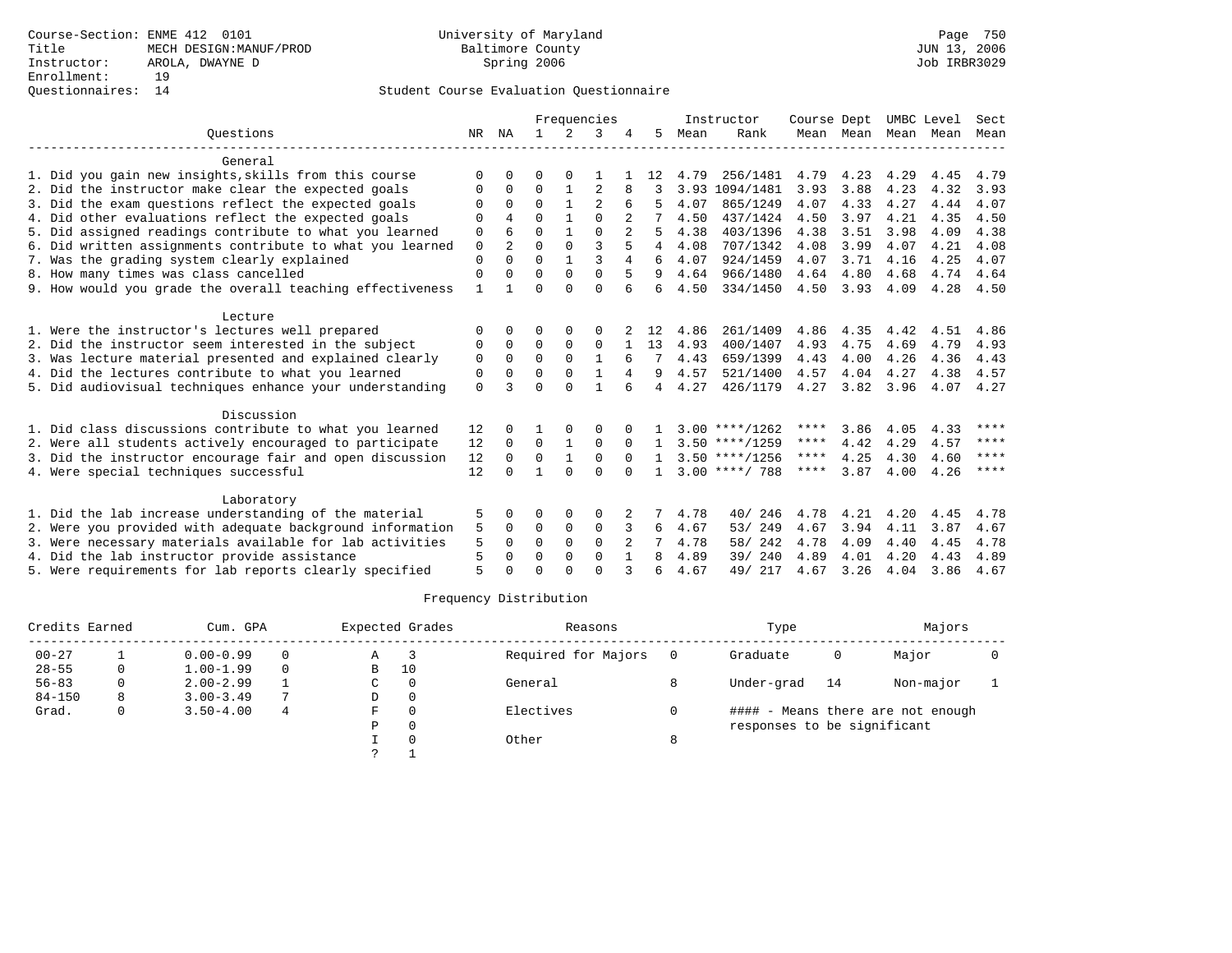|                                                           |              |                |          |              | Frequencies    |              |    |      | Instructor       | Course Dept |      |                     | UMBC Level | Sect |
|-----------------------------------------------------------|--------------|----------------|----------|--------------|----------------|--------------|----|------|------------------|-------------|------|---------------------|------------|------|
| Ouestions                                                 | NR           | ΝA             | 1.       | 2            | 3              |              | 5  | Mean | Rank             |             |      | Mean Mean Mean Mean |            | Mean |
| General                                                   |              |                |          |              |                |              |    |      |                  |             |      |                     |            |      |
| 1. Did you gain new insights, skills from this course     | $\Omega$     |                | O        |              |                |              | 12 | 4.79 | 256/1481         | 4.79        | 4.23 | 4.29                | 4.45       | 4.79 |
| 2. Did the instructor make clear the expected goals       | $\Omega$     | 0              | $\Omega$ | 1            | $\overline{2}$ | 8            | 3  | 3.93 | 1094/1481        | 3.93        | 3.88 | 4.23                | 4.32       | 3.93 |
| 3. Did the exam questions reflect the expected goals      | $\Omega$     | $\Omega$       | $\Omega$ | $\mathbf{1}$ | $\overline{2}$ | 6            |    | 4.07 | 865/1249         | 4.07        | 4.33 | 4.27                | 4.44       | 4.07 |
| 4. Did other evaluations reflect the expected goals       | $\Omega$     |                | $\Omega$ |              | $\cap$         |              |    | 4.50 | 437/1424         | 4.50        | 3.97 | 4.21                | 4.35       | 4.50 |
| 5. Did assigned readings contribute to what you learned   | 0            | 6              | $\Omega$ |              | $\Omega$       |              | 5  | 4.38 | 403/1396         | 4.38        | 3.51 | 3.98                | 4.09       | 4.38 |
| 6. Did written assignments contribute to what you learned | $\mathbf 0$  | $\mathfrak{D}$ | $\Omega$ | $\Omega$     | $\mathbf{3}$   |              | 4  | 4.08 | 707/1342         | 4.08        | 3.99 | 4.07                | 4.21       | 4.08 |
| 7. Was the grading system clearly explained               | $\Omega$     | $\Omega$       | $\Omega$ |              | $\mathbf{3}$   | 4            | 6  | 4.07 | 924/1459         | 4.07        | 3.71 | 4.16                | 4.25       | 4.07 |
| 8. How many times was class cancelled                     | $\Omega$     | 0              | $\Omega$ | $\Omega$     | $\Omega$       | 5            | 9  | 4.64 | 966/1480         | 4.64        | 4.80 | 4.68                | 4.74       | 4.64 |
| 9. How would you grade the overall teaching effectiveness | $\mathbf{1}$ |                | $\Omega$ | $\cap$       | $\Omega$       | 6            | 6  | 4.50 | 334/1450         | 4.50        | 3.93 | 4.09                | 4.28       | 4.50 |
| Lecture                                                   |              |                |          |              |                |              |    |      |                  |             |      |                     |            |      |
| 1. Were the instructor's lectures well prepared           | $\Omega$     |                | 0        | $\Omega$     | 0              |              | 12 | 4.86 | 261/1409         | 4.86        | 4.35 | 4.42                | 4.51       | 4.86 |
| 2. Did the instructor seem interested in the subject      | 0            | $\Omega$       | 0        | 0            | $\mathbf 0$    |              | 13 | 4.93 | 400/1407         | 4.93        | 4.75 | 4.69                | 4.79       | 4.93 |
| 3. Was lecture material presented and explained clearly   | 0            | $\Omega$       | $\Omega$ | $\Omega$     | $\mathbf{1}$   |              | 7  | 4.43 | 659/1399         | 4.43        | 4.00 | 4.26                | 4.36       | 4.43 |
| 4. Did the lectures contribute to what you learned        | 0            | $\Omega$       | $\Omega$ | $\Omega$     | 1              |              | 9  | 4.57 | 521/1400         | 4.57        | 4.04 | 4.27                | 4.38       | 4.57 |
| 5. Did audiovisual techniques enhance your understanding  | $\Omega$     | ર              | $\Omega$ | $\cap$       | $\mathbf{1}$   |              | 4  | 4.27 | 426/1179         | 4.27        | 3.82 | 3.96                | 4.07       | 4.27 |
| Discussion                                                |              |                |          |              |                |              |    |      |                  |             |      |                     |            |      |
| 1. Did class discussions contribute to what you learned   | 12           |                |          |              | $\Omega$       |              |    |      | $3.00$ ****/1262 | ****        | 3.86 | 4.05                | 4.33       | **** |
| 2. Were all students actively encouraged to participate   | 12           | $\Omega$       | $\Omega$ | $\mathbf{1}$ | $\Omega$       | $\Omega$     |    |      | $3.50$ ****/1259 | ****        | 4.42 | 4.29                | 4.57       | **** |
| 3. Did the instructor encourage fair and open discussion  | 12           | $\Omega$       | $\Omega$ |              | $\mathbf 0$    | $\Omega$     |    |      | $3.50$ ****/1256 | ****        | 4.25 | 4.30                | 4.60       | **** |
| 4. Were special techniques successful                     | 12           | $\cap$         | 1        | $\Omega$     | $\Omega$       | $\cap$       |    |      | $3.00$ ****/ 788 | ****        | 3.87 | 4.00                | 4.26       | **** |
| Laboratory                                                |              |                |          |              |                |              |    |      |                  |             |      |                     |            |      |
| 1. Did the lab increase understanding of the material     | 5            | 0              | 0        | 0            | 0              | 2            |    | 4.78 | 246<br>40/       | 4.78        | 4.21 | 4.20                | 4.45       | 4.78 |
| 2. Were you provided with adequate background information | 5            | $\Omega$       | $\Omega$ | $\mathbf 0$  | $\mathbf 0$    | 3            | 6  | 4.67 | 53/249           | 4.67        | 3.94 | 4.11                | 3.87       | 4.67 |
| 3. Were necessary materials available for lab activities  | 5            | $\Omega$       | $\Omega$ | $\Omega$     | $\Omega$       |              | 7  | 4.78 | 58/ 242          | 4.78        | 4.09 | 4.40                | 4.45       | 4.78 |
| 4. Did the lab instructor provide assistance              | 5            | 0              | $\Omega$ | 0            | $\mathbf 0$    | $\mathbf{1}$ | 8  | 4.89 | 240<br>39/       | 4.89        | 4.01 | 4.20                | 4.43       | 4.89 |
| 5. Were requirements for lab reports clearly specified    | 5            |                | $\Omega$ | $\cap$       | $\Omega$       | २            | 6  | 4.67 | 49/ 217          | 4.67        | 3.26 | 4.04                | 3.86       | 4.67 |

| Credits Earned |   | Cum. GPA      |          |   | Expected Grades | Reasons             |   | Type                        |    | Majors                            |  |
|----------------|---|---------------|----------|---|-----------------|---------------------|---|-----------------------------|----|-----------------------------------|--|
| $00 - 27$      |   | $0.00 - 0.99$ | $\Omega$ | Α |                 | Required for Majors |   | Graduate                    | 0  | Major                             |  |
| $28 - 55$      | 0 | $1.00 - 1.99$ | $\Omega$ | В | 10              |                     |   |                             |    |                                   |  |
| $56 - 83$      |   | $2.00 - 2.99$ |          | C |                 | General             |   | Under-grad                  | 14 | Non-major                         |  |
| $84 - 150$     | 8 | $3.00 - 3.49$ | 7        | D |                 |                     |   |                             |    |                                   |  |
| Grad.          | 0 | $3.50 - 4.00$ | 4        | F |                 | Electives           |   |                             |    | #### - Means there are not enough |  |
|                |   |               |          | P |                 |                     |   | responses to be significant |    |                                   |  |
|                |   |               |          |   |                 | Other               | 8 |                             |    |                                   |  |
|                |   |               |          | っ |                 |                     |   |                             |    |                                   |  |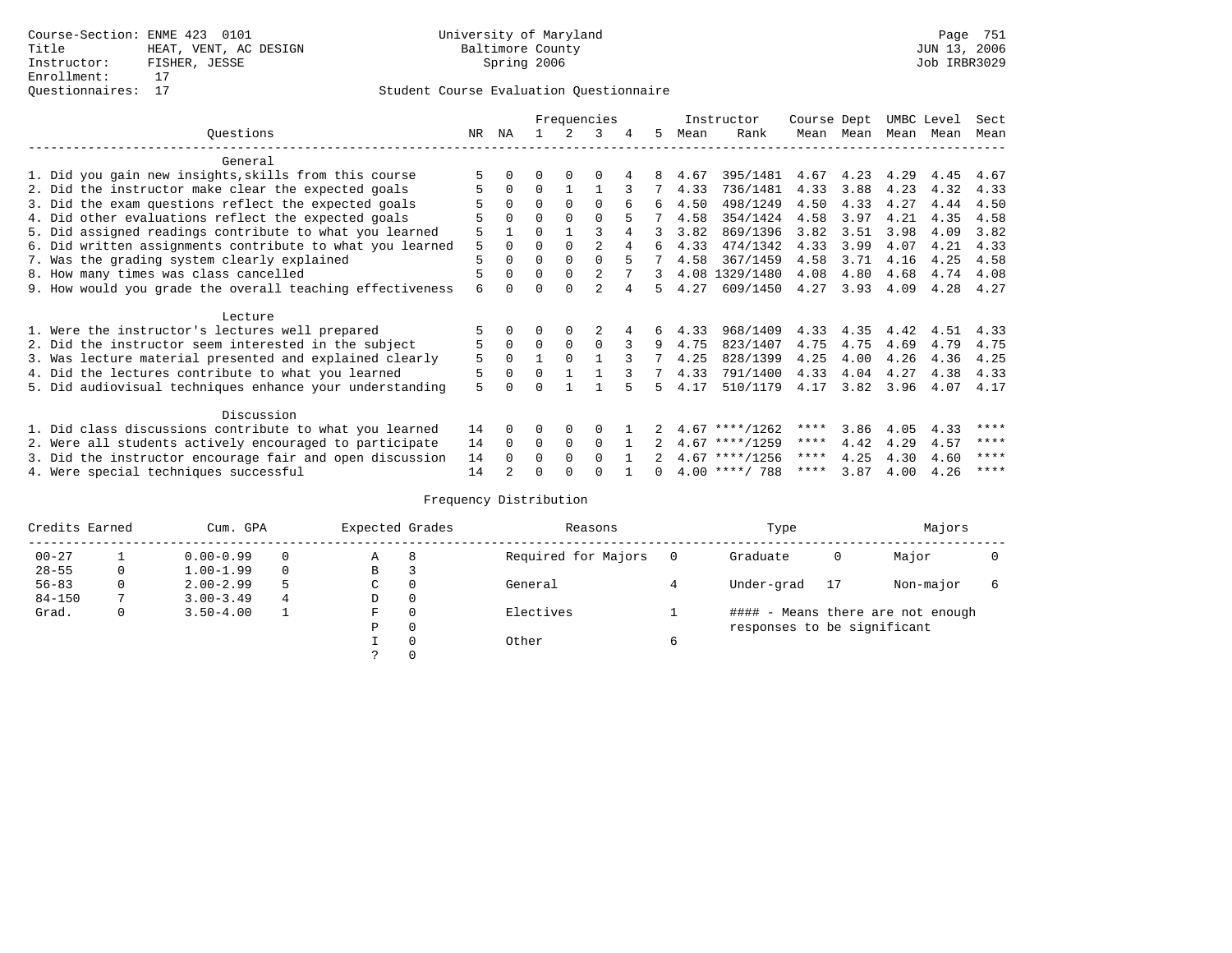|                                                           | Frequencies |              |          |          |                |   | Instructor | Course Dept |                  | UMBC Level |      | Sect      |      |      |
|-----------------------------------------------------------|-------------|--------------|----------|----------|----------------|---|------------|-------------|------------------|------------|------|-----------|------|------|
| Questions                                                 | NR          | ΝA           |          |          | २              | 4 | 5.         | Mean        | Rank             | Mean       | Mean | Mean Mean |      | Mean |
| General                                                   |             |              |          |          |                |   |            |             |                  |            |      |           |      |      |
| 1. Did you gain new insights, skills from this course     |             |              |          |          |                |   |            | 4.67        | 395/1481         | 4.67       | 4.23 | 4.29      | 4.45 | 4.67 |
| 2. Did the instructor make clear the expected goals       |             | $\Omega$     | $\Omega$ |          |                |   |            | 4.33        | 736/1481         | 4.33       | 3.88 | 4.23      | 4.32 | 4.33 |
| 3. Did the exam questions reflect the expected goals      |             | $\Omega$     | 0        | $\Omega$ | $\Omega$       |   |            | 4.50        | 498/1249         | 4.50       | 4.33 | 4.27      | 4.44 | 4.50 |
| 4. Did other evaluations reflect the expected goals       |             | $\Omega$     | $\Omega$ | $\Omega$ | $\Omega$       |   |            | 4.58        | 354/1424         | 4.58       | 3.97 | 4.21      | 4.35 | 4.58 |
| 5. Did assigned readings contribute to what you learned   | 5           |              | $\Omega$ |          |                |   | २          | 3.82        | 869/1396         | 3.82       | 3.51 | 3.98      | 4.09 | 3.82 |
| 6. Did written assignments contribute to what you learned | 5           | $\Omega$     | O        | $\Omega$ |                |   | б.         | 4.33        | 474/1342         | 4.33       | 3.99 | 4.07      | 4.21 | 4.33 |
| 7. Was the grading system clearly explained               | 5           | $\Omega$     | O        | $\Omega$ |                |   |            | 4.58        | 367/1459         | 4.58       | 3.71 | 4.16      | 4.25 | 4.58 |
| 8. How many times was class cancelled                     |             | $\Omega$     | $\Omega$ | $\Omega$ |                |   | 3.         |             | 4.08 1329/1480   | 4.08       | 4.80 | 4.68      | 4.74 | 4.08 |
| 9. How would you grade the overall teaching effectiveness | 6           | <sup>n</sup> |          |          | $\mathfrak{D}$ |   | 5          | 4.27        | 609/1450         | 4.27       | 3.93 | 4.09      | 4.28 | 4.27 |
| Lecture                                                   |             |              |          |          |                |   |            |             |                  |            |      |           |      |      |
| 1. Were the instructor's lectures well prepared           |             |              |          |          |                |   | 6          | 4.33        | 968/1409         | 4.33       | 4.35 | 4.42      | 4.51 | 4.33 |
| 2. Did the instructor seem interested in the subject      | 5           | $\mathbf 0$  | $\Omega$ | $\Omega$ | $\Omega$       |   | 9          | 4.75        | 823/1407         | 4.75       | 4.75 | 4.69      | 4.79 | 4.75 |
| 3. Was lecture material presented and explained clearly   | 5           | $\Omega$     |          |          |                |   |            | 4.25        | 828/1399         | 4.25       | 4.00 | 4.26      | 4.36 | 4.25 |
| 4. Did the lectures contribute to what you learned        |             | $\Omega$     | $\Omega$ |          |                |   |            | 4.33        | 791/1400         | 4.33       | 4.04 | 4.27      | 4.38 | 4.33 |
| 5. Did audiovisual techniques enhance your understanding  | 5           | ∩            |          |          |                |   | Б.         | 4.17        | 510/1179         | 4.17       | 3.82 | 3.96      | 4.07 | 4.17 |
| Discussion                                                |             |              |          |          |                |   |            |             |                  |            |      |           |      |      |
| 1. Did class discussions contribute to what you learned   | 14          | 0            | O        | $\Omega$ | O              |   |            |             | $4.67$ ****/1262 | ****       | 3.86 | 4.05      | 4.33 | **** |
| 2. Were all students actively encouraged to participate   | 14          | $\Omega$     | $\Omega$ | $\Omega$ | $\Omega$       |   |            |             | $4.67$ ****/1259 | ****       | 4.42 | 4.29      | 4.57 | **** |
| 3. Did the instructor encourage fair and open discussion  | 14          | $\Omega$     | 0        | $\Omega$ | $\Omega$       |   |            |             | $4.67$ ****/1256 | ****       | 4.25 | 4.30      | 4.60 | **** |
| 4. Were special techniques successful                     | 14          |              | U        |          |                |   |            |             | $4.00$ ****/ 788 | ****       | 3.87 | 4.00      | 4.26 | **** |

| Credits Earned |   | Cum. GPA      |   | Expected Grades |          | Reasons             |          | Type                        |    | Majors                            |  |
|----------------|---|---------------|---|-----------------|----------|---------------------|----------|-----------------------------|----|-----------------------------------|--|
| $00 - 27$      |   | $0.00 - 0.99$ |   | А               | 8        | Required for Majors | $\Omega$ | Graduate                    | 0  | Major                             |  |
| $28 - 55$      | 0 | $1.00 - 1.99$ |   | В               | 3        |                     |          |                             |    |                                   |  |
| $56 - 83$      | 0 | $2.00 - 2.99$ |   | $\sim$<br>◡     | 0        | General             |          | Under-grad                  | 17 | Non-major                         |  |
| $84 - 150$     |   | $3.00 - 3.49$ | 4 | D               | 0        |                     |          |                             |    |                                   |  |
| Grad.          | 0 | $3.50 - 4.00$ |   | F               | 0        | Electives           |          |                             |    | #### - Means there are not enough |  |
|                |   |               |   | Ρ               | 0        |                     |          | responses to be significant |    |                                   |  |
|                |   |               |   |                 | $\Omega$ | Other               | 6        |                             |    |                                   |  |
|                |   |               |   |                 |          |                     |          |                             |    |                                   |  |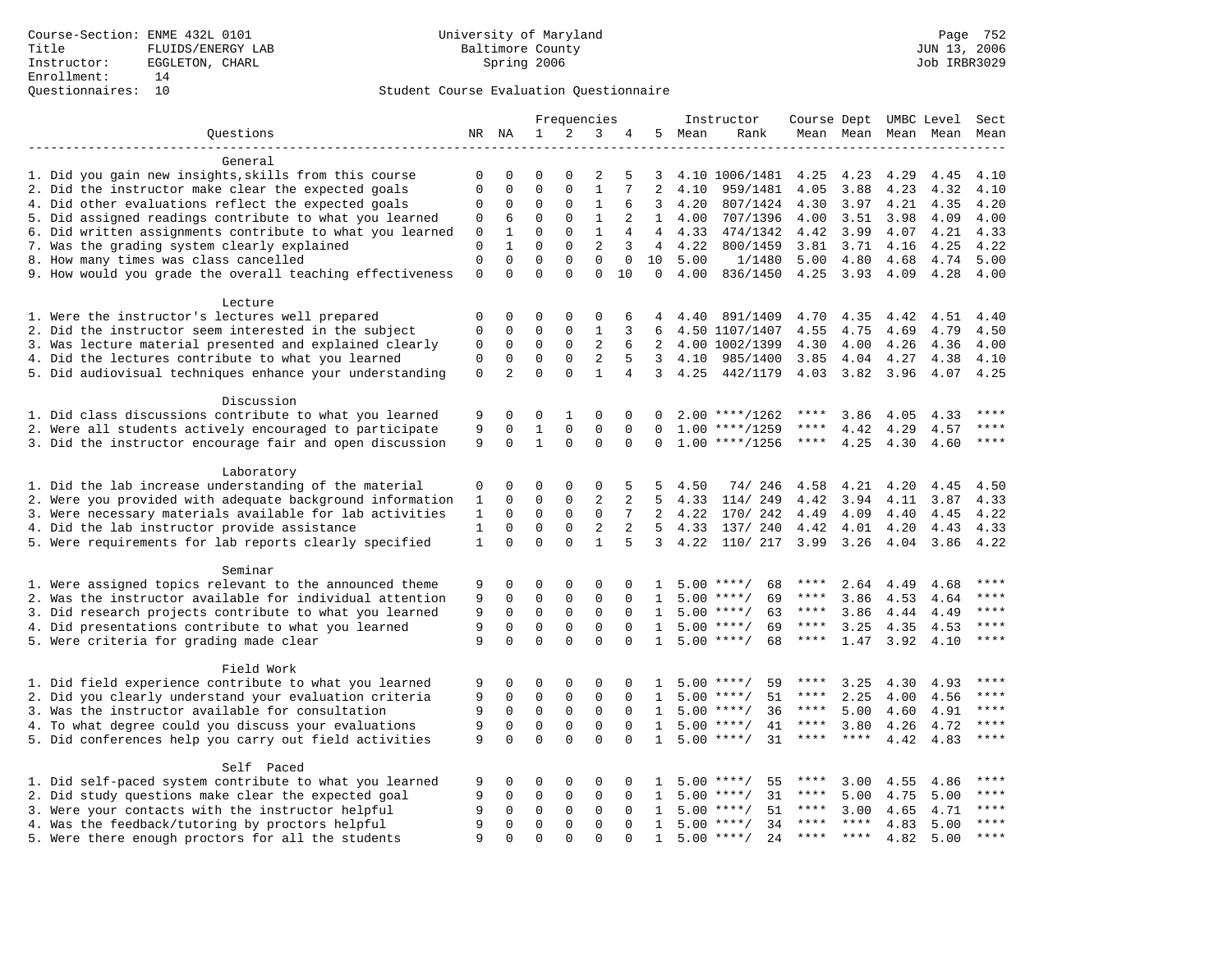### Questionnaires: 10 Student Course Evaluation Questionnaire

|                                                           |              |                |              | Frequencies |                |                |                 |        | Instructor         | Course Dept            |             |      | UMBC Level               | Sect        |
|-----------------------------------------------------------|--------------|----------------|--------------|-------------|----------------|----------------|-----------------|--------|--------------------|------------------------|-------------|------|--------------------------|-------------|
| Questions                                                 |              | NR NA          | $\mathbf{1}$ | 2           | 3              | 4              |                 | 5 Mean | Rank               |                        |             |      | Mean Mean Mean Mean Mean |             |
|                                                           |              |                |              |             |                |                |                 |        |                    |                        |             |      |                          |             |
| General                                                   |              |                |              |             |                |                |                 |        |                    |                        |             |      |                          |             |
| 1. Did you gain new insights, skills from this course     | $\Omega$     | $\Omega$       | $\Omega$     | $\Omega$    | $\overline{2}$ | 5              | 3               |        | 4.10 1006/1481     | 4.25                   | 4.23        | 4.29 | 4.45                     | 4.10        |
| 2. Did the instructor make clear the expected goals       | $\Omega$     | 0              | $\Omega$     | $\Omega$    | $\mathbf{1}$   |                | 2               | 4.10   | 959/1481           | 4.05                   | 3.88        | 4.23 | 4.32                     | 4.10        |
| 4. Did other evaluations reflect the expected goals       | $\Omega$     | 0              | $\Omega$     | 0           | $\mathbf{1}$   | 6              | 3               | 4.20   | 807/1424           | 4.30                   | 3.97        | 4.21 | 4.35                     | 4.20        |
| 5. Did assigned readings contribute to what you learned   | $\Omega$     | 6              | $\mathbf{0}$ | $\Omega$    | $\mathbf{1}$   | $\overline{2}$ | $\mathbf{1}$    | 4.00   | 707/1396           | 4.00                   | 3.51        | 3.98 | 4.09                     | 4.00        |
| 6. Did written assignments contribute to what you learned | $\mathbf 0$  | 1              | $\Omega$     | $\Omega$    | $\mathbf{1}$   | 4              | $4\overline{ }$ | 4.33   | 474/1342           | 4.42                   | 3.99        | 4.07 | 4.21                     | 4.33        |
| 7. Was the grading system clearly explained               | $\mathbf 0$  | $\mathbf{1}$   | $\Omega$     | 0           | $\overline{c}$ | 3              | $\overline{4}$  | 4.22   | 800/1459           | 3.81                   | 3.71        | 4.16 | 4.25                     | 4.22        |
| 8. How many times was class cancelled                     | $\mathsf 0$  | $\mathbf 0$    | $\mathbf 0$  | 0           | $\mathbf 0$    | $\mathbf 0$    | 10              | 5.00   | 1/1480             | 5.00                   | 4.80        | 4.68 | 4.74                     | 5.00        |
| 9. How would you grade the overall teaching effectiveness | $\mathbf 0$  | $\Omega$       | $\Omega$     | $\Omega$    | $\Omega$       | 10             | $\Omega$        | 4.00   | 836/1450           | 4.25                   | 3.93        | 4.09 | 4.28                     | 4.00        |
| Lecture                                                   |              |                |              |             |                |                |                 |        |                    |                        |             |      |                          |             |
| 1. Were the instructor's lectures well prepared           | $\mathbf{0}$ | $\mathbf 0$    | $\mathbf{0}$ | 0           | $\mathbf 0$    | 6              | 4               | 4.40   | 891/1409           | 4.70                   | 4.35        | 4.42 | 4.51                     | 4.40        |
| 2. Did the instructor seem interested in the subject      | $\Omega$     | $\mathbf 0$    | $\Omega$     | 0           | $\mathbf{1}$   | 3              | 6               |        | 4.50 1107/1407     | 4.55                   | 4.75        | 4.69 | 4.79                     | 4.50        |
| 3. Was lecture material presented and explained clearly   | $\mathbf 0$  | $\mathbf 0$    | $\mathbf{0}$ | $\mathbf 0$ | $\overline{c}$ | 6              | $\overline{2}$  |        | 4.00 1002/1399     | 4.30                   | 4.00        | 4.26 | 4.36                     | 4.00        |
| 4. Did the lectures contribute to what you learned        | 0            | $\Omega$       | $\mathbf 0$  | 0           | 2              | 5              | 3               | 4.10   | 985/1400           | 3.85                   | 4.04        | 4.27 | 4.38                     | 4.10        |
| 5. Did audiovisual techniques enhance your understanding  | $\mathsf 0$  | $\overline{2}$ | $\mathbf 0$  | $\Omega$    | $\mathbf{1}$   | 4              | $\overline{3}$  | 4.25   | 442/1179           | 4.03                   | 3.82        | 3.96 | 4.07                     | 4.25        |
| Discussion                                                |              |                |              |             |                |                |                 |        |                    |                        |             |      |                          |             |
| 1. Did class discussions contribute to what you learned   | 9            | $\Omega$       | $\Omega$     | 1           | $\Omega$       | $\Omega$       | 0               |        | $2.00$ ****/1262   | ****                   | 3.86        | 4.05 | 4.33                     | ****        |
| 2. Were all students actively encouraged to participate   | 9            | $\mathbf 0$    | $\mathbf{1}$ | $\mathsf 0$ | $\mathsf 0$    | $\mathbf 0$    | 0               |        | $1.00$ ****/1259   | ****                   | 4.42        | 4.29 | 4.57                     | ****        |
| 3. Did the instructor encourage fair and open discussion  | 9            | $\Omega$       | $\mathbf{1}$ | 0           | $\mathbf 0$    | $\mathbf 0$    | 0               |        | $1.00$ ****/1256   | $***$ * * *            | 4.25        | 4.30 | 4.60                     | $***$       |
| Laboratory                                                |              |                |              |             |                |                |                 |        |                    |                        |             |      |                          |             |
| 1. Did the lab increase understanding of the material     | 0            | $\Omega$       | $\Omega$     | $\Omega$    | $\mathbf 0$    | 5              | 5               | 4.50   | 74/246             | 4.58                   | 4.21        | 4.20 | 4.45                     | 4.50        |
| 2. Were you provided with adequate background information | 1            | 0              | $\Omega$     | 0           | $\overline{c}$ | $\overline{2}$ | 5               | 4.33   | 114/ 249           | 4.42                   | 3.94        | 4.11 | 3.87                     | 4.33        |
| 3. Were necessary materials available for lab activities  | $\mathbf{1}$ | $\Omega$       | $\Omega$     | $\Omega$    | $\mathbf 0$    | 7              | $\overline{2}$  | 4.22   | 170/ 242           | 4.49                   | 4.09        | 4.40 | 4.45                     | 4.22        |
| 4. Did the lab instructor provide assistance              | $\mathbf{1}$ | 0              | $\mathbf{0}$ | $\mathbf 0$ | $\overline{2}$ | $\overline{a}$ | $5^{\circ}$     | 4.33   | 137/ 240           | 4.42                   | 4.01        | 4.20 | 4.43                     | 4.33        |
| 5. Were requirements for lab reports clearly specified    | $\mathbf{1}$ | $\Omega$       | $\Omega$     | $\Omega$    | $\mathbf{1}$   | 5              | 3               | 4.22   | 110/ 217           | 3.99 3.26              |             | 4.04 | 3.86                     | 4.22        |
|                                                           |              |                |              |             |                |                |                 |        |                    |                        |             |      |                          |             |
| Seminar                                                   |              |                |              |             |                |                |                 |        |                    |                        |             |      |                          |             |
| 1. Were assigned topics relevant to the announced theme   | 9            | 0              | 0            | $\Omega$    | $\mathbf 0$    | $\Omega$       | 1               |        | $5.00$ ****/<br>68 | ****                   | 2.64        | 4.49 | 4.68                     | $***$       |
| 2. Was the instructor available for individual attention  | 9            | $\mathbf 0$    | $\Omega$     | 0           | $\mathbf 0$    | $\Omega$       | $\mathbf{1}$    |        | $5.00$ ****/<br>69 | $***$ * *              | 3.86        | 4.53 | 4.64                     | $***$       |
| 3. Did research projects contribute to what you learned   | 9            | $\Omega$       | $\Omega$     | $\Omega$    | $\Omega$       | $\Omega$       | 1               |        | $5.00$ ****/<br>63 | ****                   | 3.86        | 4.44 | 4.49                     | ****        |
| 4. Did presentations contribute to what you learned       | 9            | 0              | $\mathbf 0$  | 0           | $\mathbf 0$    | $\mathbf 0$    | $\mathbf{1}$    |        | $5.00$ ****/<br>69 | ****                   | 3.25        | 4.35 | 4.53                     | ****        |
| 5. Were criteria for grading made clear                   | 9            | 0              | $\mathbf{0}$ | $\Omega$    | $\Omega$       | $\Omega$       | $\mathbf{1}$    |        | $5.00$ ****/<br>68 | $\star\star\star\star$ | 1.47        | 3.92 | 4.10                     | $***$       |
| Field Work                                                |              |                |              |             |                |                |                 |        |                    |                        |             |      |                          |             |
| 1. Did field experience contribute to what you learned    | 9            | 0              | $\Omega$     | $\Omega$    | $\Omega$       | 0              | 1               |        | 59<br>$5.00$ ****/ | ****                   | 3.25        | 4.30 | 4.93                     | $***$ * * * |
| 2. Did you clearly understand your evaluation criteria    | 9            | $\mathbf 0$    | $\mathbf 0$  | 0           | $\mathsf 0$    | $\mathbf 0$    | 1               |        | $5.00$ ****/<br>51 | $***$ * * *            | 2.25        | 4.00 | 4.56                     | $***$       |
| 3. Was the instructor available for consultation          | 9            | $\mathbf 0$    | $\mathbf 0$  | $\mathbf 0$ | $\mathbf 0$    | $\Omega$       | $\mathbf{1}$    |        | $5.00$ ****/<br>36 | $***$ * * *            | 5.00        | 4.60 | 4.91                     | $***$       |
| 4. To what degree could you discuss your evaluations      | 9            | 0              | $\Omega$     | 0           | $\mathbf 0$    | $\Omega$       | $\mathbf{1}$    |        | $5.00$ ****/<br>41 | ****                   | 3.80        | 4.26 | 4.72                     | $***$       |
| 5. Did conferences help you carry out field activities    | 9            | $\Omega$       | $\Omega$     | $\Omega$    | $\Omega$       | $\Omega$       | $\mathbf{1}$    |        | 31<br>$5.00$ ****/ | $***$ * * *            | $***$ * * * | 4.42 | 4.83                     | ****        |
| Self Paced                                                |              |                |              |             |                |                |                 |        |                    |                        |             |      |                          |             |
| 1. Did self-paced system contribute to what you learned   | 9            | 0              | $\mathbf 0$  | $\mathbf 0$ | $\mathbf 0$    | $\Omega$       | 1               | 5.00   | $***$ /<br>55      | ****                   | 3.00        | 4.55 | 4.86                     | $***$ * * * |
| 2. Did study questions make clear the expected goal       | 9            | 0              | 0            | $\mathbf 0$ | $\mathbf 0$    | $\Omega$       | $\mathbf{1}$    | 5.00   | $***$ /<br>31      | ****                   | 5.00        | 4.75 | 5.00                     | ****        |
| 3. Were your contacts with the instructor helpful         | 9            | 0              | 0            | 0           | 0              | $\mathbf 0$    | 1               |        | $5.00$ ****/<br>51 | ****                   | 3.00        | 4.65 | 4.71                     | ****        |
| 4. Was the feedback/tutoring by proctors helpful          | 9            | 0              | $\mathbf 0$  | 0           | $\Omega$       | $\Omega$       | $\mathbf{1}$    |        | $5.00$ ****/<br>34 | $***$ * *              | $***$ * * * | 4.83 | 5.00                     | ****        |
| 5. Were there enough proctors for all the students        | 9            | $\Omega$       | $\Omega$     | $\Omega$    | $\Omega$       | $\Omega$       | $\mathbf{1}$    |        | $5.00$ ****/<br>24 | $***$ * * *            | $***$ *     | 4.82 | 5.00                     | $***$       |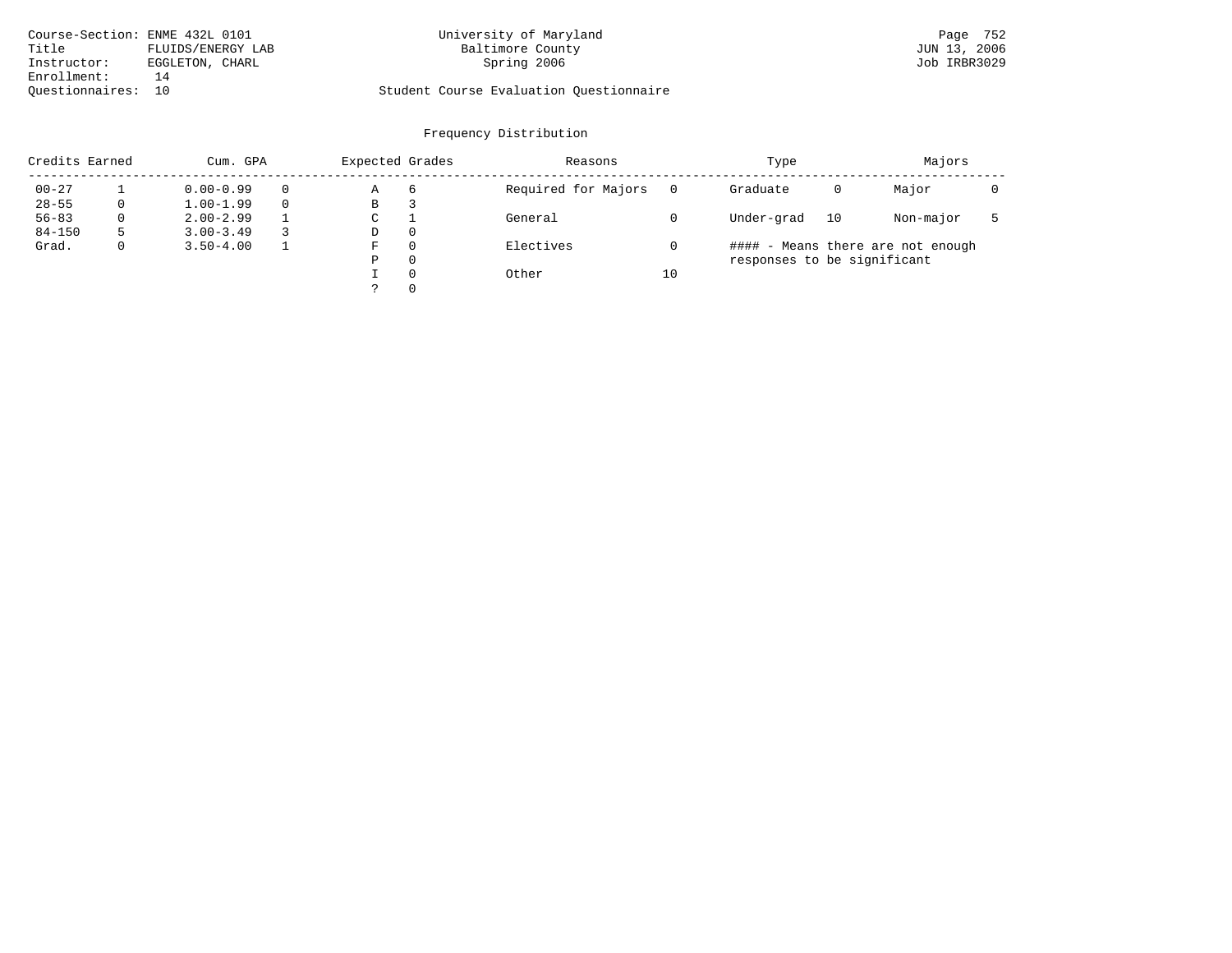| Course-Section: ENME 432L 0101 |                   | University of Maryland                  | Page 752     |
|--------------------------------|-------------------|-----------------------------------------|--------------|
| Title                          | FLUIDS/ENERGY LAB | Baltimore County                        | JUN 13, 2006 |
| Instructor:                    | EGGLETON, CHARL   | Spring 2006                             | Job IRBR3029 |
| Enrollment:                    | 14                |                                         |              |
| Ouestionnaires: 10             |                   | Student Course Evaluation Ouestionnaire |              |

# University of Maryland Baltimore County (Basic County Page 752)<br>Baltimore County (Baltimore County 13, 2006

| Credits Earned |          | Cum. GPA      |  |   | Expected Grades | Reasons             |    | Type                        | Majors |                                   |  |
|----------------|----------|---------------|--|---|-----------------|---------------------|----|-----------------------------|--------|-----------------------------------|--|
| $00 - 27$      |          | $0.00 - 0.99$ |  | Α | 6               | Required for Majors |    | Graduate                    | 0      | Major                             |  |
| $28 - 55$      | 0        | $1.00 - 1.99$ |  | В | З               |                     |    |                             |        |                                   |  |
| $56 - 83$      | $\Omega$ | $2.00 - 2.99$ |  | C |                 | General             |    | Under-grad                  | 10     | Non-major                         |  |
| $84 - 150$     | 5        | $3.00 - 3.49$ |  | D | $\Omega$        |                     |    |                             |        |                                   |  |
| Grad.          | 0        | $3.50 - 4.00$ |  | F | $\Omega$        | Electives           |    |                             |        | #### - Means there are not enough |  |
|                |          |               |  | Ρ | $\Omega$        |                     |    | responses to be significant |        |                                   |  |
|                |          |               |  |   | $\Omega$        | Other               | 10 |                             |        |                                   |  |
|                |          |               |  |   | $\Omega$        |                     |    |                             |        |                                   |  |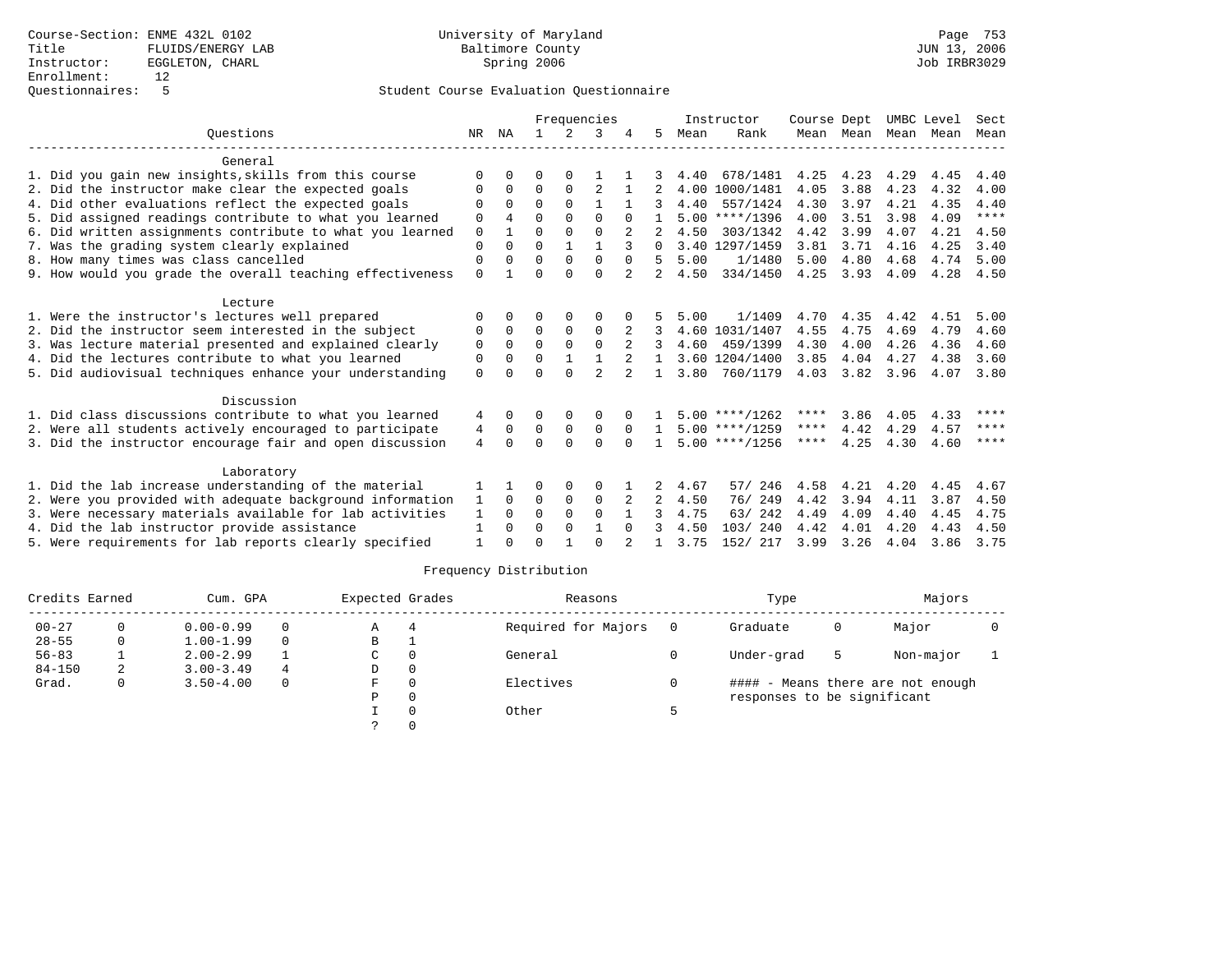|                                                           |                |              |          |              | Frequencies    |          |          |      | Instructor       | Course Dept |           | UMBC Level |      | Sect        |
|-----------------------------------------------------------|----------------|--------------|----------|--------------|----------------|----------|----------|------|------------------|-------------|-----------|------------|------|-------------|
| Ouestions                                                 | NR             | NA           |          | 2            | 3              |          | 5.       | Mean | Rank             |             | Mean Mean | Mean       | Mean | Mean        |
| General                                                   |                |              |          |              |                |          |          |      |                  |             |           |            |      |             |
| 1. Did you gain new insights, skills from this course     | $\Omega$       |              | O        | $\Omega$     |                |          |          | 4.40 | 678/1481         | 4.25        | 4.23      | 4.29       | 4.45 | 4.40        |
| 2. Did the instructor make clear the expected goals       | $\Omega$       | $\Omega$     | $\Omega$ | $\Omega$     | $\overline{2}$ |          |          |      | 4.00 1000/1481   | 4.05        | 3.88      | 4.23       | 4.32 | 4.00        |
| 4. Did other evaluations reflect the expected goals       | $\Omega$       | $\Omega$     | $\Omega$ | $\Omega$     |                |          |          | 4.40 | 557/1424         | 4.30        | 3.97      | 4.21       | 4.35 | 4.40        |
| 5. Did assigned readings contribute to what you learned   | $\Omega$       | 4            | $\Omega$ | $\Omega$     | $\Omega$       |          |          |      | $5.00$ ****/1396 | 4.00        | 3.51      | 3.98       | 4.09 | $***$ * * * |
| 6. Did written assignments contribute to what you learned | $\Omega$       |              | $\Omega$ | $\Omega$     | $\Omega$       |          |          | 4.50 | 303/1342         | 4.42        | 3.99      | 4.07       | 4.21 | 4.50        |
| 7. Was the grading system clearly explained               | $\Omega$       | <sup>0</sup> | $\Omega$ | $\mathbf{1}$ | $\mathbf{1}$   |          | $\Omega$ |      | 3.40 1297/1459   | 3.81        | 3.71      | 4.16       | 4.25 | 3.40        |
| 8. How many times was class cancelled                     | $\Omega$       | $\Omega$     | $\Omega$ | $\Omega$     | $\Omega$       | $\Omega$ | 5        | 5.00 | 1/1480           | 5.00        | 4.80      | 4.68       | 4.74 | 5.00        |
| 9. How would you grade the overall teaching effectiveness | $\Omega$       |              | $\Omega$ | $\cap$       | $\Omega$       |          |          | 4.50 | 334/1450         | 4.25        | 3.93      | 4.09       | 4.28 | 4.50        |
| Lecture                                                   |                |              |          |              |                |          |          |      |                  |             |           |            |      |             |
| 1. Were the instructor's lectures well prepared           | $\Omega$       |              | 0        | $\Omega$     | $\Omega$       |          |          | 5.00 | 1/1409           | 4.70        | 4.35      | 4.42       | 4.51 | 5.00        |
| 2. Did the instructor seem interested in the subject      | $\Omega$       | $\Omega$     | $\Omega$ | $\Omega$     | $\Omega$       | 2        | 3        |      | 4.60 1031/1407   | 4.55        | 4.75      | 4.69       | 4.79 | 4.60        |
| 3. Was lecture material presented and explained clearly   | $\Omega$       | $\Omega$     | $\Omega$ | $\Omega$     | $\Omega$       |          |          | 4.60 | 459/1399         | 4.30        | 4.00      | 4.26       | 4.36 | 4.60        |
| 4. Did the lectures contribute to what you learned        | 0              | $\Omega$     | $\Omega$ |              |                |          |          |      | 3.60 1204/1400   | 3.85        | 4.04      | 4.27       | 4.38 | 3.60        |
| 5. Did audiovisual techniques enhance your understanding  | $\Omega$       | $\cap$       | $\cap$   | $\cap$       | $\mathfrak{D}$ |          |          | 3.80 | 760/1179         | 4.03        | 3.82      | 3.96       | 4.07 | 3.80        |
| Discussion                                                |                |              |          |              |                |          |          |      |                  |             |           |            |      |             |
| 1. Did class discussions contribute to what you learned   | 4              | $\Omega$     | 0        | $\Omega$     | $\Omega$       |          |          |      | $5.00$ ****/1262 | ****        | 3.86      | 4.05       | 4.33 | ****        |
| 2. Were all students actively encouraged to participate   | 4              | $\Omega$     | $\Omega$ | $\mathbf 0$  | $\mathbf 0$    | $\Omega$ |          |      | $5.00$ ****/1259 | $***$ * *   | 4.42      | 4.29       | 4.57 | $***$ * * * |
| 3. Did the instructor encourage fair and open discussion  | $\overline{4}$ | $\Omega$     | $\Omega$ | $\Omega$     | $\Omega$       | $\cap$   |          |      | $5.00$ ****/1256 | $***$ * * * | 4.25      | 4.30       | 4.60 | ****        |
| Laboratory                                                |                |              |          |              |                |          |          |      |                  |             |           |            |      |             |
| 1. Did the lab increase understanding of the material     |                |              | 0        | 0            | $\Omega$       |          | 2        | 4.67 | 57/ 246          | 4.58        | 4.21      | 4.20       | 4.45 | 4.67        |
| 2. Were you provided with adequate background information | 1              | $\Omega$     | 0        | $\mathbf 0$  | $\mathbf 0$    | 2        |          | 4.50 | 76/249           | 4.42        | 3.94      | 4.11       | 3.87 | 4.50        |
| 3. Were necessary materials available for lab activities  |                | $\Omega$     | $\Omega$ | $\Omega$     | $\Omega$       |          |          | 4.75 | 63/242           | 4.49        | 4.09      | 4.40       | 4.45 | 4.75        |
| 4. Did the lab instructor provide assistance              |                |              | $\Omega$ | $\Omega$     | $\mathbf{1}$   | $\Omega$ | 3        | 4.50 | 103/240          | 4.42        | 4.01      | 4.20       | 4.43 | 4.50        |
| 5. Were requirements for lab reports clearly specified    |                |              | ∩        |              | ∩              |          |          | 3.75 | 152/ 217         | 3.99        | 3.26      | 4.04       | 3.86 | 3.75        |

| Credits Earned |   | Cum. GPA      |          | Expected Grades |          | Reasons             |     | Type                        |   | Majors                            |  |
|----------------|---|---------------|----------|-----------------|----------|---------------------|-----|-----------------------------|---|-----------------------------------|--|
| $00 - 27$      | 0 | $0.00 - 0.99$ | 0        | Α               | 4        | Required for Majors | - 0 | Graduate                    | 0 | Major                             |  |
| $28 - 55$      | 0 | $1.00 - 1.99$ | 0        | В               |          |                     |     |                             |   |                                   |  |
| $56 - 83$      |   | $2.00 - 2.99$ |          | C               | $\Omega$ | General             |     | Under-grad                  | 5 | Non-major                         |  |
| $84 - 150$     | 2 | $3.00 - 3.49$ | 4        | D               | 0        |                     |     |                             |   |                                   |  |
| Grad.          | 0 | $3.50 - 4.00$ | $\Omega$ | F.              | $\Omega$ | Electives           |     |                             |   | #### - Means there are not enough |  |
|                |   |               |          | Ρ               | 0        |                     |     | responses to be significant |   |                                   |  |
|                |   |               |          |                 |          | Other               |     |                             |   |                                   |  |
|                |   |               |          |                 |          |                     |     |                             |   |                                   |  |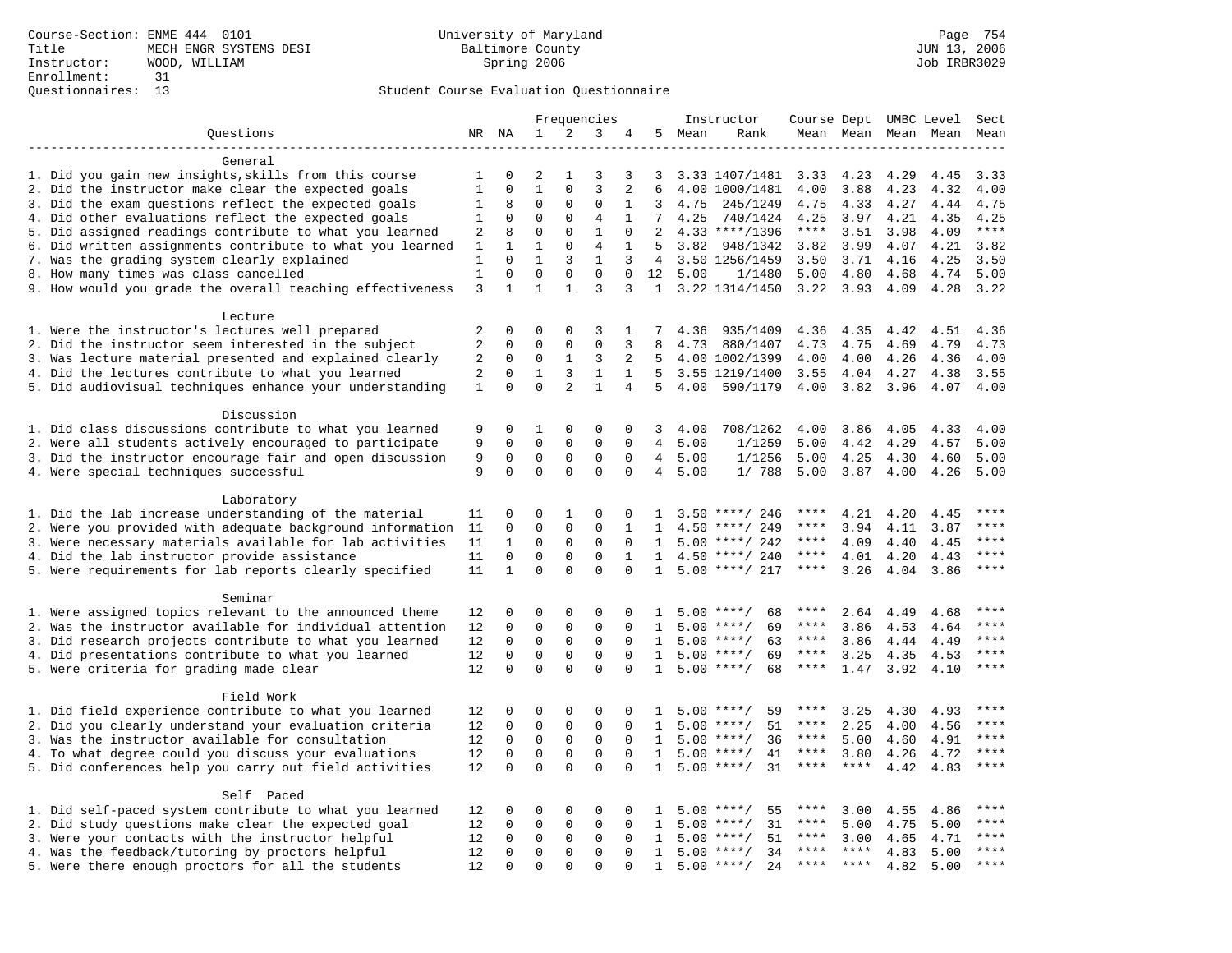|                                                                                                         |                |              |              |                | Frequencies    |                |                |      | Instructor         | Course Dept UMBC Level |             |                     |      | Sect  |
|---------------------------------------------------------------------------------------------------------|----------------|--------------|--------------|----------------|----------------|----------------|----------------|------|--------------------|------------------------|-------------|---------------------|------|-------|
| Questions                                                                                               |                | NR NA        | $\mathbf{1}$ | 2              | 3              | 4              | 5              | Mean | Rank               |                        |             | Mean Mean Mean Mean |      | Mean  |
|                                                                                                         |                |              |              |                |                |                |                |      |                    |                        |             |                     |      |       |
| General                                                                                                 |                |              |              |                |                |                |                |      |                    |                        |             |                     |      |       |
| 1. Did you gain new insights, skills from this course                                                   | 1              | 0            | 2            | 1              | 3              | 3              | 3              |      | 3.33 1407/1481     | 3.33                   | 4.23        | 4.29                | 4.45 | 3.33  |
| 2. Did the instructor make clear the expected goals                                                     | $\mathbf{1}$   | $\mathbf 0$  | $\mathbf{1}$ | $\Omega$       | 3              | 2              | 6              |      | 4.00 1000/1481     | 4.00                   | 3.88        | 4.23                | 4.32 | 4.00  |
| 3. Did the exam questions reflect the expected goals                                                    | 1              | 8            | $\mathbf 0$  | $\mathbf 0$    | $\Omega$       | 1              | 3              | 4.75 | 245/1249           | 4.75                   | 4.33        | 4.27                | 4.44 | 4.75  |
| 4. Did other evaluations reflect the expected goals                                                     | 1              | $\mathbf 0$  | $\mathbf 0$  | $\mathbf 0$    | 4              | 1              | 7              | 4.25 | 740/1424           | 4.25                   | 3.97        | 4.21                | 4.35 | 4.25  |
| 5. Did assigned readings contribute to what you learned                                                 | 2              | 8            | $\mathbf{0}$ | $\mathbf 0$    | $\mathbf{1}$   | $\mathbf 0$    | 2              |      | $4.33$ ****/1396   | $***$ * * *            | 3.51        | 3.98                | 4.09 | $***$ |
| 6. Did written assignments contribute to what you learned                                               | 1              | 1            | $\mathbf{1}$ | $\Omega$       | $\overline{4}$ | 1              | 5              | 3.82 | 948/1342           | 3.82                   | 3.99        | 4.07                | 4.21 | 3.82  |
| 7. Was the grading system clearly explained                                                             | 1              | $\Omega$     | $\mathbf{1}$ | 3              | $\mathbf{1}$   | 3              | $\overline{4}$ |      | 3.50 1256/1459     | 3.50                   | 3.71        | 4.16                | 4.25 | 3.50  |
| 8. How many times was class cancelled                                                                   | $1\,$          | $\mathbf 0$  | $\mathbf 0$  | $\mathbf 0$    | $\mathbf 0$    | $\mathbf 0$    | 12             | 5.00 | 1/1480             | 5.00                   | 4.80        | 4.68                | 4.74 | 5.00  |
| 9. How would you grade the overall teaching effectiveness                                               | 3              | $\mathbf{1}$ | $\mathbf{1}$ | $\mathbf{1}$   | 3              | 3              |                |      | 1 3.22 1314/1450   | 3.22                   | 3.93        | 4.09                | 4.28 | 3.22  |
|                                                                                                         |                |              |              |                |                |                |                |      |                    |                        |             |                     |      |       |
| Lecture                                                                                                 | 2              | 0            | $\mathbf 0$  | $\mathbf 0$    | 3              | 1              |                | 4.36 | 935/1409           | 4.36                   | 4.35        | 4.42                | 4.51 | 4.36  |
| 1. Were the instructor's lectures well prepared<br>2. Did the instructor seem interested in the subject | $\overline{a}$ | 0            | $\mathbf{0}$ | $\mathbf 0$    | $\mathbf{0}$   | 3              | 8              | 4.73 | 880/1407           | 4.73                   | 4.75        | 4.69                | 4.79 | 4.73  |
| 3. Was lecture material presented and explained clearly                                                 | 2              | $\mathbf 0$  | $\mathbf 0$  | 1              | 3              | 2              | 5              |      | 4.00 1002/1399     | 4.00                   | 4.00        | 4.26                | 4.36 | 4.00  |
| 4. Did the lectures contribute to what you learned                                                      | 2              | $\Omega$     | $\mathbf{1}$ | 3              | $\mathbf{1}$   | $\mathbf{1}$   | 5              |      | 3.55 1219/1400     | 3.55                   | 4.04        | 4.27                | 4.38 | 3.55  |
| 5. Did audiovisual techniques enhance your understanding                                                | $\mathbf{1}$   | $\Omega$     | $\Omega$     | $\overline{a}$ | $\mathbf{1}$   | $\overline{4}$ | 5              | 4.00 | 590/1179           | 4.00                   | 3.82        | 3.96                | 4.07 | 4.00  |
|                                                                                                         |                |              |              |                |                |                |                |      |                    |                        |             |                     |      |       |
| Discussion                                                                                              |                |              |              |                |                |                |                |      |                    |                        |             |                     |      |       |
| 1. Did class discussions contribute to what you learned                                                 | 9              | 0            | 1            | $\mathbf 0$    | 0              | 0              | 3              | 4.00 | 708/1262           | 4.00                   | 3.86        | 4.05                | 4.33 | 4.00  |
| 2. Were all students actively encouraged to participate                                                 | 9              | 0            | $\mathbf 0$  | $\mathbf 0$    | $\mathbf 0$    | 0              | 4              | 5.00 | 1/1259             | 5.00                   | 4.42        | 4.29                | 4.57 | 5.00  |
| 3. Did the instructor encourage fair and open discussion                                                | 9              | 0            | $\mathbf 0$  | $\mathbf 0$    | $\mathbf{0}$   | $\mathbf 0$    | 4              | 5.00 | 1/1256             | 5.00                   | 4.25        | 4.30                | 4.60 | 5.00  |
| 4. Were special techniques successful                                                                   | 9              | $\Omega$     | $\Omega$     | $\Omega$       | $\mathbf 0$    | $\Omega$       | 4              | 5.00 | 1/788              | 5.00                   | 3.87        | 4.00                | 4.26 | 5.00  |
|                                                                                                         |                |              |              |                |                |                |                |      |                    |                        |             |                     |      |       |
| Laboratory                                                                                              |                |              |              |                |                |                |                |      |                    |                        |             |                     |      |       |
| 1. Did the lab increase understanding of the material                                                   | 11             | 0            | $\mathbf 0$  | 1              | 0              | 0              | $\mathbf{1}$   |      | $3.50$ ****/ 246   | ****                   | 4.21        | 4.20                | 4.45 |       |
| 2. Were you provided with adequate background information                                               | 11             | $\mathbf 0$  | $\mathbf 0$  | $\mathbf 0$    | $\mathbf{0}$   | 1              | 1              | 4.50 | ****/ 249          | ****                   | 3.94        | 4.11                | 3.87 | ****  |
| 3. Were necessary materials available for lab activities                                                | 11             | $\mathbf{1}$ | $\mathbf{0}$ | $\mathbf 0$    | $\mathbf{0}$   | $\Omega$       | 1              | 5.00 | ****/ 242          | $***$ * * *            | 4.09        | 4.40                | 4.45 | $***$ |
| 4. Did the lab instructor provide assistance                                                            | 11             | $\Omega$     | $\mathbf{0}$ | $\Omega$       | $\mathbf{0}$   | 1              | $\mathbf{1}$   |      | $4.50$ ****/ 240   | ****                   | 4.01        | 4.20                | 4.43 | $***$ |
| 5. Were requirements for lab reports clearly specified                                                  | 11             | $\mathbf{1}$ | $\Omega$     | $\Omega$       | $\Omega$       | $\Omega$       | $\mathbf{1}$   |      | $5.00$ ****/ 217   | ****                   | 3.26        | 4.04                | 3.86 | ****  |
|                                                                                                         |                |              |              |                |                |                |                |      |                    |                        |             |                     |      |       |
| Seminar                                                                                                 |                |              |              |                |                |                |                |      |                    |                        |             |                     |      |       |
| 1. Were assigned topics relevant to the announced theme                                                 | 12             | $\Omega$     | $\mathbf 0$  | $\Omega$       | $\Omega$       | $\Omega$       | $\mathbf{1}$   |      | $5.00$ ****/<br>68 | ****                   | 2.64        | 4.49                | 4.68 | ****  |
| 2. Was the instructor available for individual attention                                                | 12             | $\mathbf 0$  | $\mathbf 0$  | $\mathbf 0$    | $\mathbf{0}$   | $\Omega$       | $\mathbf{1}$   |      | $5.00$ ****/<br>69 | ****                   | 3.86        | 4.53                | 4.64 | ****  |
| 3. Did research projects contribute to what you learned                                                 | 12             | $\mathbf 0$  | $\mathbf 0$  | $\mathsf 0$    | $\mathsf 0$    | $\mathbf 0$    | 1              |      | $5.00$ ****/<br>63 | $***$ * *              | 3.86        | 4.44                | 4.49 | ****  |
| 4. Did presentations contribute to what you learned                                                     | 12             | $\mathbf 0$  | $\mathsf 0$  | $\mathbf 0$    | $\mathbf 0$    | $\mathbf 0$    | 1              |      | 69<br>$5.00$ ****/ | $***$ * * *            | 3.25        | 4.35                | 4.53 | $***$ |
| 5. Were criteria for grading made clear                                                                 | 12             | $\Omega$     | $\Omega$     | $\Omega$       | $\Omega$       | $\Omega$       | 1              |      | $5.00$ ****/<br>68 | ****                   | 1.47        | 3.92                | 4.10 | ****  |
|                                                                                                         |                |              |              |                |                |                |                |      |                    |                        |             |                     |      |       |
| Field Work                                                                                              |                |              |              |                |                |                |                |      |                    |                        |             |                     |      |       |
| 1. Did field experience contribute to what you learned                                                  | 12             | 0            | 0            | $\mathbf 0$    | $\mathbf 0$    | 0              | 1              |      | 59<br>$5.00$ ****/ | ****                   | 3.25        | 4.30                | 4.93 | ****  |
| 2. Did you clearly understand your evaluation criteria                                                  | 12             | $\Omega$     | $\mathbf{0}$ | $\mathbf 0$    | $\Omega$       | $\Omega$       | $\mathbf{1}$   | 5.00 | 51<br>$***$ /      | ****                   | 2.25        | 4.00                | 4.56 | ****  |
| 3. Was the instructor available for consultation                                                        | 12             | $\mathbf 0$  | $\mathbf 0$  | $\mathbf 0$    | $\mathbf 0$    | $\Omega$       | $\mathbf{1}$   |      | 36<br>$5.00$ ****/ | ****                   | 5.00        | 4.60                | 4.91 | ****  |
| 4. To what degree could you discuss your evaluations                                                    | 12             | $\mathbf 0$  | $\mathbf{0}$ | $\mathbf 0$    | $\mathbf 0$    | $\Omega$       | 1              | 5.00 | $***$ /<br>41      | $***$ * * *            | 3.80        | 4.26                | 4.72 | ****  |
| 5. Did conferences help you carry out field activities                                                  | 12             | $\Omega$     | $\Omega$     | $\Omega$       | $\Omega$       | $\Omega$       | $\mathbf{1}$   |      | 31<br>$5.00$ ****/ | $***$ * * *            | $***$ *     | 4.42                | 4.83 | $***$ |
|                                                                                                         |                |              |              |                |                |                |                |      |                    |                        |             |                     |      |       |
| Self Paced                                                                                              |                |              |              |                |                |                |                |      |                    |                        |             |                     |      | ****  |
| 1. Did self-paced system contribute to what you learned                                                 | 12             | 0            | 0            | $\mathbf 0$    | $\mathbf 0$    | 0              | 1              | 5.00 | $***$ /<br>55      | ****                   | 3.00        | 4.55                | 4.86 |       |
| 2. Did study questions make clear the expected goal                                                     | 12             | $\mathbf 0$  | $\mathbf{0}$ | $\mathbf 0$    | $\mathbf{0}$   | $\mathbf 0$    | 1              | 5.00 | $***/$<br>31       | ****                   | 5.00        | 4.75                | 5.00 | ****  |
| 3. Were your contacts with the instructor helpful                                                       | 12             | $\Omega$     | $\mathbf 0$  | 0              | $\Omega$       | $\Omega$       | 1              | 5.00 | $***$ /<br>51      | $***$ * *              | 3.00        | 4.65                | 4.71 | ****  |
| 4. Was the feedback/tutoring by proctors helpful                                                        | 12             | $\Omega$     | $\mathbf 0$  | $\mathbf 0$    | $\mathbf{0}$   | $\Omega$       | $\mathbf{1}$   |      | $5.00$ ****/<br>34 | ****                   | $***$ * * * | 4.83                | 5.00 | $***$ |
| 5. Were there enough proctors for all the students                                                      | 12             | $\Omega$     | $\Omega$     | $\Omega$       | $\Omega$       | $\cap$         | $\mathbf{1}$   |      | $5.00$ ****/<br>24 | ****                   | $***$       | 4.82                | 5.00 | $***$ |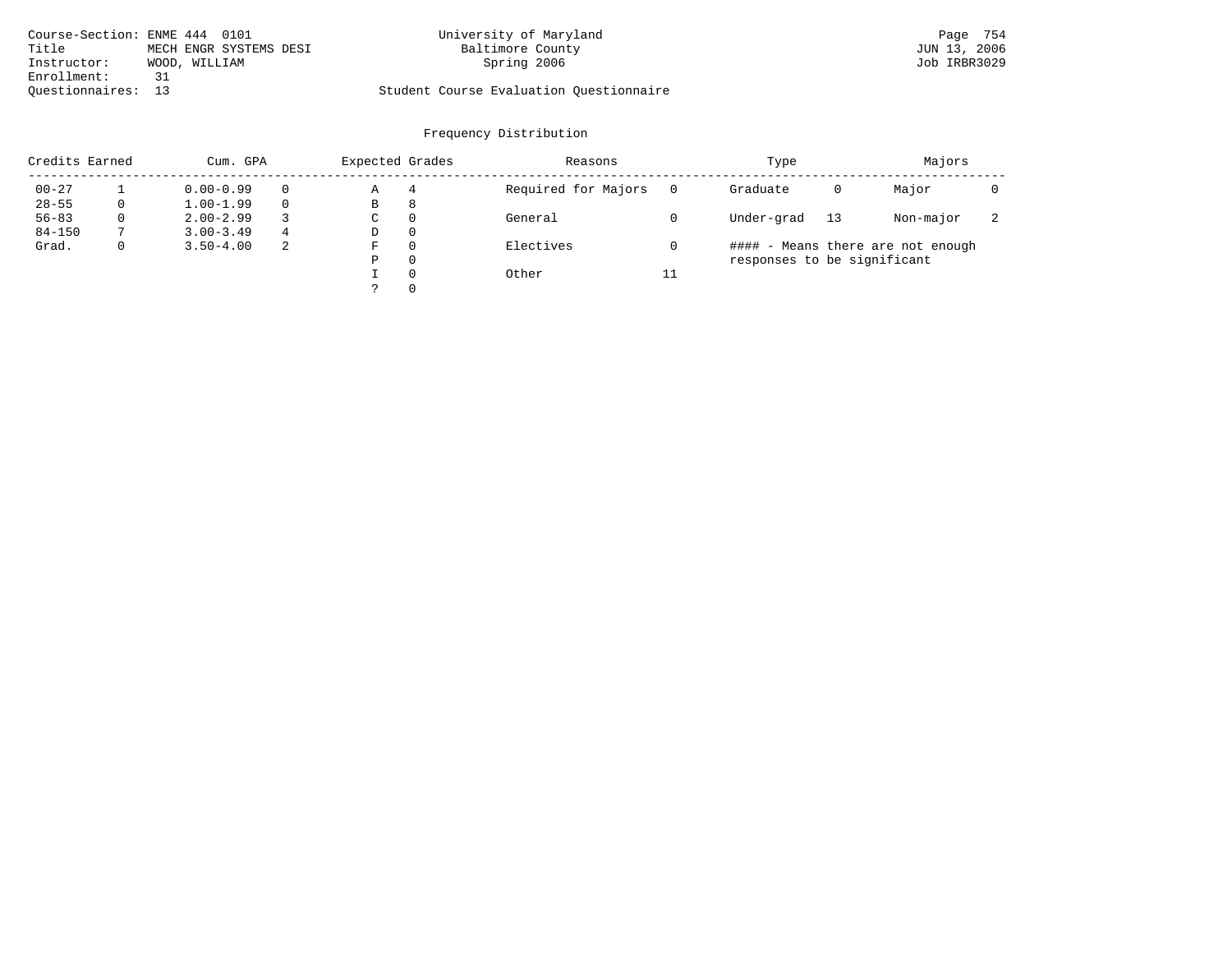| Course-Section: ENME 444 0101 |                        | University of Maryland                  | Page 754     |
|-------------------------------|------------------------|-----------------------------------------|--------------|
| Title                         | MECH ENGR SYSTEMS DESI | Baltimore County                        | JUN 13, 2006 |
| Instructor:                   | WOOD, WILLIAM          | Spring 2006                             | Job IRBR3029 |
| Enrollment:                   | 31                     |                                         |              |
| Ouestionnaires: 13            |                        | Student Course Evaluation Ouestionnaire |              |

| Credits Earned |   | Cum. GPA      |   | Expected Grades |          | Reasons             |          | Type                        |    | Majors                            |                          |
|----------------|---|---------------|---|-----------------|----------|---------------------|----------|-----------------------------|----|-----------------------------------|--------------------------|
| $00 - 27$      |   | $0.00 - 0.99$ |   | Α               | 4        | Required for Majors | $\Omega$ | Graduate                    | 0  | Major                             |                          |
| $28 - 55$      | 0 | $1.00 - 1.99$ |   | В               | 8        |                     |          |                             |    |                                   |                          |
| $56 - 83$      | 0 | $2.00 - 2.99$ |   | $\sim$<br>◡     | 0        | General             |          | Under-grad                  | 13 | Non-major                         | $\overline{\phantom{a}}$ |
| $84 - 150$     |   | $3.00 - 3.49$ | 4 | D               | 0        |                     |          |                             |    |                                   |                          |
| Grad.          | 0 | $3.50 - 4.00$ | 2 | F               | 0        | Electives           |          |                             |    | #### - Means there are not enough |                          |
|                |   |               |   | Ρ               | 0        |                     |          | responses to be significant |    |                                   |                          |
|                |   |               |   |                 | $\Omega$ | Other               | 11       |                             |    |                                   |                          |
|                |   |               |   | っ               |          |                     |          |                             |    |                                   |                          |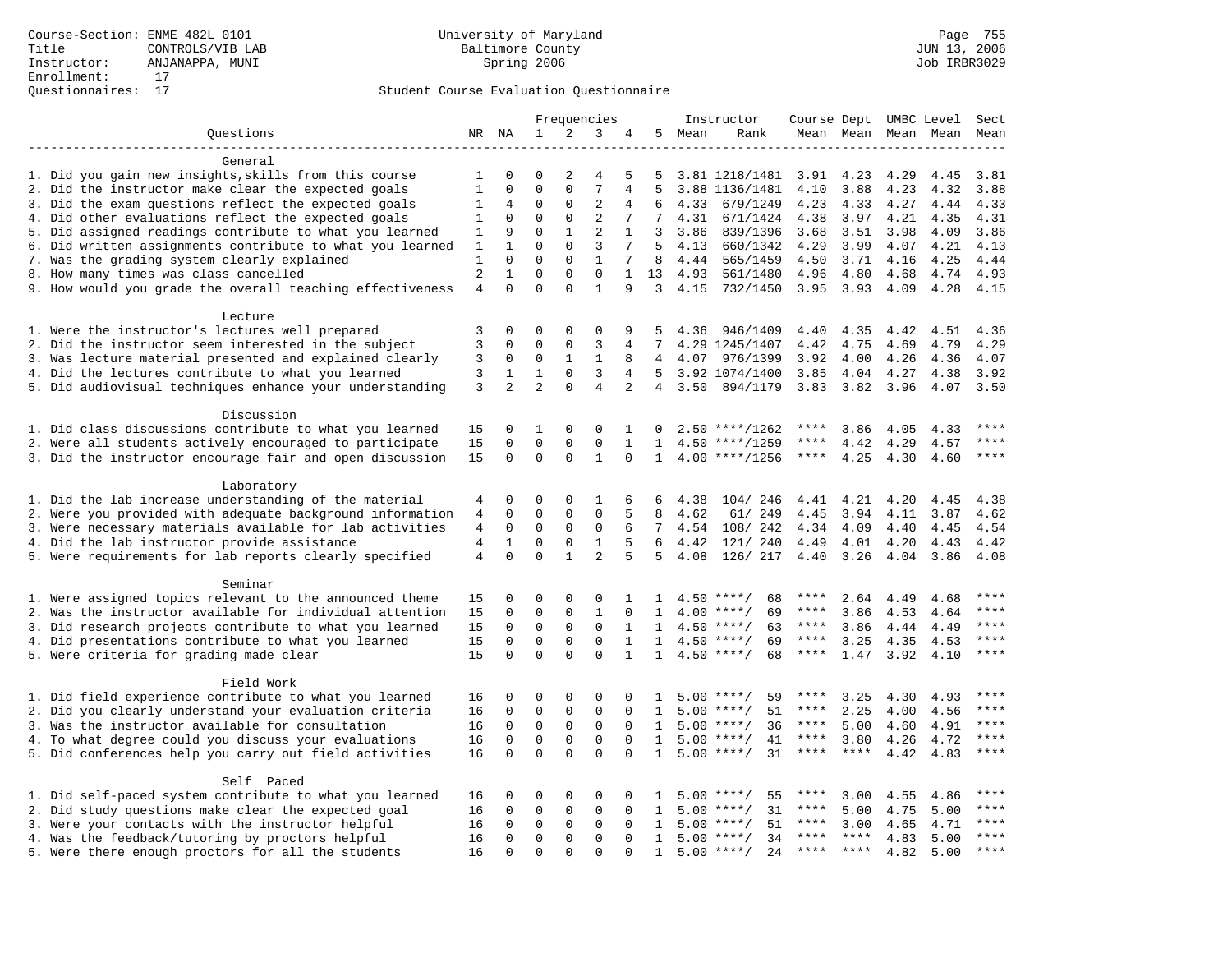|                                                           |                |                |                |              | Frequencies    |                |              |         | Instructor          |               |             |      | Course Dept UMBC Level | Sect        |
|-----------------------------------------------------------|----------------|----------------|----------------|--------------|----------------|----------------|--------------|---------|---------------------|---------------|-------------|------|------------------------|-------------|
| Ouestions                                                 |                | NR NA          | 1              | 2            | 3              | 4              |              | 5 Mean  | Rank                |               | Mean Mean   |      | Mean Mean              | Mean        |
|                                                           |                |                |                |              |                |                |              |         |                     |               |             |      |                        |             |
| General                                                   |                |                |                |              |                |                |              |         |                     |               |             |      |                        |             |
| 1. Did you gain new insights, skills from this course     | 1              | 0              | 0              | 2            | 4              | 5              | 5            |         | 3.81 1218/1481 3.91 |               | 4.23        | 4.29 | 4.45                   | 3.81        |
| 2. Did the instructor make clear the expected goals       | 1              | $\mathbf 0$    | $\Omega$       | $\Omega$     | 7              | 4              | 5            |         | 3.88 1136/1481      | 4.10          | 3.88        | 4.23 | 4.32                   | 3.88        |
| 3. Did the exam questions reflect the expected goals      | 1              | 4              | 0              | $\mathbf 0$  | 2              | 4              | 6            | 4.33    | 679/1249            | 4.23          | 4.33        | 4.27 | 4.44                   | 4.33        |
| 4. Did other evaluations reflect the expected goals       | 1              | $\mathbf 0$    | $\mathbf 0$    | $\mathbf 0$  | $\overline{2}$ | 7              | $7^{\circ}$  | 4.31    | 671/1424            | 4.38          | 3.97        | 4.21 | 4.35                   | 4.31        |
| 5. Did assigned readings contribute to what you learned   | 1              | 9              | $\Omega$       | $\mathbf{1}$ | $\overline{2}$ | $\mathbf{1}$   | 3            | 3.86    | 839/1396            | 3.68          | 3.51        | 3.98 | 4.09                   | 3.86        |
| 6. Did written assignments contribute to what you learned | 1              | $\mathbf{1}$   | $\Omega$       | $\Omega$     | 3              | 7              | 5            | 4.13    | 660/1342            | 4.29          | 3.99        | 4.07 | 4.21                   | 4.13        |
| 7. Was the grading system clearly explained               | 1              | $\mathbf 0$    | $\Omega$       | $\Omega$     | 1              | 7              | 8            | 4.44    | 565/1459            | 4.50          | 3.71        | 4.16 | 4.25                   | 4.44        |
| 8. How many times was class cancelled                     | $\overline{2}$ | $\mathbf{1}$   | $\Omega$       | $\Omega$     | $\Omega$       | $\mathbf{1}$   | 13           | 4.93    | 561/1480            | 4.96          | 4.80        | 4.68 | 4.74                   | 4.93        |
| 9. How would you grade the overall teaching effectiveness | $\overline{4}$ | $\Omega$       | $\Omega$       | $\Omega$     | $\mathbf{1}$   | 9              | 3            |         | 4.15 732/1450       | $3.95$ $3.93$ |             | 4.09 | 4.28                   | 4.15        |
| Lecture                                                   |                |                |                |              |                |                |              |         |                     |               |             |      |                        |             |
| 1. Were the instructor's lectures well prepared           | 3              | $\mathbf 0$    | 0              | $\Omega$     | $\Omega$       | 9              | 5            | 4.36    | 946/1409            | 4.40          | 4.35        | 4.42 | 4.51                   | 4.36        |
| 2. Did the instructor seem interested in the subject      | 3              | $\mathbf 0$    | $\mathbf 0$    | $\mathbf 0$  | 3              | 4              | 7            |         | 4.29 1245/1407      | 4.42          | 4.75        | 4.69 | 4.79                   | 4.29        |
| 3. Was lecture material presented and explained clearly   | 3              | $\mathbf 0$    | $\mathbf 0$    | $\mathbf{1}$ | $\mathbf{1}$   | 8              |              | 4 4.07  | 976/1399            | 3.92          | 4.00        | 4.26 | 4.36                   | 4.07        |
| 4. Did the lectures contribute to what you learned        | 3              | 1              | $\mathbf{1}$   | $\mathbf 0$  | 3              | 4              |              |         | 5 3.92 1074/1400    | 3.85          | 4.04        | 4.27 | 4.38                   | 3.92        |
| 5. Did audiovisual techniques enhance your understanding  | 3              | $\overline{2}$ | $\overline{a}$ | $\Omega$     | $\overline{4}$ | $\overline{2}$ |              | 4, 3.50 | 894/1179            | 3.83          | 3.82        | 3.96 | 4.07                   | 3.50        |
| Discussion                                                |                |                |                |              |                |                |              |         |                     |               |             |      |                        |             |
| 1. Did class discussions contribute to what you learned   |                | 0              | 1              | $\mathbf{0}$ | $\Omega$       | 1              | 0            |         | $2.50$ ****/1262    | ****          | 3.86        | 4.05 | 4.33                   | ****        |
| 2. Were all students actively encouraged to participate   | 15<br>15       | $\mathbf 0$    | $\mathbf 0$    | $\mathbf 0$  | $\mathbf 0$    | $\mathbf{1}$   | 1            |         | $4.50$ ****/1259    | ****          | 4.42        | 4.29 | 4.57                   | $***$       |
|                                                           | 15             | $\mathbf 0$    | $\mathbf 0$    | $\Omega$     | $\mathbf{1}$   | 0              | 1            |         | $4.00$ ****/1256    | $***$ * * *   | 4.25        | 4.30 | 4.60                   | $***$ *     |
| 3. Did the instructor encourage fair and open discussion  |                |                |                |              |                |                |              |         |                     |               |             |      |                        |             |
| Laboratory                                                |                |                |                |              |                |                |              |         |                     |               |             |      |                        |             |
| 1. Did the lab increase understanding of the material     | 4              | 0              | 0              | $\mathbf 0$  | 1              | 6              | 6            | 4.38    | 104/246             | 4.41          | 4.21        | 4.20 | 4.45                   | 4.38        |
| 2. Were you provided with adequate background information | 4              | $\mathbf 0$    | $\mathbf 0$    | $\mathbf 0$  | $\Omega$       | 5              | 8            | 4.62    | 61/ 249             | 4.45          | 3.94        | 4.11 | 3.87                   | 4.62        |
| 3. Were necessary materials available for lab activities  | $\overline{4}$ | 0              | $\mathbf 0$    | $\mathbf{0}$ | $\mathbf 0$    | 6              |              |         | 7 4.54 108/242      | 4.34          | 4.09        | 4.40 | 4.45                   | 4.54        |
| 4. Did the lab instructor provide assistance              | $\overline{4}$ | $\mathbf{1}$   | 0              | 0            | 1              | 5              | 6            | 4.42    | 121/ 240            | 4.49          | 4.01        | 4.20 | 4.43                   | 4.42        |
| 5. Were requirements for lab reports clearly specified    | $\overline{4}$ | $\Omega$       | $\Omega$       | $\mathbf{1}$ | $\overline{a}$ | 5              | 5            | 4.08    | 126/ 217            | 4.40          | 3.26        | 4.04 | 3.86                   | 4.08        |
| Seminar                                                   |                |                |                |              |                |                |              |         |                     |               |             |      |                        |             |
| 1. Were assigned topics relevant to the announced theme   | 15             | $\mathbf 0$    | 0              | 0            | 0              | 1              | $\mathbf{1}$ |         | $4.50$ ****/<br>68  |               | 2.64        | 4.49 | 4.68                   | ****        |
| 2. Was the instructor available for individual attention  | 15             | $\mathbf 0$    | $\mathbf 0$    | $\mathbf 0$  | $\mathbf{1}$   | 0              | 1            |         | 69<br>$4.00$ ****/  | ****          | 3.86        | 4.53 | 4.64                   | ****        |
| 3. Did research projects contribute to what you learned   | 15             | $\mathbf 0$    | $\mathbf 0$    | $\mathsf 0$  | $\mathbf 0$    | $\mathbf{1}$   | $\mathbf{1}$ |         | $4.50$ ****/<br>63  | ****          | 3.86        | 4.44 | 4.49                   | ****        |
| 4. Did presentations contribute to what you learned       | 15             | $\Omega$       | $\mathbf 0$    | $\Omega$     | $\Omega$       | $\mathbf{1}$   | $\mathbf{1}$ | 4.50    | $***/$<br>69        | $***$ * *     | 3.25        | 4.35 | 4.53                   | $***$       |
| 5. Were criteria for grading made clear                   | 15             | $\mathbf 0$    | $\Omega$       | $\Omega$     | $\Omega$       | $\mathbf{1}$   | $\mathbf{1}$ |         | $4.50$ ****/<br>68  | $***$ * * *   | 1.47        | 3.92 | 4.10                   | ****        |
| Field Work                                                |                |                |                |              |                |                |              |         |                     |               |             |      |                        |             |
| 1. Did field experience contribute to what you learned    | 16             | 0              | 0              | 0            | 0              | 0              | 1            |         | 59<br>$5.00$ ****/  | ****          | 3.25        | 4.30 | 4.93                   |             |
| 2. Did you clearly understand your evaluation criteria    | 16             | $\mathbf 0$    | $\mathbf 0$    | $\mathbf 0$  | $\mathbf 0$    | $\Omega$       | 1            |         | 51<br>$5.00$ ****/  | $***$ * * *   | 2.25        | 4.00 | 4.56                   | $***$       |
| 3. Was the instructor available for consultation          | 16             | $\Omega$       | $\mathbf 0$    | $\mathbf 0$  | $\mathbf 0$    | $\Omega$       | $\mathbf{1}$ |         | $5.00$ ****/<br>36  | $***$ * *     | 5.00        | 4.60 | 4.91                   | $***$       |
| 4. To what degree could you discuss your evaluations      | 16             | $\mathbf 0$    | $\mathbf 0$    | $\mathbf 0$  | $\mathbf 0$    | $\mathbf 0$    | 1            |         | $5.00$ ****/<br>41  | $***$ * *     | 3.80        | 4.26 | 4.72                   | $***$ * * * |
| 5. Did conferences help you carry out field activities    | 16             | $\Omega$       | $\Omega$       | $\Omega$     | $\Omega$       | $\Omega$       | $\mathbf{1}$ |         | $5.00$ ****/<br>31  | ****          | $***$       | 4.42 | 4.83                   | ****        |
|                                                           |                |                |                |              |                |                |              |         |                     |               |             |      |                        |             |
| Self Paced                                                |                |                |                |              |                |                |              |         |                     |               |             |      |                        |             |
| 1. Did self-paced system contribute to what you learned   | 16             | $\Omega$       | 0              | $\Omega$     | $\Omega$       | 0              |              | 5.00    | 55<br>$***/$        | ****          | 3.00        | 4.55 | 4.86                   | ****        |
| 2. Did study questions make clear the expected goal       | 16             | $\mathbf 0$    | 0              | $\mathbf 0$  | $\mathbf{0}$   | 0              | 1            | 5.00    | 31<br>$***$ /       | ****          | 5.00        | 4.75 | 5.00                   | ****        |
| 3. Were your contacts with the instructor helpful         | 16             | 0              | 0              | 0            | 0              | 0              | 1            | 5.00    | $***/$<br>51        | ****          | 3.00        | 4.65 | 4.71                   | ****        |
| 4. Was the feedback/tutoring by proctors helpful          | 16             | $\Omega$       | $\mathbf 0$    | $\Omega$     | $\Omega$       | $\Omega$       | $\mathbf{1}$ |         | $5.00$ ****/<br>34  | $***$ * *     | $***$ *     | 4.83 | 5.00                   | $***$       |
| 5. Were there enough proctors for all the students        | 16             | $\Omega$       | $\Omega$       | $\Omega$     | $\Omega$       | $\Omega$       | $\mathbf{1}$ |         | $5.00$ ****/<br>24  | $***$ * * *   | $***$ * * * | 4.82 | 5.00                   | $***$       |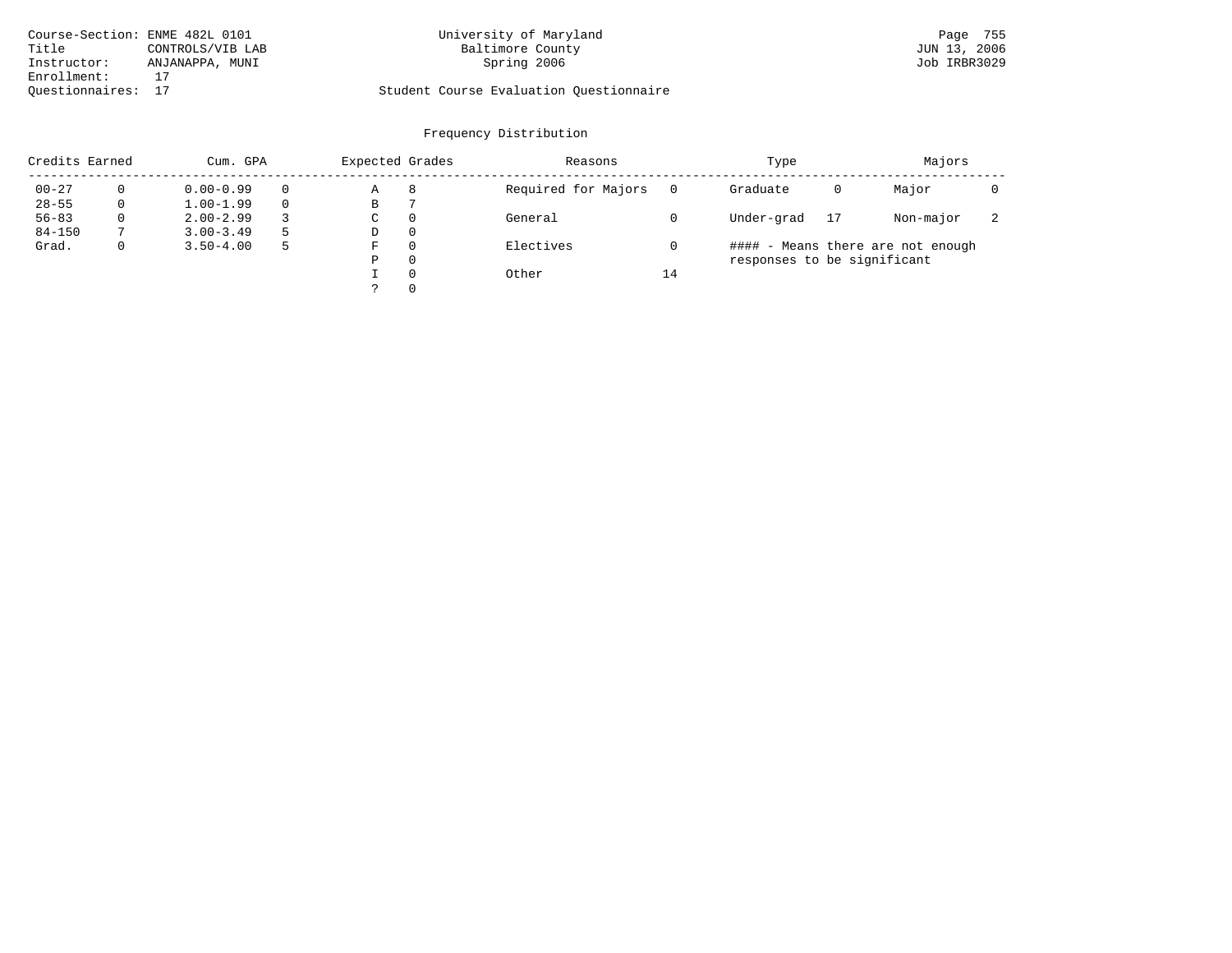| Course-Section: ENME 482L 0101 |                  | University of Maryland                  | Page 755     |
|--------------------------------|------------------|-----------------------------------------|--------------|
| Title                          | CONTROLS/VIB LAB | Baltimore County                        | JUN 13, 2006 |
| Instructor:                    | ANJANAPPA, MUNI  | Spring 2006                             | Job IRBR3029 |
| Enrollment:                    |                  |                                         |              |
| Ouestionnaires: 17             |                  | Student Course Evaluation Questionnaire |              |

# University of Maryland Baltimore County (Base 755 States-Section: 2006)<br>Baltimore County (Baltimore County 2006)

| Credits Earned |          | Cum. GPA      |  |   | Expected Grades | Reasons             |    | Type                        | Majors |                                   |                          |
|----------------|----------|---------------|--|---|-----------------|---------------------|----|-----------------------------|--------|-----------------------------------|--------------------------|
| $00 - 27$      |          | $0.00 - 0.99$ |  | Α | 8               | Required for Majors |    | Graduate                    | 0      | Major                             |                          |
| $28 - 55$      | 0        | $1.00 - 1.99$ |  | В |                 |                     |    |                             |        |                                   |                          |
| $56 - 83$      | $\Omega$ | $2.00 - 2.99$ |  | C | $\Omega$        | General             |    | Under-grad                  | 17     | Non-major                         | $\overline{\phantom{a}}$ |
| $84 - 150$     |          | $3.00 - 3.49$ |  | D | $\Omega$        |                     |    |                             |        |                                   |                          |
| Grad.          | 0        | $3.50 - 4.00$ |  | F | $\Omega$        | Electives           |    |                             |        | #### - Means there are not enough |                          |
|                |          |               |  | Ρ | $\Omega$        |                     |    | responses to be significant |        |                                   |                          |
|                |          |               |  |   | $\Omega$        | Other               | 14 |                             |        |                                   |                          |
|                |          |               |  |   | $\Omega$        |                     |    |                             |        |                                   |                          |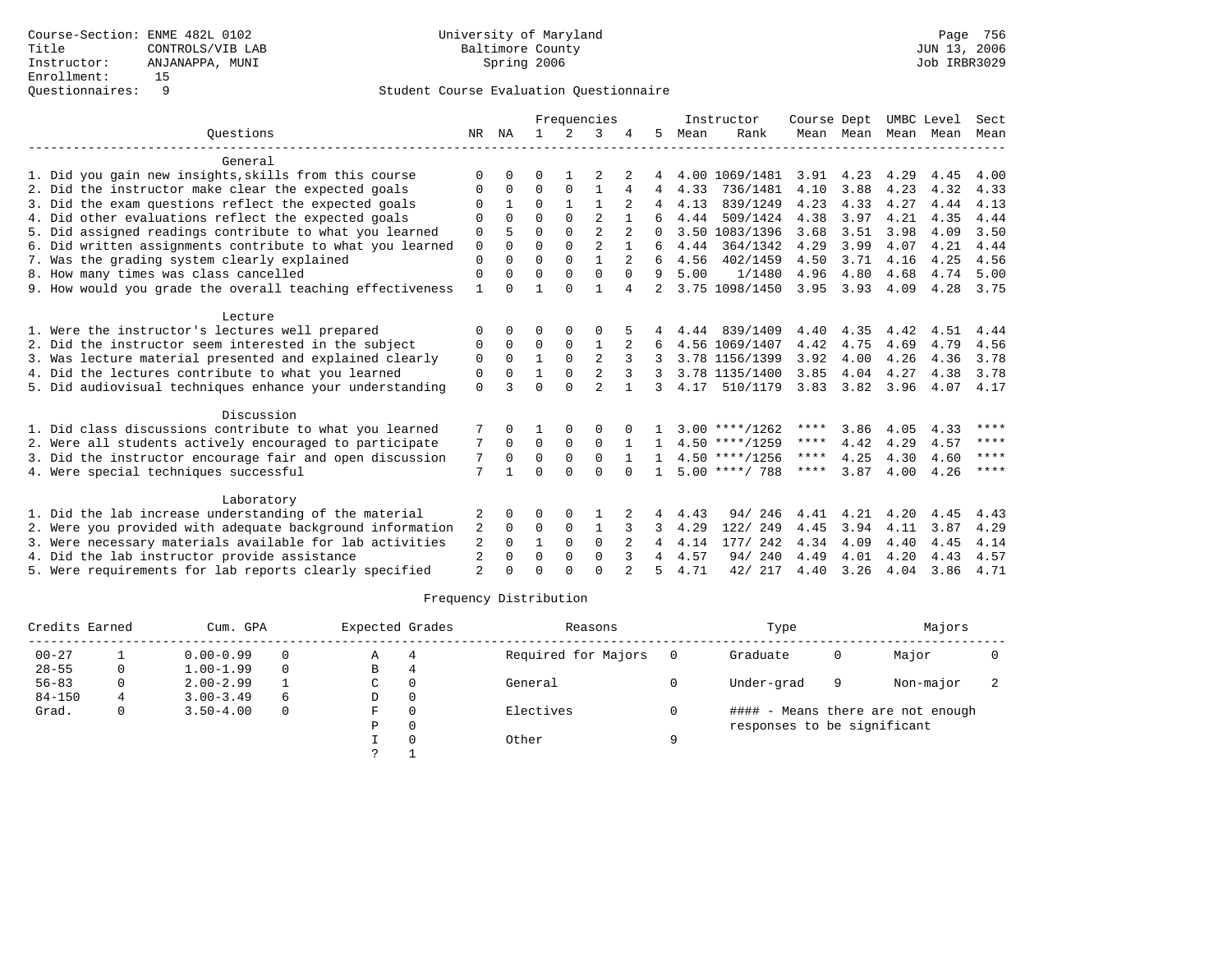|                                                           |                |              | Frequencies  |              |                |          |              | Instructor | Course Dept      |           |                     | UMBC Level | Sect |         |
|-----------------------------------------------------------|----------------|--------------|--------------|--------------|----------------|----------|--------------|------------|------------------|-----------|---------------------|------------|------|---------|
| Ouestions                                                 | NR             | ΝA           | $\mathbf{1}$ | 2            | 3              |          | 5            | Mean       | Rank             |           | Mean Mean Mean Mean |            |      | Mean    |
| General                                                   |                |              |              |              |                |          |              |            |                  |           |                     |            |      |         |
| 1. Did you gain new insights, skills from this course     | ∩              |              | <sup>0</sup> |              |                |          |              |            | 4.00 1069/1481   | 3.91      | 4.23                | 4.29       | 4.45 | 4.00    |
| 2. Did the instructor make clear the expected goals       | $\Omega$       | $\Omega$     | $\mathbf 0$  | $\mathbf 0$  |                |          |              | 4.33       | 736/1481         | 4.10      | 3.88                | 4.23       | 4.32 | 4.33    |
| 3. Did the exam questions reflect the expected goals      |                |              | $\Omega$     |              |                |          |              | 4.13       | 839/1249         | 4.23      | 4.33                | 4.27       | 4.44 | 4.13    |
| 4. Did other evaluations reflect the expected goals       | $\Omega$       | $\Omega$     | $\Omega$     | $\Omega$     | $\overline{2}$ |          |              | 4.44       | 509/1424         | 4.38      | 3.97                | 4.21       | 4.35 | 4.44    |
| 5. Did assigned readings contribute to what you learned   | 0              |              | $\Omega$     | $\Omega$     | $\overline{2}$ |          | $\cap$       |            | 3.50 1083/1396   | 3.68      | 3.51                | 3.98       | 4.09 | 3.50    |
| 6. Did written assignments contribute to what you learned | $\mathbf 0$    | $\Omega$     | $\Omega$     | $\Omega$     |                |          |              | 4.44       | 364/1342         | 4.29      | 3.99                | 4.07       | 4.21 | 4.44    |
| 7. Was the grading system clearly explained               | $\Omega$       | $\Omega$     | $\Omega$     |              |                |          |              | 4.56       | 402/1459         | 4.50      | 3.71                | 4.16       | 4.25 | 4.56    |
| 8. How many times was class cancelled                     | $\Omega$       | $\Omega$     | $\Omega$     | $\Omega$     | $\mathbf 0$    | $\Omega$ | 9            | 5.00       | 1/1480           | 4.96      | 4.80                | 4.68       | 4.74 | 5.00    |
| 9. How would you grade the overall teaching effectiveness |                |              |              | $\cap$       |                | 4        | 2            |            | 3.75 1098/1450   | 3.95      | 3.93                | 4.09       | 4.28 | 3.75    |
| Lecture                                                   |                |              |              |              |                |          |              |            |                  |           |                     |            |      |         |
| 1. Were the instructor's lectures well prepared           |                |              | $\Omega$     |              |                |          |              | 4.44       | 839/1409         | 4.40      | 4.35                | 4.42       | 4.51 | 4.44    |
| 2. Did the instructor seem interested in the subject      | 0              | $\Omega$     | $\Omega$     | $\Omega$     |                |          |              |            | 4.56 1069/1407   | 4.42      | 4.75                | 4.69       | 4.79 | 4.56    |
| 3. Was lecture material presented and explained clearly   | 0              | $\Omega$     | $\mathbf{1}$ | $\Omega$     |                |          |              |            | 3.78 1156/1399   | 3.92      | 4.00                | 4.26       | 4.36 | 3.78    |
| 4. Did the lectures contribute to what you learned        | 0              | $\Omega$     |              | $\Omega$     | $\overline{2}$ | 3        | 3            |            | 3.78 1135/1400   | 3.85      | 4.04                | 4.27       | 4.38 | 3.78    |
| 5. Did audiovisual techniques enhance your understanding  | $\mathbf 0$    |              | $\Omega$     | $\Omega$     | $\mathfrak{D}$ |          | 3            | 4.17       | 510/1179         | 3.83      | 3.82                | 3.96       | 4.07 | 4.17    |
| Discussion                                                |                |              |              |              |                |          |              |            |                  |           |                     |            |      |         |
| 1. Did class discussions contribute to what you learned   |                |              |              |              |                |          |              |            | $3.00$ ****/1262 | ****      | 3.86                | 4.05       | 4.33 | ****    |
| 2. Were all students actively encouraged to participate   | 7              | $\Omega$     | $\Omega$     | $\mathbf 0$  | $\Omega$       |          |              |            | $4.50$ ****/1259 | $***$ * * | 4.42                | 4.29       | 4.57 | $***$ * |
| 3. Did the instructor encourage fair and open discussion  | 7              | $\Omega$     | $\Omega$     | $\Omega$     | $\Omega$       |          |              |            | $4.50$ ****/1256 | ****      | 4.25                | 4.30       | 4.60 | ****    |
| 4. Were special techniques successful                     | 7              |              | $\Omega$     | $\cap$       | $\cap$         |          | $\mathbf{1}$ |            | $5.00$ ****/ 788 | ****      | 3.87                | 4.00       | 4.26 | $***$ * |
| Laboratory                                                |                |              |              |              |                |          |              |            |                  |           |                     |            |      |         |
| 1. Did the lab increase understanding of the material     | 2              | <sup>0</sup> | O            | <sup>0</sup> |                |          | 4            | 4.43       | 94/246           | 4.41      | 4.21                | 4.20       | 4.45 | 4.43    |
| 2. Were you provided with adequate background information | 2              | $\Omega$     | 0            | $\mathbf 0$  |                |          |              | 4.29       | 122/ 249         | 4.45      | 3.94                | 4.11       | 3.87 | 4.29    |
| 3. Were necessary materials available for lab activities  | 2              | $\Omega$     | 1            | $\Omega$     | $\Omega$       | 2        | 4            | 4.14       | 177/ 242         | 4.34      | 4.09                | 4.40       | 4.45 | 4.14    |
| 4. Did the lab instructor provide assistance              | 2              | $\Omega$     | $\Omega$     | $\Omega$     | $\Omega$       | 3        | 4            | 4.57       | 94/240           | 4.49      | 4.01                | 4.20       | 4.43 | 4.57    |
| 5. Were requirements for lab reports clearly specified    | $\mathfrak{D}$ | $\cap$       | ∩            |              | $\cap$         |          |              | 4.71       | 42/ 217          | 4.40      | 3.26                | 4.04       | 3.86 | 4.71    |

|            | Credits Earned |               | Cum. GPA |   |  | Reasons             |   | Type                        |   | Majors                            |  |
|------------|----------------|---------------|----------|---|--|---------------------|---|-----------------------------|---|-----------------------------------|--|
| $00 - 27$  |                | $0.00 - 0.99$ | $\Omega$ | Α |  | Required for Majors |   | Graduate                    | 0 | Major                             |  |
| $28 - 55$  | 0              | $1.00 - 1.99$ | $\Omega$ | В |  |                     |   |                             |   |                                   |  |
| $56 - 83$  |                | $2.00 - 2.99$ |          | C |  | General             |   | Under-grad                  | 9 | Non-major                         |  |
| $84 - 150$ | 4              | $3.00 - 3.49$ | 6        | D |  |                     |   |                             |   |                                   |  |
| Grad.      | 0              | $3.50 - 4.00$ | $\Omega$ | F |  | Electives           |   |                             |   | #### - Means there are not enough |  |
|            |                |               |          | P |  |                     |   | responses to be significant |   |                                   |  |
|            |                |               |          |   |  | Other               | Q |                             |   |                                   |  |
|            |                |               |          | っ |  |                     |   |                             |   |                                   |  |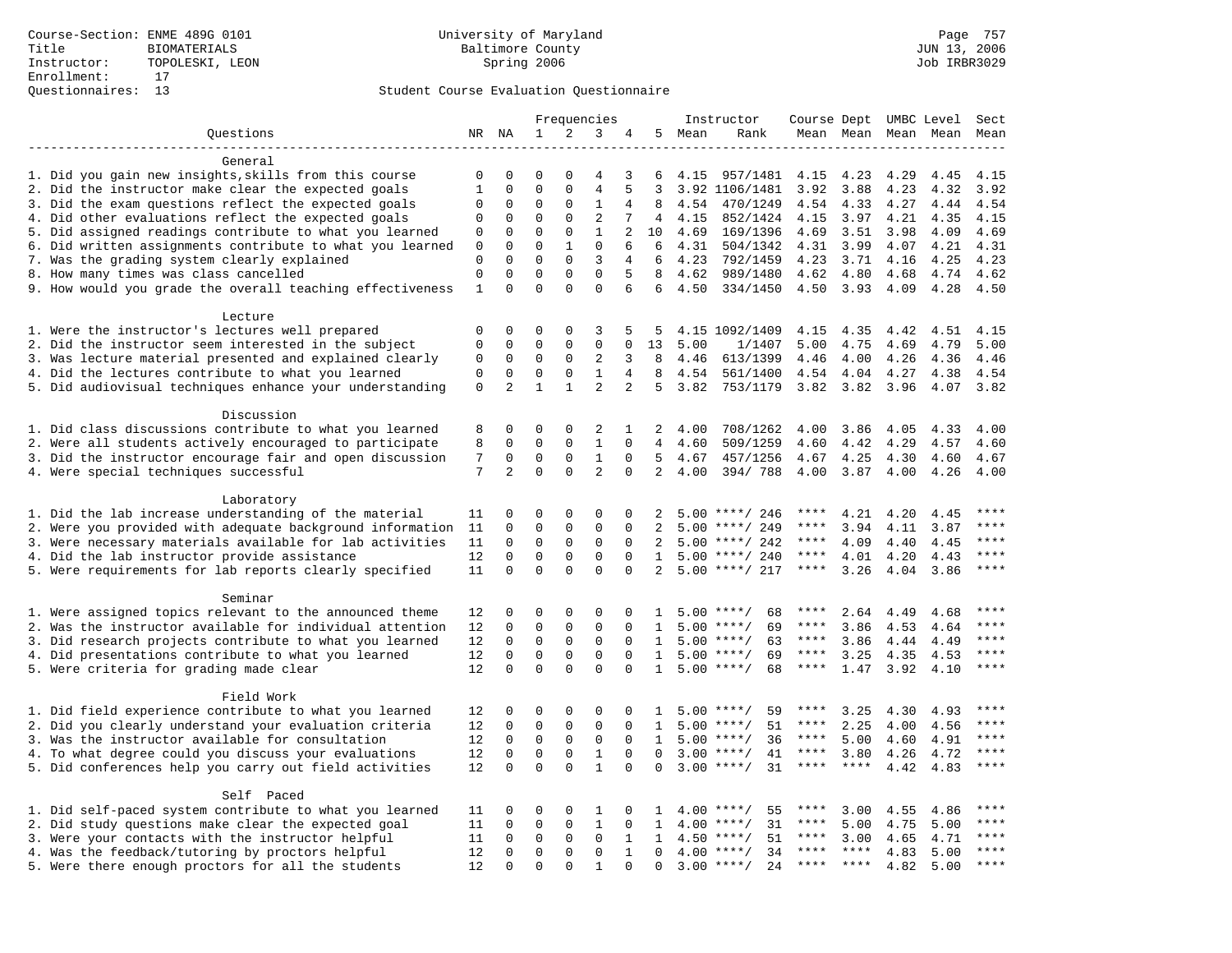|                                                            |              |                            | Frequencies                |                            |                       |                      | Instructor     | Course Dept UMBC Level |                              |                     |                 | Sect                |      |             |
|------------------------------------------------------------|--------------|----------------------------|----------------------------|----------------------------|-----------------------|----------------------|----------------|------------------------|------------------------------|---------------------|-----------------|---------------------|------|-------------|
| Questions                                                  |              | NR NA                      | $\mathbf{1}$               | 2                          | 3                     | 4                    |                | 5 Mean                 | Rank                         |                     |                 | Mean Mean Mean Mean |      | Mean        |
| -------------------                                        |              |                            |                            |                            |                       |                      |                |                        |                              |                     |                 |                     |      |             |
| General                                                    |              |                            |                            |                            |                       |                      |                |                        |                              |                     |                 |                     |      |             |
| 1. Did you gain new insights, skills from this course      | 0            | 0                          | 0                          | 0                          | 4                     | 3                    | 6              | 4.15                   | 957/1481                     | 4.15                | 4.23            | 4.29                | 4.45 | 4.15        |
| 2. Did the instructor make clear the expected goals        | $\mathbf{1}$ | $\mathbf 0$                | $\mathbf 0$                | $\mathbf{0}$               | $\overline{4}$        |                      | 3              |                        | 3.92 1106/1481               | 3.92                | 3.88            | 4.23                | 4.32 | 3.92        |
| 3. Did the exam questions reflect the expected goals       | 0            | $\mathbf 0$                | 0                          | $\mathbf 0$                | 1                     | 4                    | 8              | 4.54                   | 470/1249                     | 4.54                | 4.33            | 4.27                | 4.44 | 4.54        |
| 4. Did other evaluations reflect the expected goals        | $\mathbf 0$  | $\Omega$                   | $\Omega$                   | $\Omega$                   | $\overline{2}$        | 7                    | $\overline{4}$ | 4.15                   | 852/1424                     | 4.15                | 3.97            | 4.21                | 4.35 | 4.15        |
| 5. Did assigned readings contribute to what you learned    | $\mathbf 0$  | $\mathbf{0}$               | $\mathbf 0$                | $\mathbf 0$                | $\mathbf{1}$          | 2                    | 10             | 4.69                   | 169/1396                     | 4.69                | 3.51            | 3.98                | 4.09 | 4.69        |
| 6. Did written assignments contribute to what you learned  | 0            | $\mathbf{0}$               | $\mathbf 0$                | $\mathbf{1}$               | $\mathbf 0$           | 6                    | 6              | 4.31                   | 504/1342                     | 4.31                | 3.99            | 4.07                | 4.21 | 4.31        |
| 7. Was the grading system clearly explained                | $\mathbf 0$  | $\Omega$                   | $\mathbf 0$                | $\mathbf 0$                | 3                     | $\overline{4}$       | 6              | 4.23                   | 792/1459                     | 4.23                | 3.71            | 4.16                | 4.25 | 4.23        |
| 8. How many times was class cancelled                      | $\mathbf 0$  | $\mathbf 0$                | $\mathbf 0$                | $\mathbf 0$                | $\mathbf 0$           | 5                    | 8              | 4.62                   | 989/1480                     | 4.62                | 4.80            | 4.68                | 4.74 | 4.62        |
| 9. How would you grade the overall teaching effectiveness  | $\mathbf{1}$ | $\Omega$                   | $\Omega$                   | $\Omega$                   | $\Omega$              | 6                    | 6              | 4.50                   | 334/1450                     | 4.50                | 3.93            | 4.09                | 4.28 | 4.50        |
|                                                            |              |                            |                            |                            |                       |                      |                |                        |                              |                     |                 |                     |      |             |
| Lecture<br>1. Were the instructor's lectures well prepared | $\mathbf 0$  | $\mathbf 0$                | 0                          | $\Omega$                   | 3                     | 5                    | 5              |                        | 4.15 1092/1409               | 4.15                | 4.35            | 4.42                | 4.51 | 4.15        |
| 2. Did the instructor seem interested in the subject       | $\mathbf{0}$ | $\mathbf 0$                | $\mathbf 0$                | $\mathbf{0}$               | $\mathbf{0}$          | 0                    | 13             | 5.00                   | 1/1407                       | 5.00                | 4.75            | 4.69                | 4.79 | 5.00        |
| 3. Was lecture material presented and explained clearly    | 0            | $\mathbf 0$                | 0                          | $\mathbf 0$                | 2                     | 3                    | 8              | 4.46                   | 613/1399                     | 4.46                | 4.00            | 4.26                | 4.36 | 4.46        |
| 4. Did the lectures contribute to what you learned         | $\mathbf{0}$ | $\mathbf 0$                | $\mathbf 0$                | $\mathbf{0}$               | $\mathbf{1}$          | $\overline{4}$       | 8              | 4.54                   | 561/1400                     | 4.54                | 4.04            | 4.27                | 4.38 | 4.54        |
| 5. Did audiovisual techniques enhance your understanding   | $\mathsf 0$  | 2                          | $\mathbf{1}$               | $\mathbf{1}$               | $\overline{2}$        | 2                    | 5              | 3.82                   | 753/1179                     | 3.82                | 3.82            | 3.96                | 4.07 | 3.82        |
|                                                            |              |                            |                            |                            |                       |                      |                |                        |                              |                     |                 |                     |      |             |
| Discussion                                                 |              |                            |                            |                            |                       |                      |                |                        |                              |                     |                 |                     |      |             |
| 1. Did class discussions contribute to what you learned    | 8            | $\mathbf 0$                | 0                          | $\mathbf 0$                | 2                     | 1                    | 2              | 4.00                   | 708/1262                     | 4.00                | 3.86            | 4.05                | 4.33 | 4.00        |
| 2. Were all students actively encouraged to participate    | 8            | $\mathbf 0$                | $\mathbf 0$                | $\mathbf 0$                | $\mathbf{1}$          | $\Omega$             | $\overline{4}$ | 4.60                   | 509/1259                     | 4.60                | 4.42            | 4.29                | 4.57 | 4.60        |
| 3. Did the instructor encourage fair and open discussion   | 7            | $\mathbf 0$                | $\mathbf 0$                | $\mathbf 0$                | $\mathbf{1}$          | $\mathbf 0$          | 5              | 4.67                   | 457/1256                     | 4.67                | 4.25            | 4.30                | 4.60 | 4.67        |
| 4. Were special techniques successful                      | 7            | $\overline{a}$             | $\Omega$                   | $\Omega$                   | $\overline{a}$        | $\Omega$             | $\overline{2}$ | 4.00                   | 394/788                      | 4.00                | 3.87            | 4.00                | 4.26 | 4.00        |
|                                                            |              |                            |                            |                            |                       |                      |                |                        |                              |                     |                 |                     |      |             |
| Laboratory                                                 |              |                            |                            |                            |                       |                      |                |                        |                              |                     |                 |                     |      |             |
| 1. Did the lab increase understanding of the material      | 11           | $\Omega$                   | $\mathbf 0$                | $\mathbf{0}$               | $\mathbf{0}$          | 0                    | 2              |                        | $5.00$ ****/ 246             | ****                | 4.21            | 4.20                | 4.45 | ****        |
| 2. Were you provided with adequate background information  | 11           | $\mathbf 0$                | 0                          | $\mathbf{0}$               | $\mathsf 0$           | 0                    | 2              | 5.00                   | ****/ 249                    | ****                | 3.94            | 4.11                | 3.87 | ****        |
| 3. Were necessary materials available for lab activities   | 11           | $\mathbf 0$                | $\mathbf 0$                | $\mathbf 0$                | $\mathbf 0$           | $\mathbf 0$          | 2              |                        | $5.00$ ****/ 242             | ****                | 4.09            | 4.40                | 4.45 | ****        |
| 4. Did the lab instructor provide assistance               | 12           | $\Omega$                   | $\Omega$                   | $\Omega$                   | 0                     | $\Omega$             | $\mathbf{1}$   |                        | $5.00$ ****/ 240             | $***$ * * *         | 4.01            | 4.20                | 4.43 | ****        |
| 5. Were requirements for lab reports clearly specified     | 11           | $\mathbf 0$                | $\Omega$                   | $\Omega$                   | $\Omega$              | $\Omega$             | 2              |                        | $5.00$ ****/ 217             | ****                | 3.26            | 4.04                | 3.86 | $***$       |
|                                                            |              |                            |                            |                            |                       |                      |                |                        |                              |                     |                 |                     |      |             |
| Seminar                                                    |              |                            |                            |                            |                       |                      |                |                        |                              |                     |                 |                     |      |             |
| 1. Were assigned topics relevant to the announced theme    | 12           | $\Omega$                   | 0                          | $\Omega$                   | $\Omega$              | $\Omega$             | -1.            |                        | $5.00$ ****/<br>68           | ****                | 2.64            | 4.49                | 4.68 | * * * *     |
| 2. Was the instructor available for individual attention   | 12           | $\mathbf 0$                | $\mathbf 0$                | $\mathsf 0$                | $\Omega$              | $\Omega$             | $\mathbf{1}$   |                        | $5.00$ ****/<br>69           | ****                | 3.86            | 4.53                | 4.64 | ****        |
| 3. Did research projects contribute to what you learned    | 12           | $\mathbf 0$                | $\mathbf 0$                | $\mathsf 0$                | $\mathbf 0$           | $\mathbf 0$          | $\mathbf{1}$   |                        | $5.00$ ****/<br>63           | $***$ * *           | 3.86            | 4.44                | 4.49 | $***$       |
| 4. Did presentations contribute to what you learned        | 12           | $\mathbf 0$                | $\mathbf 0$                | $\mathbf{0}$               | $\mathbf 0$           | 0                    | 1              |                        | $5.00$ ****/<br>69           | $***$ * * *         | 3.25            | 4.35                | 4.53 | $***$       |
| 5. Were criteria for grading made clear                    | 12           | $\Omega$                   | $\Omega$                   | $\Omega$                   | $\Omega$              | $\Omega$             | $\mathbf{1}$   |                        | $5.00$ ****/<br>68           | ****                | 1.47            | 3.92                | 4.10 | $***$       |
|                                                            |              |                            |                            |                            |                       |                      |                |                        |                              |                     |                 |                     |      |             |
| Field Work                                                 |              |                            |                            |                            |                       |                      |                |                        |                              |                     |                 |                     |      | ****        |
| 1. Did field experience contribute to what you learned     | 12           | 0                          | 0                          | $\mathbf 0$                | 0                     | 0                    | 1              |                        | $5.00$ ****/<br>59           | ****<br>$***$ * * * | 3.25            | 4.30                | 4.93 |             |
| 2. Did you clearly understand your evaluation criteria     | 12           | $\mathbf 0$                | $\mathbf 0$                | $\mathbf 0$                | $\mathbf{0}$          | $\Omega$             | 1              |                        | 51<br>$5.00$ ****/           | $***$ * *           | 2.25            | 4.00                | 4.56 | $***$ * * * |
| 3. Was the instructor available for consultation           | 12           | $\Omega$                   | $\Omega$                   | $\mathbf{0}$               | $\mathbf 0$           | $\Omega$<br>$\Omega$ | $\mathbf{1}$   |                        | $5.00$ ****/<br>36<br>$***/$ | $***$ * * *         | 5.00            | 4.60                | 4.91 | $***$       |
| 4. To what degree could you discuss your evaluations       | 12           | $\mathbf 0$<br>$\mathbf 0$ | $\mathbf 0$<br>$\mathbf 0$ | $\mathsf 0$<br>$\mathbf 0$ | $1\,$<br>$\mathbf{1}$ | $\mathbf 0$          | $\Omega$       | 3.00                   | 41<br>$3.00$ ****/<br>31     | ****                | 3.80<br>$***$ * | 4.26                | 4.72 | $***$       |
| 5. Did conferences help you carry out field activities     | 12           |                            |                            |                            |                       |                      |                |                        |                              |                     |                 | 4.42                | 4.83 |             |
| Self Paced                                                 |              |                            |                            |                            |                       |                      |                |                        |                              |                     |                 |                     |      |             |
| 1. Did self-paced system contribute to what you learned    | 11           | $\mathbf 0$                | 0                          | $\mathbf 0$                | 1                     | 0                    | 1              |                        | $4.00$ ****/<br>55           | ****                | 3.00            | 4.55                | 4.86 |             |
| 2. Did study questions make clear the expected goal        | 11           | $\mathbf 0$                | $\mathbf 0$                | $\mathbf 0$                | $\mathbf{1}$          | $\mathbf 0$          | 1              | 4.00                   | $***/$<br>31                 | ****                | 5.00            | 4.75                | 5.00 | ****        |
| 3. Were your contacts with the instructor helpful          | 11           | $\Omega$                   | $\mathbf 0$                | $\mathbf 0$                | $\mathbf 0$           | 1                    | $\mathbf{1}$   |                        | $4.50$ ****/<br>51           | $***$ * * *         | 3.00            | 4.65                | 4.71 | ****        |
| 4. Was the feedback/tutoring by proctors helpful           | 12           | $\Omega$                   | $\Omega$                   | $\Omega$                   | $\Omega$              | $\mathbf{1}$         | $\Omega$       |                        | $4.00$ ****/<br>34           | ****                | ****            | 4.83                | 5.00 | ****        |
| 5. Were there enough proctors for all the students         | 12           | $\Omega$                   | $\Omega$                   | $\Omega$                   | $\mathbf{1}$          | $\Omega$             | $\Omega$       |                        | $3.00$ ****/<br>24           | $***$ * *           | $***$ * * *     | 4.82                | 5.00 | ****        |
|                                                            |              |                            |                            |                            |                       |                      |                |                        |                              |                     |                 |                     |      |             |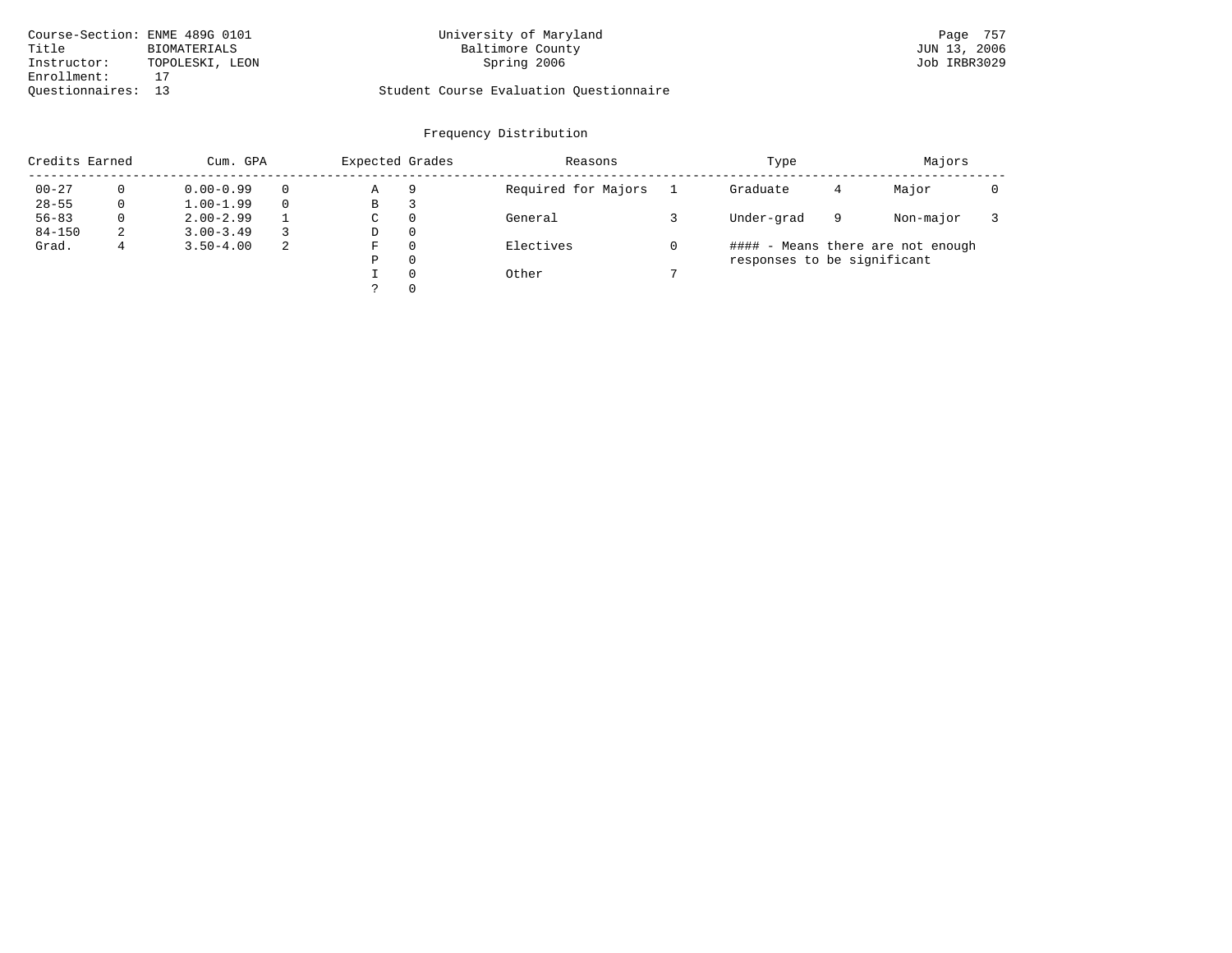| Course-Section: ENME 489G 0101 |                 | University of Maryland                  | Page 757     |
|--------------------------------|-----------------|-----------------------------------------|--------------|
| Title                          | BIOMATERIALS    | Baltimore County                        | JUN 13, 2006 |
| Instructor:                    | TOPOLESKI, LEON | Spring 2006                             | Job IRBR3029 |
| Enrollment:                    |                 |                                         |              |
| Ouestionnaires: 13             |                 | Student Course Evaluation Questionnaire |              |

# University of Maryland Baltimore County (Baltimore County Page 757

# Questionnaires: 13 Student Course Evaluation Questionnaire

| Credits Earned |          | Cum. GPA      |    |   | Expected Grades | Reasons             | Type                        |   | Majors                            |  |
|----------------|----------|---------------|----|---|-----------------|---------------------|-----------------------------|---|-----------------------------------|--|
| $00 - 27$      |          | $0.00 - 0.99$ |    | Α | 9               | Required for Majors | Graduate                    | 4 | Major                             |  |
| $28 - 55$      | 0        | $1.00 - 1.99$ |    | В | З               |                     |                             |   |                                   |  |
| $56 - 83$      | $\Omega$ | $2.00 - 2.99$ |    | C | $\Omega$        | General             | Under-grad                  | 9 | Non-major                         |  |
| $84 - 150$     | 2        | $3.00 - 3.49$ |    | D | $\Omega$        |                     |                             |   |                                   |  |
| Grad.          |          | $3.50 - 4.00$ | -2 | F | $\Omega$        | Electives           |                             |   | #### - Means there are not enough |  |
|                |          |               |    | Ρ | $\Omega$        |                     | responses to be significant |   |                                   |  |
|                |          |               |    |   | $\Omega$        | Other               |                             |   |                                   |  |
|                |          |               |    |   | $\Omega$        |                     |                             |   |                                   |  |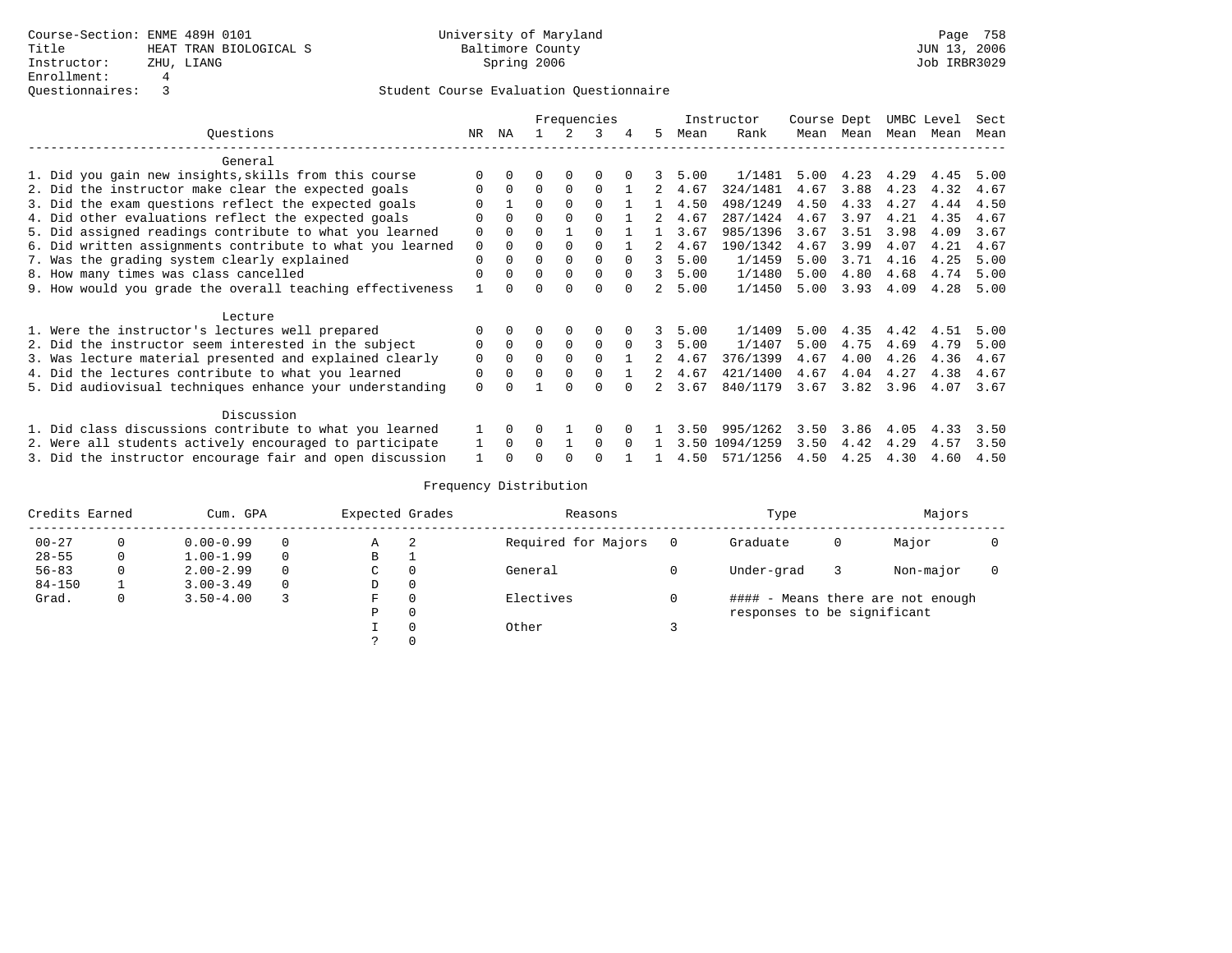|                                                           | Frequencies |              |          |          |          |              | Instructor | Course Dept |           |      | UMBC Level | Sect |      |      |
|-----------------------------------------------------------|-------------|--------------|----------|----------|----------|--------------|------------|-------------|-----------|------|------------|------|------|------|
| Ouestions                                                 | NR.         | ΝA           |          |          | 3        |              | 5.         | Mean        | Rank      | Mean | Mean       | Mean | Mean | Mean |
| General                                                   |             |              |          |          |          |              |            |             |           |      |            |      |      |      |
| 1. Did you gain new insights, skills from this course     |             |              |          |          |          |              |            | 5.00        | 1/1481    | 5.00 | 4.23       | 4.29 | 4.45 | 5.00 |
| 2. Did the instructor make clear the expected goals       | 0           | $\Omega$     | $\Omega$ | $\Omega$ | $\Omega$ |              |            | 4.67        | 324/1481  | 4.67 | 3.88       | 4.23 | 4.32 | 4.67 |
| 3. Did the exam questions reflect the expected goals      |             |              | $\Omega$ |          |          |              |            | 4.50        | 498/1249  | 4.50 | 4.33       | 4.27 | 4.44 | 4.50 |
| 4. Did other evaluations reflect the expected goals       | $\Omega$    | <sup>0</sup> | $\Omega$ |          |          |              |            | 4.67        | 287/1424  | 4.67 | 3.97       | 4.21 | 4.35 | 4.67 |
| 5. Did assigned readings contribute to what you learned   | $\Omega$    |              | $\Omega$ |          |          |              |            | 3.67        | 985/1396  | 3.67 | 3.51       | 3.98 | 4.09 | 3.67 |
| 6. Did written assignments contribute to what you learned | $\mathbf 0$ |              | $\Omega$ |          |          |              |            | 4.67        | 190/1342  | 4.67 | 3.99       | 4.07 | 4.21 | 4.67 |
| 7. Was the grading system clearly explained               | $\Omega$    |              | $\Omega$ |          | $\Omega$ | <sup>n</sup> | 3          | 5.00        | 1/1459    | 5.00 | 3.71       | 4.16 | 4.25 | 5.00 |
| 8. How many times was class cancelled                     | $\Omega$    |              | $\Omega$ |          | $\Omega$ | $\Omega$     | 3          | 5.00        | 1/1480    | 5.00 | 4.80       | 4.68 | 4.74 | 5.00 |
| 9. How would you grade the overall teaching effectiveness |             |              | U        |          | $\Omega$ |              |            | 5.00        | 1/1450    | 5.00 | 3.93       | 4.09 | 4.28 | 5.00 |
| Lecture                                                   |             |              |          |          |          |              |            |             |           |      |            |      |      |      |
| 1. Were the instructor's lectures well prepared           |             |              |          |          |          |              |            | 5.00        | 1/1409    | 5.00 | 4.35       | 4.42 | 4.51 | 5.00 |
| 2. Did the instructor seem interested in the subject      | 0           | $\Omega$     | $\Omega$ | $\Omega$ | $\Omega$ | $\Omega$     | 3          | 5.00        | 1/1407    | 5.00 | 4.75       | 4.69 | 4.79 | 5.00 |
| 3. Was lecture material presented and explained clearly   | $\mathbf 0$ | 0            | $\Omega$ |          | $\Omega$ |              |            | 4.67        | 376/1399  | 4.67 | 4.00       | 4.26 | 4.36 | 4.67 |
| 4. Did the lectures contribute to what you learned        | 0           |              | $\Omega$ |          | $\Omega$ |              | 2          | 4.67        | 421/1400  | 4.67 | 4.04       | 4.27 | 4.38 | 4.67 |
| 5. Did audiovisual techniques enhance your understanding  | $\Omega$    |              |          |          | ∩        |              |            | 3.67        | 840/1179  | 3.67 | 3.82       | 3.96 | 4.07 | 3.67 |
| Discussion                                                |             |              |          |          |          |              |            |             |           |      |            |      |      |      |
| 1. Did class discussions contribute to what you learned   |             | 0            |          |          | O        |              |            | 3.50        | 995/1262  | 3.50 | 3.86       | 4.05 | 4.33 | 3.50 |
| 2. Were all students actively encouraged to participate   |             | <sup>n</sup> | U        |          | $\cap$   |              |            | 3.50        | 1094/1259 | 3.50 | 4.42       | 4.29 | 4.57 | 3.50 |
| 3. Did the instructor encourage fair and open discussion  |             |              |          |          |          |              |            | 4.50        | 571/1256  | 4.50 | 4.25       | 4.30 | 4.60 | 4.50 |

|            | Credits Earned<br>Cum. GPA |               | Expected Grades |   |   | Reasons             | Type | Majors                      |   |                                   |  |
|------------|----------------------------|---------------|-----------------|---|---|---------------------|------|-----------------------------|---|-----------------------------------|--|
| $00 - 27$  |                            | $0.00 - 0.99$ | 0               | Α | 2 | Required for Majors |      | Graduate                    | 0 | Major                             |  |
| $28 - 55$  | 0                          | $1.00 - 1.99$ | $\Omega$        | B |   |                     |      |                             |   |                                   |  |
| $56 - 83$  |                            | $2.00 - 2.99$ | $\Omega$        | C |   | General             |      | Under-grad                  |   | Non-major                         |  |
| $84 - 150$ |                            | $3.00 - 3.49$ | 0               | D |   |                     |      |                             |   |                                   |  |
| Grad.      | 0                          | $3.50 - 4.00$ |                 | F |   | Electives           |      |                             |   | #### - Means there are not enough |  |
|            |                            |               |                 | D |   |                     |      | responses to be significant |   |                                   |  |
|            |                            |               |                 |   |   | Other               |      |                             |   |                                   |  |
|            |                            |               |                 |   |   |                     |      |                             |   |                                   |  |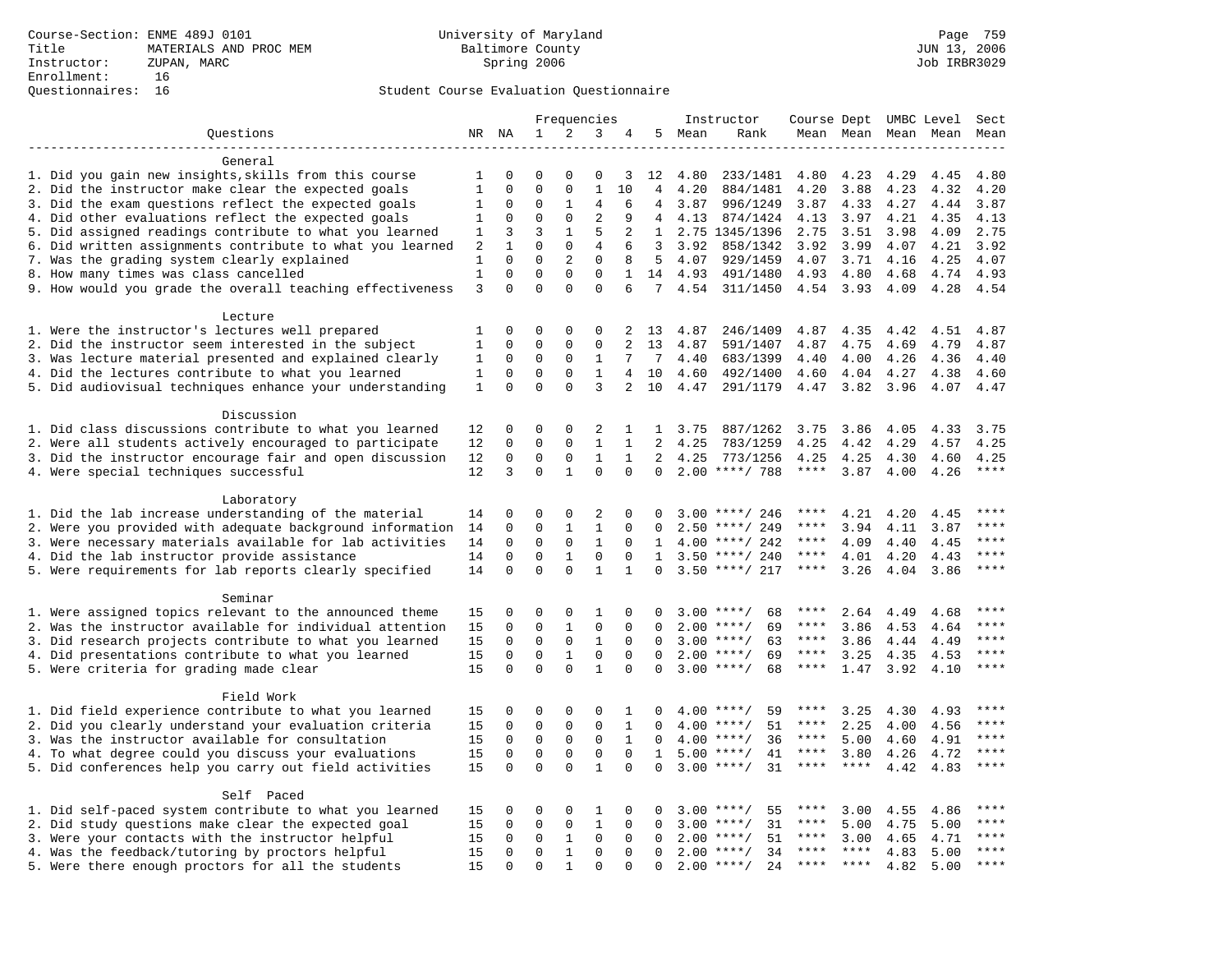### Questionnaires: 16 Student Course Evaluation Questionnaire

|                                                                       |                |              | Frequencies |              |                |                | Instructor     | Course Dept UMBC Level |                    |             |             | Sect |           |             |
|-----------------------------------------------------------------------|----------------|--------------|-------------|--------------|----------------|----------------|----------------|------------------------|--------------------|-------------|-------------|------|-----------|-------------|
| Questions                                                             |                | NR NA        | $\mathbf 1$ | 2            | 3              | 4              |                | 5 Mean                 | Rank               |             | Mean Mean   |      | Mean Mean | Mean        |
|                                                                       |                |              |             |              |                |                |                |                        |                    |             |             |      |           |             |
| General                                                               |                |              |             |              |                |                |                |                        |                    |             |             |      |           |             |
| 1. Did you gain new insights, skills from this course                 | 1              | 0            | $\Omega$    | $\Omega$     | 0              | 3              | 12             | 4.80                   | 233/1481           | 4.80        | 4.23        | 4.29 | 4.45      | 4.80        |
| 2. Did the instructor make clear the expected goals                   | $\mathbf{1}$   | $\mathbf 0$  | $\mathbf 0$ | $\mathbf 0$  | $1\,$          | 10             | $\overline{4}$ | 4.20                   | 884/1481           | 4.20        | 3.88        | 4.23 | 4.32      | 4.20        |
| 3. Did the exam questions reflect the expected goals                  | 1              | $\mathbf 0$  | $\Omega$    | 1            | $\overline{4}$ | 6              | 4              | 3.87                   | 996/1249           | 3.87        | 4.33        | 4.27 | 4.44      | 3.87        |
| 4. Did other evaluations reflect the expected goals                   | 1              | $\mathbf 0$  | $\Omega$    | $\mathbf{0}$ | $\overline{2}$ | 9              | 4              | 4.13                   | 874/1424           | 4.13        | 3.97        | 4.21 | 4.35      | 4.13        |
| 5. Did assigned readings contribute to what you learned               | 1              | 3            | 3           | $\mathbf{1}$ | 5              | 2              | $\mathbf{1}$   |                        | 2.75 1345/1396     | 2.75        | 3.51        | 3.98 | 4.09      | 2.75        |
| 6. Did written assignments contribute to what you learned             | 2              | $\mathbf{1}$ | $\mathbf 0$ | $\mathbf 0$  | 4              | 6              | 3              | 3.92                   | 858/1342           | 3.92        | 3.99        | 4.07 | 4.21      | 3.92        |
| 7. Was the grading system clearly explained                           | 1              | $\Omega$     | $\Omega$    | 2            | $\Omega$       | 8              | 5              | 4.07                   | 929/1459           | 4.07        | 3.71        | 4.16 | 4.25      | 4.07        |
| 8. How many times was class cancelled                                 | $\mathbf{1}$   | $\Omega$     | $\Omega$    | $\Omega$     | $\Omega$       | $\mathbf{1}$   | 14             | 4.93                   | 491/1480           | 4.93        | 4.80        | 4.68 | 4.74      | 4.93        |
| 9. How would you grade the overall teaching effectiveness             | $\overline{3}$ | $\Omega$     | $\Omega$    | $\Omega$     | $\Omega$       | 6              | $7^{\circ}$    | 4.54                   | 311/1450           | 4.54 3.93   |             | 4.09 | 4.28      | 4.54        |
| Lecture                                                               |                |              |             |              |                |                |                |                        |                    |             |             |      |           |             |
| 1. Were the instructor's lectures well prepared                       | 1              | $\Omega$     | $\Omega$    | $\Omega$     | $\Omega$       | 2              | 13             | 4.87                   | 246/1409           | 4.87        | 4.35        | 4.42 | 4.51      | 4.87        |
| 2. Did the instructor seem interested in the subject                  | $\mathbf 1$    | $\mathsf 0$  | $\mathsf 0$ | $\mathbf{0}$ | 0              | 2              | 13             | 4.87                   | 591/1407           | 4.87        | 4.75        | 4.69 | 4.79      | 4.87        |
| 3. Was lecture material presented and explained clearly               | 1              | 0            | $\mathbf 0$ | 0            | 1              | 7              | 7              | 4.40                   | 683/1399           | 4.40        | 4.00        | 4.26 | 4.36      | 4.40        |
| 4. Did the lectures contribute to what you learned                    | $\mathbf 1$    | $\mathbf 0$  | $\mathbf 0$ | $\mathbf{0}$ | $\mathbf{1}$   | $\overline{4}$ | 10             | 4.60                   | 492/1400           | 4.60        | 4.04        | 4.27 | 4.38      | 4.60        |
| 5. Did audiovisual techniques enhance your understanding              | 1              | $\Omega$     | $\Omega$    | $\Omega$     | 3              | 2              | 10             | 4.47                   | 291/1179           | 4.47        | 3.82        | 3.96 | 4.07      | 4.47        |
|                                                                       |                |              |             |              |                |                |                |                        |                    |             |             |      |           |             |
| Discussion                                                            |                |              |             |              |                |                |                |                        |                    |             |             |      |           |             |
| 1. Did class discussions contribute to what you learned               | 12             | 0            | 0           | $\mathbf 0$  | 2              | 1              | 1              | 3.75                   | 887/1262           | 3.75        | 3.86        | 4.05 | 4.33      | 3.75        |
| 2. Were all students actively encouraged to participate               | 12             | 0            | $\mathbf 0$ | 0            | $\mathbf{1}$   | $\mathbf{1}$   | $\overline{2}$ | 4.25                   | 783/1259           | 4.25        | 4.42        | 4.29 | 4.57      | 4.25        |
| 3. Did the instructor encourage fair and open discussion              | 12             | $\mathbf 0$  | $\mathbf 0$ | 0            | $\mathbf{1}$   | $\mathbf{1}$   | 2              | 4.25                   | 773/1256           | 4.25        | 4.25        | 4.30 | 4.60      | 4.25        |
| 4. Were special techniques successful                                 | 12             | 3            | $\Omega$    | $\mathbf{1}$ | $\Omega$       | $\Omega$       | $\Omega$       |                        | $2.00$ ****/ 788   | $***$ * * * | 3.87        | 4.00 | 4.26      | $***$       |
|                                                                       |                |              |             |              |                |                |                |                        |                    |             |             |      |           |             |
| Laboratory                                                            |                |              |             |              |                |                |                |                        |                    |             |             |      |           |             |
| 1. Did the lab increase understanding of the material                 | 14             | $\Omega$     | $\Omega$    | $\Omega$     | $\overline{2}$ | $\Omega$       | $\Omega$       |                        | $3.00$ ****/ 246   | $***$ * * * | 4.21        | 4.20 | 4.45      | ****        |
| 2. Were you provided with adequate background information             | 14             | $\mathbf 0$  | $\mathbf 0$ | $\mathbf{1}$ | $\mathbf{1}$   | $\mathbf 0$    | 0              | 2.50                   | ****/ 249          | ****        | 3.94        | 4.11 | 3.87      | ****        |
| 3. Were necessary materials available for lab activities              | 14             | $\mathbf 0$  | $\mathbf 0$ | $\mathbf 0$  | $\mathbf{1}$   | $\mathbf 0$    | 1              |                        | $4.00$ ****/ 242   | ****        | 4.09        | 4.40 | 4.45      | $***$       |
| 4. Did the lab instructor provide assistance                          | 14             | 0            | 0           | 1            | $\mathbf 0$    | $\Omega$       | $\mathbf{1}$   |                        | $3.50$ ****/ 240   | $***$ * * * | 4.01        | 4.20 | 4.43      | $***$ * * * |
| 5. Were requirements for lab reports clearly specified                | 14             | $\mathbf 0$  | $\mathbf 0$ | $\Omega$     | $\mathbf{1}$   | 1              | $\Omega$       |                        | $3.50$ ****/ 217   | ****        | 3.26        | 4.04 | 3.86      | $***$       |
| Seminar                                                               |                |              |             |              |                |                |                |                        |                    |             |             |      |           |             |
| 1. Were assigned topics relevant to the announced theme               | 15             | 0            | 0           | 0            | 1              | $\Omega$       | $\Omega$       |                        | $3.00$ ****/<br>68 | ****        | 2.64        | 4.49 | 4.68      | * * * *     |
| 2. Was the instructor available for individual attention              | 15             | 0            | $\mathbf 0$ | $\mathbf{1}$ | $\mathbf 0$    | 0              | $\Omega$       |                        | $2.00$ ****/<br>69 | ****        | 3.86        | 4.53 | 4.64      | ****        |
| 3. Did research projects contribute to what you learned               | 15             | $\mathbf 0$  | $\mathbf 0$ | $\mathbf 0$  | $\mathbf{1}$   | $\mathbf 0$    | $\Omega$       |                        | 63<br>$3.00$ ****/ | $***$ * * * | 3.86        | 4.44 | 4.49      | ****        |
| 4. Did presentations contribute to what you learned                   | 15             | $\Omega$     | $\mathbf 0$ | $\mathbf{1}$ | $\mathbf 0$    | $\Omega$       | $\Omega$       |                        | $2.00$ ****/<br>69 | $***$ * * * | 3.25        | 4.35 | 4.53      | $***$       |
| 5. Were criteria for grading made clear                               | 15             | $\Omega$     | $\Omega$    | $\Omega$     | $\mathbf{1}$   | $\Omega$       | $\Omega$       |                        | $3.00$ ****/<br>68 | $***$ * *   | 1.47        | 3.92 | 4.10      | ****        |
|                                                                       |                |              |             |              |                |                |                |                        |                    |             |             |      |           |             |
| Field Work                                                            |                |              |             |              |                |                |                |                        |                    |             |             |      |           |             |
| 1. Did field experience contribute to what you learned                | 15             | 0            | 0           | 0            | 0              | 1              | 0              |                        | $4.00$ ****/<br>59 | ****        | 3.25        | 4.30 | 4.93      | $***$ * * * |
| 2. Did you clearly understand your evaluation criteria                | 15             | 0            | $\mathsf 0$ | 0            | 0              | 1              | $\Omega$       |                        | $4.00$ ****/<br>51 | ****        | 2.25        | 4.00 | 4.56      | ****        |
| 3. Was the instructor available for consultation                      | 15             | 0            | 0           | 0            | $\mathbf 0$    | $\mathbf 1$    | $\Omega$       |                        | $4.00$ ****/<br>36 | ****        | 5.00        | 4.60 | 4.91      | $***$ * * * |
| 4. To what degree could you discuss your evaluations                  | 15             | $\mathbf 0$  | $\mathbf 0$ | $\mathbf 0$  | $\mathbf 0$    | $\mathbf 0$    | $\mathbf{1}$   |                        | 41<br>$5.00$ ****/ | $***$ * * * | 3.80        | 4.26 | 4.72      | $***$ * * * |
| 5. Did conferences help you carry out field activities                | 15             | $\Omega$     | $\mathbf 0$ | $\Omega$     | $\mathbf{1}$   | $\Omega$       | $\Omega$       |                        | 31<br>$3.00$ ****/ | ****        | ****        | 4.42 | 4.83      | $***$       |
|                                                                       |                |              |             |              |                |                |                |                        |                    |             |             |      |           |             |
| Self Paced<br>1. Did self-paced system contribute to what you learned | 15             | 0            | $\Omega$    | 0            | 1              | 0              | $\Omega$       |                        | $3.00$ ****/<br>55 | ****        | 3.00        | 4.55 | 4.86      | ****        |
| 2. Did study questions make clear the expected goal                   | 15             | 0            | $\mathbf 0$ | $\mathbf 0$  | $\mathbf{1}$   | $\mathbf 0$    | 0              | 3.00                   | 31<br>$* * * * /$  | ****        | 5.00        | 4.75 | 5.00      | ****        |
| 3. Were your contacts with the instructor helpful                     | 15             | $\Omega$     | $\mathbf 0$ | 1            | $\Omega$       | $\Omega$       | $\Omega$       | 2.00                   | $***/$<br>51       | ****        | 3.00        | 4.65 | 4.71      | $***$ * * * |
| 4. Was the feedback/tutoring by proctors helpful                      | 15             | $\Omega$     | $\Omega$    | $\mathbf{1}$ | $\Omega$       | $\Omega$       | $\Omega$       |                        | $2.00$ ****/<br>34 | ****        | $***$ * *   | 4.83 | 5.00      | ****        |
| 5. Were there enough proctors for all the students                    | 15             | $\Omega$     | $\Omega$    | $\mathbf{1}$ | $\Omega$       | $\Omega$       | $\Omega$       |                        | 24<br>$2.00$ ****/ | ****        | $***$ * * * | 4.82 | 5.00      | $* * * * *$ |
|                                                                       |                |              |             |              |                |                |                |                        |                    |             |             |      |           |             |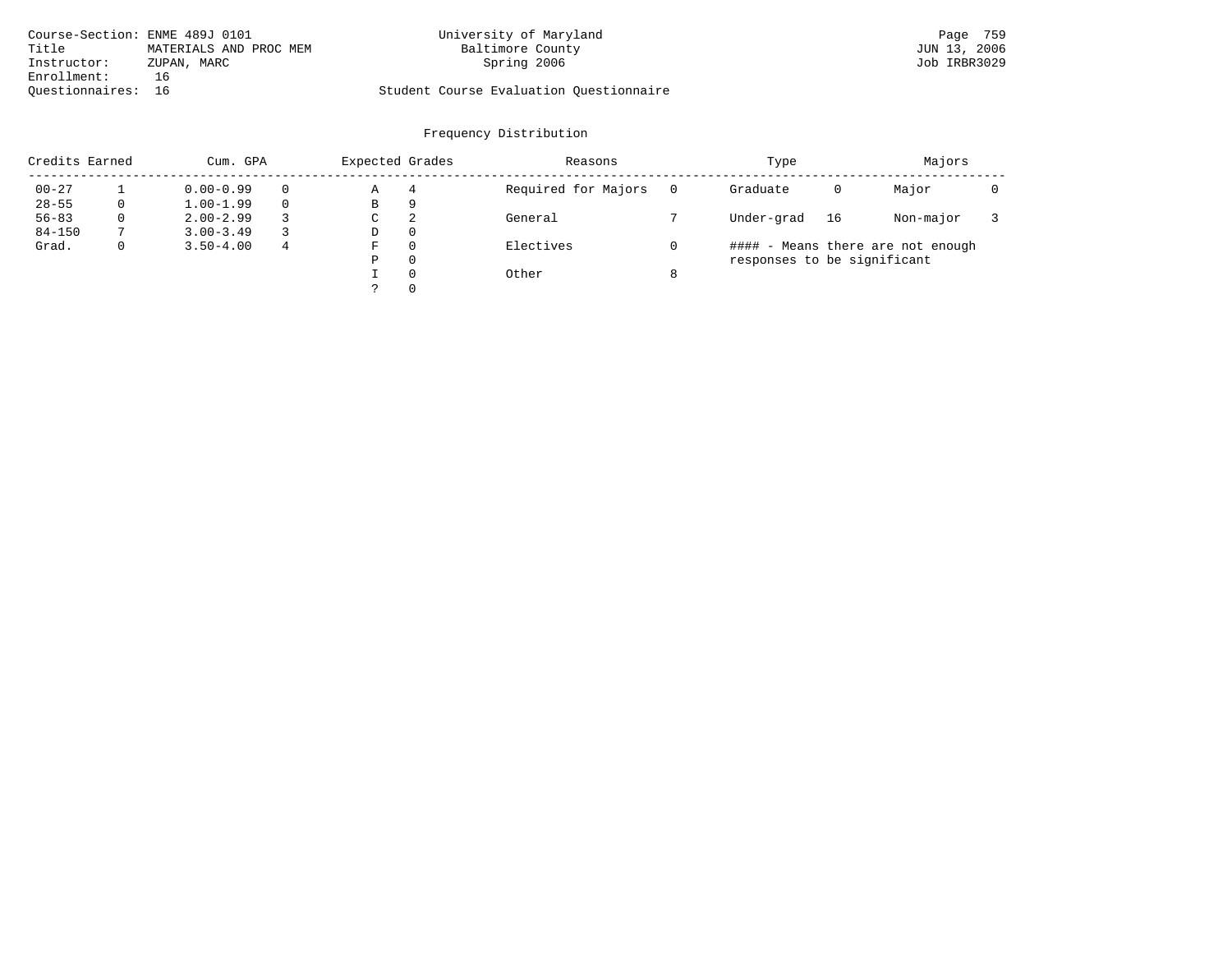| Course-Section: ENME 489J 0101 |                        | University of Maryland                  | Page 759     |
|--------------------------------|------------------------|-----------------------------------------|--------------|
| Title                          | MATERIALS AND PROC MEM | Baltimore County                        | JUN 13, 2006 |
| Instructor:                    | ZUPAN, MARC            | Spring 2006                             | Job IRBR3029 |
| Enrollment:                    | 16                     |                                         |              |
| Ouestionnaires: 16             |                        | Student Course Evaluation Ouestionnaire |              |

|            | Credits Earned<br>Cum. GPA |               | Expected Grades |   | Reasons  |                     | Type | Majors                      |    |                                   |  |
|------------|----------------------------|---------------|-----------------|---|----------|---------------------|------|-----------------------------|----|-----------------------------------|--|
| $00 - 27$  |                            | $0.00 - 0.99$ |                 | Α | 4        | Required for Majors |      | Graduate                    | 0  | Major                             |  |
| $28 - 55$  | 0                          | $1.00 - 1.99$ |                 | В | 9        |                     |      |                             |    |                                   |  |
| $56 - 83$  | $\Omega$                   | $2.00 - 2.99$ |                 | C | 2        | General             |      | Under-grad                  | 16 | Non-major                         |  |
| $84 - 150$ |                            | $3.00 - 3.49$ |                 | D | $\Omega$ |                     |      |                             |    |                                   |  |
| Grad.      | 0                          | $3.50 - 4.00$ | 4               | F | $\Omega$ | Electives           |      |                             |    | #### - Means there are not enough |  |
|            |                            |               |                 | Ρ | $\Omega$ |                     |      | responses to be significant |    |                                   |  |
|            |                            |               |                 |   | $\Omega$ | Other               | 8    |                             |    |                                   |  |
|            |                            |               |                 |   | $\Omega$ |                     |      |                             |    |                                   |  |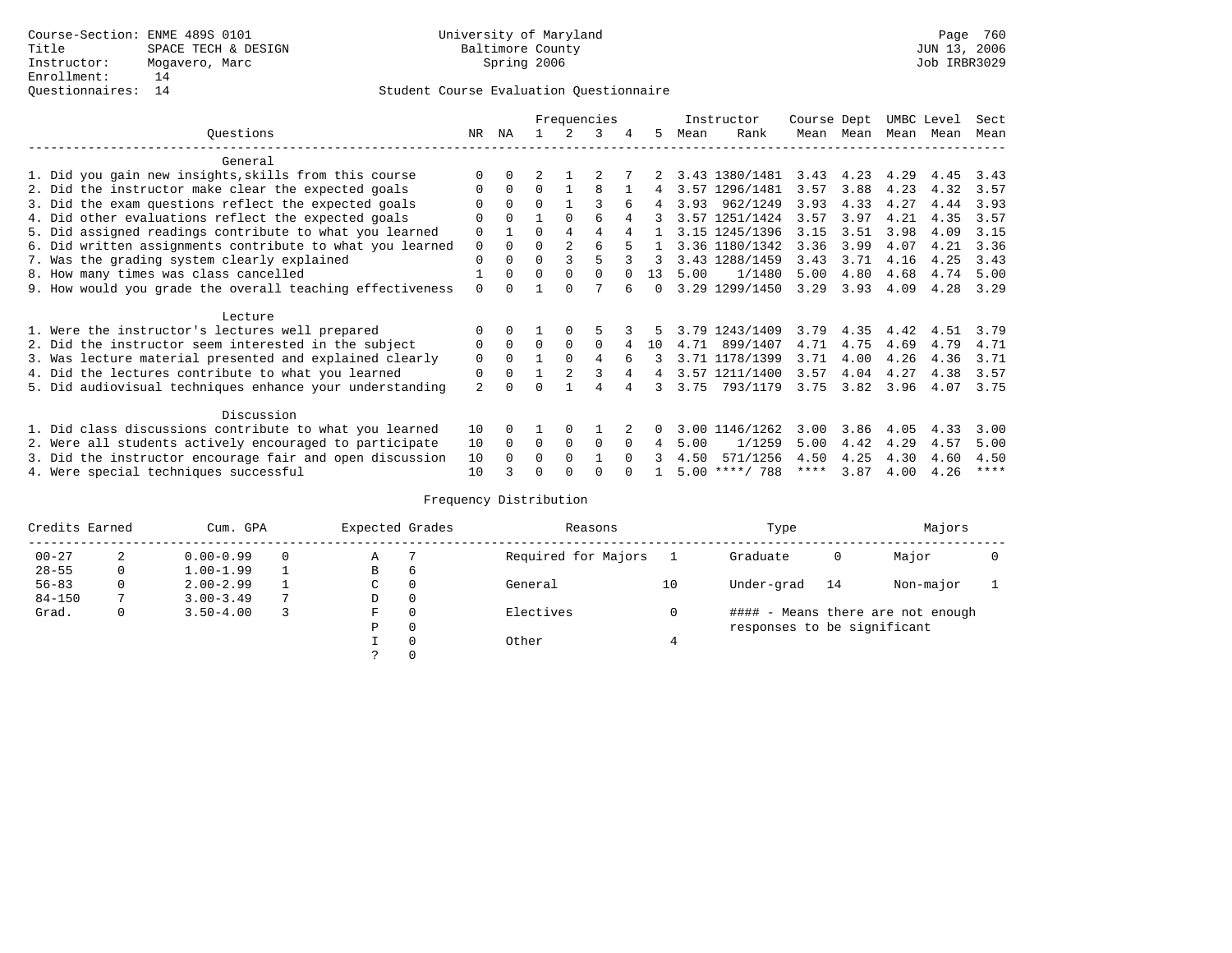### Questionnaires: 14 Student Course Evaluation Questionnaire

|                                                           |                |          |          |             | Frequencies  |        |        |      | Instructor       | Course Dept |      | UMBC Level |      | Sect        |
|-----------------------------------------------------------|----------------|----------|----------|-------------|--------------|--------|--------|------|------------------|-------------|------|------------|------|-------------|
| Questions                                                 | NR.            | ΝA       |          |             | 3            | 4      | 5.     | Mean | Rank             | Mean        | Mean | Mean       | Mean | Mean        |
| General                                                   |                |          |          |             |              |        |        |      |                  |             |      |            |      |             |
| 1. Did you gain new insights, skills from this course     |                | $\Omega$ |          |             |              |        |        |      | 3.43 1380/1481   | 3.43        | 4.23 | 4.29       | 4.45 | 3.43        |
| 2. Did the instructor make clear the expected goals       |                | $\Omega$ | $\Omega$ |             | 8            |        | 4      |      | 3.57 1296/1481   | 3.57        | 3.88 | 4.23       | 4.32 | 3.57        |
| 3. Did the exam questions reflect the expected goals      |                | $\Omega$ | $\Omega$ |             |              |        | 4      | 3.93 | 962/1249         | 3.93        | 4.33 | 4.27       | 4.44 | 3.93        |
| 4. Did other evaluations reflect the expected goals       | O              | $\Omega$ |          | $\Omega$    | 6            | 4      |        |      | 3.57 1251/1424   | 3.57        | 3.97 | 4.21       | 4.35 | 3.57        |
| 5. Did assigned readings contribute to what you learned   | 0              |          | O        |             | 4            |        |        |      | 3.15 1245/1396   | 3.15        | 3.51 | 3.98       | 4.09 | 3.15        |
| 6. Did written assignments contribute to what you learned | 0              | $\Omega$ | 0        |             | 6            |        |        |      | 3.36 1180/1342   | 3.36        | 3.99 | 4.07       | 4.21 | 3.36        |
| 7. Was the grading system clearly explained               | 0              |          |          |             |              |        |        |      | 3.43 1288/1459   | 3.43        | 3.71 | 4.16       | 4.25 | 3.43        |
| 8. How many times was class cancelled                     |                | $\Omega$ | $\Omega$ | $\Omega$    | <sup>n</sup> |        | 13     | 5.00 | 1/1480           | 5.00        | 4.80 | 4.68       | 4.74 | 5.00        |
| 9. How would you grade the overall teaching effectiveness | $\Omega$       |          |          |             |              |        | $\cap$ |      | 3.29 1299/1450   | 3.29        | 3.93 | 4.09       | 4.28 | 3.29        |
| Lecture                                                   |                |          |          |             |              |        |        |      |                  |             |      |            |      |             |
| 1. Were the instructor's lectures well prepared           |                |          |          |             |              |        |        |      | 3.79 1243/1409   | 3.79        | 4.35 | 4.42       | 4.51 | 3.79        |
| 2. Did the instructor seem interested in the subject      | 0              | $\Omega$ | $\Omega$ | $\Omega$    | $\Omega$     |        | 10     | 4.71 | 899/1407         | 4.71        | 4.75 | 4.69       | 4.79 | 4.71        |
| 3. Was lecture material presented and explained clearly   | 0              | $\Omega$ |          | $\Omega$    | 4            |        |        |      | 3.71 1178/1399   | 3.71        | 4.00 | 4.26       | 4.36 | 3.71        |
| 4. Did the lectures contribute to what you learned        | 0              | $\Omega$ |          |             |              |        | 4      |      | 3.57 1211/1400   | 3.57        | 4.04 | 4.27       | 4.38 | 3.57        |
| 5. Did audiovisual techniques enhance your understanding  | $\overline{2}$ |          |          |             |              |        |        | 3.75 | 793/1179         | 3.75        | 3.82 | 3.96       | 4.07 | 3.75        |
| Discussion                                                |                |          |          |             |              |        |        |      |                  |             |      |            |      |             |
| 1. Did class discussions contribute to what you learned   | 10             | $\Omega$ |          | $\Omega$    |              |        |        |      | 3.00 1146/1262   | 3.00        | 3.86 | 4.05       | 4.33 | 3.00        |
| 2. Were all students actively encouraged to participate   | 10             | $\Omega$ | $\Omega$ | $\mathbf 0$ | $\Omega$     |        | 4      | 5.00 | 1/1259           | 5.00        | 4.42 | 4.29       | 4.57 | 5.00        |
| 3. Did the instructor encourage fair and open discussion  | 10             |          | U        | $\Omega$    |              | $\cap$ |        | 4.50 | 571/1256         | 4.50        | 4.25 | 4.30       | 4.60 | 4.50        |
| 4. Were special techniques successful                     | 10             |          |          |             |              |        |        |      | $5.00$ ****/ 788 | ****        | 3.87 | 4.00       | 4.26 | $***$ * * * |

|            | Credits Earned |               | Expected Grades<br>Cum. GPA |               |          | Reasons             |    | Type                        |    | Majors                            |  |
|------------|----------------|---------------|-----------------------------|---------------|----------|---------------------|----|-----------------------------|----|-----------------------------------|--|
| $00 - 27$  | 2              | $0.00 - 0.99$ |                             | Α             |          | Required for Majors |    | Graduate                    | 0  | Major                             |  |
| $28 - 55$  | 0              | $1.00 - 1.99$ |                             | В             | 6        |                     |    |                             |    |                                   |  |
| $56 - 83$  | 0              | $2.00 - 2.99$ |                             | $\sim$<br>◡   | $\Omega$ | General             | 10 | Under-grad                  | 14 | Non-major                         |  |
| $84 - 150$ |                | $3.00 - 3.49$ | 7                           | D             | 0        |                     |    |                             |    |                                   |  |
| Grad.      | 0              | $3.50 - 4.00$ |                             | F             | 0        | Electives           |    |                             |    | #### - Means there are not enough |  |
|            |                |               |                             | Ρ             | 0        |                     |    | responses to be significant |    |                                   |  |
|            |                |               |                             |               | 0        | Other               |    |                             |    |                                   |  |
|            |                |               |                             | $\mathcal{L}$ |          |                     |    |                             |    |                                   |  |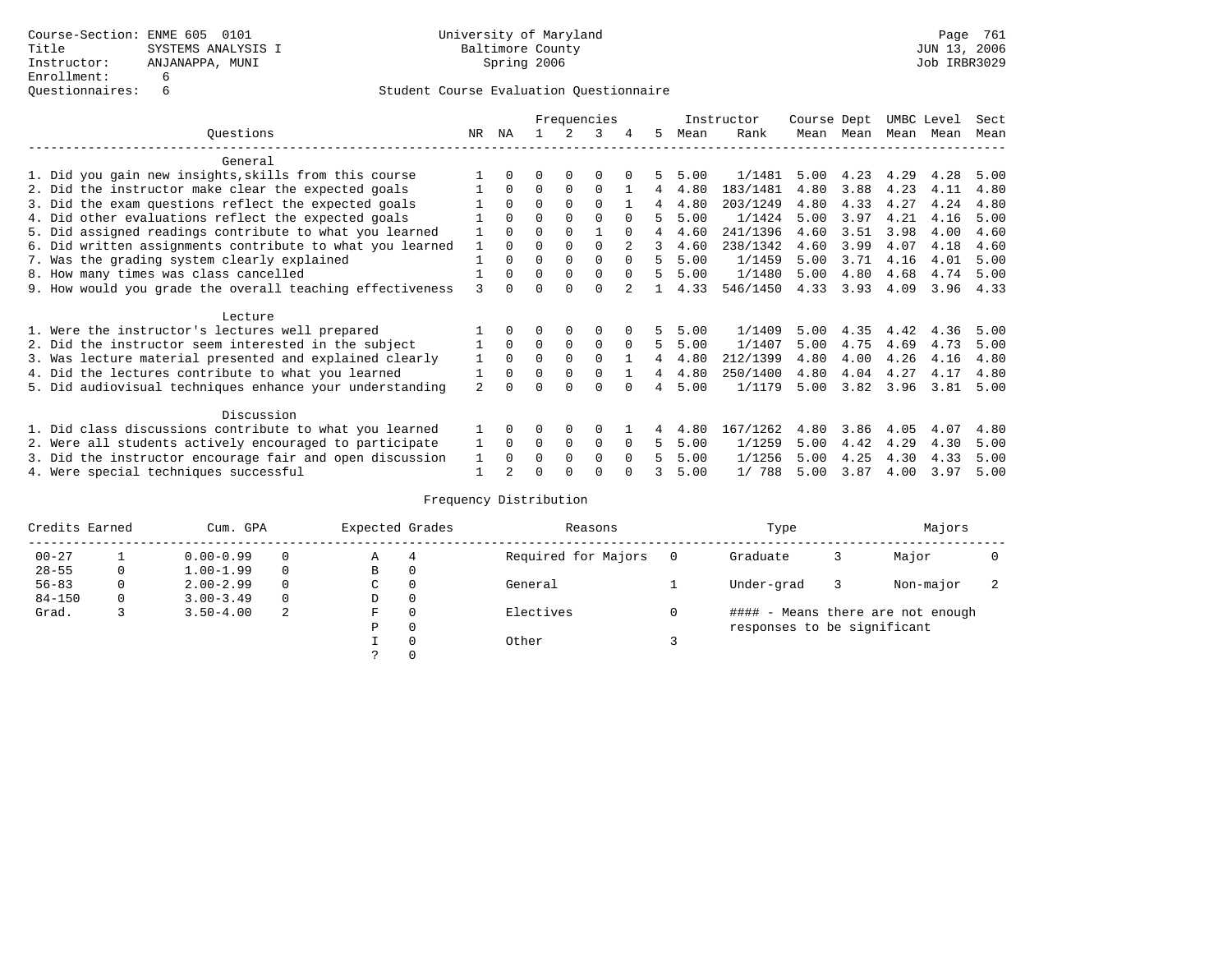|                                                          |                                                           |     |                |          |             | Frequencies  |          |    |      | Instructor | Course Dept |      | UMBC Level |      | Sect |
|----------------------------------------------------------|-----------------------------------------------------------|-----|----------------|----------|-------------|--------------|----------|----|------|------------|-------------|------|------------|------|------|
|                                                          | Questions                                                 | NR. | ΝA             |          |             | 3            | 4        | 5. | Mean | Rank       | Mean        | Mean | Mean       | Mean | Mean |
|                                                          | General                                                   |     |                |          |             |              |          |    |      |            |             |      |            |      |      |
|                                                          | 1. Did you gain new insights, skills from this course     |     | $\Omega$       | U        | $\Omega$    | O            |          |    | 5.00 | 1/1481     | 5.00        | 4.23 | 4.29       | 4.28 | 5.00 |
|                                                          | 2. Did the instructor make clear the expected goals       |     | $\Omega$       | $\Omega$ | $\mathbf 0$ | $\Omega$     |          | 4  | 4.80 | 183/1481   | 4.80        | 3.88 | 4.23       | 4.11 | 4.80 |
|                                                          | 3. Did the exam questions reflect the expected goals      |     | $\Omega$       | $\Omega$ | $\Omega$    | $\Omega$     |          |    | 4.80 | 203/1249   | 4.80        | 4.33 | 4.27       | 4.24 | 4.80 |
|                                                          | 4. Did other evaluations reflect the expected goals       |     | $\Omega$       | O        | $\Omega$    | $\Omega$     |          |    | 5.00 | 1/1424     | 5.00        | 3.97 | 4.21       | 4.16 | 5.00 |
|                                                          | 5. Did assigned readings contribute to what you learned   |     | $\Omega$       | O        | $\Omega$    |              | $\Omega$ | 4  | 4.60 | 241/1396   | 4.60        | 3.51 | 3.98       | 4.00 | 4.60 |
|                                                          | 6. Did written assignments contribute to what you learned |     | $\Omega$       | U        | $\Omega$    | <sup>0</sup> |          | 3  | 4.60 | 238/1342   | 4.60        | 3.99 | 4.07       | 4.18 | 4.60 |
|                                                          | 7. Was the grading system clearly explained               |     | $\Omega$       | U        | $\Omega$    |              | $\Omega$ |    | 5.00 | 1/1459     | 5.00        | 3.71 | 4.16       | 4.01 | 5.00 |
|                                                          | 8. How many times was class cancelled                     |     | $\Omega$       | $\Omega$ | $\Omega$    | $\Omega$     | $\Omega$ | 5  | 5.00 | 1/1480     | 5.00        | 4.80 | 4.68       | 4.74 | 5.00 |
|                                                          | 9. How would you grade the overall teaching effectiveness | २   | <sup>n</sup>   |          | $\cap$      | $\cap$       |          |    | 4.33 | 546/1450   | 4.33        | 3.93 | 4.09       | 3.96 | 4.33 |
|                                                          | Lecture                                                   |     |                |          |             |              |          |    |      |            |             |      |            |      |      |
|                                                          | 1. Were the instructor's lectures well prepared           |     |                |          | $\Omega$    | 0            |          |    | 5.00 | 1/1409     | 5.00        | 4.35 | 4.42       | 4.36 | 5.00 |
|                                                          | 2. Did the instructor seem interested in the subject      |     | $\Omega$       | $\Omega$ | $\mathbf 0$ | 0            | $\Omega$ | 5  | 5.00 | 1/1407     | 5.00        | 4.75 | 4.69       | 4.73 | 5.00 |
|                                                          | 3. Was lecture material presented and explained clearly   |     | $\Omega$       | $\Omega$ | $\Omega$    | $\Omega$     |          | 4  | 4.80 | 212/1399   | 4.80        | 4.00 | 4.26       | 4.16 | 4.80 |
|                                                          | 4. Did the lectures contribute to what you learned        |     | $\mathbf 0$    | $\Omega$ | $\mathbf 0$ | $\Omega$     |          | 4  | 4.80 | 250/1400   | 4.80        | 4.04 | 4.27       | 4.17 | 4.80 |
|                                                          | 5. Did audiovisual techniques enhance your understanding  | 2   |                |          |             |              |          | 4  | 5.00 | 1/1179     | 5.00        | 3.82 | 3.96       | 3.81 | 5.00 |
|                                                          | Discussion                                                |     |                |          |             |              |          |    |      |            |             |      |            |      |      |
|                                                          | 1. Did class discussions contribute to what you learned   |     | $\Omega$       | O        | $\Omega$    | $\Omega$     |          |    | 4.80 | 167/1262   | 4.80        | 3.86 | 4.05       | 4.07 | 4.80 |
|                                                          | 2. Were all students actively encouraged to participate   |     | $\Omega$       | 0        | $\mathbf 0$ | 0            | $\Omega$ | 5  | 5.00 | 1/1259     | 5.00        | 4.42 | 4.29       | 4.30 | 5.00 |
| 3. Did the instructor encourage fair and open discussion |                                                           |     | $\Omega$       | U        | $\Omega$    | $\Omega$     | $\Omega$ |    | 5.00 | 1/1256     | 5.00        | 4.25 | 4.30       | 4.33 | 5.00 |
|                                                          | 4. Were special techniques successful                     |     | $\mathfrak{D}$ |          |             |              |          |    | 5.00 | 1/788      | 5.00        | 3.87 | 4.00       | 3.97 | 5.00 |

| Credits Earned |   | Cum. GPA      |          | Expected Grades |          | Reasons             |   | Type                        |   | Majors                            |  |
|----------------|---|---------------|----------|-----------------|----------|---------------------|---|-----------------------------|---|-----------------------------------|--|
| $00 - 27$      |   | $0.00 - 0.99$ |          | Α               | 4        | Required for Majors | 0 | Graduate                    | 3 | Major                             |  |
| $28 - 55$      | 0 | $1.00 - 1.99$ |          | В               | 0        |                     |   |                             |   |                                   |  |
| $56 - 83$      | 0 | $2.00 - 2.99$ |          | $\sim$<br>◡     | 0        | General             |   | Under-grad                  |   | Non-major                         |  |
| $84 - 150$     | 0 | $3.00 - 3.49$ | $\Omega$ | D               | 0        |                     |   |                             |   |                                   |  |
| Grad.          |   | $3.50 - 4.00$ | 2        | F               | 0        | Electives           | 0 |                             |   | #### - Means there are not enough |  |
|                |   |               |          | Ρ               | 0        |                     |   | responses to be significant |   |                                   |  |
|                |   |               |          |                 | $\Omega$ | Other               |   |                             |   |                                   |  |
|                |   |               |          |                 |          |                     |   |                             |   |                                   |  |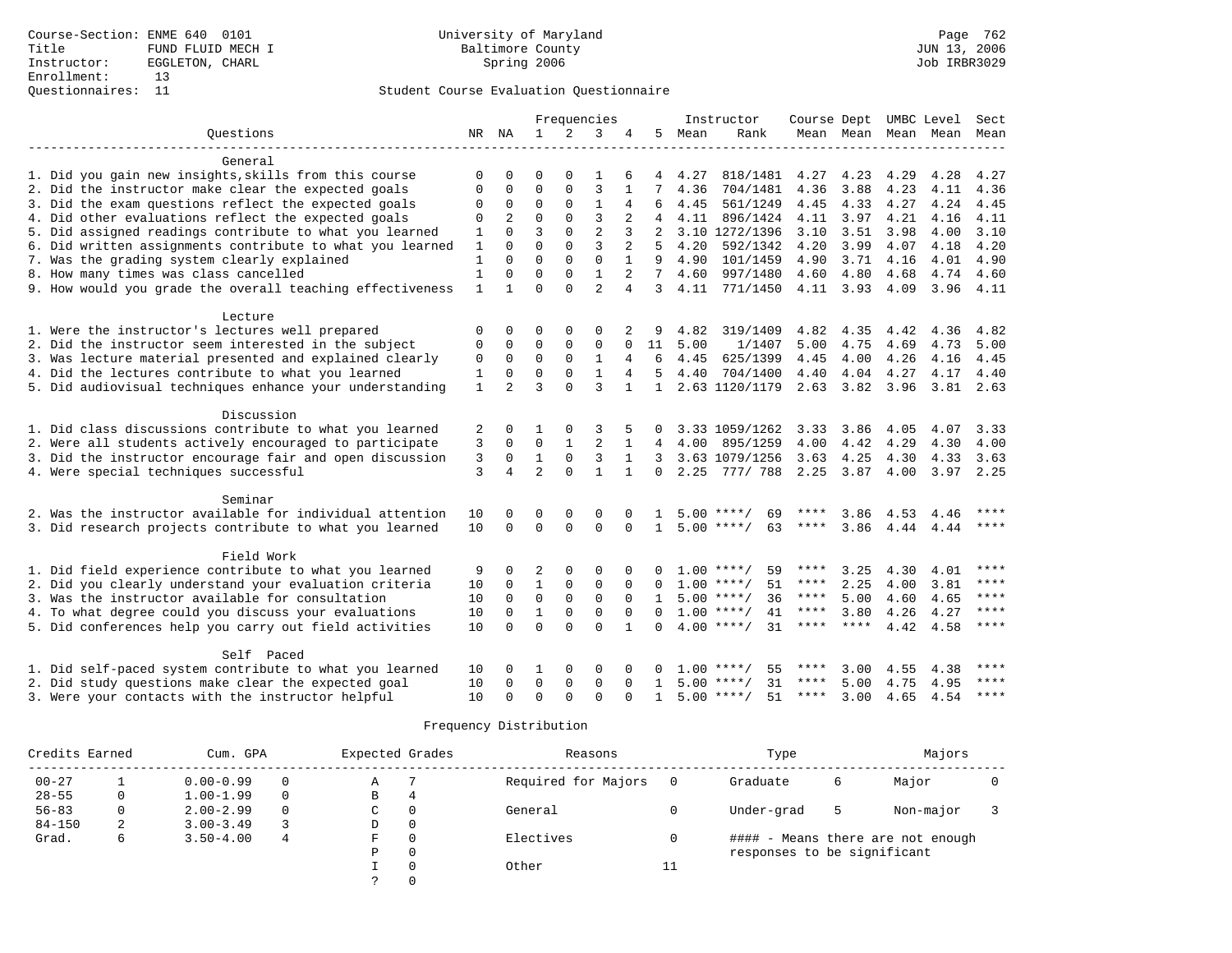# Questionnaires: 11 Student Course Evaluation Questionnaire

|                                                           |              |                |                |                | Frequencies    |                |              |      | Instructor         | Course Dept |               |      | UMBC Level  | Sect        |
|-----------------------------------------------------------|--------------|----------------|----------------|----------------|----------------|----------------|--------------|------|--------------------|-------------|---------------|------|-------------|-------------|
| Ouestions                                                 | NR NA        |                | $\mathbf{1}$   | $\overline{2}$ | 3              | 4              | 5            | Mean | Rank               |             | Mean Mean     | Mean | Mean        | Mean        |
|                                                           |              |                |                |                |                |                |              |      |                    |             |               |      |             |             |
| General                                                   |              |                |                |                |                |                |              |      |                    |             |               |      |             |             |
| 1. Did you gain new insights, skills from this course     | $\Omega$     | 0              | O              | $\Omega$       | 1              | 6              | 4            | 4.27 | 818/1481           | 4.27        | 4.23          | 4.29 | 4.28        | 4.27        |
| 2. Did the instructor make clear the expected goals       | 0            | 0              | $\Omega$       | $\Omega$       | 3              | 1              | 7            | 4.36 | 704/1481           | 4.36        | 3.88          | 4.23 | 4.11        | 4.36        |
| 3. Did the exam questions reflect the expected goals      | 0            | 0              | $\Omega$       | $\Omega$       | $\mathbf{1}$   | 4              | 6            | 4.45 | 561/1249           | 4.45        | 4.33          | 4.27 | 4.24        | 4.45        |
| 4. Did other evaluations reflect the expected goals       | 0            | 2              | $\Omega$       | 0              | $\overline{3}$ | $\overline{2}$ |              | 4.11 | 896/1424           | 4.11        | 3.97          | 4.21 | 4.16        | 4.11        |
| 5. Did assigned readings contribute to what you learned   | 1            | $\Omega$       | 3              | 0              | $\overline{2}$ | 3              | 2            |      | 3.10 1272/1396     | 3.10        | 3.51          | 3.98 | 4.00        | 3.10        |
| 6. Did written assignments contribute to what you learned | $\mathbf{1}$ | $\Omega$       | $\Omega$       | $\Omega$       | 3              | $\overline{a}$ | 5            | 4.20 | 592/1342           | 4.20        | 3.99          | 4.07 | 4.18        | 4.20        |
| 7. Was the grading system clearly explained               | 1            | $\Omega$       | $\Omega$       | $\Omega$       | $\mathbf 0$    |                | 9            | 4.90 | 101/1459           | 4.90        | 3.71          | 4.16 | 4.01        | 4.90        |
| 8. How many times was class cancelled                     | 1            | $\Omega$       | $\Omega$       | $\Omega$       | $\mathbf{1}$   | $\overline{a}$ | 7            | 4.60 | 997/1480           | 4.60        | 4.80          | 4.68 | 4.74        | 4.60        |
| 9. How would you grade the overall teaching effectiveness | $\mathbf{1}$ | 1              | $\Omega$       | $\Omega$       | $\overline{a}$ | 4              | 3            | 4.11 | 771/1450           | 4.11        | 3.93          | 4.09 | 3.96        | 4.11        |
| Lecture                                                   |              |                |                |                |                |                |              |      |                    |             |               |      |             |             |
| 1. Were the instructor's lectures well prepared           | 0            | $\Omega$       | $\Omega$       | 0              | $\Omega$       |                |              | 4.82 | 319/1409           | 4.82        | 4.35          | 4.42 | 4.36        | 4.82        |
| 2. Did the instructor seem interested in the subject      | 0            | 0              | 0              | 0              | 0              | 0              | 11           | 5.00 | 1/1407             | 5.00        | 4.75          | 4.69 | 4.73        | 5.00        |
| 3. Was lecture material presented and explained clearly   | $\mathsf 0$  | $\mathbf 0$    | $\mathbf 0$    | $\Omega$       | $\mathbf{1}$   | 4              | 6            | 4.45 | 625/1399           | 4.45        | 4.00          | 4.26 | 4.16        | 4.45        |
| 4. Did the lectures contribute to what you learned        | $\mathbf{1}$ | $\mathbf 0$    | $\mathbf 0$    | $\mathbf 0$    | $\mathbf{1}$   | 4              | 5            | 4.40 | 704/1400           | 4.40        | 4.04          | 4.27 | 4.17        | 4.40        |
| 5. Did audiovisual techniques enhance your understanding  | $\mathbf{1}$ | $\overline{2}$ | 3              | $\Omega$       | 3              | $\mathbf{1}$   | $\mathbf{1}$ |      | 2.63 1120/1179     |             | $2.63$ $3.82$ | 3.96 | $3.81$ 2.63 |             |
|                                                           |              |                |                |                |                |                |              |      |                    |             |               |      |             |             |
| Discussion                                                |              |                |                |                |                |                |              |      |                    |             |               |      |             |             |
| 1. Did class discussions contribute to what you learned   | 2            | 0              |                | $\Omega$       | 3              |                | 0            |      | 3.33 1059/1262     | 3.33        | 3.86          | 4.05 | 4.07        | 3.33        |
| 2. Were all students actively encouraged to participate   | 3            | 0              | 0              | $\mathbf{1}$   | $\overline{2}$ |                | 4            | 4.00 | 895/1259           | 4.00        | 4.42          | 4.29 | 4.30        | 4.00        |
| 3. Did the instructor encourage fair and open discussion  | 3            | 0              | $\mathbf{1}$   | $\mathbf 0$    | 3              | 1              | 3            |      | 3.63 1079/1256     | 3.63        | 4.25          | 4.30 | 4.33        | 3.63        |
| 4. Were special techniques successful                     | 3            | 4              | $\overline{2}$ | $\Omega$       | $\mathbf{1}$   | $\mathbf{1}$   | $\Omega$     | 2.25 | 777/788            | 2.25        | 3.87          | 4.00 | 3.97 2.25   |             |
| Seminar                                                   |              |                |                |                |                |                |              |      |                    |             |               |      |             |             |
| 2. Was the instructor available for individual attention  | 10           | 0              | $\Omega$       | $\Omega$       | $\mathbf 0$    | $\Omega$       |              | 5.00 | $***$ /<br>69      |             | 3.86          | 4.53 | 4.46        |             |
| 3. Did research projects contribute to what you learned   | 10           | $\Omega$       | $\Omega$       | $\Omega$       | $\Omega$       | $\Omega$       | $\mathbf{1}$ | 5.00 | 63<br>$***$ /      | ****        | 3.86          | 4.44 | 4.44        | $***$ * * * |
| Field Work                                                |              |                |                |                |                |                |              |      |                    |             |               |      |             |             |
| 1. Did field experience contribute to what you learned    | 9            | 0              | 2              | $\Omega$       | $\mathbf 0$    | $\Omega$       |              |      | 59<br>$1.00$ ****/ | ****        | 3.25          | 4.30 | 4.01        | ****        |
| 2. Did you clearly understand your evaluation criteria    | 10           | 0              | $\mathbf{1}$   | 0              | $\mathsf 0$    | $\mathbf 0$    | 0            |      | $1.00$ ****/<br>51 | ****        | 2.25          | 4.00 | 3.81        | $***$       |
| 3. Was the instructor available for consultation          | 10           | $\mathbf 0$    | $\mathbf 0$    | $\mathbf 0$    | $\mathbf 0$    | $\Omega$       | $\mathbf{1}$ |      | 36<br>$5.00$ ****/ | $***$ * * * | 5.00          | 4.60 | 4.65        | $***$       |
| 4. To what degree could you discuss your evaluations      | 10           | $\mathbf 0$    | $\mathbf{1}$   | $\mathbf 0$    | $\mathbf 0$    | $\mathbf 0$    | $\Omega$     |      | $1.00$ ****/<br>41 | $***$ * *   | 3.80          | 4.26 | 4.27        | ****        |
| 5. Did conferences help you carry out field activities    | 10           | $\Omega$       | $\Omega$       | $\Omega$       | $\Omega$       | $\mathbf{1}$   | $\Omega$     |      | $4.00$ ****/<br>31 | ****        | ****          | 4.42 | 4.58        | ****        |
|                                                           |              |                |                |                |                |                |              |      |                    |             |               |      |             |             |
| Self Paced                                                |              |                |                |                |                |                |              |      |                    |             |               |      |             |             |
| 1. Did self-paced system contribute to what you learned   | 10           | 0              | 1              | $\Omega$       | $\Omega$       | $\Omega$       | 0            |      | 55<br>$1.00$ ****/ | ****        | 3.00          | 4.55 | 4.38        | ****        |
| 2. Did study questions make clear the expected goal       | 10           | 0              | $\Omega$       | $\mathbf 0$    | $\mathbf 0$    | $\Omega$       | $\mathbf{1}$ | 5.00 | 31<br>****/        | ****        | 5.00          | 4.75 | 4.95        | ****        |
| 3. Were your contacts with the instructor helpful         | 10           | $\Omega$       | $\Omega$       | $\Omega$       | $\Omega$       | ∩              | 1            |      | $5.00$ ****/<br>51 | ****        | 3.00          | 4.65 | 4.54        | $***$ * * * |
|                                                           |              |                |                |                |                |                |              |      |                    |             |               |      |             |             |

| Credits Earned |   | Cum. GPA      |          | Expected Grades |          | Reasons             |     | Type                        |   | Majors                            |  |
|----------------|---|---------------|----------|-----------------|----------|---------------------|-----|-----------------------------|---|-----------------------------------|--|
| $00 - 27$      |   | $0.00 - 0.99$ | $\Omega$ | Α               |          | Required for Majors | - 0 | Graduate                    | 6 | Major                             |  |
| $28 - 55$      | 0 | $1.00 - 1.99$ | $\Omega$ | В               | 4        |                     |     |                             |   |                                   |  |
| $56 - 83$      | 0 | $2.00 - 2.99$ | $\Omega$ | C               | 0        | General             |     | Under-grad                  | 5 | Non-major                         |  |
| $84 - 150$     | 2 | $3.00 - 3.49$ |          | D               | 0        |                     |     |                             |   |                                   |  |
| Grad.          | 6 | $3.50 - 4.00$ | 4        | F.              | $\Omega$ | Electives           |     |                             |   | #### - Means there are not enough |  |
|                |   |               |          | Ρ               | $\Omega$ |                     |     | responses to be significant |   |                                   |  |
|                |   |               |          |                 |          | Other               | 11  |                             |   |                                   |  |
|                |   |               |          |                 |          |                     |     |                             |   |                                   |  |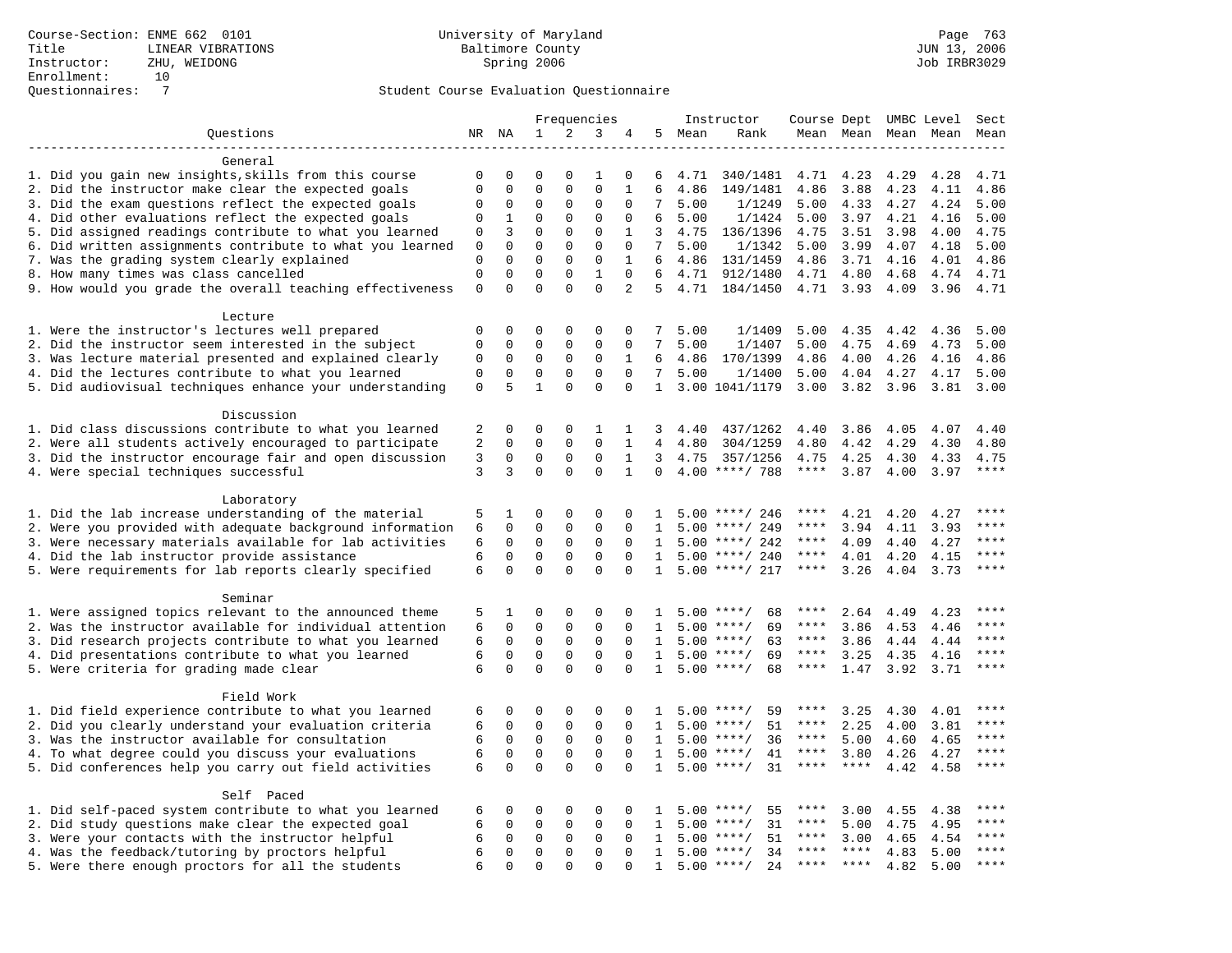|                                                                                                         |                |                     |              |                   | Frequencies  |              |                 |        | Instructor         | Course Dept UMBC Level |                     |      |      | Sect    |
|---------------------------------------------------------------------------------------------------------|----------------|---------------------|--------------|-------------------|--------------|--------------|-----------------|--------|--------------------|------------------------|---------------------|------|------|---------|
| Ouestions                                                                                               |                | NR NA               | 1            | 2                 | 3            | 4            |                 | 5 Mean | Rank               |                        | Mean Mean Mean Mean |      |      | Mean    |
|                                                                                                         |                |                     |              |                   |              |              |                 |        |                    |                        |                     |      |      |         |
| General                                                                                                 |                |                     |              |                   |              |              |                 |        |                    |                        |                     |      |      |         |
| 1. Did you gain new insights, skills from this course                                                   | $\mathbf 0$    | $\mathbf 0$         | $\Omega$     | $\Omega$          | $\mathbf{1}$ | 0            | 6               | 4.71   | 340/1481           | 4.71                   | 4.23                | 4.29 | 4.28 | 4.71    |
| 2. Did the instructor make clear the expected goals                                                     | $\mathbf 0$    | $\mathbf{0}$        | $\mathbf 0$  | $\mathbf{0}$      | $\mathbf 0$  | $\mathbf{1}$ | 6               | 4.86   | 149/1481           | 4.86                   | 3.88                | 4.23 | 4.11 | 4.86    |
| 3. Did the exam questions reflect the expected goals                                                    | 0              | $\mathbf{0}$        | $\mathbf 0$  | 0                 | $\mathbf{0}$ | 0            | 7               | 5.00   | 1/1249             | 5.00                   | 4.33                | 4.27 | 4.24 | 5.00    |
| 4. Did other evaluations reflect the expected goals                                                     | $\mathbf 0$    | 1                   | $\mathbf 0$  | $\mathbf{0}$      | $\mathbf 0$  | $\Omega$     | 6               | 5.00   | 1/1424             | 5.00                   | 3.97                | 4.21 | 4.16 | 5.00    |
| 5. Did assigned readings contribute to what you learned                                                 | $\mathbf{0}$   | 3                   | $\mathbf 0$  | $\mathbf 0$       | $\mathbf 0$  | $\mathbf{1}$ | 3               | 4.75   | 136/1396           | 4.75                   | 3.51                | 3.98 | 4.00 | 4.75    |
| 6. Did written assignments contribute to what you learned                                               | 0              | $\Omega$            | $\mathbf 0$  | $\mathbf{0}$      | $\mathbf 0$  | $\mathbf 0$  | $7\overline{ }$ | 5.00   | 1/1342             | 5.00                   | 3.99                | 4.07 | 4.18 | 5.00    |
| 7. Was the grading system clearly explained                                                             | $\mathbf{0}$   | $\Omega$            | $\mathbf 0$  | $\mathbf{0}$      | $\mathbf 0$  | $\mathbf{1}$ | 6               | 4.86   | 131/1459           | 4.86                   | 3.71                | 4.16 | 4.01 | 4.86    |
| 8. How many times was class cancelled                                                                   | $\mathbf{0}$   | $\mathbf 0$         | $\mathbf 0$  | $\mathbf 0$       | $\mathbf{1}$ | $\mathbf 0$  | 6               | 4.71   | 912/1480           | 4.71                   | 4.80                | 4.68 | 4.74 | 4.71    |
| 9. How would you grade the overall teaching effectiveness                                               | $\mathbf{0}$   | $\Omega$            | $\Omega$     | $\Omega$          | $\Omega$     | 2            |                 |        | 5 4.71 184/1450    |                        | 4.71 3.93           | 4.09 | 3.96 | 4.71    |
|                                                                                                         |                |                     |              |                   |              |              |                 |        |                    |                        |                     |      |      |         |
| Lecture                                                                                                 | $\mathbf 0$    | $\mathbf 0$         | 0            | $\mathbf 0$       | $\mathbf 0$  | 0            | 7               | 5.00   | 1/1409             | 5.00                   | 4.35                | 4.42 | 4.36 | 5.00    |
| 1. Were the instructor's lectures well prepared<br>2. Did the instructor seem interested in the subject | $\mathbf 0$    | $\mathbf 0$         | 0            | $\mathbf{0}$      | $\mathbf{0}$ |              | 7               |        | 1/1407             | 5.00                   | 4.75                | 4.69 | 4.73 | 5.00    |
|                                                                                                         |                |                     | 0            |                   | 0            | 0<br>1       |                 | 5.00   |                    |                        |                     |      |      |         |
| 3. Was lecture material presented and explained clearly                                                 | 0              | 0                   | $\mathbf 0$  | 0<br>$\mathbf{0}$ | $\Omega$     | $\Omega$     | 6<br>7          | 4.86   | 170/1399           | 4.86                   | 4.00                | 4.26 | 4.16 | 4.86    |
| 4. Did the lectures contribute to what you learned                                                      | $\mathbf 0$    | $\mathbf 0$<br>5    | $\mathbf{1}$ | $\Omega$          |              |              |                 | 5.00   | 1/1400             | 5.00                   | 4.04                | 4.27 | 4.17 | 5.00    |
| 5. Did audiovisual techniques enhance your understanding                                                | $\mathbf 0$    |                     |              |                   | $\Omega$     | $\Omega$     | $\mathbf{1}$    |        | 3.00 1041/1179     | 3.00                   | 3.82                | 3.96 | 3.81 | 3.00    |
| Discussion                                                                                              |                |                     |              |                   |              |              |                 |        |                    |                        |                     |      |      |         |
| 1. Did class discussions contribute to what you learned                                                 | 2              | $\mathbf 0$         | 0            | $\mathbf 0$       | 1            | 1            | 3               | 4.40   | 437/1262           | 4.40                   | 3.86                | 4.05 | 4.07 | 4.40    |
| 2. Were all students actively encouraged to participate                                                 | 2              | $\mathbf 0$         | $\mathbf 0$  | $\mathbf 0$       | $\Omega$     | $\mathbf{1}$ | $\overline{4}$  | 4.80   | 304/1259           | 4.80                   | 4.42                | 4.29 | 4.30 | 4.80    |
| 3. Did the instructor encourage fair and open discussion                                                | $\overline{3}$ | $\mathbf 0$         | $\mathbf 0$  | $\mathbf{0}$      | $\mathbf 0$  | $\mathbf{1}$ | 3               | 4.75   | 357/1256           | 4.75                   | 4.25                | 4.30 | 4.33 | 4.75    |
| 4. Were special techniques successful                                                                   | 3              | 3                   | $\Omega$     | $\Omega$          | $\Omega$     | $\mathbf{1}$ | $\Omega$        |        | $4.00$ ****/ 788   | $***$ * * *            | 3.87                | 4.00 | 3.97 | ****    |
|                                                                                                         |                |                     |              |                   |              |              |                 |        |                    |                        |                     |      |      |         |
| Laboratory                                                                                              |                |                     |              |                   |              |              |                 |        |                    |                        |                     |      |      |         |
| 1. Did the lab increase understanding of the material                                                   | 5              | 1                   | 0            | $\mathbf 0$       | $\mathbf 0$  | $\Omega$     | -1.             |        | $5.00$ ****/ 246   | ****                   | 4.21                | 4.20 | 4.27 |         |
| 2. Were you provided with adequate background information                                               | 6              | $\mathbf 0$         | $\mathbf 0$  | $\mathbf{0}$      | $\mathbf 0$  | $\Omega$     | 1               |        | $5.00$ ****/ 249   | ****                   | 3.94                | 4.11 | 3.93 | ****    |
| 3. Were necessary materials available for lab activities                                                | 6              | $\mathbf 0$         | $\Omega$     | $\mathsf 0$       | $\Omega$     | $\Omega$     | $\mathbf{1}$    |        | $5.00$ ****/ 242   | $***$ * *              | 4.09                | 4.40 | 4.27 | $***$   |
| 4. Did the lab instructor provide assistance                                                            | 6              | $\mathbf 0$         | $\mathbf 0$  | $\mathbf 0$       | $\mathbf 0$  | $\Omega$     | $\mathbf{1}$    |        | $5.00$ ****/ 240   | $***$ * *              | 4.01                | 4.20 | 4.15 | $***$   |
| 5. Were requirements for lab reports clearly specified                                                  | 6              | $\Omega$            | $\Omega$     | $\Omega$          | $\Omega$     | $\Omega$     | $\mathbf{1}$    |        | $5.00$ ****/ 217   | ****                   | 3.26                | 4.04 | 3.73 | * * * * |
|                                                                                                         |                |                     |              |                   |              |              |                 |        |                    |                        |                     |      |      |         |
| Seminar                                                                                                 |                |                     |              |                   |              |              |                 |        |                    |                        |                     |      |      |         |
| 1. Were assigned topics relevant to the announced theme                                                 | 5              | 1                   | 0            | $\mathsf 0$       | $\Omega$     | $\Omega$     | 1               |        | 68<br>$5.00$ ****/ | $***$ * * *            | 2.64                | 4.49 | 4.23 | ****    |
| 2. Was the instructor available for individual attention                                                | 6              | $\mathbf 0$         | 0            | $\mathsf 0$       | $\mathbf 0$  | 0            | 1               |        | $5.00$ ****/<br>69 | $***$ * *              | 3.86                | 4.53 | 4.46 | ****    |
| 3. Did research projects contribute to what you learned                                                 | 6              | 0                   | $\mathbf 0$  | $\mathbf{0}$      | $\mathbf 0$  | $\Omega$     | 1               |        | $5.00$ ****/<br>63 | $***$ * *              | 3.86                | 4.44 | 4.44 | $***$   |
| 4. Did presentations contribute to what you learned                                                     | 6              | $\Omega$            | $\mathbf 0$  | $\mathbf 0$       | $\mathbf 0$  | $\Omega$     | $\mathbf{1}$    | 5.00   | $***/$<br>69       | $***$ * *              | 3.25                | 4.35 | 4.16 | $***$   |
| 5. Were criteria for grading made clear                                                                 | 6              | $\Omega$            | $\Omega$     | $\Omega$          | $\Omega$     | $\Omega$     | $\mathbf{1}$    |        | $5.00$ ****/<br>68 | $***$ * *              | 1.47                | 3.92 | 3.71 | ****    |
|                                                                                                         |                |                     |              |                   |              |              |                 |        |                    |                        |                     |      |      |         |
| Field Work                                                                                              |                |                     |              |                   |              |              |                 |        |                    |                        |                     |      |      |         |
| 1. Did field experience contribute to what you learned                                                  | 6              | $\mathbf 0$         | 0            | $\mathbf 0$       | 0            | $\Omega$     | 1.              |        | 59<br>$5.00$ ****/ | ****                   | 3.25                | 4.30 | 4.01 | ****    |
| 2. Did you clearly understand your evaluation criteria                                                  | 6              | $\mathbf 0$         | $\mathbf 0$  | $\mathbf 0$       | $\mathbf 0$  | $\Omega$     | $\mathbf{1}$    | 5.00   | 51<br>$***$ /      | ****                   | 2.25                | 4.00 | 3.81 | ****    |
| 3. Was the instructor available for consultation                                                        | 6              | $\mathbf 0$         | $\mathbf 0$  | $\mathbf 0$       | $\mathbf 0$  | $\Omega$     | $\mathbf{1}$    | 5.00   | $***/$<br>36       | $***$ * * *            | 5.00                | 4.60 | 4.65 | ****    |
| 4. To what degree could you discuss your evaluations                                                    | 6              | $\Omega$            | $\mathbf 0$  | $\Omega$          | $\mathbf 0$  | $\Omega$     | $\mathbf{1}$    |        | $5.00$ ****/<br>41 | $***$ * * *            | 3.80                | 4.26 | 4.27 | $***$   |
| 5. Did conferences help you carry out field activities                                                  | 6              | $\mathbf 0$         | $\Omega$     | $\Omega$          | $\Omega$     | $\Omega$     | $\mathbf{1}$    |        | $5.00$ ****/<br>31 | $***$ * *              | $***$               | 4.42 | 4.58 | ****    |
|                                                                                                         |                |                     |              |                   |              |              |                 |        |                    |                        |                     |      |      |         |
| Self Paced                                                                                              |                |                     |              |                   |              |              |                 |        |                    |                        |                     |      |      |         |
| 1. Did self-paced system contribute to what you learned                                                 | 6              | $\mathbf 0$         | 0            | $\mathbf 0$       | $\mathbf 0$  | 0            | 1               |        | $5.00$ ****/<br>55 | ****                   | 3.00                | 4.55 | 4.38 | ****    |
| 2. Did study questions make clear the expected goal                                                     | 6              | $\Omega$            | $\mathbf 0$  | $\mathsf 0$       | $\mathbf 0$  | $\Omega$     | $\mathbf{1}$    |        | $5.00$ ****/<br>31 | $***$ * * *            | 5.00                | 4.75 | 4.95 | ****    |
| 3. Were your contacts with the instructor helpful                                                       | 6              | $\mathsf{O}\xspace$ | $\mathbf 0$  | $\mathsf 0$       | $\mathbf 0$  | $\mathbf 0$  | $\mathbf{1}$    | 5.00   | 51<br>$***/$       | $***$ * *              | 3.00                | 4.65 | 4.54 | $***$   |
| 4. Was the feedback/tutoring by proctors helpful                                                        | 6              | $\mathbf 0$         | $\mathbf 0$  | $\mathbf 0$       | $\mathbf 0$  | $\Omega$     | $\mathbf{1}$    |        | $5.00$ ****/<br>34 | ****                   | ****                | 4.83 | 5.00 | ****    |
| 5. Were there enough proctors for all the students                                                      | 6              | $\Omega$            | $\Omega$     | $\Omega$          | $\Omega$     | $\Omega$     | $\mathbf{1}$    |        | $5.00$ ****/<br>24 | $***$ * * *            | ****                | 4.82 | 5.00 | ****    |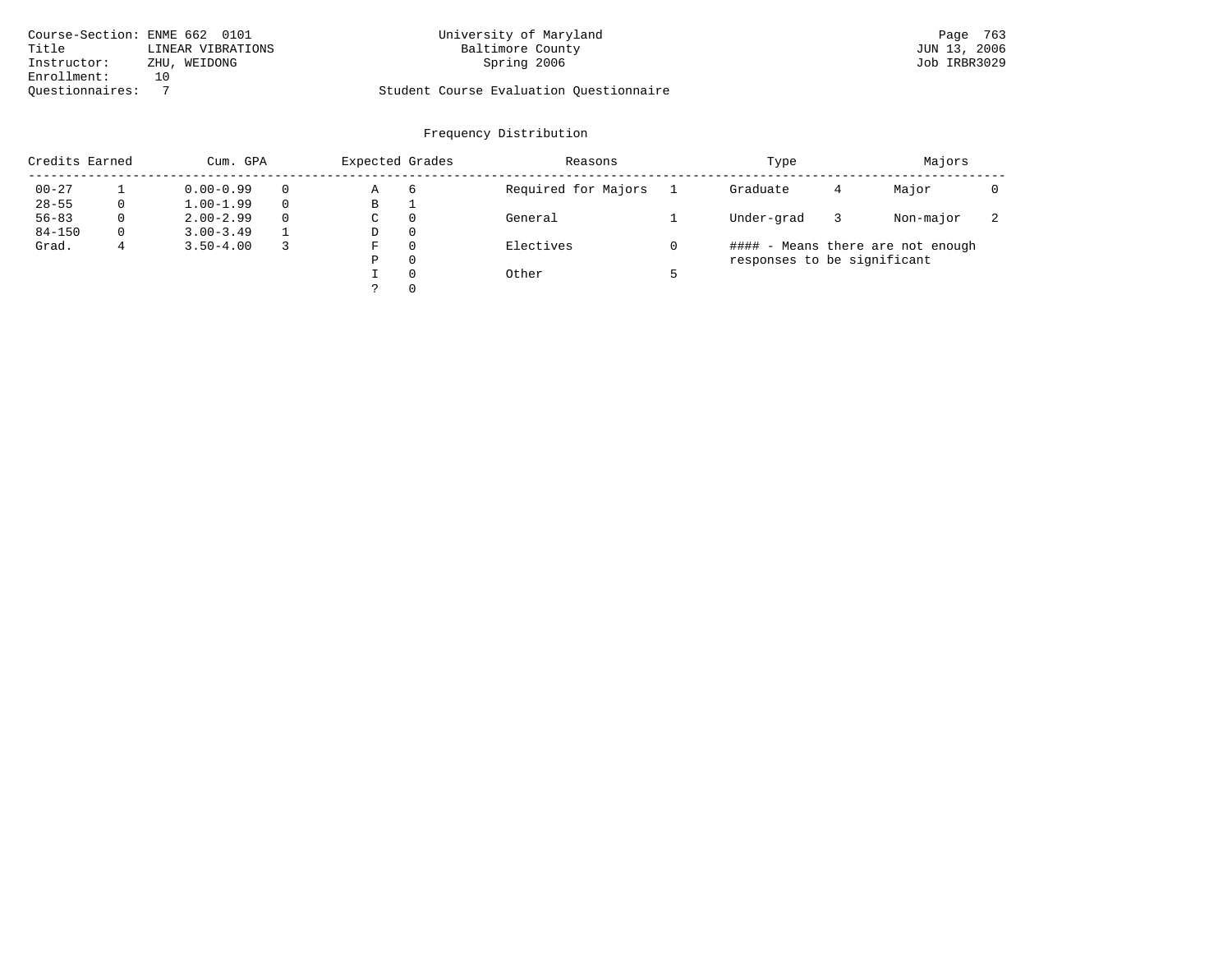| Course-Section: ENME 662 0101 |                   | University of Maryland                  | Page 763     |
|-------------------------------|-------------------|-----------------------------------------|--------------|
| Title                         | LINEAR VIBRATIONS | Baltimore County                        | JUN 13, 2006 |
| Instructor:                   | ZHU, WEIDONG      | Spring 2006                             | Job IRBR3029 |
| Enrollment:                   |                   |                                         |              |
| Ouestionnaires:               |                   | Student Course Evaluation Questionnaire |              |

# Questionnaires: 7 Student Course Evaluation Questionnaire

| Credits Earned |   | Cum. GPA      |          | Expected Grades |          | Reasons             | Type                        |   | Majors                            |                          |
|----------------|---|---------------|----------|-----------------|----------|---------------------|-----------------------------|---|-----------------------------------|--------------------------|
| $00 - 27$      |   | $0.00 - 0.99$ | $\Omega$ | Α               | -6       | Required for Majors | Graduate                    | 4 | Major                             |                          |
| $28 - 55$      |   | $1.00 - 1.99$ | $\Omega$ | В               |          |                     |                             |   |                                   |                          |
| $56 - 83$      |   | $2.00 - 2.99$ | $\Omega$ | C               | $\Omega$ | General             | Under-grad                  |   | Non-major                         | $\overline{\phantom{a}}$ |
| $84 - 150$     |   | $3.00 - 3.49$ |          | D               | $\Omega$ |                     |                             |   |                                   |                          |
| Grad.          | 4 | $3.50 - 4.00$ |          | F               | $\Omega$ | Electives           |                             |   | #### - Means there are not enough |                          |
|                |   |               |          | Ρ               | 0        |                     | responses to be significant |   |                                   |                          |
|                |   |               |          |                 | $\Omega$ | Other               |                             |   |                                   |                          |
|                |   |               |          |                 | $\Omega$ |                     |                             |   |                                   |                          |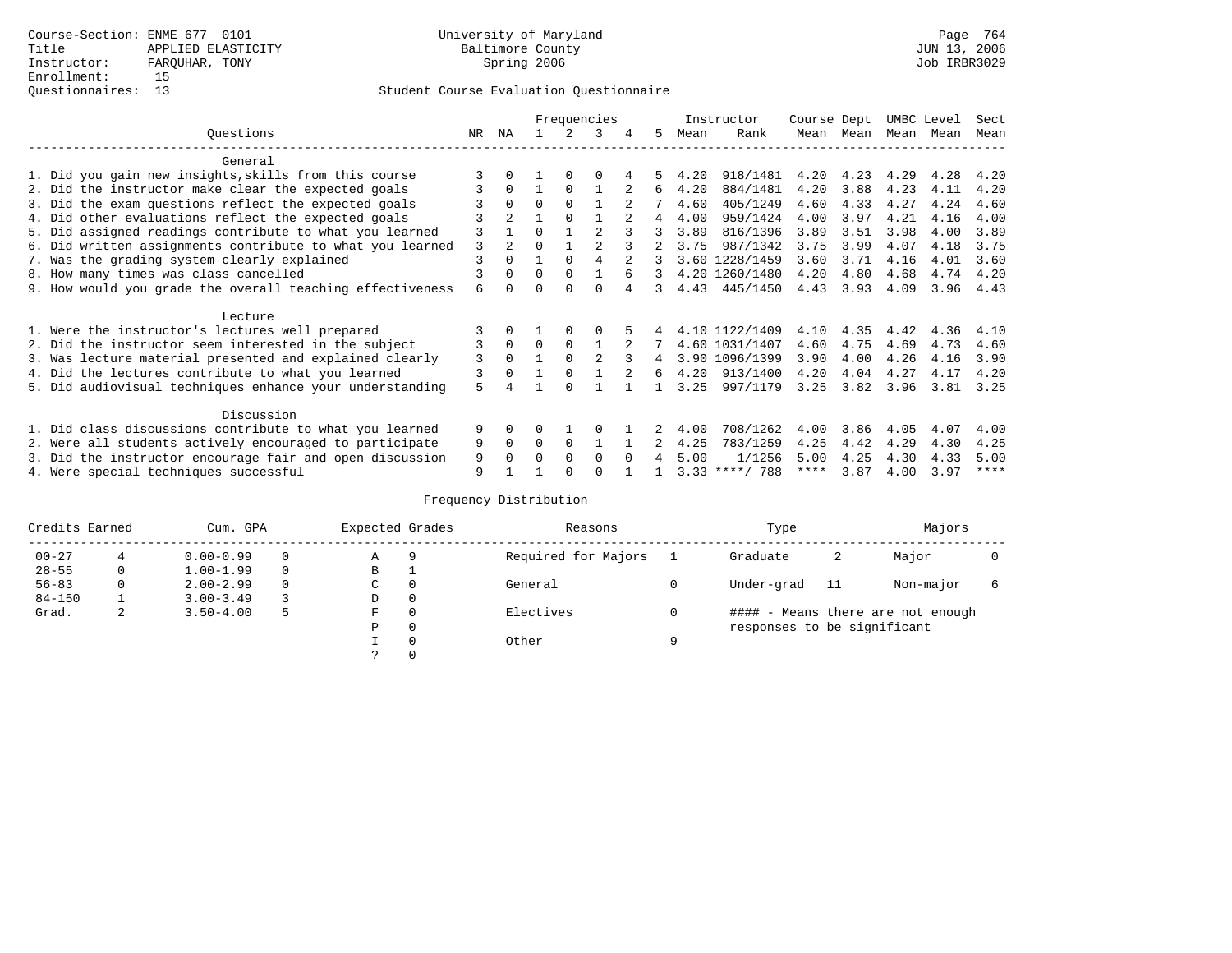|                                                           |        |                |          |          | Frequencies |        |   |      | Instructor       | Course Dept |      | UMBC Level |      | Sect |
|-----------------------------------------------------------|--------|----------------|----------|----------|-------------|--------|---|------|------------------|-------------|------|------------|------|------|
| Ouestions                                                 | NR     | ΝA             |          |          | २           | 4      | 5 | Mean | Rank             | Mean        | Mean | Mean Mean  |      | Mean |
| General                                                   |        |                |          |          |             |        |   |      |                  |             |      |            |      |      |
| 1. Did you gain new insights, skills from this course     |        |                |          |          |             |        |   | 4.20 | 918/1481         | 4.20        | 4.23 | 4.29       | 4.28 | 4.20 |
| 2. Did the instructor make clear the expected goals       |        | 0              |          | $\Omega$ |             |        | 6 | 4.20 | 884/1481         | 4.20        | 3.88 | 4.23       | 4.11 | 4.20 |
| 3. Did the exam questions reflect the expected goals      |        | 0              | $\Omega$ | $\Omega$ |             |        |   | 4.60 | 405/1249         | 4.60        | 4.33 | 4.27       | 4.24 | 4.60 |
| 4. Did other evaluations reflect the expected goals       |        | $\overline{a}$ |          | $\Omega$ |             |        | 4 | 4.00 | 959/1424         | 4.00        | 3.97 | 4.21       | 4.16 | 4.00 |
| 5. Did assigned readings contribute to what you learned   | 3      |                | U        |          |             |        | 3 | 3.89 | 816/1396         | 3.89        | 3.51 | 3.98       | 4.00 | 3.89 |
| 6. Did written assignments contribute to what you learned | 3      |                |          |          |             |        |   | 3.75 | 987/1342         | 3.75        | 3.99 | 4.07       | 4.18 | 3.75 |
| 7. Was the grading system clearly explained               | 3      | $\Omega$       |          | $\Omega$ |             |        |   |      | 3.60 1228/1459   | 3.60        | 3.71 | 4.16       | 4.01 | 3.60 |
| 8. How many times was class cancelled                     |        | <sup>0</sup>   | 0        | $\Omega$ |             |        |   |      | 4.20 1260/1480   | 4.20        | 4.80 | 4.68       | 4.74 | 4.20 |
| 9. How would you grade the overall teaching effectiveness | 6      |                |          |          |             |        |   | 4.43 | 445/1450         | 4.43        | 3.93 | 4.09       | 3.96 | 4.43 |
| Lecture                                                   |        |                |          |          |             |        |   |      |                  |             |      |            |      |      |
| 1. Were the instructor's lectures well prepared           |        |                |          |          |             |        |   |      | 4.10 1122/1409   | 4.10        | 4.35 | 4.42       | 4.36 | 4.10 |
| 2. Did the instructor seem interested in the subject      |        | $\mathbf 0$    | $\Omega$ | $\Omega$ |             |        |   |      | 4.60 1031/1407   | 4.60        | 4.75 | 4.69       | 4.73 | 4.60 |
| 3. Was lecture material presented and explained clearly   | 3      | $\Omega$       |          |          |             |        | 4 |      | 3.90 1096/1399   | 3.90        | 4.00 | 4.26       | 4.16 | 3.90 |
| 4. Did the lectures contribute to what you learned        | 3      | <sup>0</sup>   |          |          |             |        | 6 | 4.20 | 913/1400         | 4.20        | 4.04 | 4.27       | 4.17 | 4.20 |
| 5. Did audiovisual techniques enhance your understanding  | 5      |                |          |          |             |        |   | 3.25 | 997/1179         | 3.25        | 3.82 | 3.96       | 3.81 | 3.25 |
| Discussion                                                |        |                |          |          |             |        |   |      |                  |             |      |            |      |      |
| 1. Did class discussions contribute to what you learned   | 9      | 0              |          |          |             |        |   | 4.00 | 708/1262         | 4.00        | 3.86 | 4.05       | 4.07 | 4.00 |
| 2. Were all students actively encouraged to participate   |        |                | 0        | $\Omega$ |             |        |   | 4.25 | 783/1259         | 4.25        | 4.42 | 4.29       | 4.30 | 4.25 |
| 3. Did the instructor encourage fair and open discussion  |        |                |          | $\Omega$ | $\Omega$    | $\cap$ | 4 | 5.00 | 1/1256           | 5.00        | 4.25 | 4.30       | 4.33 | 5.00 |
| 4. Were special techniques successful                     | 9<br>9 |                |          |          |             |        |   |      | $3.33$ ****/ 788 | ****        | 3.87 | 4.00       | 3.97 | **** |

| Credits Earned |   | Cum. GPA      |          | Expected Grades   |              | Reasons             |   | Type                        |     | Majors                            |  |
|----------------|---|---------------|----------|-------------------|--------------|---------------------|---|-----------------------------|-----|-----------------------------------|--|
| $00 - 27$      | 4 | $0.00 - 0.99$ | $\Omega$ | Α                 | 9            | Required for Majors |   | Graduate                    | 2   | Major                             |  |
| $28 - 55$      | 0 | $1.00 - 1.99$ | $\Omega$ | В                 | ᅩ            |                     |   |                             |     |                                   |  |
| $56 - 83$      |   | $2.00 - 2.99$ | $\Omega$ | General<br>0<br>С |              |                     |   | Under-grad                  | -11 | Non-major                         |  |
| $84 - 150$     |   | $3.00 - 3.49$ | 3        | D                 | 0            |                     |   |                             |     |                                   |  |
| Grad.          | 2 | $3.50 - 4.00$ | 5        | F                 | 0            | Electives           |   |                             |     | #### - Means there are not enough |  |
|                |   |               |          | Ρ                 | $\mathbf{0}$ |                     |   | responses to be significant |     |                                   |  |
|                |   |               |          |                   | $\Omega$     | Other               | a |                             |     |                                   |  |
|                |   |               |          |                   | 0            |                     |   |                             |     |                                   |  |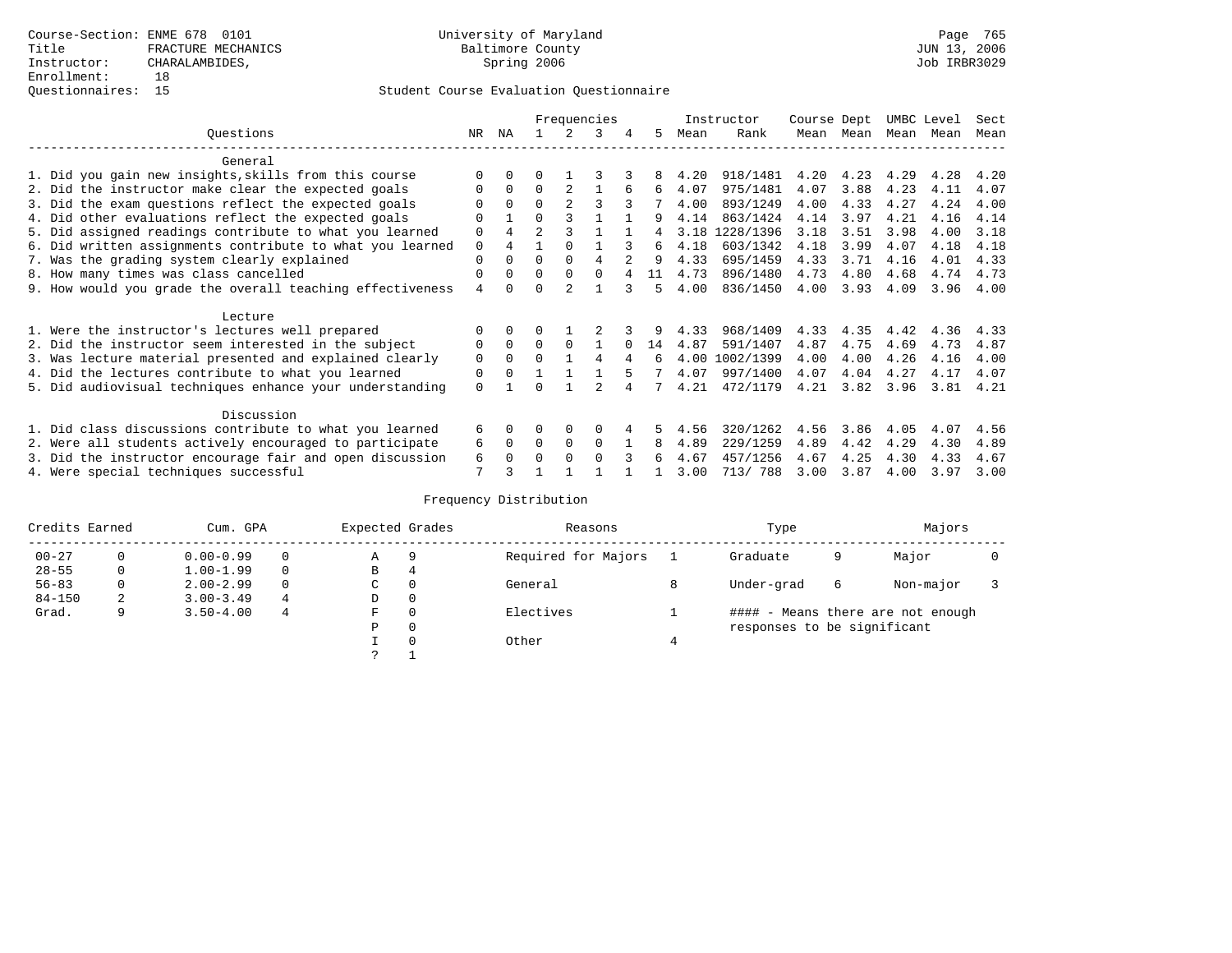|                                                           |                |                |                |                | Frequencies |          |    |      | Instructor | Course Dept |      | UMBC Level |      | Sect |
|-----------------------------------------------------------|----------------|----------------|----------------|----------------|-------------|----------|----|------|------------|-------------|------|------------|------|------|
| Ouestions                                                 | NR.            | ΝA             |                |                | 3           |          | 5. | Mean | Rank       | Mean        | Mean | Mean       | Mean | Mean |
| General                                                   |                |                |                |                |             |          |    |      |            |             |      |            |      |      |
| 1. Did you gain new insights, skills from this course     |                | $\Omega$       | U              |                |             |          | 8  | 4.20 | 918/1481   | 4.20        | 4.23 | 4.29       | 4.28 | 4.20 |
| 2. Did the instructor make clear the expected goals       | O              | $\Omega$       | $\Omega$       |                |             | 6        | 6  | 4.07 | 975/1481   | 4.07        | 3.88 | 4.23       | 4.11 | 4.07 |
| 3. Did the exam questions reflect the expected goals      |                | $\Omega$       | $\Omega$       | $\mathfrak{D}$ | 3           |          |    | 4.00 | 893/1249   | 4.00        | 4.33 | 4.27       | 4.24 | 4.00 |
| 4. Did other evaluations reflect the expected goals       | $\Omega$       |                | $\Omega$       |                |             |          | q  | 4.14 | 863/1424   | 4.14        | 3.97 | 4.21       | 4.16 | 4.14 |
| 5. Did assigned readings contribute to what you learned   | $\mathbf 0$    |                | $\mathfrak{D}$ |                |             |          | 4  | 3.18 | 1228/1396  | 3.18        | 3.51 | 3.98       | 4.00 | 3.18 |
| 6. Did written assignments contribute to what you learned | $\mathbf 0$    | $\overline{4}$ |                |                |             |          | б. | 4.18 | 603/1342   | 4.18        | 3.99 | 4.07       | 4.18 | 4.18 |
| 7. Was the grading system clearly explained               | $\Omega$       | $\Omega$       | $\Omega$       | $\Omega$       | 4           |          | 9  | 4.33 | 695/1459   | 4.33        | 3.71 | 4.16       | 4.01 | 4.33 |
| 8. How many times was class cancelled                     | 0              | $\Omega$       | $\Omega$       | $\Omega$       | $\cap$      |          | 11 | 4.73 | 896/1480   | 4.73        | 4.80 | 4.68       | 4.74 | 4.73 |
| 9. How would you grade the overall teaching effectiveness | $\overline{4}$ | <sup>n</sup>   | U              |                |             | ς        | 5  | 4.00 | 836/1450   | 4.00        | 3.93 | 4.09       | 3.96 | 4.00 |
| Lecture                                                   |                |                |                |                |             |          |    |      |            |             |      |            |      |      |
| 1. Were the instructor's lectures well prepared           | $\Omega$       |                |                |                |             |          |    | 4.33 | 968/1409   | 4.33        | 4.35 | 4.42       | 4.36 | 4.33 |
| 2. Did the instructor seem interested in the subject      | 0              | $\Omega$       | $\Omega$       | $\Omega$       |             | $\Omega$ | 14 | 4.87 | 591/1407   | 4.87        | 4.75 | 4.69       | 4.73 | 4.87 |
| 3. Was lecture material presented and explained clearly   | $\mathbf 0$    | $\Omega$       | $\Omega$       |                | 4           |          | 6  | 4.00 | 1002/1399  | 4.00        | 4.00 | 4.26       | 4.16 | 4.00 |
| 4. Did the lectures contribute to what you learned        | 0              | $\Omega$       |                |                |             |          |    | 4.07 | 997/1400   | 4.07        | 4.04 | 4.27       | 4.17 | 4.07 |
| 5. Did audiovisual techniques enhance your understanding  | $\Omega$       |                |                |                |             |          |    | 4.21 | 472/1179   | 4.21        | 3.82 | 3.96       | 3.81 | 4.21 |
| Discussion                                                |                |                |                |                |             |          |    |      |            |             |      |            |      |      |
| 1. Did class discussions contribute to what you learned   | 6              | $\Omega$       | U              | $\Omega$       | $\Omega$    |          | 5. | 4.56 | 320/1262   | 4.56        | 3.86 | 4.05       | 4.07 | 4.56 |
| 2. Were all students actively encouraged to participate   | 6              | $\Omega$       | $\Omega$       | $\Omega$       | $\Omega$    |          | 8  | 4.89 | 229/1259   | 4.89        | 4.42 | 4.29       | 4.30 | 4.89 |
| 3. Did the instructor encourage fair and open discussion  | 6              | $\Omega$       | 0              | $\Omega$       | $\Omega$    |          | 6  | 4.67 | 457/1256   | 4.67        | 4.25 | 4.30       | 4.33 | 4.67 |
| 4. Were special techniques successful                     | 7              |                |                |                |             |          |    | 3.00 | 713/ 788   | 3.00        | 3.87 | 4.00       | 3.97 | 3.00 |

| Credits Earned |              | Cum. GPA      |          | Expected Grades |          | Reasons             | Type                        |   | Majors                            |  |
|----------------|--------------|---------------|----------|-----------------|----------|---------------------|-----------------------------|---|-----------------------------------|--|
| $00 - 27$      |              | $0.00 - 0.99$ |          | Α               | 9        | Required for Majors | Graduate                    | 9 | Major                             |  |
| $28 - 55$      | $\mathbf{0}$ | $1.00 - 1.99$ | $\Omega$ | В               | 4        |                     |                             |   |                                   |  |
| $56 - 83$      | $\mathbf{0}$ | $2.00 - 2.99$ |          | C.              | $\Omega$ | General             | Under-grad                  | 6 | Non-major                         |  |
| $84 - 150$     | 2            | $3.00 - 3.49$ | 4        | D               | 0        |                     |                             |   |                                   |  |
| Grad.          |              | $3.50 - 4.00$ | 4        | F               | $\Omega$ | Electives           |                             |   | #### - Means there are not enough |  |
|                |              |               |          | Ρ               | 0        |                     | responses to be significant |   |                                   |  |
|                |              |               |          |                 | $\Omega$ | Other               |                             |   |                                   |  |
|                |              |               |          |                 |          |                     |                             |   |                                   |  |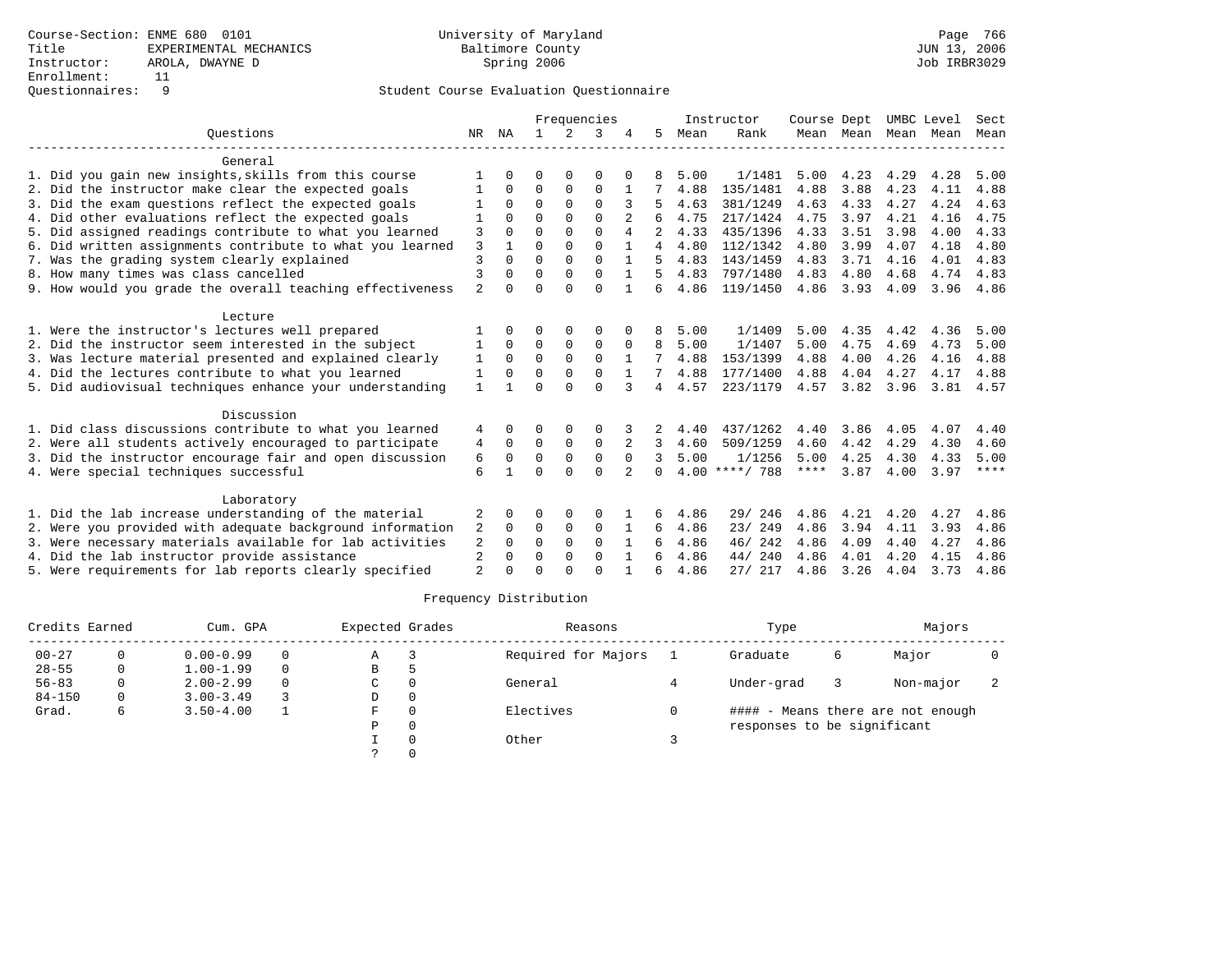|                                                           |                |          |          |          | Frequencies |          |          |      | Instructor       | Course Dept |      | UMBC Level          |      | Sect        |
|-----------------------------------------------------------|----------------|----------|----------|----------|-------------|----------|----------|------|------------------|-------------|------|---------------------|------|-------------|
| Ouestions                                                 | NR             | NA       |          | 2        | 3           |          | 5        | Mean | Rank             |             |      | Mean Mean Mean Mean |      | Mean        |
| General                                                   |                |          |          |          |             |          |          |      |                  |             |      |                     |      |             |
| 1. Did you gain new insights, skills from this course     |                |          |          |          | O           |          |          | 5.00 | 1/1481           | 5.00        | 4.23 | 4.29                | 4.28 | 5.00        |
| 2. Did the instructor make clear the expected goals       |                | $\Omega$ | $\Omega$ | 0        | $\Omega$    |          |          | 4.88 | 135/1481         | 4.88        | 3.88 | 4.23                | 4.11 | 4.88        |
| 3. Did the exam questions reflect the expected goals      |                | $\Omega$ | $\Omega$ | $\Omega$ | $\Omega$    |          |          | 4.63 | 381/1249         | 4.63        | 4.33 | 4.27                | 4.24 | 4.63        |
| 4. Did other evaluations reflect the expected goals       |                | $\Omega$ | $\Omega$ | $\Omega$ | $\cap$      |          |          | 4.75 | 217/1424         | 4.75        | 3.97 | 4.21                | 4.16 | 4.75        |
| 5. Did assigned readings contribute to what you learned   | 3              |          | $\Omega$ | $\Omega$ | $\Omega$    | 4        |          | 4.33 | 435/1396         | 4.33        | 3.51 | 3.98                | 4.00 | 4.33        |
| 6. Did written assignments contribute to what you learned | 3              |          | $\Omega$ | $\Omega$ | $\Omega$    |          | 4        | 4.80 | 112/1342         | 4.80        | 3.99 | 4.07                | 4.18 | 4.80        |
| 7. Was the grading system clearly explained               | 3              |          | $\Omega$ | $\Omega$ | $\cap$      |          | 5        | 4.83 | 143/1459         | 4.83        | 3.71 | 4.16                | 4.01 | 4.83        |
| 8. How many times was class cancelled                     | $\overline{3}$ |          | $\Omega$ |          | $\Omega$    |          | 5        | 4.83 | 797/1480         | 4.83        | 4.80 | 4.68                | 4.74 | 4.83        |
| 9. How would you grade the overall teaching effectiveness | $\overline{2}$ |          | $\Omega$ | $\cap$   | $\Omega$    |          | 6        | 4.86 | 119/1450         | 4.86        | 3.93 | 4.09                | 3.96 | 4.86        |
| Lecture                                                   |                |          |          |          |             |          |          |      |                  |             |      |                     |      |             |
| 1. Were the instructor's lectures well prepared           |                |          |          |          |             |          |          | 5.00 | 1/1409           | 5.00        | 4.35 | 4.42                | 4.36 | 5.00        |
| 2. Did the instructor seem interested in the subject      |                | $\Omega$ | $\Omega$ | 0        | $\Omega$    |          | 8        | 5.00 | 1/1407           | 5.00        | 4.75 | 4.69                | 4.73 | 5.00        |
| 3. Was lecture material presented and explained clearly   | 1              | $\Omega$ | $\Omega$ | $\Omega$ | $\Omega$    |          |          | 4.88 | 153/1399         | 4.88        | 4.00 | 4.26                | 4.16 | 4.88        |
| 4. Did the lectures contribute to what you learned        | 1              | $\Omega$ | $\Omega$ | $\Omega$ | $\Omega$    |          |          | 4.88 | 177/1400         | 4.88        | 4.04 | 4.27                | 4.17 | 4.88        |
| 5. Did audiovisual techniques enhance your understanding  | $\mathbf{1}$   |          | $\Omega$ | $\cap$   | $\cap$      | 3        | 4        | 4.57 | 223/1179         | 4.57        | 3.82 | 3.96                | 3.81 | 4.57        |
| Discussion                                                |                |          |          |          |             |          |          |      |                  |             |      |                     |      |             |
| 1. Did class discussions contribute to what you learned   | 4              |          | ∩        |          | O           |          |          | 4.40 | 437/1262         | 4.40        | 3.86 | 4.05                | 4.07 | 4.40        |
| 2. Were all students actively encouraged to participate   | 4              | $\Omega$ | $\Omega$ | $\Omega$ | $\Omega$    | 2        | 3        | 4.60 | 509/1259         | 4.60        | 4.42 | 4.29                | 4.30 | 4.60        |
| 3. Did the instructor encourage fair and open discussion  | 6              | $\Omega$ | $\Omega$ | $\Omega$ | $\Omega$    | $\Omega$ | २        | 5.00 | 1/1256           | 5.00        | 4.25 | 4.30                | 4.33 | 5.00        |
| 4. Were special techniques successful                     | 6              |          | $\Omega$ | $\Omega$ | $\Omega$    | 2        | $\Omega$ |      | $4.00$ ****/ 788 | ****        | 3.87 | 4.00                | 3.97 | $***$ * * * |
| Laboratory                                                |                |          |          |          |             |          |          |      |                  |             |      |                     |      |             |
| 1. Did the lab increase understanding of the material     | 2              |          | $\Omega$ | 0        | $\Omega$    |          | 6        | 4.86 | 29/ 246          | 4.86        | 4.21 | 4.20                | 4.27 | 4.86        |
| 2. Were you provided with adequate background information | 2              | $\Omega$ | $\Omega$ | $\Omega$ | $\Omega$    |          | 6        | 4.86 | 23/249           | 4.86        | 3.94 | 4.11                | 3.93 | 4.86        |
| 3. Were necessary materials available for lab activities  | 2              | $\Omega$ | $\Omega$ | $\Omega$ | $\Omega$    |          | 6        | 4.86 | 46/242           | 4.86        | 4.09 | 4.40                | 4.27 | 4.86        |
| 4. Did the lab instructor provide assistance              | 2              | $\Omega$ | $\Omega$ | $\Omega$ | $\Omega$    |          | 6        | 4.86 | 240<br>44/       | 4.86        | 4.01 | 4.20                | 4.15 | 4.86        |
| 5. Were requirements for lab reports clearly specified    | $\overline{2}$ |          |          |          | $\cap$      |          | 6        | 4.86 | 27/217           | 4.86        | 3.26 | 4.04                | 3.73 | 4.86        |

| Credits Earned |   | Cum. GPA      |          | Expected Grades |          | Reasons             | Type                        | Majors |                                   |  |
|----------------|---|---------------|----------|-----------------|----------|---------------------|-----------------------------|--------|-----------------------------------|--|
| $00 - 27$      |   | $0.00 - 0.99$ | $\Omega$ | Α               |          | Required for Majors | Graduate                    | 6      | Major                             |  |
| $28 - 55$      | 0 | $1.00 - 1.99$ | $\Omega$ | B               |          |                     |                             |        |                                   |  |
| $56 - 83$      |   | $2.00 - 2.99$ | $\Omega$ | C               |          | General             | Under-grad                  |        | Non-major                         |  |
| $84 - 150$     | 0 | $3.00 - 3.49$ |          | D               | $\Omega$ |                     |                             |        |                                   |  |
| Grad.          | 6 | $3.50 - 4.00$ |          | F.              |          | Electives           |                             |        | #### - Means there are not enough |  |
|                |   |               |          | P               | $\Omega$ |                     | responses to be significant |        |                                   |  |
|                |   |               |          |                 |          | Other               |                             |        |                                   |  |
|                |   |               |          |                 |          |                     |                             |        |                                   |  |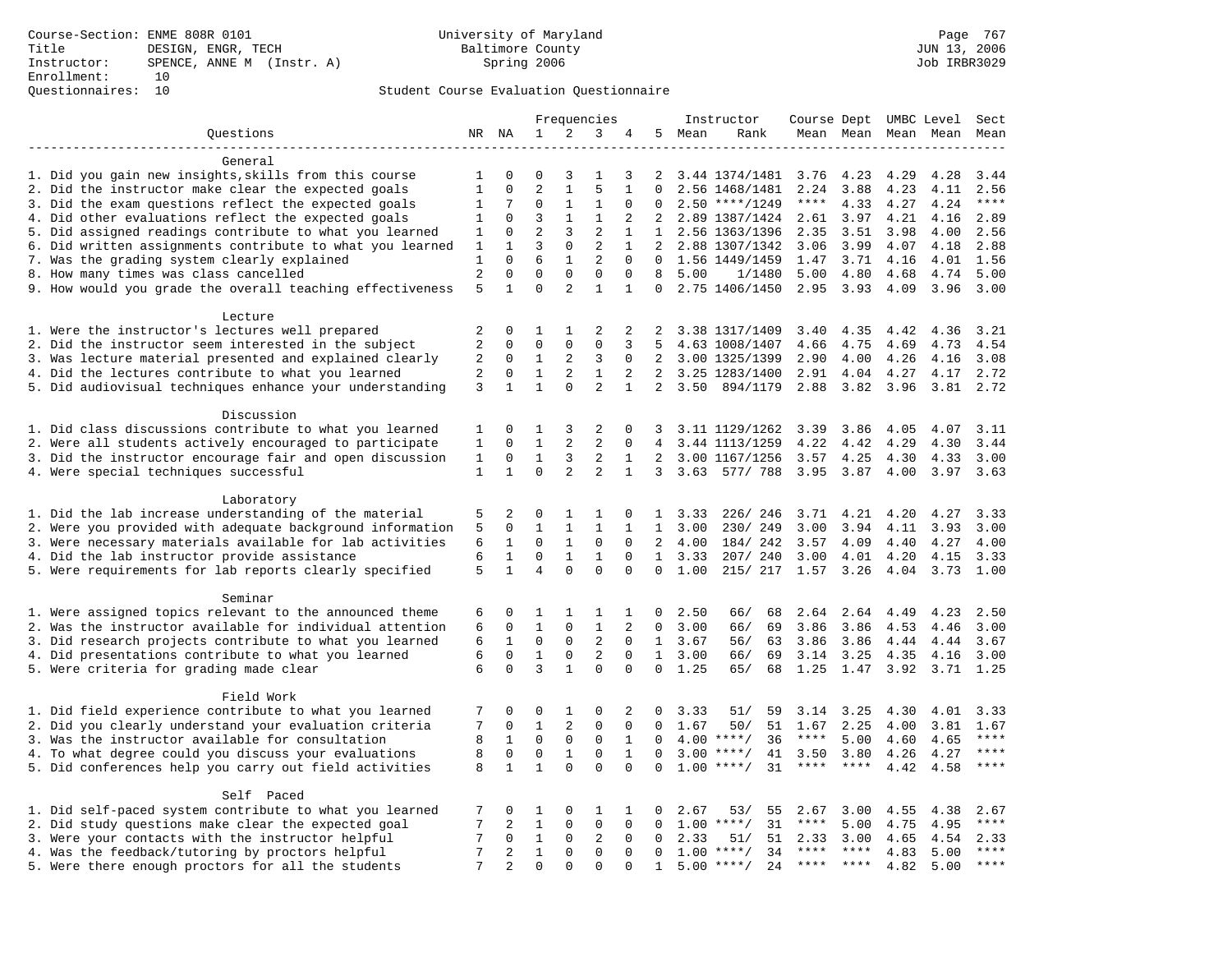### Questionnaires: 10 Student Course Evaluation Questionnaire

|                                                                                                         | Frequencies    |                | Instructor                   |                         |                               |                | Course Dept UMBC Level |        | Sect                             |                   |         |                     |           |               |
|---------------------------------------------------------------------------------------------------------|----------------|----------------|------------------------------|-------------------------|-------------------------------|----------------|------------------------|--------|----------------------------------|-------------------|---------|---------------------|-----------|---------------|
| Questions                                                                                               |                | NR NA          | $\mathbf{1}$                 | 2                       | 3                             | 4              |                        | 5 Mean | Rank                             |                   |         | Mean Mean Mean Mean |           | Mean          |
|                                                                                                         |                |                |                              |                         |                               |                |                        |        |                                  |                   |         |                     |           |               |
| General                                                                                                 |                |                |                              |                         |                               |                |                        |        |                                  |                   |         |                     |           |               |
| 1. Did you gain new insights, skills from this course                                                   | 1              | 0              | 0                            | 3                       | 1                             | 3              | 2                      |        | 3.44 1374/1481                   | 3.76              | 4.23    | 4.29                | 4.28      | 3.44          |
| 2. Did the instructor make clear the expected goals                                                     | $\mathbf{1}$   | $\Omega$       | $\overline{a}$               | $\mathbf{1}$            | 5                             | $\mathbf{1}$   | $\Omega$               |        | 2.56 1468/1481                   | 2.24              | 3.88    | 4.23                | 4.11      | 2.56          |
| 3. Did the exam questions reflect the expected goals                                                    | 1              | 7              | $\Omega$                     | 1                       | 1                             | $\Omega$       | $\Omega$               |        | $2.50$ ****/1249                 | $***$ * * *       | 4.33    | 4.27                | 4.24      | $***$         |
| 4. Did other evaluations reflect the expected goals                                                     | $\mathbf{1}$   | $\mathbf 0$    | 3                            | $\mathbf{1}$            | $\mathbf{1}$                  | $\overline{2}$ | $\overline{2}$         |        | 2.89 1387/1424                   | 2.61              | 3.97    | 4.21                | 4.16      | 2.89          |
| 5. Did assigned readings contribute to what you learned                                                 | $\mathbf{1}$   | $\mathbf 0$    | $\overline{a}$               | 3                       | $\overline{2}$                | $\mathbf{1}$   | $\mathbf{1}$           |        | 2.56 1363/1396                   | 2.35              | 3.51    | 3.98                | 4.00      | 2.56          |
| 6. Did written assignments contribute to what you learned                                               | 1              | 1              | 3                            | 0                       | $\overline{2}$                | $\mathbf{1}$   | 2                      |        | 2.88 1307/1342                   | 3.06              | 3.99    | 4.07                | 4.18      | 2.88          |
| 7. Was the grading system clearly explained                                                             | 1              | $\Omega$       | 6                            | $\mathbf{1}$            | $\overline{a}$                | $\Omega$       | $\Omega$               |        | 1.56 1449/1459                   | 1.47              | 3.71    | 4.16                | 4.01      | 1.56          |
| 8. How many times was class cancelled                                                                   | $\overline{2}$ | $\Omega$       | $\Omega$                     | $\Omega$                | $\Omega$                      | $\Omega$       | 8                      | 5.00   | 1/1480                           | 5.00              | 4.80    | 4.68                | 4.74      | 5.00          |
| 9. How would you grade the overall teaching effectiveness                                               | 5              | 1              | $\Omega$                     | $\overline{a}$          | $\mathbf{1}$                  | $\mathbf{1}$   | 0                      |        | 2.75 1406/1450                   | 2.95              | 3.93    | 4.09                | 3.96      | 3.00          |
| Lecture                                                                                                 |                |                |                              |                         |                               |                |                        |        |                                  |                   |         |                     |           |               |
|                                                                                                         | 2              | 0              | 1                            | 1                       | 2                             | 2              | 2                      |        |                                  | 3.40              | 4.35    | 4.42                | 4.36      | 3.21          |
| 1. Were the instructor's lectures well prepared<br>2. Did the instructor seem interested in the subject | $\overline{2}$ | $\Omega$       | $\mathbf{0}$                 | $\mathbf 0$             | $\mathbf 0$                   | 3              | 5                      |        | 3.38 1317/1409<br>4.63 1008/1407 | 4.66              | 4.75    | 4.69                | 4.73      | 4.54          |
|                                                                                                         | 2              | 0              | $\mathbf{1}$                 | 2                       | 3                             | $\mathbf 0$    | $\overline{2}$         |        |                                  |                   |         |                     | 4.16      | 3.08          |
| 3. Was lecture material presented and explained clearly                                                 | $\overline{2}$ | $\Omega$       | $\mathbf{1}$                 | 2                       | $\mathbf{1}$                  | 2              | 2                      |        | 3.00 1325/1399                   | 2.90              | 4.00    | 4.26                |           | 2.72          |
| 4. Did the lectures contribute to what you learned                                                      |                |                | $\mathbf{1}$                 |                         |                               |                | $\overline{2}$         |        | 3.25 1283/1400                   | 2.91              | 4.04    | 4.27                | 4.17      |               |
| 5. Did audiovisual techniques enhance your understanding                                                | 3              | $\mathbf{1}$   |                              | 0                       | $\overline{2}$                | $\mathbf{1}$   |                        | 3.50   | 894/1179                         | 2.88              | 3.82    | 3.96                | 3.81      | 2.72          |
| Discussion                                                                                              |                |                |                              |                         |                               |                |                        |        |                                  |                   |         |                     |           |               |
| 1. Did class discussions contribute to what you learned                                                 | 1              | $\Omega$       | 1                            | 3                       | 2                             | $\mathbf 0$    | 3                      |        | 3.11 1129/1262                   | 3.39              | 3.86    | 4.05                | 4.07      | 3.11          |
| 2. Were all students actively encouraged to participate                                                 | $\mathbf{1}$   | $\Omega$       | $\mathbf{1}$                 | $\overline{a}$          | $\overline{2}$                | $\Omega$       | $\overline{4}$         |        | 3.44 1113/1259                   | 4.22              | 4.42    | 4.29                | 4.30      | 3.44          |
| 3. Did the instructor encourage fair and open discussion                                                | $\mathbf{1}$   | 0              | $\mathbf{1}$                 | 3                       | $\overline{2}$                | 1              | $\overline{2}$         |        | 3.00 1167/1256                   | 3.57              | 4.25    | 4.30                | 4.33      | 3.00          |
| 4. Were special techniques successful                                                                   | $\mathbf{1}$   | $\mathbf{1}$   | $\Omega$                     | $\overline{2}$          | $\overline{a}$                | $\mathbf{1}$   | 3                      |        | 3.63 577/ 788                    | 3.95              | 3.87    | 4.00                | 3.97      | 3.63          |
|                                                                                                         |                |                |                              |                         |                               |                |                        |        |                                  |                   |         |                     |           |               |
| Laboratory                                                                                              |                |                |                              |                         |                               |                |                        |        |                                  |                   |         |                     |           |               |
| 1. Did the lab increase understanding of the material                                                   | 5              | 2              | $\Omega$                     | 1                       | 1                             | $\mathbf 0$    | $\mathbf{1}$           | 3.33   | 226/246                          | 3.71              | 4.21    | 4.20                | 4.27      | 3.33          |
| 2. Were you provided with adequate background information                                               | 5              | $\Omega$       | $\mathbf{1}$                 | $\mathbf{1}$            | $\mathbf{1}$                  | $\mathbf{1}$   | $\mathbf{1}$           | 3.00   | 230/249                          | 3.00              | 3.94    | 4.11                | 3.93      | 3.00          |
| 3. Were necessary materials available for lab activities                                                | 6              | 1              | $\Omega$                     | 1                       | $\mathbf 0$                   | $\Omega$       | 2                      | 4.00   | 184/ 242                         | 3.57              | 4.09    | 4.40                | 4.27      | 4.00          |
| 4. Did the lab instructor provide assistance                                                            | 6              | $\mathbf{1}$   | 0                            | $\mathbf{1}$            | $\mathbf{1}$                  | $\mathbf 0$    | $\mathbf{1}$           | 3.33   | 207/240                          | 3.00              | 4.01    | 4.20                | 4.15      | 3.33          |
| 5. Were requirements for lab reports clearly specified                                                  | 5              | $\mathbf{1}$   | $\overline{4}$               | $\Omega$                | $\mathbf 0$                   | $\mathbf 0$    | $\mathbf 0$            | 1.00   | 215/ 217                         | 1.57              | 3.26    | 4.04                | 3.73      | 1.00          |
|                                                                                                         |                |                |                              |                         |                               |                |                        |        |                                  |                   |         |                     |           |               |
| Seminar                                                                                                 |                |                |                              |                         |                               |                |                        |        |                                  |                   |         |                     |           |               |
| 1. Were assigned topics relevant to the announced theme                                                 | 6              | 0              | 1                            | 1                       | 1                             | 1              | 0                      | 2.50   | 66/<br>68                        | 2.64              | 2.64    | 4.49                | 4.23      | 2.50          |
| 2. Was the instructor available for individual attention                                                | 6              | 0              | $\mathbf{1}$                 | $\mathbf 0$             | $\mathbf{1}$                  | 2              | $\Omega$               | 3.00   | 69<br>66/                        | 3.86              | 3.86    | 4.53                | 4.46      | 3.00          |
| 3. Did research projects contribute to what you learned                                                 | 6              | $\mathbf{1}$   | $\mathbf 0$                  | $\mathsf 0$             | $\mathbf{2}$                  | $\mathbf 0$    | 1                      | 3.67   | 63<br>56/                        | 3.86              | 3.86    | 4.44                | 4.44      | 3.67          |
| 4. Did presentations contribute to what you learned                                                     | 6              | $\mathbf 0$    | $\mathbf{1}$                 | $\mathbf 0$             | 2                             | $\mathbf 0$    | 1                      | 3.00   | 66/<br>69                        | 3.14              | 3.25    | 4.35                | 4.16      | 3.00          |
| 5. Were criteria for grading made clear                                                                 | 6              | $\Omega$       | 3                            | $\mathbf{1}$            | $\mathbf 0$                   | 0              | $\Omega$               | 1.25   | 65/<br>68                        | 1.25              | 1.47    | 3.92                | 3.71 1.25 |               |
|                                                                                                         |                |                |                              |                         |                               |                |                        |        |                                  |                   |         |                     |           |               |
| Field Work                                                                                              |                |                |                              |                         |                               |                |                        |        |                                  |                   |         |                     |           |               |
| 1. Did field experience contribute to what you learned                                                  | 7              | 0              | $\mathbf 0$                  | 1                       | $\mathbf 0$                   | 2              | 0                      | 3.33   | 51/<br>59                        | 3.14              | 3.25    | 4.30                | 4.01      | 3.33          |
| 2. Did you clearly understand your evaluation criteria                                                  | 7              | $\Omega$       | $\mathbf{1}$                 | 2                       | $\Omega$                      | $\Omega$       | $\Omega$               | 1.67   | 51<br>50/                        | 1.67              | 2.25    | 4.00                | 3.81      | 1.67          |
| 3. Was the instructor available for consultation                                                        | 8              | $\mathbf{1}$   | $\mathbf 0$                  | $\mathsf 0$             | $\mathsf 0$                   | $\mathbf{1}$   | 0                      |        | $4.00$ ****/<br>36               | $***$ * * *       | 5.00    | 4.60                | 4.65      | $***$         |
| 4. To what degree could you discuss your evaluations                                                    | 8              | $\mathbf 0$    | $\mathbf 0$                  | $\mathbf{1}$            | $\mathbf 0$                   | $\mathbf{1}$   | $\Omega$               |        | $3.00$ ****/<br>41               | 3.50              | 3.80    | 4.26                | 4.27      | $***$         |
| 5. Did conferences help you carry out field activities                                                  | 8              | 1              | $\mathbf{1}$                 | $\Omega$                | $\Omega$                      | $\Omega$       | $\Omega$               | 1.00   | $***/$<br>31                     | $***$ * * *       | $***$ * | 4.42                | 4.58      | $***$         |
| Self Paced                                                                                              |                |                |                              |                         |                               |                |                        |        |                                  |                   |         |                     |           |               |
| 1. Did self-paced system contribute to what you learned                                                 | 7              | 0              | 1                            | $\Omega$                | 1                             | 1              | 0                      | 2.67   | 53/<br>55                        | 2.67              |         | 4.55                |           | 2.67          |
|                                                                                                         | 7              |                |                              | $\mathbf 0$             |                               | $\mathbf 0$    | $\mathbf 0$            |        | 31                               | $***$ * * *       | 3.00    |                     | 4.38      | $***$         |
| 2. Did study questions make clear the expected goal                                                     | 7              | 2              | $\mathbf{1}$<br>$\mathbf{1}$ |                         | $\mathsf 0$<br>$\overline{2}$ |                |                        |        | $1.00$ ****/                     |                   | 5.00    | 4.75                | 4.95      |               |
| 3. Were your contacts with the instructor helpful                                                       |                | 0              |                              | $\mathbf 0$             |                               | $\mathbf 0$    | 0                      | 2.33   | 51/<br>51                        | 2.33              | 3.00    | 4.65                | 4.54      | 2.33<br>$***$ |
| 4. Was the feedback/tutoring by proctors helpful                                                        | 7<br>7         | $\overline{2}$ | $\mathbf{1}$                 | $\mathbf 0$<br>$\Omega$ | $\mathbf 0$<br>$\Omega$       | $\mathbf 0$    | $\Omega$               |        | $1.00$ ****/<br>34               | ****<br>$***$ *** | ****    | 4.83                | 5.00      | $***$         |
| 5. Were there enough proctors for all the students                                                      |                | $\overline{2}$ | $\Omega$                     |                         |                               | $\Omega$       | $\mathbf{1}$           |        | $5.00$ ****/<br>24               |                   |         | 4.82                | 5.00      |               |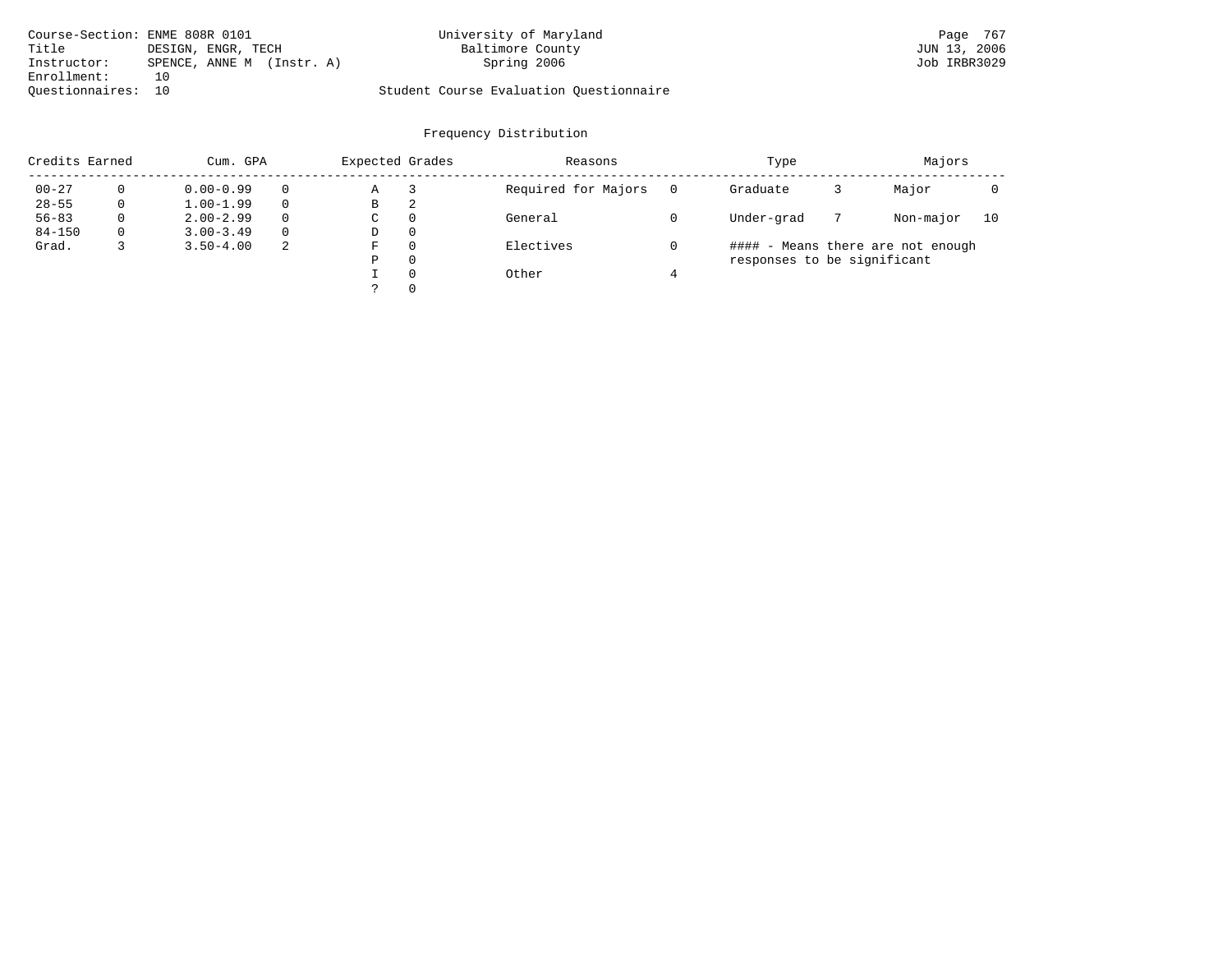| Course-Section: ENME 808R 0101 |                           | University of Maryland                  | Page 767     |
|--------------------------------|---------------------------|-----------------------------------------|--------------|
| Title                          | DESIGN, ENGR, TECH        | Baltimore County                        | JUN 13, 2006 |
| Instructor:                    | SPENCE, ANNE M (Instr. A) | Spring 2006                             | Job IRBR3029 |
| Enrollment:                    | 1 ດ                       |                                         |              |
| Ouestionnaires: 10             |                           | Student Course Evaluation Questionnaire |              |

| Credits Earned<br>Cum. GPA |          |               | Expected Grades |   |          | Reasons             | Type                        | Majors |                                   |    |
|----------------------------|----------|---------------|-----------------|---|----------|---------------------|-----------------------------|--------|-----------------------------------|----|
| $00 - 27$                  |          | $0.00 - 0.99$ |                 | Α |          | Required for Majors | Graduate                    |        | Major                             |    |
| $28 - 55$                  | 0        | $1.00 - 1.99$ |                 | В | 2        |                     |                             |        |                                   |    |
| $56 - 83$                  | $\Omega$ | $2.00 - 2.99$ | $\Omega$        | C | $\Omega$ | General             | Under-grad                  |        | Non-major                         | 10 |
| $84 - 150$                 | $\Omega$ | $3.00 - 3.49$ | $\Omega$        | D | $\Omega$ |                     |                             |        |                                   |    |
| Grad.                      |          | $3.50 - 4.00$ | -2              | F | $\Omega$ | Electives           |                             |        | #### - Means there are not enough |    |
|                            |          |               |                 | Ρ | $\Omega$ |                     | responses to be significant |        |                                   |    |
|                            |          |               |                 |   | $\Omega$ | Other               |                             |        |                                   |    |
|                            |          |               |                 |   | $\Omega$ |                     |                             |        |                                   |    |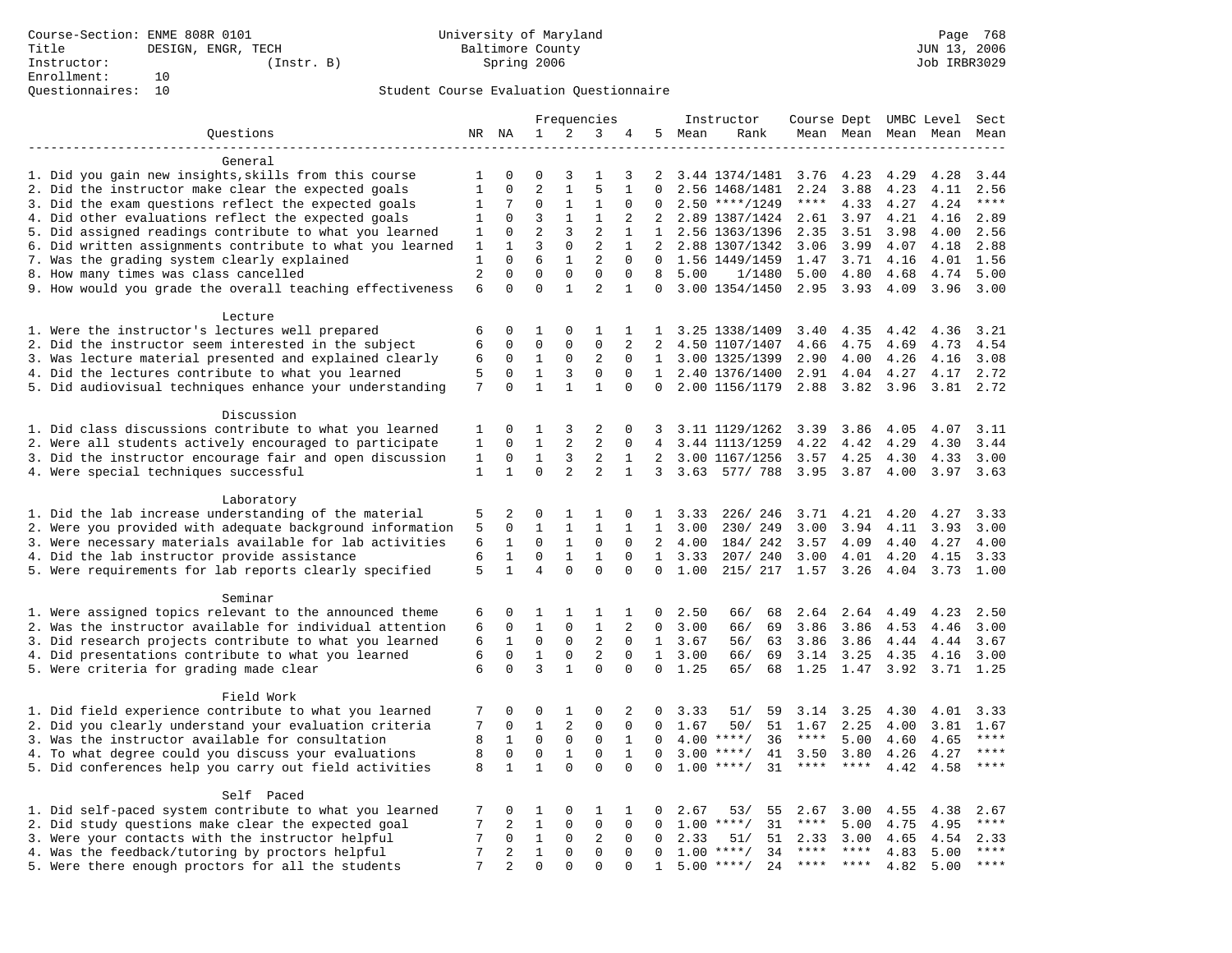|                                                           | Frequencies    |                | Instructor     |                |                |                   | Course Dept UMBC Level |        | Sect                            |                     |                     |                     |           |       |
|-----------------------------------------------------------|----------------|----------------|----------------|----------------|----------------|-------------------|------------------------|--------|---------------------------------|---------------------|---------------------|---------------------|-----------|-------|
| Questions                                                 |                | NR NA          | $\mathbf{1}$   | 2              | 3              | 4                 |                        | 5 Mean | Rank                            |                     |                     | Mean Mean Mean Mean |           | Mean  |
|                                                           |                |                |                |                |                |                   |                        |        |                                 |                     |                     |                     |           |       |
| General                                                   |                |                |                |                |                |                   |                        |        |                                 |                     |                     |                     |           |       |
| 1. Did you gain new insights, skills from this course     | 1              | O              | 0              | 3              | 1              | 3                 | 2                      |        | 3.44 1374/1481                  | 3.76                | 4.23                | 4.29                | 4.28      | 3.44  |
| 2. Did the instructor make clear the expected goals       | $\mathbf{1}$   | $\Omega$       | $\overline{2}$ | $\mathbf{1}$   | 5              | $\mathbf{1}$      | $\Omega$               |        | 2.56 1468/1481                  | 2.24                | 3.88                | 4.23                | 4.11      | 2.56  |
| 3. Did the exam questions reflect the expected goals      | 1              | 7              | $\Omega$       | 1              | 1              | $\Omega$          | $\Omega$               |        | $2.50$ ****/1249                | $***$ * * *         | 4.33                | 4.27                | 4.24      | $***$ |
| 4. Did other evaluations reflect the expected goals       | $\mathbf{1}$   | $\Omega$       | 3              | $\mathbf{1}$   | $\mathbf{1}$   | $\overline{2}$    | $\overline{2}$         |        | 2.89 1387/1424                  | 2.61                | 3.97                | 4.21                | 4.16      | 2.89  |
| 5. Did assigned readings contribute to what you learned   | $\mathbf{1}$   | $\mathbf 0$    | $\overline{a}$ | 3              | $\overline{2}$ | $\mathbf{1}$      | 1                      |        | 2.56 1363/1396                  | 2.35                | 3.51                | 3.98                | 4.00      | 2.56  |
| 6. Did written assignments contribute to what you learned | 1              | $\mathbf{1}$   | 3              | $\mathbf 0$    | $\overline{2}$ | $\mathbf{1}$      | $\overline{2}$         |        | 2.88 1307/1342                  | 3.06                | 3.99                | 4.07                | 4.18      | 2.88  |
| 7. Was the grading system clearly explained               | 1              | $\Omega$       | 6              | $\mathbf{1}$   | 2              | $\Omega$          | $\Omega$               |        | 1.56 1449/1459                  | 1.47                | 3.71                | 4.16                | 4.01      | 1.56  |
| 8. How many times was class cancelled                     | $\overline{2}$ | $\Omega$       | $\Omega$       | $\Omega$       | $\mathbf 0$    | $\Omega$          | 8                      | 5.00   | 1/1480                          | 5.00                | 4.80                | 4.68                | 4.74      | 5.00  |
| 9. How would you grade the overall teaching effectiveness | 6              | $\Omega$       | $\Omega$       | $\mathbf{1}$   | $\overline{a}$ | $\mathbf{1}$      | $\Omega$               |        | 3.00 1354/1450                  | 2.95                | 3.93                | 4.09                | 3.96      | 3.00  |
| Lecture                                                   |                |                |                |                |                |                   |                        |        |                                 |                     |                     |                     |           |       |
| 1. Were the instructor's lectures well prepared           | 6              | $\mathbf 0$    | 1              | $\mathbf 0$    | 1              | 1                 |                        |        | 1 3.25 1338/1409                | 3.40                | 4.35                | 4.42                | 4.36      | 3.21  |
| 2. Did the instructor seem interested in the subject      | 6              | 0              | 0              | 0              | $\mathbf 0$    | 2                 | 2                      |        | 4.50 1107/1407                  | 4.66                | 4.75                | 4.69                | 4.73      | 4.54  |
| 3. Was lecture material presented and explained clearly   | 6              | 0              | $\mathbf{1}$   | $\mathbf 0$    | 2              | $\mathbf 0$       | $\mathbf{1}$           |        | 3.00 1325/1399                  | 2.90                | 4.00                | 4.26                | 4.16      | 3.08  |
| 4. Did the lectures contribute to what you learned        | 5              | $\Omega$       | $\mathbf{1}$   | 3              | $\Omega$       | $\Omega$          | 1                      |        | 2.40 1376/1400                  | 2.91                | 4.04                | 4.27                | 4.17      | 2.72  |
| 5. Did audiovisual techniques enhance your understanding  | 7              | $\Omega$       | $\mathbf{1}$   | $\mathbf{1}$   | $\mathbf{1}$   | $\Omega$          | $\Omega$               |        | 2.00 1156/1179                  | 2.88                | 3.82                | 3.96                | 3.81      | 2.72  |
|                                                           |                |                |                |                |                |                   |                        |        |                                 |                     |                     |                     |           |       |
| Discussion                                                |                |                |                |                |                |                   |                        |        |                                 |                     |                     |                     |           |       |
| 1. Did class discussions contribute to what you learned   | 1              | 0              | 1              | 3              | 2              | $\mathbf 0$       | 3                      |        | 3.11 1129/1262                  | 3.39                | 3.86                | 4.05                | 4.07      | 3.11  |
| 2. Were all students actively encouraged to participate   | $\mathbf{1}$   | 0              | $\mathbf{1}$   | 2              | $\overline{2}$ | $\mathbf 0$       | 4                      |        | 3.44 1113/1259                  | 4.22                | 4.42                | 4.29                | 4.30      | 3.44  |
| 3. Did the instructor encourage fair and open discussion  | 1              | 0              | $\mathbf{1}$   | 3              | 2              | 1                 | 2                      |        | 3.00 1167/1256                  | 3.57                | 4.25                | 4.30                | 4.33      | 3.00  |
| 4. Were special techniques successful                     | $\mathbf{1}$   | $\mathbf{1}$   | $\Omega$       | $\overline{2}$ | $\overline{a}$ | $\mathbf{1}$      | 3                      | 3.63   | 577/788                         | 3.95                | 3.87                | 4.00                | 3.97      | 3.63  |
|                                                           |                |                |                |                |                |                   |                        |        |                                 |                     |                     |                     |           |       |
| Laboratory                                                |                |                |                |                |                |                   |                        |        |                                 |                     |                     |                     |           |       |
| 1. Did the lab increase understanding of the material     | 5              | 2              | 0              | $\mathbf{1}$   | 1              | 0                 | $\mathbf{1}$           | 3.33   | 226/246                         | 3.71                | 4.21                | 4.20                | 4.27      | 3.33  |
| 2. Were you provided with adequate background information | 5              | 0              | $\mathbf{1}$   | $\mathbf{1}$   | $\mathbf{1}$   |                   | $\mathbf{1}$           | 3.00   | 230/ 249                        | 3.00                | 3.94                | 4.11                | 3.93      | 3.00  |
| 3. Were necessary materials available for lab activities  | 6              | 1              | 0              | 1              | $\mathbf 0$    | $\mathbf 0$       | 2                      | 4.00   | 184/ 242                        | 3.57                | 4.09                | 4.40                | 4.27      | 4.00  |
| 4. Did the lab instructor provide assistance              | 6              | $\mathbf{1}$   | $\Omega$       | $\mathbf{1}$   | $\mathbf{1}$   | $\Omega$          | $\mathbf{1}$           | 3.33   | 207/240                         | 3.00                | 4.01                | 4.20                | 4.15      | 3.33  |
| 5. Were requirements for lab reports clearly specified    | 5              | $\mathbf{1}$   | 4              | $\Omega$       | $\Omega$       | $\Omega$          | $\Omega$               | 1.00   | 215/ 217                        | 1.57                | 3.26                | 4.04                | 3.73      | 1.00  |
|                                                           |                |                |                |                |                |                   |                        |        |                                 |                     |                     |                     |           |       |
| Seminar                                                   |                |                |                |                |                |                   |                        |        |                                 |                     |                     |                     |           |       |
| 1. Were assigned topics relevant to the announced theme   | 6              | 0              | 1              | 1              | 1              | 1                 | 0                      | 2.50   | 66/<br>68                       | 2.64                | 2.64                | 4.49                | 4.23      | 2.50  |
| 2. Was the instructor available for individual attention  | 6              | $\mathbf 0$    | $\mathbf{1}$   | $\mathbf 0$    | $\mathbf{1}$   | 2                 | $\mathbf 0$            | 3.00   | 66/<br>69                       | 3.86                | 3.86                | 4.53                | 4.46      | 3.00  |
| 3. Did research projects contribute to what you learned   | 6              | 1              | $\mathbf 0$    | $\mathbf 0$    | $\overline{2}$ | $\mathbf 0$       | $\mathbf{1}$           | 3.67   | 56/<br>63                       | 3.86                | 3.86                | 4.44                | 4.44      | 3.67  |
| 4. Did presentations contribute to what you learned       | 6              | $\mathbf 0$    | $\mathbf{1}$   | $\mathbf 0$    | 2              | $\Omega$          | 1                      | 3.00   | 66/<br>69                       | 3.14                | 3.25                | 4.35                | 4.16      | 3.00  |
| 5. Were criteria for grading made clear                   | 6              | $\Omega$       | 3              | $\mathbf{1}$   | $\Omega$       | $\Omega$          | $\Omega$               | 1.25   | 65/<br>68                       | 1.25                | 1.47                | 3.92                | 3.71 1.25 |       |
| Field Work                                                |                |                |                |                |                |                   |                        |        |                                 |                     |                     |                     |           |       |
| 1. Did field experience contribute to what you learned    | 7              | 0              | 0              | 1              | 0              | 2                 | 0                      | 3.33   | 51/<br>59                       | 3.14                | 3.25                | 4.30                | 4.01      | 3.33  |
| 2. Did you clearly understand your evaluation criteria    | 7              | 0              | $\mathbf{1}$   | $\mathbf{2}$   | $\mathbf 0$    | $\mathbf 0$       | $\Omega$               | 1.67   |                                 | 1.67                |                     |                     |           | 1.67  |
|                                                           |                | $\mathbf{1}$   | $\mathbf 0$    | $\mathbf 0$    | $\mathbf 0$    |                   |                        |        | 50/<br>51<br>$4.00$ ****/<br>36 | $***$ * * *         | 2.25                | 4.00                | 3.81      | $***$ |
| 3. Was the instructor available for consultation          | 8              | $\mathbf 0$    | $\mathbf 0$    | $\mathbf{1}$   | $\mathbf 0$    | 1<br>$\mathbf{1}$ | 0<br>$\Omega$          | 3.00   | $***$ /                         |                     | 5.00                | 4.60                | 4.65      | $***$ |
| 4. To what degree could you discuss your evaluations      | 8              |                |                | $\Omega$       | $\Omega$       | $\Omega$          |                        | 1.00   | 41<br>$***$ /<br>31             | 3.50<br>$***$ * * * | 3.80<br>$***$ * * * | 4.26                | 4.27      | $***$ |
| 5. Did conferences help you carry out field activities    | 8              | $\mathbf{1}$   | $\mathbf{1}$   |                |                |                   | $\Omega$               |        |                                 |                     |                     | 4.42                | 4.58      |       |
| Self Paced                                                |                |                |                |                |                |                   |                        |        |                                 |                     |                     |                     |           |       |
| 1. Did self-paced system contribute to what you learned   | 7              | 0              | 1              | $\mathbf 0$    | 1              | 1                 | 0                      | 2.67   | 53/<br>55                       | 2.67                | 3.00                | 4.55                | 4.38      | 2.67  |
| 2. Did study questions make clear the expected goal       | 7              | 2              | $\mathbf{1}$   | $\mathbf 0$    | $\mathsf 0$    | $\mathbf 0$       | 0                      |        | $1.00$ ****/<br>31              | $***$ * * *         | 5.00                | 4.75                | 4.95      | $***$ |
| 3. Were your contacts with the instructor helpful         | 7              | $\Omega$       | $\mathbf{1}$   | $\mathbf 0$    | 2              | $\Omega$          | $\Omega$               | 2.33   | 51<br>51/                       | 2.33                | 3.00                | 4.65                | 4.54      | 2.33  |
| 4. Was the feedback/tutoring by proctors helpful          | 7              | $\overline{2}$ | $\mathbf{1}$   | 0              | $\mathbf 0$    | $\mathbf 0$       | $\Omega$               |        | $1.00$ ****/<br>34              | ****                | $***$ * *           | 4.83                | 5.00      | $***$ |
| 5. Were there enough proctors for all the students        | 7              | $\overline{2}$ | $\Omega$       | $\Omega$       | $\Omega$       | $\Omega$          | $\mathbf{1}$           |        | $5.00$ ****/<br>24              | $***$ ***           |                     | 4.82                | 5.00      | ****  |
|                                                           |                |                |                |                |                |                   |                        |        |                                 |                     |                     |                     |           |       |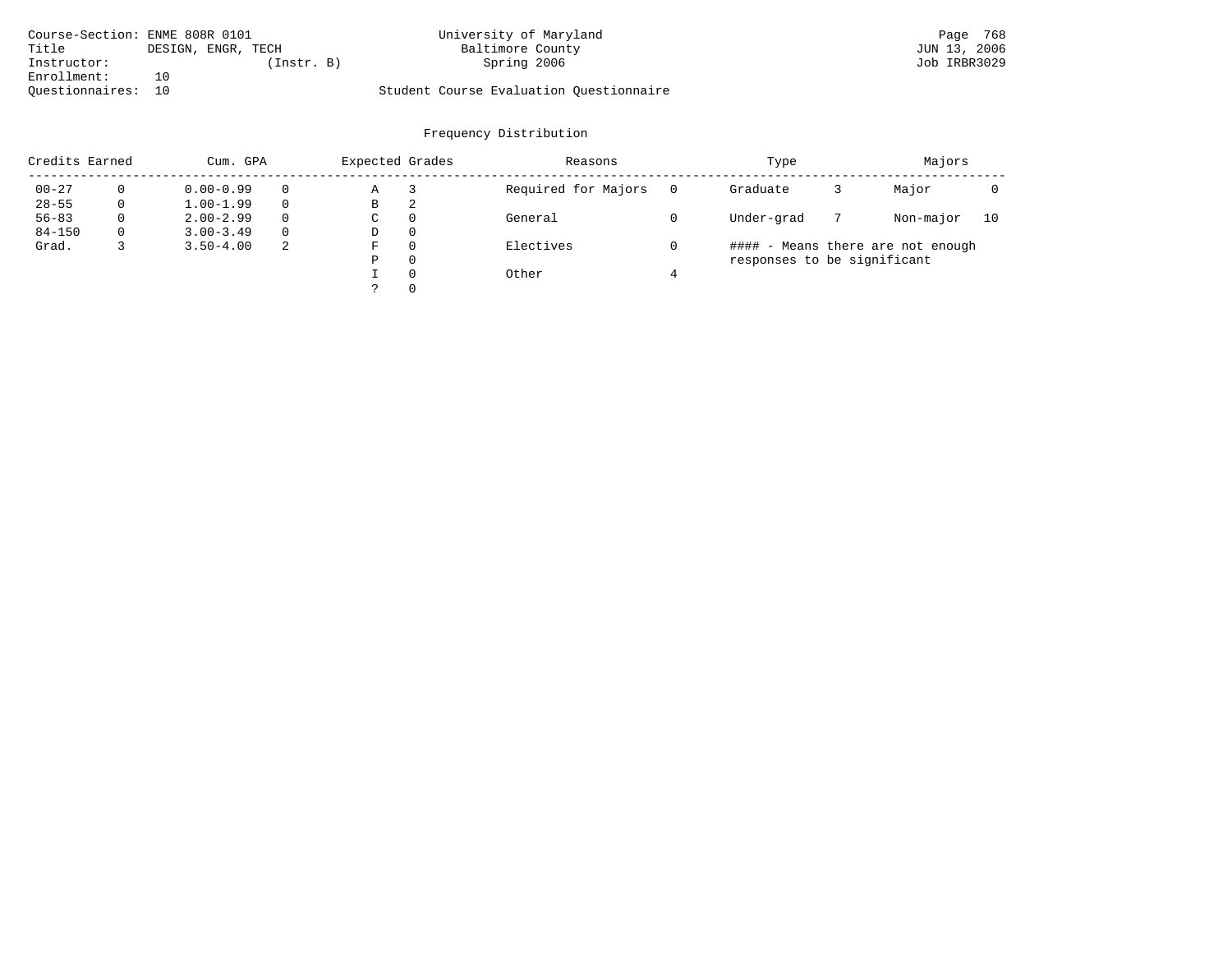| Course-Section: ENME 808R 0101 |                    | University of Maryland                  | Page 768     |
|--------------------------------|--------------------|-----------------------------------------|--------------|
| Title                          | DESIGN, ENGR, TECH | Baltimore County                        | JUN 13, 2006 |
| Instructor:                    | (Instr. B)         | Spring 2006                             | Job IRBR3029 |
| Enrollment:                    | 10                 |                                         |              |
| Ouestionnaires: 10             |                    | Student Course Evaluation Ouestionnaire |              |

| Credits Earned |          | Cum. GPA      |   | Expected Grades |          | Reasons             | Type     |                             |  |                                   |    |  |
|----------------|----------|---------------|---|-----------------|----------|---------------------|----------|-----------------------------|--|-----------------------------------|----|--|
| $00 - 27$      | $\Omega$ | $0.00 - 0.99$ |   | Α               |          | Required for Majors | $\Omega$ | Graduate                    |  | Major                             |    |  |
| $28 - 55$      | 0        | $1.00 - 1.99$ |   | В               | 2        |                     |          |                             |  |                                   |    |  |
| $56 - 83$      | 0        | $2.00 - 2.99$ |   | $\sim$<br>◡     | 0        | General             |          | Under-grad                  |  | Non-major                         | 10 |  |
| $84 - 150$     | 0        | $3.00 - 3.49$ |   | D               | 0        |                     |          |                             |  |                                   |    |  |
| Grad.          |          | $3.50 - 4.00$ | 2 | F               | 0        | Electives           |          |                             |  | #### - Means there are not enough |    |  |
|                |          |               |   | Ρ               | 0        |                     |          | responses to be significant |  |                                   |    |  |
|                |          |               |   |                 | $\Omega$ | Other               |          |                             |  |                                   |    |  |
|                |          |               |   |                 |          |                     |          |                             |  |                                   |    |  |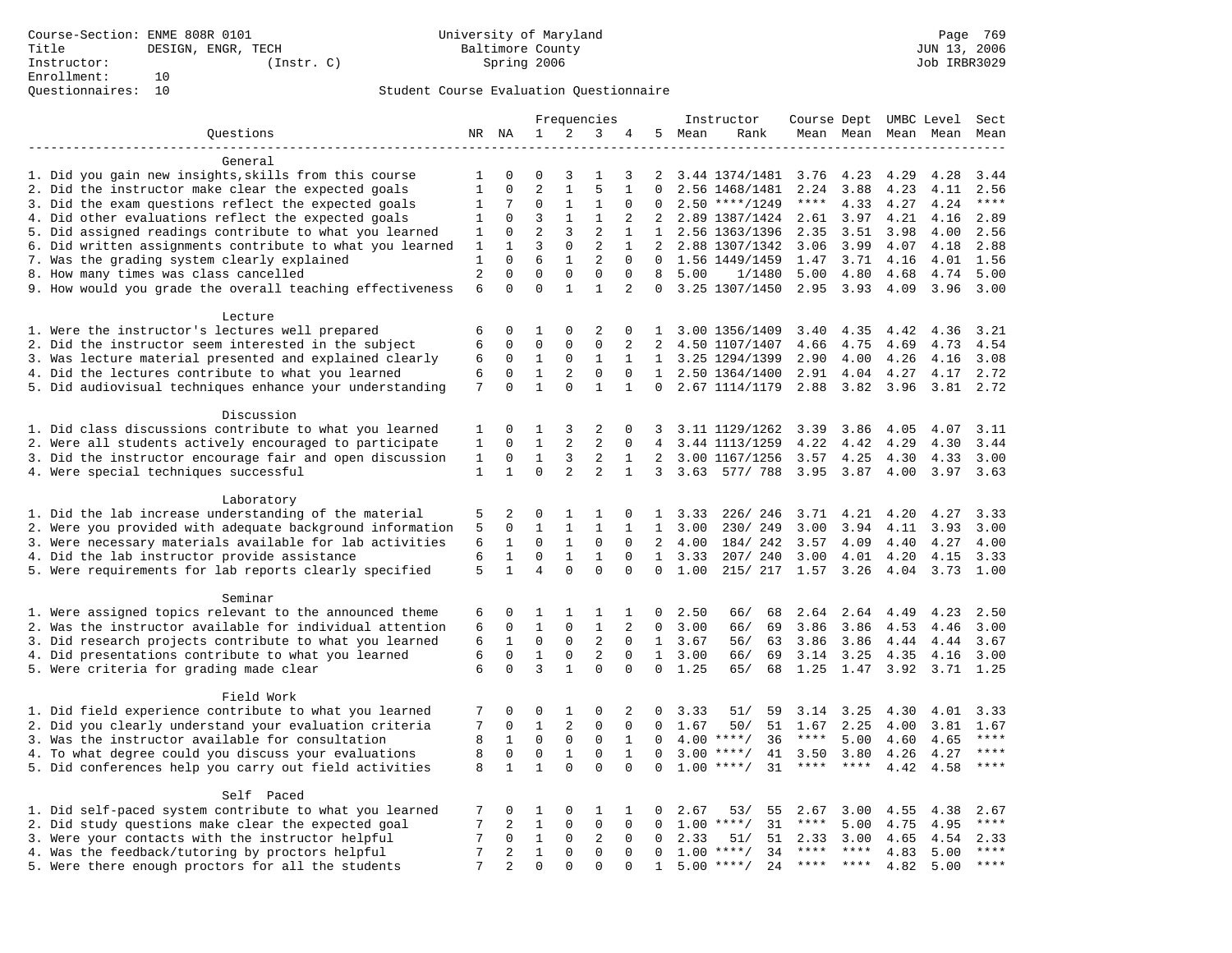|                                                                                                    | Frequencies                    |                         |                  | Instructor                  |                               | Course Dept UMBC Level |                |         |                          | Sect         |                        |                     |              |              |
|----------------------------------------------------------------------------------------------------|--------------------------------|-------------------------|------------------|-----------------------------|-------------------------------|------------------------|----------------|---------|--------------------------|--------------|------------------------|---------------------|--------------|--------------|
| Questions                                                                                          |                                | NR NA                   | 1                | 2                           | 3                             | 4                      |                | 5 Mean  | Rank                     |              |                        | Mean Mean Mean Mean |              | Mean         |
| ---------------------                                                                              |                                |                         |                  |                             |                               |                        |                |         |                          |              |                        |                     |              |              |
| General                                                                                            |                                |                         |                  |                             |                               |                        |                |         |                          |              |                        |                     |              |              |
| 1. Did you gain new insights, skills from this course                                              | 1                              | 0                       | 0                | 3                           | $\mathbf{1}$                  | 3                      | 2              |         | 3.44 1374/1481           | 3.76         | 4.23                   | 4.29                | 4.28         | 3.44         |
| 2. Did the instructor make clear the expected goals                                                | $\mathbf{1}$                   | $\mathbf 0$             | $\overline{2}$   | $\mathbf{1}$                | 5                             | $\mathbf{1}$           | $\Omega$       |         | 2.56 1468/1481           | 2.24         | 3.88                   | 4.23                | 4.11         | 2.56         |
| 3. Did the exam questions reflect the expected goals                                               | 1                              | 7                       | $\Omega$         | $\mathbf{1}$                | 1                             | $\Omega$               | $\Omega$       |         | $2.50$ ****/1249         | $***$ * * *  | 4.33                   | 4.27                | 4.24         | $***$        |
| 4. Did other evaluations reflect the expected goals                                                | 1                              | $\Omega$                | 3                | $\mathbf{1}$                | $\mathbf{1}$                  | $\overline{2}$         | $\overline{2}$ |         | 2.89 1387/1424           | 2.61         | 3.97                   | 4.21                | 4.16         | 2.89         |
| 5. Did assigned readings contribute to what you learned                                            | 1                              | $\mathbf 0$             | $\overline{2}$   | 3                           | $\overline{2}$                | $\mathbf{1}$           | $\mathbf{1}$   |         | 2.56 1363/1396           | 2.35         | 3.51                   | 3.98                | 4.00         | 2.56         |
| 6. Did written assignments contribute to what you learned                                          | 1                              | $\mathbf 1$<br>$\Omega$ | 3                | $\mathsf 0$                 | $\overline{2}$                | $\mathbf{1}$           | 2<br>$\Omega$  |         | 2.88 1307/1342           | 3.06         | 3.99                   | 4.07                | 4.18         | 2.88         |
| 7. Was the grading system clearly explained                                                        | $\mathbf{1}$<br>$\overline{2}$ | $\mathbf 0$             | 6<br>$\mathbf 0$ | $\mathbf{1}$<br>$\mathbf 0$ | $\overline{2}$<br>$\mathbf 0$ | $\mathbf{0}$<br>0      | 8              |         | 1.56 1449/1459           | 1.47         | 3.71                   | 4.16                | 4.01         | 1.56         |
| 8. How many times was class cancelled<br>9. How would you grade the overall teaching effectiveness | 6                              | $\Omega$                | $\Omega$         | $\mathbf{1}$                | $\mathbf{1}$                  | 2                      | $\Omega$       | 5.00    | 1/1480<br>3.25 1307/1450 | 5.00<br>2.95 | 4.80<br>3.93           | 4.68<br>4.09        | 4.74<br>3.96 | 5.00<br>3.00 |
|                                                                                                    |                                |                         |                  |                             |                               |                        |                |         |                          |              |                        |                     |              |              |
| Lecture                                                                                            |                                |                         |                  |                             |                               |                        |                |         |                          |              |                        |                     |              |              |
| 1. Were the instructor's lectures well prepared                                                    | 6                              | $\Omega$                | 1                | $\Omega$                    | 2                             | $\Omega$               | $\mathbf{1}$   |         | 3.00 1356/1409           | 3.40         | 4.35                   | 4.42                | 4.36         | 3.21         |
| 2. Did the instructor seem interested in the subject                                               | 6                              | $\mathbf 0$             | 0                | $\mathsf 0$                 | $\Omega$                      | 2                      | 2              |         | 4.50 1107/1407           | 4.66         | 4.75                   | 4.69                | 4.73         | 4.54         |
| 3. Was lecture material presented and explained clearly                                            | 6                              | $\mathbf 0$             | $1\,$            | $\mathsf 0$                 | $\mathbf{1}$                  | $\mathbf{1}$           |                |         | 1 3.25 1294/1399         | 2.90         | 4.00                   | 4.26                | 4.16         | 3.08         |
| 4. Did the lectures contribute to what you learned                                                 | 6                              | $\mathbf 0$             | $\mathbf{1}$     | $\overline{2}$              | $\mathbf 0$                   | $\mathbf 0$            |                |         | 1 2.50 1364/1400         | 2.91         | 4.04                   | 4.27                | 4.17         | 2.72         |
| 5. Did audiovisual techniques enhance your understanding                                           | 7                              | $\Omega$                | $\mathbf{1}$     | $\Omega$                    | $\mathbf{1}$                  | $\mathbf{1}$           | $\Omega$       |         | 2.67 1114/1179           | 2.88         | 3.82                   | 3.96                | 3.81         | 2.72         |
|                                                                                                    |                                |                         |                  |                             |                               |                        |                |         |                          |              |                        |                     |              |              |
| Discussion                                                                                         |                                |                         |                  |                             |                               |                        |                |         |                          |              |                        |                     |              |              |
| 1. Did class discussions contribute to what you learned                                            | 1                              | $\mathbf 0$             | 1                | 3                           | 2                             | 0                      | 3              |         | 3.11 1129/1262           | 3.39         | 3.86                   | 4.05                | 4.07         | 3.11         |
| 2. Were all students actively encouraged to participate                                            | $\mathbf{1}$                   | $\Omega$                | $\mathbf{1}$     | 2                           | $\overline{a}$                | $\Omega$               | 4              |         | 3.44 1113/1259           | 4.22         | 4.42                   | 4.29                | 4.30         | 3.44         |
| 3. Did the instructor encourage fair and open discussion                                           | $\mathbf{1}$                   | $\mathbf 0$             | $\mathbf{1}$     | 3                           | $\overline{2}$                | $\mathbf{1}$           | $\overline{2}$ |         | 3.00 1167/1256           | 3.57         | 4.25                   | 4.30                | 4.33         | 3.00         |
| 4. Were special techniques successful                                                              | $\mathbf{1}$                   | $\mathbf{1}$            | $\mathbf 0$      | 2                           | 2                             | $\mathbf{1}$           |                |         | 3 3.63 577/ 788          | 3.95         | 3.87                   | 4.00                | 3.97         | 3.63         |
|                                                                                                    |                                |                         |                  |                             |                               |                        |                |         |                          |              |                        |                     |              |              |
| Laboratory                                                                                         |                                |                         |                  |                             |                               |                        |                |         |                          |              |                        |                     |              |              |
| 1. Did the lab increase understanding of the material                                              | 5                              | 2                       | 0                | 1                           | 1                             | 0                      | $\mathbf{1}$   | 3.33    | 226/246                  | 3.71         | 4.21                   | 4.20                | 4.27         | 3.33         |
| 2. Were you provided with adequate background information                                          | 5                              | $\mathbf 0$             | $\mathbf{1}$     | 1                           | 1                             | $\mathbf{1}$           | $\mathbf{1}$   | 3.00    | 230/ 249                 | 3.00         | 3.94                   | 4.11                | 3.93         | 3.00         |
| 3. Were necessary materials available for lab activities                                           | 6                              | $\mathbf{1}$            | $\Omega$         | $\mathbf{1}$                | $\mathbf 0$                   | $\Omega$               |                | 2, 4.00 | 184/ 242                 | 3.57         | 4.09                   | 4.40                | 4.27         | 4.00         |
| 4. Did the lab instructor provide assistance                                                       | 6                              | $\mathbf{1}$            | $\Omega$         | $\mathbf{1}$                | $\mathbf{1}$                  | $\Omega$               | $\mathbf{1}$   | 3.33    | 207/240                  | 3.00         | 4.01                   | 4.20                | 4.15         | 3.33         |
| 5. Were requirements for lab reports clearly specified                                             | 5                              | $\mathbf{1}$            | $\overline{4}$   | $\Omega$                    | $\Omega$                      | $\mathbf 0$            | $\mathbf 0$    | 1.00    | 215/ 217                 | 1.57         | 3.26                   | 4.04                | 3.73         | 1.00         |
| Seminar                                                                                            |                                |                         |                  |                             |                               |                        |                |         |                          |              |                        |                     |              |              |
| 1. Were assigned topics relevant to the announced theme                                            | 6                              | $\mathbf 0$             | 1                | 1                           | 1                             | 1                      | $\Omega$       | 2.50    | 68<br>66/                | 2.64         | 2.64                   | 4.49                | 4.23         | 2.50         |
| 2. Was the instructor available for individual attention                                           | 6                              | $\mathbf 0$             | $\mathbf{1}$     | $\mathbf 0$                 | $\mathbf{1}$                  | 2                      | $\mathbf 0$    | 3.00    | 66/<br>69                | 3.86         | 3.86                   | 4.53                | 4.46         | 3.00         |
| 3. Did research projects contribute to what you learned                                            | 6                              | $\mathbf{1}$            | $\mathbf 0$      | $\mathbf 0$                 | 2                             | $\mathbf 0$            |                | 1, 3.67 | 56/<br>63                | 3.86         | 3.86                   | 4.44                | 4.44         | 3.67         |
| 4. Did presentations contribute to what you learned                                                | 6                              | $\mathbf 0$             | $\mathbf{1}$     | $\mathbf 0$                 | 2                             | $\Omega$               | $\mathbf{1}$   | 3.00    | 69<br>66/                | 3.14         | 3.25                   | 4.35                | 4.16         | 3.00         |
| 5. Were criteria for grading made clear                                                            | 6                              | $\Omega$                | 3                | $\mathbf{1}$                | $\Omega$                      | $\Omega$               | $\Omega$       | 1.25    | 65/<br>68                | 1.25         | 1.47                   | 3.92                | 3.71 1.25    |              |
|                                                                                                    |                                |                         |                  |                             |                               |                        |                |         |                          |              |                        |                     |              |              |
| Field Work                                                                                         |                                |                         |                  |                             |                               |                        |                |         |                          |              |                        |                     |              |              |
| 1. Did field experience contribute to what you learned                                             | 7                              | $\mathbf 0$             | 0                | 1                           | 0                             | 2                      | 0              | 3.33    | 51/<br>59                | 3.14         | 3.25                   | 4.30                | 4.01         | 3.33         |
| 2. Did you clearly understand your evaluation criteria                                             | 7                              | $\mathbf 0$             | $\mathbf{1}$     | 2                           | 0                             | 0                      | $\Omega$       | 1.67    | 50/<br>51                | 1.67         | 2.25                   | 4.00                | 3.81         | 1.67         |
| 3. Was the instructor available for consultation                                                   | 8                              | $\mathbf{1}$            | $\mathbf 0$      | $\mathbf 0$                 | $\mathbf 0$                   | $\mathbf{1}$           | $\Omega$       |         | $4.00$ ****/<br>36       | $***$ * * *  | 5.00                   | 4.60                | 4.65         | $***$        |
| 4. To what degree could you discuss your evaluations                                               | 8                              | $\mathbf 0$             | $\mathbf 0$      | $\mathbf{1}$                | $\mathbf 0$                   | $\mathbf{1}$           | $\Omega$       | 3.00    | $***$ /<br>41            | 3.50         | 3.80                   | 4.26                | 4.27         | $***$        |
| 5. Did conferences help you carry out field activities                                             | 8                              | $\mathbf{1}$            | $\mathbf{1}$     | $\Omega$                    | $\Omega$                      | $\Omega$               | $\Omega$       | 1.00    | $***$ /<br>31            | $***$ * *    | $***$                  | 4.42                | 4.58         | ****         |
|                                                                                                    |                                |                         |                  |                             |                               |                        |                |         |                          |              |                        |                     |              |              |
| Self Paced                                                                                         |                                |                         |                  |                             |                               |                        |                |         |                          |              |                        |                     |              |              |
| 1. Did self-paced system contribute to what you learned                                            | 7                              | 0                       | 1                | 0                           | 1                             | 1                      | 0              | 2.67    | 53/<br>55                | 2.67         | 3.00                   | 4.55                | 4.38         | 2.67         |
| 2. Did study questions make clear the expected goal                                                | 7                              | 2                       | $\mathbf{1}$     | $\mathbf{0}$                | $\mathbf 0$                   | $\mathbf 0$            | $\mathbf 0$    |         | $1.00$ ****/<br>31       | ****         | 5.00                   | 4.75                | 4.95         | $***$        |
| 3. Were your contacts with the instructor helpful                                                  | 7                              | $\Omega$                | $\mathbf{1}$     | $\Omega$                    | 2                             | $\Omega$               | $\Omega$       | 2.33    | 51<br>51/                | 2.33         | 3.00                   | 4.65                | 4.54         | 2.33         |
| 4. Was the feedback/tutoring by proctors helpful                                                   | 7                              | 2                       | $\mathbf{1}$     | $\Omega$                    | $\Omega$                      | $\Omega$               | $\Omega$       |         | $1.00$ ****/<br>34       | ****         | $\star\star\star\star$ | 4.83                | 5.00         | $***$        |
| 5. Were there enough proctors for all the students                                                 | 7                              | $\overline{2}$          | $\Omega$         | $\Omega$                    | $\Omega$                      | $\Omega$               | $\mathbf{1}$   |         | $5.00$ ****/<br>24       | $***$ * * *  | ****                   | 4.82                | 5.00         | $***$        |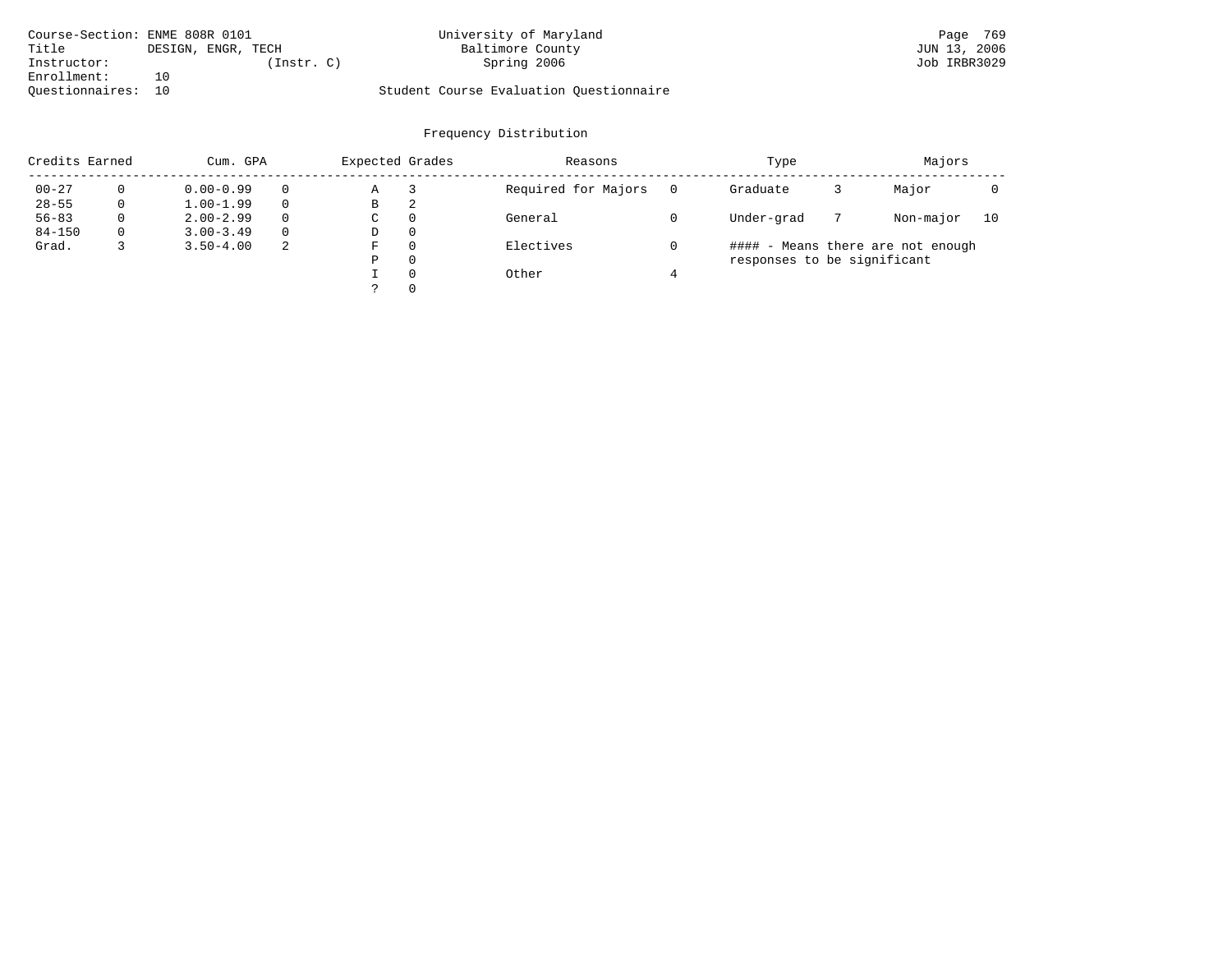| Course-Section: ENME 808R 0101 |                    | University of Maryland                  | Page 769     |
|--------------------------------|--------------------|-----------------------------------------|--------------|
| Title                          | DESIGN, ENGR, TECH | Baltimore County                        | JUN 13, 2006 |
| Instructor:                    | Instr. C)          | Spring 2006                             | Job IRBR3029 |
| Enrollment:                    | 1 N                |                                         |              |
| Ouestionnaires: 10             |                    | Student Course Evaluation Questionnaire |              |

| Credits Earned |          | Cum. GPA      |   | Expected Grades |          | Reasons             | Type     |                             |  |                                   |    |  |
|----------------|----------|---------------|---|-----------------|----------|---------------------|----------|-----------------------------|--|-----------------------------------|----|--|
| $00 - 27$      | $\Omega$ | $0.00 - 0.99$ |   | Α               |          | Required for Majors | $\Omega$ | Graduate                    |  | Major                             |    |  |
| $28 - 55$      | 0        | $1.00 - 1.99$ |   | В               | 2        |                     |          |                             |  |                                   |    |  |
| $56 - 83$      | 0        | $2.00 - 2.99$ |   | $\sim$<br>◡     | 0        | General             |          | Under-grad                  |  | Non-major                         | 10 |  |
| $84 - 150$     | 0        | $3.00 - 3.49$ |   | D               | 0        |                     |          |                             |  |                                   |    |  |
| Grad.          |          | $3.50 - 4.00$ | 2 | F               | 0        | Electives           |          |                             |  | #### - Means there are not enough |    |  |
|                |          |               |   | Ρ               | 0        |                     |          | responses to be significant |  |                                   |    |  |
|                |          |               |   |                 | $\Omega$ | Other               |          |                             |  |                                   |    |  |
|                |          |               |   |                 |          |                     |          |                             |  |                                   |    |  |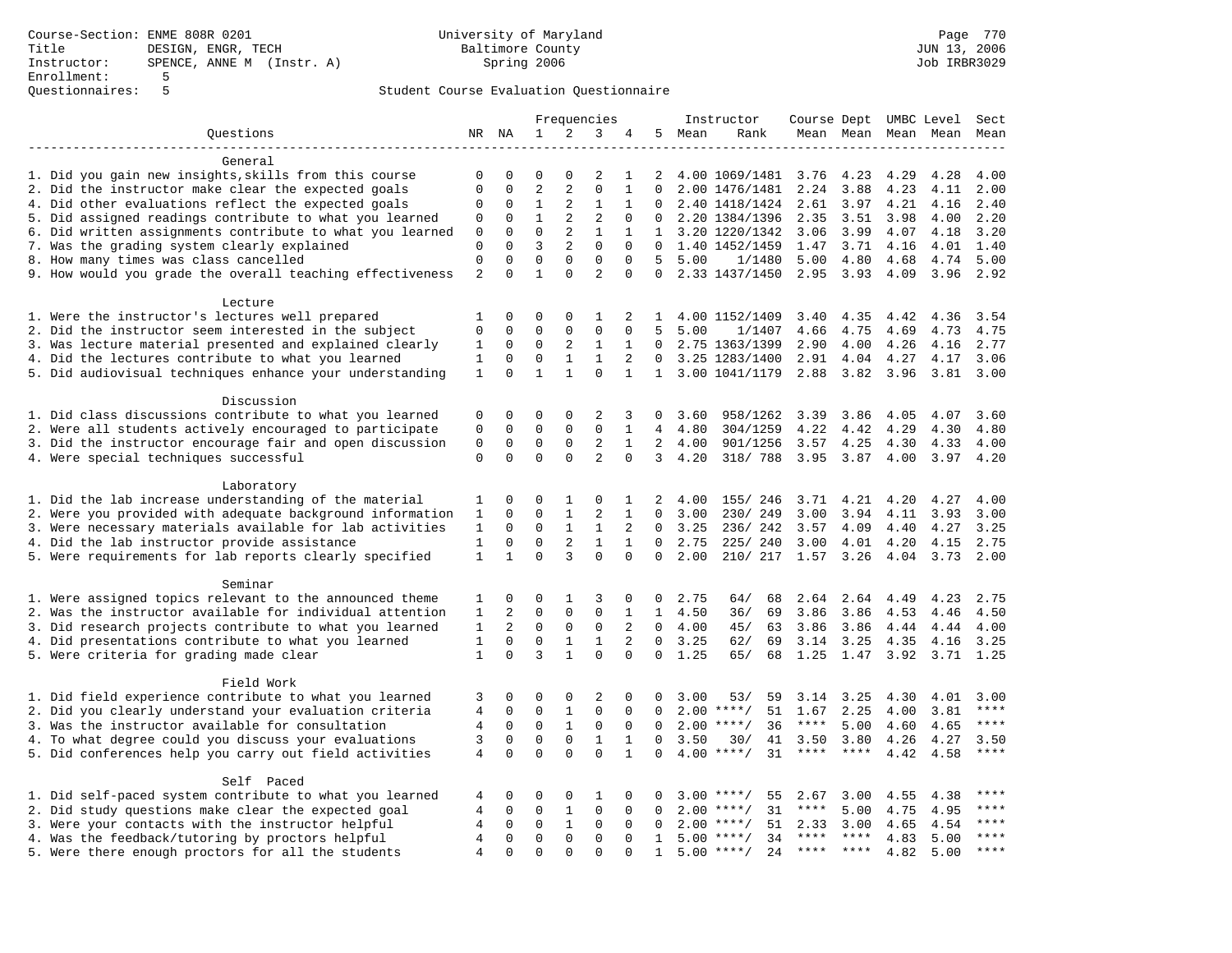|                                                           |                |              |                |                | Frequencies    |              |              |      | Instructor         | Course Dept UMBC Level |         |      |                          | Sect        |
|-----------------------------------------------------------|----------------|--------------|----------------|----------------|----------------|--------------|--------------|------|--------------------|------------------------|---------|------|--------------------------|-------------|
| Ouestions                                                 | NR             | NA           | $\mathbf{1}$   | 2              | 3              | 4            | 5            | Mean | Rank               |                        |         |      | Mean Mean Mean Mean Mean |             |
|                                                           |                |              |                |                |                |              |              |      |                    |                        |         |      |                          |             |
| General                                                   |                |              |                |                |                |              |              |      |                    |                        |         |      |                          |             |
| 1. Did you gain new insights, skills from this course     | $\mathbf 0$    | $\Omega$     | $\Omega$       | $\mathbf 0$    | 2              | 1            | 2            |      | 4.00 1069/1481     | 3.76                   | 4.23    | 4.29 | 4.28                     | 4.00        |
| 2. Did the instructor make clear the expected goals       | $\mathbf{0}$   | $\mathbf 0$  | 2              | $\overline{c}$ | $\mathbf{0}$   | $\mathbf{1}$ | 0            |      | 2.00 1476/1481     | 2.24                   | 3.88    | 4.23 | 4.11                     | 2.00        |
| 4. Did other evaluations reflect the expected goals       | $\mathbf 0$    | $\mathbf 0$  | $\mathbf{1}$   | 2              | $\mathbf{1}$   | $\mathbf{1}$ | $\Omega$     |      | 2.40 1418/1424     | 2.61                   | 3.97    | 4.21 | 4.16                     | 2.40        |
| 5. Did assigned readings contribute to what you learned   | $\mathbf 0$    | $\mathbf{0}$ | $\mathbf{1}$   | 2              | $\overline{2}$ | $\Omega$     | $\Omega$     |      | 2.20 1384/1396     | 2.35                   | 3.51    | 3.98 | 4.00                     | 2.20        |
| 6. Did written assignments contribute to what you learned | 0              | $\mathbf 0$  | $\mathbf 0$    | 2              | $\mathbf{1}$   | 1            | $\mathbf{1}$ |      | 3.20 1220/1342     | 3.06                   | 3.99    | 4.07 | 4.18                     | 3.20        |
| 7. Was the grading system clearly explained               | $\mathbf 0$    | $\Omega$     | $\overline{3}$ | $\sqrt{2}$     | $\Omega$       | $\Omega$     | $\Omega$     |      | 1.40 1452/1459     | 1.47                   | 3.71    | 4.16 | 4.01                     | 1.40        |
| 8. How many times was class cancelled                     | $\mathbf 0$    | $\mathbf 0$  | $\mathbf 0$    | $\Omega$       | $\Omega$       | $\Omega$     | .5           | 5.00 | 1/1480             | 5.00                   | 4.80    | 4.68 | 4.74                     | 5.00        |
| 9. How would you grade the overall teaching effectiveness | $\overline{2}$ | $\Omega$     | $\mathbf{1}$   | $\Omega$       | $\overline{a}$ | $\Omega$     | $\Omega$     |      | 2.33 1437/1450     | 2.95                   | 3.93    | 4.09 | 3.96                     | 2.92        |
| Lecture                                                   |                |              |                |                |                |              |              |      |                    |                        |         |      |                          |             |
| 1. Were the instructor's lectures well prepared           | 1              | $\Omega$     | $\Omega$       | $\Omega$       | $\mathbf{1}$   | 2            | $\mathbf{1}$ |      | 4.00 1152/1409     | 3.40                   | 4.35    | 4.42 | 4.36                     | 3.54        |
| 2. Did the instructor seem interested in the subject      | $\mathbf{0}$   | $\mathbf 0$  | $\mathbf 0$    | $\mathbf 0$    | $\mathbf{0}$   | $\mathbf 0$  | 5            | 5.00 | 1/1407             | 4.66                   | 4.75    | 4.69 | 4.73                     | 4.75        |
| 3. Was lecture material presented and explained clearly   | 1              | $\mathbf 0$  | 0              | 2              | 1              | $\mathbf{1}$ | $\mathbf{0}$ |      | 2.75 1363/1399     | 2.90                   | 4.00    | 4.26 | 4.16                     | 2.77        |
|                                                           | $\mathbf{1}$   | $\Omega$     | $\mathbf 0$    | $\mathbf{1}$   | $\mathbf{1}$   | 2            | $\Omega$     |      | 3.25 1283/1400     | 2.91                   | 4.04    | 4.27 |                          | 3.06        |
| 4. Did the lectures contribute to what you learned        | $\mathbf{1}$   | $\Omega$     | $\mathbf{1}$   | $\mathbf{1}$   | $\Omega$       | $\mathbf{1}$ |              |      |                    |                        |         |      | 4.17                     |             |
| 5. Did audiovisual techniques enhance your understanding  |                |              |                |                |                |              |              |      | 1 3.00 1041/1179   | 2.88                   | 3.82    | 3.96 | $3.81$ $3.00$            |             |
| Discussion                                                |                |              |                |                |                |              |              |      |                    |                        |         |      |                          |             |
| 1. Did class discussions contribute to what you learned   | $\mathbf 0$    | $\mathbf 0$  | 0              | $\mathbf 0$    | $\overline{2}$ | 3            | $\Omega$     | 3.60 | 958/1262           | 3.39                   | 3.86    | 4.05 | 4.07                     | 3.60        |
| 2. Were all students actively encouraged to participate   | $\mathbf{0}$   | $\mathbf 0$  | $\mathbf 0$    | $\mathbf{0}$   | $\mathbf 0$    | 1            | 4            | 4.80 | 304/1259           | 4.22                   | 4.42    | 4.29 | 4.30                     | 4.80        |
| 3. Did the instructor encourage fair and open discussion  | $\mathsf 0$    | $\mathbf 0$  | $\mathbf 0$    | 0              | 2              | $\mathbf{1}$ | 2            | 4.00 | 901/1256           | 3.57                   | 4.25    | 4.30 | 4.33                     | 4.00        |
| 4. Were special techniques successful                     | $\Omega$       | $\Omega$     | $\Omega$       | $\Omega$       | $\overline{2}$ | $\Omega$     | 3            | 4.20 | 318/ 788           | 3.95                   | 3.87    | 4.00 | 3.97                     | 4.20        |
|                                                           |                |              |                |                |                |              |              |      |                    |                        |         |      |                          |             |
| Laboratory                                                |                |              |                |                |                |              |              |      |                    |                        |         |      |                          |             |
| 1. Did the lab increase understanding of the material     | 1              | $\mathbf 0$  | 0              | 1              | 0              | 1            | 2            | 4.00 | 155/ 246           | 3.71                   | 4.21    | 4.20 | 4.27                     | 4.00        |
| 2. Were you provided with adequate background information | $\mathbf{1}$   | $\Omega$     | $\Omega$       | $\mathbf{1}$   | $\overline{2}$ | $\mathbf{1}$ | $\Omega$     | 3.00 | 230/249            | 3.00                   | 3.94    | 4.11 | 3.93                     | 3.00        |
| 3. Were necessary materials available for lab activities  | $\mathbf{1}$   | $\Omega$     | $\Omega$       | $\mathbf{1}$   | $\mathbf{1}$   | 2            | $\Omega$     | 3.25 | 236/242            | 3.57                   | 4.09    | 4.40 | 4.27                     | 3.25        |
| 4. Did the lab instructor provide assistance              | $\mathbf{1}$   | $\mathbf 0$  | $\mathbf 0$    | 2              | $\mathbf{1}$   | $\mathbf{1}$ | $\Omega$     | 2.75 | 225/ 240           | 3.00                   | 4.01    | 4.20 | 4.15                     | 2.75        |
| 5. Were requirements for lab reports clearly specified    | $\mathbf{1}$   | $\mathbf{1}$ | $\Omega$       | 3              | $\Omega$       | $\Omega$     | $\Omega$     | 2.00 | 210/ 217 1.57      |                        | 3.26    | 4.04 | 3.73                     | 2.00        |
|                                                           |                |              |                |                |                |              |              |      |                    |                        |         |      |                          |             |
| Seminar                                                   |                |              |                |                |                |              |              |      |                    |                        |         |      |                          |             |
| 1. Were assigned topics relevant to the announced theme   | 1              | $\mathbf 0$  | 0              | 1              | 3              | 0            | 0            | 2.75 | 64/<br>68          | 2.64                   | 2.64    | 4.49 | 4.23                     | 2.75        |
| 2. Was the instructor available for individual attention  | 1              | 2            | $\Omega$       | $\Omega$       | $\Omega$       | $\mathbf{1}$ | $\mathbf{1}$ | 4.50 | 69<br>36/          | 3.86                   | 3.86    | 4.53 | 4.46                     | 4.50        |
| 3. Did research projects contribute to what you learned   | $\mathbf{1}$   | 2            | $\mathbf 0$    | $\mathsf 0$    | $\mathbf 0$    | 2            | $\Omega$     | 4.00 | 45/<br>63          | 3.86                   | 3.86    | 4.44 | 4.44                     | 4.00        |
| 4. Did presentations contribute to what you learned       | $\mathbf{1}$   | $\mathbf 0$  | $\mathbf 0$    | $\mathbf{1}$   | $\mathbf{1}$   | 2            | $\mathbf 0$  | 3.25 | 62/<br>69          | 3.14                   | 3.25    | 4.35 | 4.16                     | 3.25        |
| 5. Were criteria for grading made clear                   | $\mathbf{1}$   | $\mathbf 0$  | $\overline{3}$ | $\mathbf{1}$   | $\mathbf 0$    | 0            | $\mathbf 0$  | 1.25 | 65/<br>68          | 1.25                   | 1.47    |      | 3.92 3.71                | 1.25        |
| Field Work                                                |                |              |                |                |                |              |              |      |                    |                        |         |      |                          |             |
| 1. Did field experience contribute to what you learned    | 3              | 0            | 0              | 0              | 2              | 0            | 0            | 3.00 | 53/<br>59          | 3.14                   | 3.25    | 4.30 | 4.01                     | 3.00        |
|                                                           | $\overline{4}$ | $\mathbf 0$  | $\mathbf 0$    | $\mathbf{1}$   | $\mathbf 0$    | $\mathbf 0$  | $\mathbf 0$  |      | 51                 |                        |         |      |                          | ****        |
| 2. Did you clearly understand your evaluation criteria    |                |              |                |                |                |              |              |      | $2.00$ ****/       | 1.67                   | 2.25    | 4.00 | 3.81                     | $***$ * * * |
| 3. Was the instructor available for consultation          | $\overline{4}$ | $\mathbf 0$  | $\mathbf 0$    | $\mathbf{1}$   | $\mathbf 0$    | $\mathbf 0$  | $\Omega$     |      | $2.00$ ****/<br>36 | $***$ * * *            | 5.00    | 4.60 | 4.65                     |             |
| 4. To what degree could you discuss your evaluations      | 3              | $\mathbf 0$  | $\mathbf 0$    | $\mathbf 0$    | $\mathbf{1}$   | $\mathbf{1}$ | $\mathbf 0$  | 3.50 | 30/<br>41          | 3.50                   | 3.80    | 4.26 | 4.27                     | 3.50        |
| 5. Did conferences help you carry out field activities    | 4              | $\Omega$     | $\Omega$       | $\Omega$       | $\Omega$       | $\mathbf{1}$ | $\Omega$     |      | 31<br>$4.00$ ****/ | $***$ * * *            | $***$   | 4.42 | 4.58                     | $***$       |
| Self Paced                                                |                |              |                |                |                |              |              |      |                    |                        |         |      |                          |             |
| 1. Did self-paced system contribute to what you learned   | 4              | 0            | 0              | 0              | 1              | 0            | 0            | 3.00 | $***$ /<br>55      | 2.67                   | 3.00    | 4.55 | 4.38                     | $***$ * * * |
| 2. Did study questions make clear the expected goal       | $\overline{4}$ | $\Omega$     | $\mathbf 0$    | $\mathbf{1}$   | $\mathbf 0$    | $\Omega$     | $\Omega$     | 2.00 | $***/$<br>31       | $***$ * * *            | 5.00    | 4.75 | 4.95                     | $***$       |
| 3. Were your contacts with the instructor helpful         | 4              | $\Omega$     | $\mathbf 0$    | $\mathbf{1}$   | $\Omega$       | $\Omega$     | $\Omega$     | 2.00 | $***/$<br>51       | 2.33                   | 3.00    | 4.65 | 4.54                     | ****        |
| 4. Was the feedback/tutoring by proctors helpful          | 4              | $\mathbf 0$  | $\mathbf 0$    | $\mathbf 0$    | $\mathbf 0$    | $\Omega$     | $\mathbf{1}$ |      | $5.00$ ****/<br>34 | $***$ * * *            | $***$ * | 4.83 | 5.00                     | $***$       |
| 5. Were there enough proctors for all the students        | $\overline{4}$ | $\mathbf 0$  | $\mathbf 0$    | $\Omega$       | $\mathbf{0}$   | $\Omega$     | 1            |      | 24<br>$5.00$ ****/ | $***$ * * *            | $***$ * | 4.82 | 5.00                     | ****        |
|                                                           |                |              |                |                |                |              |              |      |                    |                        |         |      |                          |             |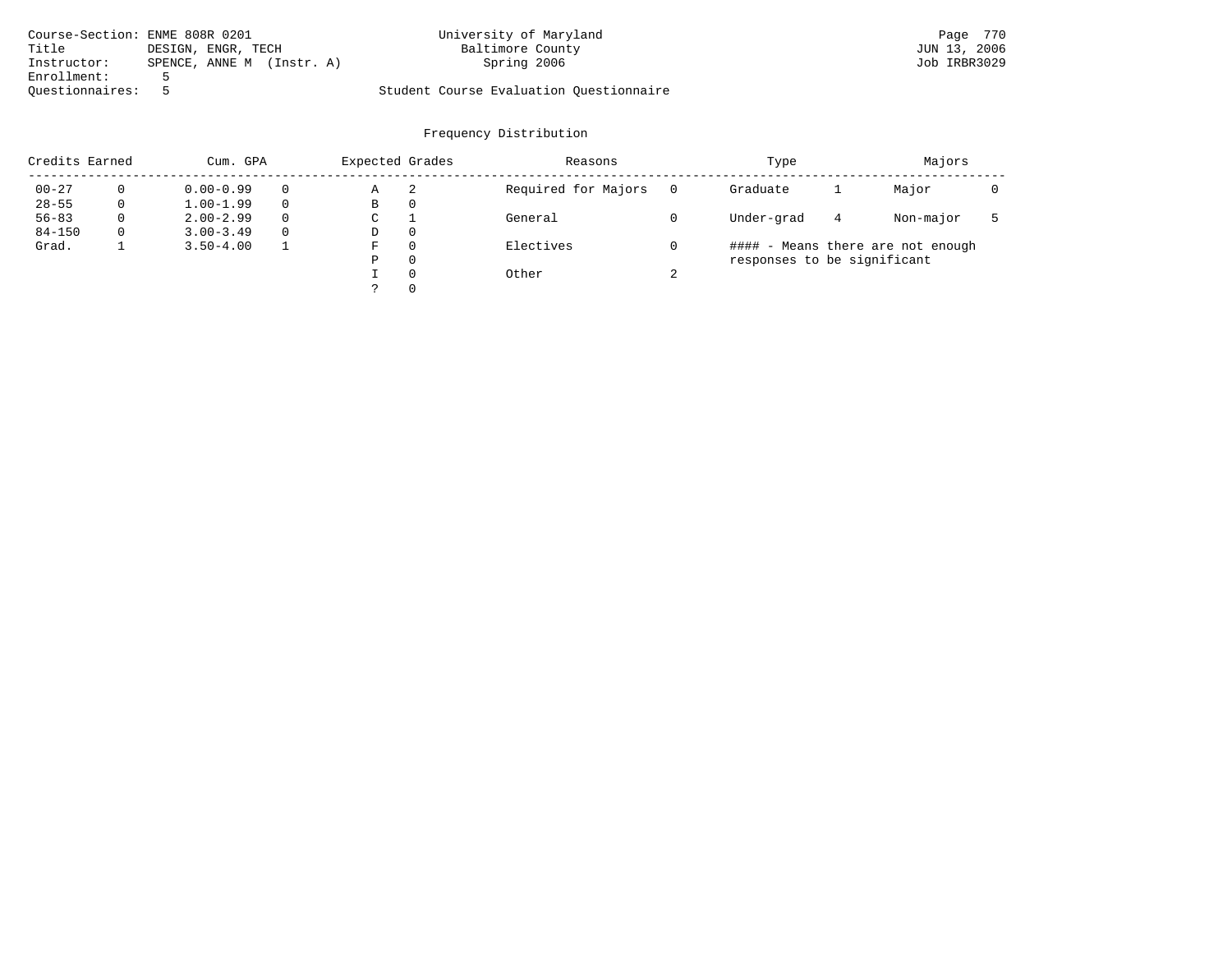| Course-Section: ENME 808R 0201 |                           | University of Maryland                  | Page 770     |
|--------------------------------|---------------------------|-----------------------------------------|--------------|
| Title                          | DESIGN, ENGR, TECH        | Baltimore County                        | JUN 13, 2006 |
| Instructor:                    | SPENCE, ANNE M (Instr. A) | Spring 2006                             | Job IRBR3029 |
| Enrollment:                    |                           |                                         |              |
| Ouestionnaires:                |                           | Student Course Evaluation Questionnaire |              |

| Credits Earned |   | Cum. GPA      |          | Expected Grades |          | Reasons             |        | Majors                      |   |                                   |  |
|----------------|---|---------------|----------|-----------------|----------|---------------------|--------|-----------------------------|---|-----------------------------------|--|
| $00 - 27$      |   | $0.00 - 0.99$ |          | Α               | -2       | Required for Majors |        | Graduate                    |   | Major                             |  |
| $28 - 55$      | 0 | $1.00 - 1.99$ |          | В               | 0        |                     |        |                             |   |                                   |  |
| $56 - 83$      | 0 | $2.00 - 2.99$ | $\Omega$ | C               |          | General             |        | Under-grad                  | 4 | Non-major                         |  |
| $84 - 150$     | 0 | $3.00 - 3.49$ | $\Omega$ | D               | 0        |                     |        |                             |   |                                   |  |
| Grad.          |   | $3.50 - 4.00$ |          | F               | $\Omega$ | Electives           |        |                             |   | #### - Means there are not enough |  |
|                |   |               |          | P               | $\Omega$ |                     |        | responses to be significant |   |                                   |  |
|                |   |               |          |                 | $\Omega$ | Other               | $\sim$ |                             |   |                                   |  |
|                |   |               |          |                 | $\Omega$ |                     |        |                             |   |                                   |  |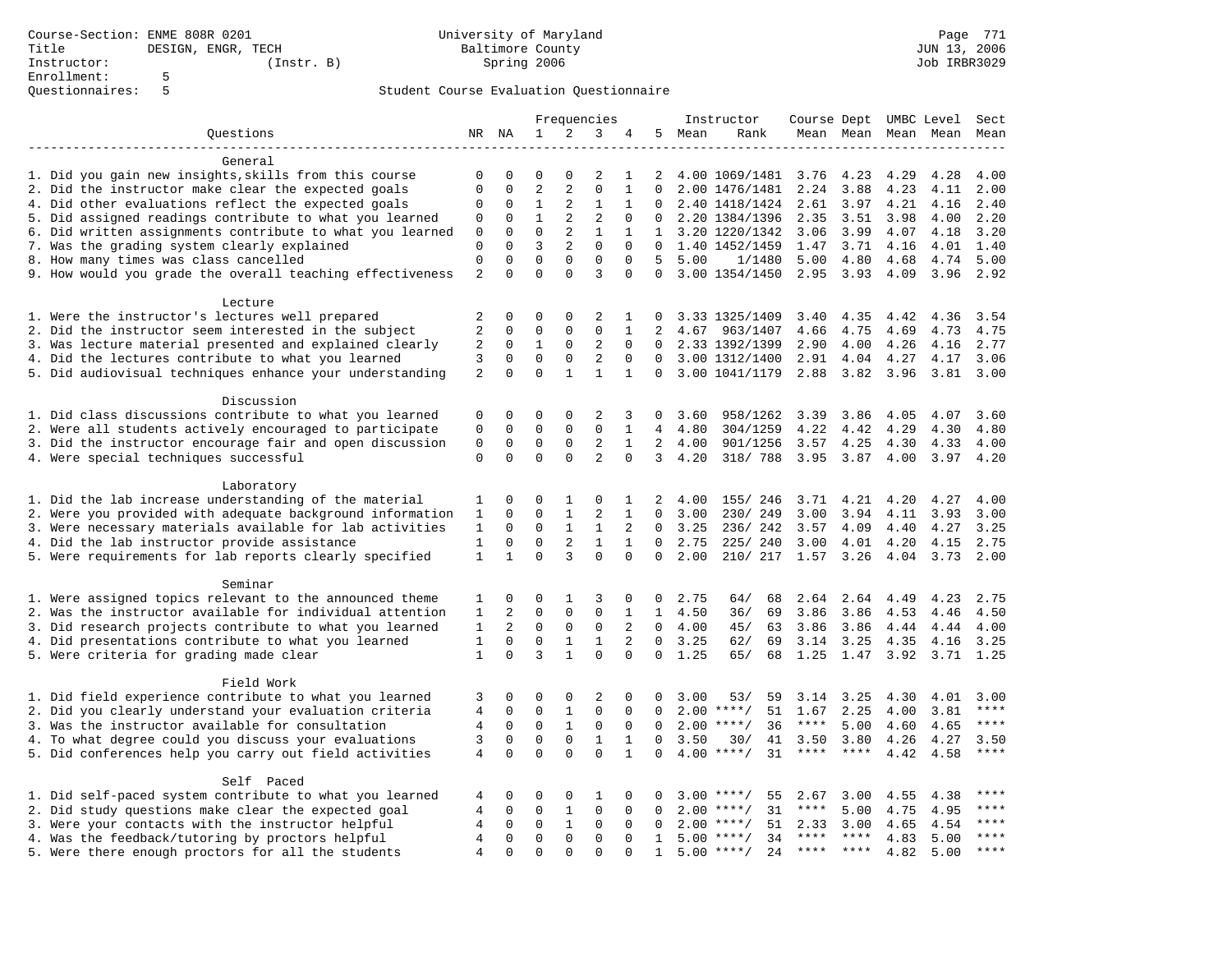|                                                           | Frequencies    |              |                | Instructor     |                |              |                | Course Dept UMBC Level Sect |                     |               |                |      |                     |             |
|-----------------------------------------------------------|----------------|--------------|----------------|----------------|----------------|--------------|----------------|-----------------------------|---------------------|---------------|----------------|------|---------------------|-------------|
| Questions                                                 |                | NR NA        | 1              | 2              | 3              | 4            | 5              | Mean                        | Rank                |               |                |      | Mean Mean Mean Mean | Mean        |
|                                                           |                |              |                |                |                |              |                |                             |                     |               |                |      |                     |             |
| General                                                   |                |              |                |                |                |              |                |                             |                     |               |                |      |                     |             |
| 1. Did you gain new insights, skills from this course     | $\mathbf 0$    | 0            | $\mathbf 0$    | $\Omega$       | 2              | 1            | 2              |                             | 4.00 1069/1481 3.76 |               | 4.23           | 4.29 | 4.28                | 4.00        |
| 2. Did the instructor make clear the expected goals       | $\mathbf 0$    | $\mathbf 0$  | $\overline{2}$ | $\overline{a}$ | $\mathbf 0$    | $\mathbf{1}$ | $\Omega$       |                             | 2.00 1476/1481      | 2.24          | 3.88           | 4.23 | 4.11                | 2.00        |
| 4. Did other evaluations reflect the expected goals       | 0              | 0            | $\mathbf{1}$   | 2              | $\mathbf{1}$   | 1            |                |                             | 2.40 1418/1424      | 2.61          | 3.97           | 4.21 | 4.16                | 2.40        |
| 5. Did assigned readings contribute to what you learned   | 0              | $\mathbf 0$  | $\mathbf{1}$   | 2              | $\overline{2}$ | $\mathbf 0$  | $\Omega$       |                             | 2.20 1384/1396      | 2.35          | 3.51           | 3.98 | 4.00                | 2.20        |
| 6. Did written assignments contribute to what you learned | $\mathbf 0$    | $\mathbf 0$  | $\Omega$       | 2              | $\mathbf{1}$   | $\mathbf{1}$ |                |                             | 1 3.20 1220/1342    | 3.06          | 3.99           | 4.07 | 4.18                | 3.20        |
| 7. Was the grading system clearly explained               | $\mathbf 0$    | $\Omega$     | 3              | 2              | $\Omega$       | $\Omega$     |                |                             | 1.40 1452/1459      | 1.47          | 3.71           | 4.16 | 4.01                | 1.40        |
| 8. How many times was class cancelled                     | $\mathsf 0$    | $\mathbf 0$  | $\mathbf 0$    | $\mathbf 0$    | $\mathbf{0}$   | $\mathbf 0$  | 5              | 5.00                        | 1/1480              | 5.00          | 4.80           | 4.68 | 4.74                | 5.00        |
| 9. How would you grade the overall teaching effectiveness | $\overline{a}$ | $\Omega$     | $\Omega$       | $\Omega$       | 3              | $\Omega$     | $\Omega$       |                             | 3.00 1354/1450      |               | 2.95 3.93      | 4.09 | 3.96                | 2.92        |
| Lecture                                                   |                |              |                |                |                |              |                |                             |                     |               |                |      |                     |             |
| 1. Were the instructor's lectures well prepared           | 2              | $\Omega$     | $\Omega$       | $\Omega$       | $\overline{2}$ | 1            | $\Omega$       |                             | 3.33 1325/1409      | 3.40          | 4.35           | 4.42 | 4.36                | 3.54        |
| 2. Did the instructor seem interested in the subject      | 2              | $\mathbf 0$  | $\mathbf 0$    | $\mathbf 0$    | $\mathbf 0$    | $\mathbf{1}$ | $\overline{2}$ | 4.67                        | 963/1407            | 4.66          | 4.75           | 4.69 | 4.73                | 4.75        |
| 3. Was lecture material presented and explained clearly   | 2              | 0            | $\mathbf{1}$   | $\mathbf 0$    | 2              | 0            | $\Omega$       |                             | 2.33 1392/1399      | 2.90          | 4.00           | 4.26 | 4.16                | 2.77        |
| 4. Did the lectures contribute to what you learned        | 3              | $\Omega$     | $\mathbf 0$    | $\mathbf 0$    | $\overline{2}$ | $\Omega$     | $\Omega$       |                             | 3.00 1312/1400      | 2.91          | 4.04           | 4.27 | 4.17                | 3.06        |
| 5. Did audiovisual techniques enhance your understanding  | 2              | $\Omega$     | $\mathbf 0$    | $\mathbf{1}$   | $\mathbf{1}$   | $\mathbf{1}$ | $\Omega$       |                             | 3.00 1041/1179      | 2.88          | 3.82           | 3.96 | 3.81                | 3.00        |
|                                                           |                |              |                |                |                |              |                |                             |                     |               |                |      |                     |             |
| Discussion                                                |                |              |                |                |                |              |                |                             |                     |               |                |      |                     |             |
| 1. Did class discussions contribute to what you learned   | $\mathbf 0$    | 0            | $\mathbf 0$    | $\mathbf 0$    | $\overline{2}$ | 3            | 0              | 3.60                        | 958/1262            | 3.39          | 3.86           | 4.05 | 4.07                | 3.60        |
| 2. Were all students actively encouraged to participate   | $\mathsf 0$    | 0            | $\mathbf 0$    | $\mathbf 0$    | $\mathbf 0$    | 1            | 4              | 4.80                        | 304/1259            | 4.22          | 4.42           | 4.29 | 4.30                | 4.80        |
| 3. Did the instructor encourage fair and open discussion  | $\mathbf 0$    | $\mathbf 0$  | $\mathbf 0$    | $\mathbf 0$    | 2              | $\mathbf{1}$ | 2              | 4.00                        | 901/1256            | 3.57          | 4.25           | 4.30 | 4.33                | 4.00        |
| 4. Were special techniques successful                     | $\Omega$       | $\Omega$     | $\Omega$       | $\Omega$       | $\overline{2}$ | $\Omega$     | 3              | 4.20                        | 318/ 788            | 3.95          | 3.87           | 4.00 | 3.97                | 4.20        |
|                                                           |                |              |                |                |                |              |                |                             |                     |               |                |      |                     |             |
| Laboratory                                                |                |              |                |                |                |              |                |                             |                     |               |                |      |                     |             |
| 1. Did the lab increase understanding of the material     | 1              | 0            | $\mathbf 0$    | 1              | 0              | 1            | 2              | 4.00                        | 155/ 246            | 3.71          | 4.21           | 4.20 | 4.27                | 4.00        |
| 2. Were you provided with adequate background information | 1              | $\mathbf 0$  | $\mathbf 0$    | $\mathbf{1}$   | 2              | $\mathbf{1}$ | $\mathbf 0$    | 3.00                        | 230/249             | 3.00          | 3.94           | 4.11 | 3.93                | 3.00        |
| 3. Were necessary materials available for lab activities  | $\mathbf{1}$   | $\Omega$     | $\Omega$       | $\mathbf{1}$   | $\mathbf{1}$   | 2            | $\Omega$       | 3.25                        | 236/242             | 3.57          | 4.09           | 4.40 | 4.27                | 3.25        |
| 4. Did the lab instructor provide assistance              | $\mathbf{1}$   | $\mathbf 0$  | $\mathbf 0$    | $\mathbf{2}$   | $\mathbf{1}$   | $\mathbf{1}$ | $\Omega$       | 2.75                        | 225/240             | 3.00          | 4.01           | 4.20 | 4.15                | 2.75        |
| 5. Were requirements for lab reports clearly specified    | $\mathbf{1}$   | $\mathbf{1}$ | $\Omega$       | 3              | $\Omega$       | $\Omega$     | $\Omega$       | 2.00                        | 210/217 1.57 3.26   |               |                | 4.04 | 3.73                | 2.00        |
| Seminar                                                   |                |              |                |                |                |              |                |                             |                     |               |                |      |                     |             |
| 1. Were assigned topics relevant to the announced theme   | 1              | 0            | $\mathbf 0$    | 1              | 3              | $\mathbf 0$  | 0              | 2.75                        | 64/<br>68           | 2.64          | 2.64           | 4.49 | 4.23                | 2.75        |
| 2. Was the instructor available for individual attention  | 1              | 2            | $\Omega$       | $\Omega$       | $\Omega$       | $\mathbf{1}$ | $\mathbf{1}$   | 4.50                        | 36/<br>69           | 3.86          | 3.86           | 4.53 | 4.46                | 4.50        |
| 3. Did research projects contribute to what you learned   | $\mathbf{1}$   | 2            | $\mathbf 0$    | $\mathbf 0$    | $\mathbf 0$    | 2            | $\Omega$       | 4.00                        | 45/<br>63           | 3.86          | 3.86           | 4.44 | 4.44                | 4.00        |
| 4. Did presentations contribute to what you learned       | $\mathbf{1}$   | $\mathbf 0$  | $\mathsf 0$    | $\mathbf{1}$   | $\mathbf{1}$   | 2            | $\mathbf 0$    | 3.25                        | 62/<br>69           | $3.14$ $3.25$ |                | 4.35 | 4.16                | 3.25        |
| 5. Were criteria for grading made clear                   | $\mathbf{1}$   | $\Omega$     | 3              | $\mathbf{1}$   | $\Omega$       | $\Omega$     | $\Omega$       | 1.25                        | 65/<br>68           |               | 1.25 1.47 3.92 |      | 3.71                | 1.25        |
|                                                           |                |              |                |                |                |              |                |                             |                     |               |                |      |                     |             |
| Field Work                                                |                |              |                |                |                |              |                |                             |                     |               |                |      |                     |             |
| 1. Did field experience contribute to what you learned    | 3              | $\Omega$     | $\mathbf{0}$   | $\mathbf 0$    | $\overline{2}$ | $\Omega$     | $\Omega$       | 3.00                        | 53/<br>59           | 3.14          | 3.25           | 4.30 | 4.01                | 3.00        |
| 2. Did you clearly understand your evaluation criteria    | 4              | $\mathbf 0$  | $\mathbf 0$    | $\mathbf{1}$   | $\mathbf 0$    | $\mathbf 0$  | $\Omega$       |                             | 51<br>$2.00$ ****/  | 1.67          | 2.25           | 4.00 | 3.81                | ****        |
| 3. Was the instructor available for consultation          | 4              | $\mathbf 0$  | $\mathbf 0$    | $\mathbf{1}$   | $\mathbf 0$    | 0            | $\Omega$       |                             | $2.00$ ****/<br>36  | $***$ * * *   | 5.00           | 4.60 | 4.65                | $***$       |
| 4. To what degree could you discuss your evaluations      | 3              | $\Omega$     | $\mathbf 0$    | $\Omega$       | $\mathbf{1}$   | $\mathbf{1}$ | $\Omega$       | 3.50                        | 30/<br>41           | 3.50          | 3.80           | 4.26 | 4.27                | 3.50        |
| 5. Did conferences help you carry out field activities    | $\overline{4}$ | $\Omega$     | $\Omega$       | $\Omega$       | $\Omega$       | $\mathbf{1}$ | $\Omega$       |                             | $4.00$ ****/<br>31  | $***$ * *     | $***$          | 4.42 | 4.58                | $***$       |
|                                                           |                |              |                |                |                |              |                |                             |                     |               |                |      |                     |             |
| Self Paced                                                |                |              |                |                |                |              |                |                             |                     |               |                |      |                     |             |
| 1. Did self-paced system contribute to what you learned   | 4              | 0            | 0              | $\mathbf 0$    | 1              | $\mathbf 0$  | $\Omega$       | 3.00                        | $***$ /<br>55       | 2.67          | 3.00           | 4.55 | 4.38                | ****        |
| 2. Did study questions make clear the expected goal       | $\overline{4}$ | $\mathbf 0$  | $\mathbf 0$    | $\mathbf{1}$   | $\mathsf 0$    | $\mathbf 0$  | 0              | 2.00                        | 31<br>$***/$        | ****          | 5.00           | 4.75 | 4.95                | ****        |
| 3. Were your contacts with the instructor helpful         | $\overline{4}$ | $\mathbf 0$  | $\mathbf 0$    | $\mathbf{1}$   | $\mathbf{0}$   | $\Omega$     | $\Omega$       |                             | $2.00$ ****/<br>51  | 2.33          | 3.00           | 4.65 | 4.54                | $***$       |
| 4. Was the feedback/tutoring by proctors helpful          | $\overline{4}$ | $\Omega$     | $\Omega$       | $\Omega$       | $\Omega$       | $\Omega$     | $\mathbf{1}$   |                             | $5.00$ ****/<br>34  | $***$ * * *   | $***$ *        | 4.83 | 5.00                | $***$ * * * |
| 5. Were there enough proctors for all the students        | $\overline{4}$ | $\Omega$     | $\mathbf{0}$   | $\Omega$       | $\Omega$       | $\Omega$     | $\mathbf{1}$   |                             | 24<br>$5.00$ ****/  |               | **** ****      | 4.82 | 5.00                | $***$       |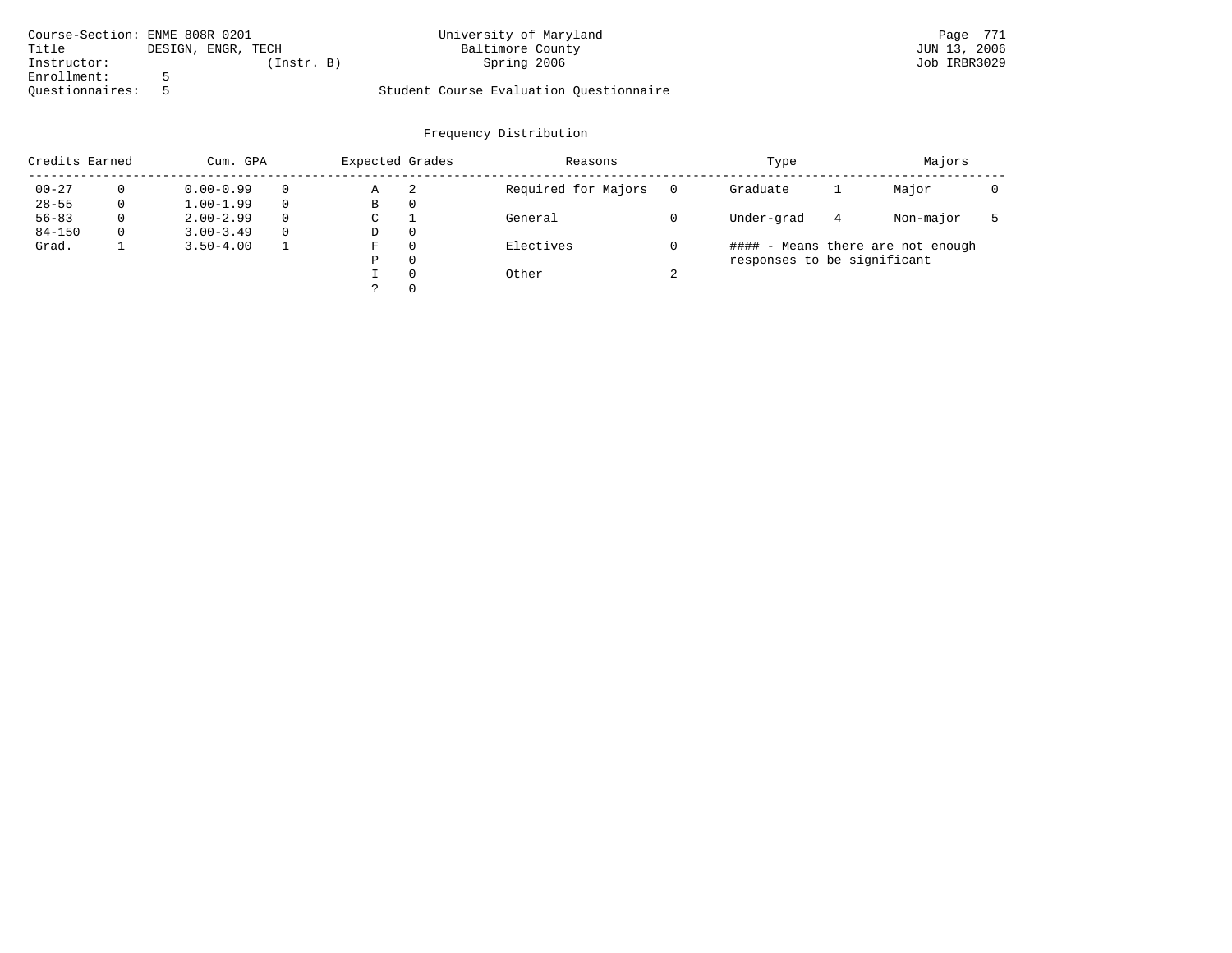| Course-Section: ENME 808R 0201 |                    | University of Maryland                  | Page 771     |
|--------------------------------|--------------------|-----------------------------------------|--------------|
| Title                          | DESIGN, ENGR, TECH | Baltimore County                        | JUN 13, 2006 |
| Instructor:                    | (Instr. B)         | Spring 2006                             | Job IRBR3029 |
| Enrollment:                    |                    |                                         |              |
| Ouestionnaires:                |                    | Student Course Evaluation Questionnaire |              |

| Credits Earned |   | Cum. GPA      |          | Expected Grades |          | Reasons             |        | Majors                      |   |                                   |  |
|----------------|---|---------------|----------|-----------------|----------|---------------------|--------|-----------------------------|---|-----------------------------------|--|
| $00 - 27$      |   | $0.00 - 0.99$ |          | Α               | -2       | Required for Majors |        | Graduate                    |   | Major                             |  |
| $28 - 55$      | 0 | $1.00 - 1.99$ |          | В               | 0        |                     |        |                             |   |                                   |  |
| $56 - 83$      | 0 | $2.00 - 2.99$ | $\Omega$ | C               |          | General             |        | Under-grad                  | 4 | Non-major                         |  |
| $84 - 150$     | 0 | $3.00 - 3.49$ | $\Omega$ | D               | 0        |                     |        |                             |   |                                   |  |
| Grad.          |   | $3.50 - 4.00$ |          | F               | $\Omega$ | Electives           |        |                             |   | #### - Means there are not enough |  |
|                |   |               |          | P               | $\Omega$ |                     |        | responses to be significant |   |                                   |  |
|                |   |               |          |                 | $\Omega$ | Other               | $\sim$ |                             |   |                                   |  |
|                |   |               |          |                 | $\Omega$ |                     |        |                             |   |                                   |  |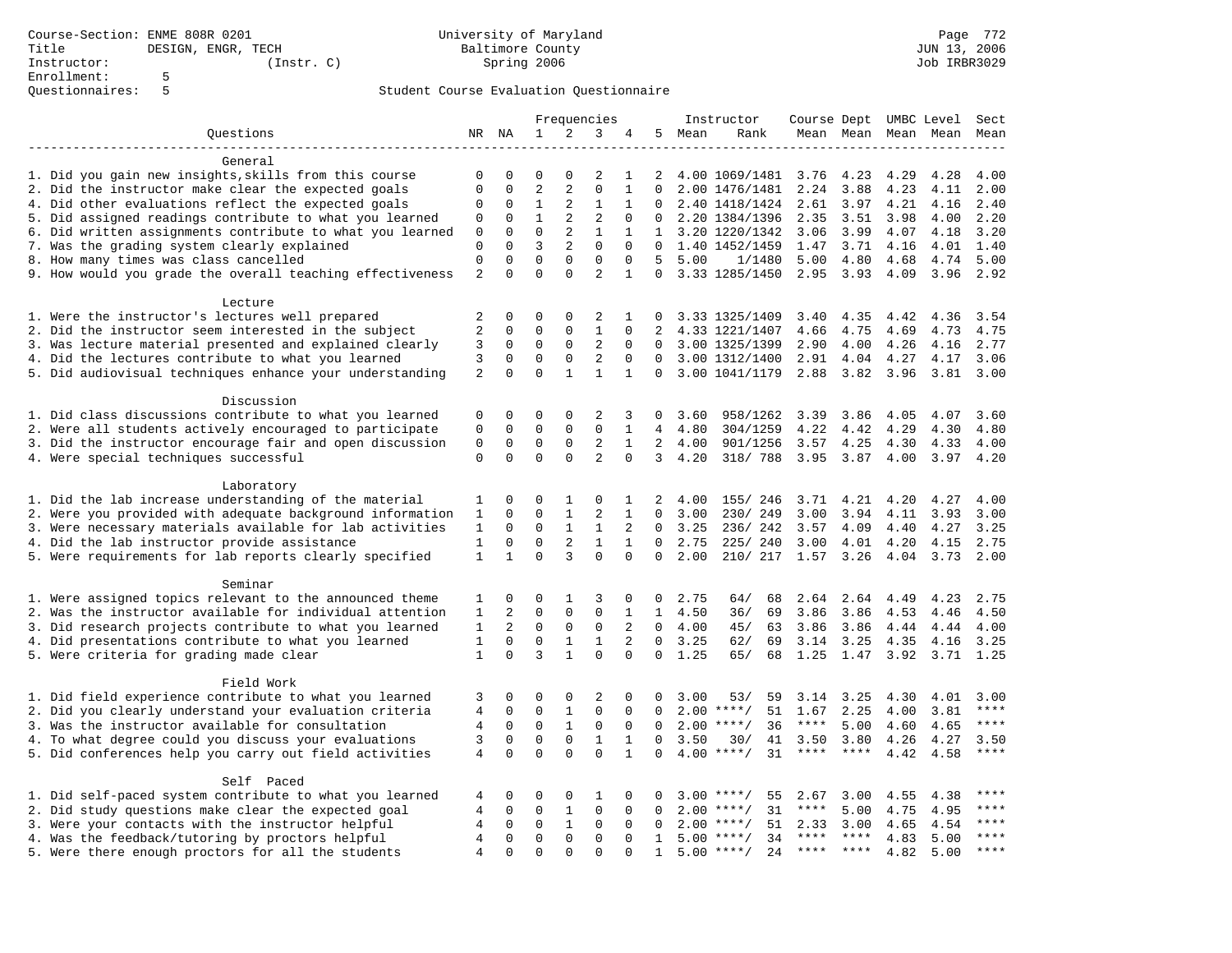| 2<br>Questions<br>NR NA<br>1<br>3<br>5 Mean<br>Mean Mean Mean Mean<br>4<br>Rank<br>Mean<br>General<br>1. Did you gain new insights, skills from this course<br>$\mathbf 0$<br>$\mathbf 0$<br>2<br>4.00 1069/1481 3.76<br>4.23<br>4.29<br>4.00<br>0<br>$\Omega$<br>1<br>2<br>4.28<br>2. Did the instructor make clear the expected goals<br>$\overline{2}$<br>$\overline{2}$<br>$\Omega$<br>$\mathbf{0}$<br>$\mathbf 0$<br>$\mathbf{1}$<br>$\Omega$<br>2.00 1476/1481<br>2.24<br>3.88<br>4.23<br>4.11<br>2.00<br>4. Did other evaluations reflect the expected goals<br>$\mathbf{1}$<br>2<br>$\mathbf{1}$<br>0<br>$\mathbf 0$<br>1<br>2.40 1418/1424<br>2.61<br>3.97<br>4.21<br>4.16<br>2.40<br>$\Omega$<br>2<br>$\overline{2}$<br>5. Did assigned readings contribute to what you learned<br>$\mathbf{1}$<br>2.20 1384/1396<br>2.35<br>4.00<br>2.20<br>0<br>$\mathbf 0$<br>0<br>$\Omega$<br>3.51<br>3.98<br>6. Did written assignments contribute to what you learned<br>$\Omega$<br>2<br>$\mathbf{0}$<br>$\Omega$<br>$\mathbf{1}$<br>$\mathbf{1}$<br>1 3.20 1220/1342<br>3.06<br>3.99<br>4.07<br>4.18<br>3.20<br>$\overline{2}$<br>7. Was the grading system clearly explained<br>$\Omega$<br>3<br>$\Omega$<br>$\mathbf{0}$<br>$\Omega$<br>1.40 1452/1459<br>3.71<br>4.01<br>1.40<br>1.47<br>4.16<br>$\mathsf 0$<br>$\mathbf 0$<br>$\mathbf 0$<br>8. How many times was class cancelled<br>$\mathbf 0$<br>$\mathbf 0$<br>$\mathbf 0$<br>5<br>4.80<br>5.00<br>1/1480<br>5.00<br>4.68<br>4.74<br>5.00<br>$\overline{2}$<br>$\Omega$<br>$\overline{a}$<br>9. How would you grade the overall teaching effectiveness<br>$\Omega$<br>$\Omega$<br>$\mathbf{1}$<br>$\Omega$<br>3.33 1285/1450<br>2.95<br>3.93<br>4.09<br>3.96<br>2.92<br>Lecture<br>1. Were the instructor's lectures well prepared<br>$\overline{2}$<br>$\Omega$<br>$\Omega$<br>$\Omega$<br>$\overline{2}$<br>3.33 1325/1409<br>4.35<br>3.54<br>$\Omega$<br>3.40<br>4.42<br>4.36<br>1<br>$\overline{2}$<br>$\mathbf 0$<br>$\mathbf 0$<br>$\mathbf 0$<br>$\mathbf{1}$<br>2. Did the instructor seem interested in the subject<br>$\mathbf 0$<br>$\overline{2}$<br>4.33 1221/1407<br>4.75<br>4.75<br>4.66<br>4.69<br>4.73<br>$\overline{2}$<br>3. Was lecture material presented and explained clearly<br>3<br>$\mathbf 0$<br>$\mathbf 0$<br>0<br>0<br>3.00 1325/1399<br>2.90<br>4.00<br>4.26<br>4.16<br>2.77<br>$\mathbf{0}$<br>$\overline{2}$<br>4. Did the lectures contribute to what you learned<br>3<br>$\mathbf 0$<br>$\mathbf 0$<br>$\mathbf 0$<br>$\Omega$<br>3.00 1312/1400<br>2.91<br>4.04<br>4.27<br>4.17<br>3.06<br>$\Omega$<br>2<br>$\Omega$<br>5. Did audiovisual techniques enhance your understanding<br>$\Omega$<br>$\mathbf{1}$<br>$\mathbf{1}$<br>$\mathbf{1}$<br>3.00 1041/1179<br>2.88<br>3.82<br>3.96<br>3.81<br>3.00<br>$\mathbf{0}$<br>Discussion<br>1. Did class discussions contribute to what you learned<br>3.60<br>$\mathbf 0$<br>$\mathbf 0$<br>0<br>$\mathbf 0$<br>2<br>3<br>0<br>3.60<br>958/1262<br>3.39<br>3.86<br>4.05<br>4.07<br>$\mathbf 0$<br>2. Were all students actively encouraged to participate<br>$\mathbf 0$<br>$\mathbf 0$<br>$\mathbf 0$<br>$\mathbf 0$<br>1<br>4<br>4.80<br>304/1259<br>4.22<br>4.42<br>4.29<br>4.30<br>4.80<br>3. Did the instructor encourage fair and open discussion<br>$\mathbf 0$<br>$\mathbf 0$<br>2<br>$\mathsf 0$<br>$\mathbf 0$<br>$\mathbf{1}$<br>2<br>4.00<br>901/1256<br>3.57<br>4.25<br>4.33<br>4.00<br>4.30<br>$\Omega$<br>$\Omega$<br>$\overline{2}$<br>4. Were special techniques successful<br>$\mathbf 0$<br>$\Omega$<br>$\Omega$<br>3<br>4.20<br>318/ 788<br>3.95<br>3.87<br>4.00<br>3.97<br>4.20<br>Laboratory<br>1. Did the lab increase understanding of the material<br>1<br>$\mathbf 0$<br>0<br>1<br>0<br>2<br>4.00<br>155/ 246<br>3.71<br>4.21<br>4.20<br>4.27<br>4.00<br>1<br>2. Were you provided with adequate background information<br>$\mathbf 0$<br>$\mathbf{1}$<br>2<br>$\mathbf 0$<br>1<br>$\mathbf 0$<br>1<br>3.00<br>230/ 249<br>3.00<br>3.94<br>4.11<br>3.93<br>3.00<br>3. Were necessary materials available for lab activities<br>$\Omega$<br>$\mathbf{1}$<br>$\mathbf{1}$<br>$\Omega$<br>$\mathbf{1}$<br>2<br>$\Omega$<br>3.25<br>236/242<br>3.57<br>4.09<br>4.40<br>4.27<br>3.25<br>$\mathbf 0$<br>$\mathbf 0$<br>$\overline{2}$<br>4. Did the lab instructor provide assistance<br>$\mathbf{1}$<br>$\mathbf{1}$<br>$\mathbf{1}$<br>$\Omega$<br>2.75<br>225/240<br>3.00<br>4.01<br>4.20<br>4.15<br>2.75<br>$\Omega$<br>3<br>$\Omega$<br>5. Were requirements for lab reports clearly specified<br>$\mathbf{1}$<br>$\mathbf{1}$<br>$\Omega$<br>$\Omega$<br>2.00<br>210/ 217 1.57<br>3.26<br>2.00<br>4.04<br>3.73<br>Seminar<br>1. Were assigned topics relevant to the announced theme<br>2.64<br>$\mathbf 0$<br>0<br>1<br>3<br>2.75<br>64/<br>68<br>2.64<br>4.49<br>4.23<br>2.75<br>1<br>0<br>0<br>2. Was the instructor available for individual attention<br>$\overline{2}$<br>$\Omega$<br>$\Omega$<br>$\mathbf{1}$<br>$\Omega$<br>$\mathbf{1}$<br>$\mathbf{1}$<br>4.50<br>36/<br>69<br>3.86<br>3.86<br>4.53<br>4.50<br>4.46<br>$\overline{a}$<br>$\Omega$<br>$\mathbf 0$<br>$\mathbf 0$<br>2<br>3. Did research projects contribute to what you learned<br>$\mathbf{1}$<br>$\Omega$<br>4.00<br>45/<br>3.86<br>3.86<br>4.00<br>63<br>4.44<br>4.44<br>$\mathbf 0$<br>$\mathbf 0$<br>$\mathbf{1}$<br>2<br>4. Did presentations contribute to what you learned<br>$\mathbf{1}$<br>$\mathbf{1}$<br>$\mathbf 0$<br>$3.14$ $3.25$<br>3.25<br>62/<br>69<br>4.35<br>4.16<br>3.25<br>3<br>$\mathbf{1}$<br>$\Omega$<br>5. Were criteria for grading made clear<br>$\mathbf{1}$<br>$\Omega$<br>$\Omega$<br>$\Omega$<br>1.25<br>65/<br>68<br>1.25 1.47 3.92<br>3.71 1.25<br>Field Work<br>1. Did field experience contribute to what you learned<br>$\mathbf{0}$<br>$\Omega$<br>$\overline{2}$<br>3.00<br>3<br>$\Omega$<br>$\Omega$<br>53/<br>59<br>3.14<br>3.25<br>4.30<br>4.01<br>3.00<br>0<br>$\mathbf 0$<br>2. Did you clearly understand your evaluation criteria<br>$\overline{4}$<br>$\mathbf 0$<br>$\mathbf 0$<br>$\mathbf{1}$<br>$\mathbf 0$<br>51<br>****<br>$\Omega$<br>$2.00$ ****/<br>1.67<br>2.25<br>4.00<br>3.81<br>$\mathbf{1}$<br>3. Was the instructor available for consultation<br>$\overline{4}$<br>$\mathbf 0$<br>$\mathbf 0$<br>$\mathbf 0$<br>$2.00$ ****/<br>36<br>$***$ * * *<br>5.00<br>$***$<br>$\mathbf 0$<br>$\Omega$<br>4.60<br>4.65<br>$\mathbf 0$<br>4. To what degree could you discuss your evaluations<br>3<br>$\Omega$<br>$\mathbf 0$<br>$\mathbf{1}$<br>$\mathbf{1}$<br>3.50<br>3.50<br>3.80<br>4.27<br>3.50<br>$\Omega$<br>30/<br>41<br>4.26<br>$\Omega$<br>$\Omega$<br>$\Omega$<br>$4.00$ ****/<br>$***$<br>5. Did conferences help you carry out field activities<br>$\overline{4}$<br>$\Omega$<br>$\mathbf{1}$<br>31<br>$***$ * *<br>4.42<br>4.58<br>$***$<br>$\Omega$<br>Self Paced<br>1. Did self-paced system contribute to what you learned<br>$\mathbf 0$<br>0<br>0<br>1<br>0<br>4<br>0<br>3.00<br>$***$ /<br>55<br>2.67<br>3.00<br>4.55<br>4.38<br>****<br>2. Did study questions make clear the expected goal<br>$\overline{4}$<br>0<br>$\mathbf{1}$<br>$\mathbf 0$<br>31<br>$\mathbf 0$<br>0<br>2.00<br>$***$ /<br>****<br>5.00<br>4.75<br>4.95<br>0<br>3. Were your contacts with the instructor helpful<br>$\mathbf 0$<br>$\mathbf 0$<br>$***$<br>$\overline{4}$<br>$\mathbf{1}$<br>$\mathbf 0$<br>$\Omega$<br>$2.00$ ****/<br>51<br>4.54<br>$\Omega$<br>2.33<br>3.00<br>4.65<br>$\Omega$<br>$\Omega$<br>$\Omega$<br>$***$ * * *<br>4. Was the feedback/tutoring by proctors helpful<br>$\overline{4}$<br>$\Omega$<br>$\Omega$<br>$5.00$ ****/<br>34<br>$***$ * *<br>$***$ *<br>4.83<br>5.00<br>$\mathbf{1}$<br>**** ****<br>$***$<br>$\Omega$<br>$5.00$ ****/ |                                                    | Frequencies    |             |             | Instructor |          |              |  | Course Dept UMBC Level Sect |  |  |      |      |  |
|-------------------------------------------------------------------------------------------------------------------------------------------------------------------------------------------------------------------------------------------------------------------------------------------------------------------------------------------------------------------------------------------------------------------------------------------------------------------------------------------------------------------------------------------------------------------------------------------------------------------------------------------------------------------------------------------------------------------------------------------------------------------------------------------------------------------------------------------------------------------------------------------------------------------------------------------------------------------------------------------------------------------------------------------------------------------------------------------------------------------------------------------------------------------------------------------------------------------------------------------------------------------------------------------------------------------------------------------------------------------------------------------------------------------------------------------------------------------------------------------------------------------------------------------------------------------------------------------------------------------------------------------------------------------------------------------------------------------------------------------------------------------------------------------------------------------------------------------------------------------------------------------------------------------------------------------------------------------------------------------------------------------------------------------------------------------------------------------------------------------------------------------------------------------------------------------------------------------------------------------------------------------------------------------------------------------------------------------------------------------------------------------------------------------------------------------------------------------------------------------------------------------------------------------------------------------------------------------------------------------------------------------------------------------------------------------------------------------------------------------------------------------------------------------------------------------------------------------------------------------------------------------------------------------------------------------------------------------------------------------------------------------------------------------------------------------------------------------------------------------------------------------------------------------------------------------------------------------------------------------------------------------------------------------------------------------------------------------------------------------------------------------------------------------------------------------------------------------------------------------------------------------------------------------------------------------------------------------------------------------------------------------------------------------------------------------------------------------------------------------------------------------------------------------------------------------------------------------------------------------------------------------------------------------------------------------------------------------------------------------------------------------------------------------------------------------------------------------------------------------------------------------------------------------------------------------------------------------------------------------------------------------------------------------------------------------------------------------------------------------------------------------------------------------------------------------------------------------------------------------------------------------------------------------------------------------------------------------------------------------------------------------------------------------------------------------------------------------------------------------------------------------------------------------------------------------------------------------------------------------------------------------------------------------------------------------------------------------------------------------------------------------------------------------------------------------------------------------------------------------------------------------------------------------------------------------------------------------------------------------------------------------------------------------------------------------------------------------------------------------------------------------------------------------------------------------------------------------------------------------------------------------------------------------------------------------------------------------------------------------------------------------------------------------------------------------------------------------------------------------------------------------------------------------------------------------------------------------------------------------------------------------------------------------------------------------------------------------------------------------------------------------------------------------------------------------------------------------------------------------------------------------------------------------------------------------------------------------------------------------------------------------------------------------------------------------------------------------------------------------------------------------------------------------------------------------------------------------------------------------------------------------------------------------------------------------------------------------------------------------------------------------------------------------------------------------------------------------------------------------------------------------------------------------------------------------------------------------------------------------------------------------------------------------------------------------------------------------------------------------------------------------------------------------------------------------------------------------------------------------------------------------------------------------------------------------------------------------------------------------------------------------------------------------------------------------------------------------------------------------------------------------------------------------------------------------------------------------------------------------------------------------------------------------------------------------------------------------------------------------------------------------------------------------------------------------------------------------------------------------------------------------------------|----------------------------------------------------|----------------|-------------|-------------|------------|----------|--------------|--|-----------------------------|--|--|------|------|--|
|                                                                                                                                                                                                                                                                                                                                                                                                                                                                                                                                                                                                                                                                                                                                                                                                                                                                                                                                                                                                                                                                                                                                                                                                                                                                                                                                                                                                                                                                                                                                                                                                                                                                                                                                                                                                                                                                                                                                                                                                                                                                                                                                                                                                                                                                                                                                                                                                                                                                                                                                                                                                                                                                                                                                                                                                                                                                                                                                                                                                                                                                                                                                                                                                                                                                                                                                                                                                                                                                                                                                                                                                                                                                                                                                                                                                                                                                                                                                                                                                                                                                                                                                                                                                                                                                                                                                                                                                                                                                                                                                                                                                                                                                                                                                                                                                                                                                                                                                                                                                                                                                                                                                                                                                                                                                                                                                                                                                                                                                                                                                                                                                                                                                                                                                                                                                                                                                                                                                                                                                                                                                                                                                                                                                                                                                                                                                                                                                                                                                                                                                                                                                                                                                                                                                                                                                                                                                                                                                                                                                                                                                                                                                                                                                                                                                                                                                                                                                                                                                                                                                                                                                                                                                                                                                                                               |                                                    |                |             |             |            |          |              |  |                             |  |  |      |      |  |
|                                                                                                                                                                                                                                                                                                                                                                                                                                                                                                                                                                                                                                                                                                                                                                                                                                                                                                                                                                                                                                                                                                                                                                                                                                                                                                                                                                                                                                                                                                                                                                                                                                                                                                                                                                                                                                                                                                                                                                                                                                                                                                                                                                                                                                                                                                                                                                                                                                                                                                                                                                                                                                                                                                                                                                                                                                                                                                                                                                                                                                                                                                                                                                                                                                                                                                                                                                                                                                                                                                                                                                                                                                                                                                                                                                                                                                                                                                                                                                                                                                                                                                                                                                                                                                                                                                                                                                                                                                                                                                                                                                                                                                                                                                                                                                                                                                                                                                                                                                                                                                                                                                                                                                                                                                                                                                                                                                                                                                                                                                                                                                                                                                                                                                                                                                                                                                                                                                                                                                                                                                                                                                                                                                                                                                                                                                                                                                                                                                                                                                                                                                                                                                                                                                                                                                                                                                                                                                                                                                                                                                                                                                                                                                                                                                                                                                                                                                                                                                                                                                                                                                                                                                                                                                                                                                               |                                                    |                |             |             |            |          |              |  |                             |  |  |      |      |  |
|                                                                                                                                                                                                                                                                                                                                                                                                                                                                                                                                                                                                                                                                                                                                                                                                                                                                                                                                                                                                                                                                                                                                                                                                                                                                                                                                                                                                                                                                                                                                                                                                                                                                                                                                                                                                                                                                                                                                                                                                                                                                                                                                                                                                                                                                                                                                                                                                                                                                                                                                                                                                                                                                                                                                                                                                                                                                                                                                                                                                                                                                                                                                                                                                                                                                                                                                                                                                                                                                                                                                                                                                                                                                                                                                                                                                                                                                                                                                                                                                                                                                                                                                                                                                                                                                                                                                                                                                                                                                                                                                                                                                                                                                                                                                                                                                                                                                                                                                                                                                                                                                                                                                                                                                                                                                                                                                                                                                                                                                                                                                                                                                                                                                                                                                                                                                                                                                                                                                                                                                                                                                                                                                                                                                                                                                                                                                                                                                                                                                                                                                                                                                                                                                                                                                                                                                                                                                                                                                                                                                                                                                                                                                                                                                                                                                                                                                                                                                                                                                                                                                                                                                                                                                                                                                                                               |                                                    |                |             |             |            |          |              |  |                             |  |  |      |      |  |
|                                                                                                                                                                                                                                                                                                                                                                                                                                                                                                                                                                                                                                                                                                                                                                                                                                                                                                                                                                                                                                                                                                                                                                                                                                                                                                                                                                                                                                                                                                                                                                                                                                                                                                                                                                                                                                                                                                                                                                                                                                                                                                                                                                                                                                                                                                                                                                                                                                                                                                                                                                                                                                                                                                                                                                                                                                                                                                                                                                                                                                                                                                                                                                                                                                                                                                                                                                                                                                                                                                                                                                                                                                                                                                                                                                                                                                                                                                                                                                                                                                                                                                                                                                                                                                                                                                                                                                                                                                                                                                                                                                                                                                                                                                                                                                                                                                                                                                                                                                                                                                                                                                                                                                                                                                                                                                                                                                                                                                                                                                                                                                                                                                                                                                                                                                                                                                                                                                                                                                                                                                                                                                                                                                                                                                                                                                                                                                                                                                                                                                                                                                                                                                                                                                                                                                                                                                                                                                                                                                                                                                                                                                                                                                                                                                                                                                                                                                                                                                                                                                                                                                                                                                                                                                                                                                               |                                                    |                |             |             |            |          |              |  |                             |  |  |      |      |  |
|                                                                                                                                                                                                                                                                                                                                                                                                                                                                                                                                                                                                                                                                                                                                                                                                                                                                                                                                                                                                                                                                                                                                                                                                                                                                                                                                                                                                                                                                                                                                                                                                                                                                                                                                                                                                                                                                                                                                                                                                                                                                                                                                                                                                                                                                                                                                                                                                                                                                                                                                                                                                                                                                                                                                                                                                                                                                                                                                                                                                                                                                                                                                                                                                                                                                                                                                                                                                                                                                                                                                                                                                                                                                                                                                                                                                                                                                                                                                                                                                                                                                                                                                                                                                                                                                                                                                                                                                                                                                                                                                                                                                                                                                                                                                                                                                                                                                                                                                                                                                                                                                                                                                                                                                                                                                                                                                                                                                                                                                                                                                                                                                                                                                                                                                                                                                                                                                                                                                                                                                                                                                                                                                                                                                                                                                                                                                                                                                                                                                                                                                                                                                                                                                                                                                                                                                                                                                                                                                                                                                                                                                                                                                                                                                                                                                                                                                                                                                                                                                                                                                                                                                                                                                                                                                                                               |                                                    |                |             |             |            |          |              |  |                             |  |  |      |      |  |
|                                                                                                                                                                                                                                                                                                                                                                                                                                                                                                                                                                                                                                                                                                                                                                                                                                                                                                                                                                                                                                                                                                                                                                                                                                                                                                                                                                                                                                                                                                                                                                                                                                                                                                                                                                                                                                                                                                                                                                                                                                                                                                                                                                                                                                                                                                                                                                                                                                                                                                                                                                                                                                                                                                                                                                                                                                                                                                                                                                                                                                                                                                                                                                                                                                                                                                                                                                                                                                                                                                                                                                                                                                                                                                                                                                                                                                                                                                                                                                                                                                                                                                                                                                                                                                                                                                                                                                                                                                                                                                                                                                                                                                                                                                                                                                                                                                                                                                                                                                                                                                                                                                                                                                                                                                                                                                                                                                                                                                                                                                                                                                                                                                                                                                                                                                                                                                                                                                                                                                                                                                                                                                                                                                                                                                                                                                                                                                                                                                                                                                                                                                                                                                                                                                                                                                                                                                                                                                                                                                                                                                                                                                                                                                                                                                                                                                                                                                                                                                                                                                                                                                                                                                                                                                                                                                               |                                                    |                |             |             |            |          |              |  |                             |  |  |      |      |  |
|                                                                                                                                                                                                                                                                                                                                                                                                                                                                                                                                                                                                                                                                                                                                                                                                                                                                                                                                                                                                                                                                                                                                                                                                                                                                                                                                                                                                                                                                                                                                                                                                                                                                                                                                                                                                                                                                                                                                                                                                                                                                                                                                                                                                                                                                                                                                                                                                                                                                                                                                                                                                                                                                                                                                                                                                                                                                                                                                                                                                                                                                                                                                                                                                                                                                                                                                                                                                                                                                                                                                                                                                                                                                                                                                                                                                                                                                                                                                                                                                                                                                                                                                                                                                                                                                                                                                                                                                                                                                                                                                                                                                                                                                                                                                                                                                                                                                                                                                                                                                                                                                                                                                                                                                                                                                                                                                                                                                                                                                                                                                                                                                                                                                                                                                                                                                                                                                                                                                                                                                                                                                                                                                                                                                                                                                                                                                                                                                                                                                                                                                                                                                                                                                                                                                                                                                                                                                                                                                                                                                                                                                                                                                                                                                                                                                                                                                                                                                                                                                                                                                                                                                                                                                                                                                                                               |                                                    |                |             |             |            |          |              |  |                             |  |  |      |      |  |
|                                                                                                                                                                                                                                                                                                                                                                                                                                                                                                                                                                                                                                                                                                                                                                                                                                                                                                                                                                                                                                                                                                                                                                                                                                                                                                                                                                                                                                                                                                                                                                                                                                                                                                                                                                                                                                                                                                                                                                                                                                                                                                                                                                                                                                                                                                                                                                                                                                                                                                                                                                                                                                                                                                                                                                                                                                                                                                                                                                                                                                                                                                                                                                                                                                                                                                                                                                                                                                                                                                                                                                                                                                                                                                                                                                                                                                                                                                                                                                                                                                                                                                                                                                                                                                                                                                                                                                                                                                                                                                                                                                                                                                                                                                                                                                                                                                                                                                                                                                                                                                                                                                                                                                                                                                                                                                                                                                                                                                                                                                                                                                                                                                                                                                                                                                                                                                                                                                                                                                                                                                                                                                                                                                                                                                                                                                                                                                                                                                                                                                                                                                                                                                                                                                                                                                                                                                                                                                                                                                                                                                                                                                                                                                                                                                                                                                                                                                                                                                                                                                                                                                                                                                                                                                                                                                               |                                                    |                |             |             |            |          |              |  |                             |  |  |      |      |  |
|                                                                                                                                                                                                                                                                                                                                                                                                                                                                                                                                                                                                                                                                                                                                                                                                                                                                                                                                                                                                                                                                                                                                                                                                                                                                                                                                                                                                                                                                                                                                                                                                                                                                                                                                                                                                                                                                                                                                                                                                                                                                                                                                                                                                                                                                                                                                                                                                                                                                                                                                                                                                                                                                                                                                                                                                                                                                                                                                                                                                                                                                                                                                                                                                                                                                                                                                                                                                                                                                                                                                                                                                                                                                                                                                                                                                                                                                                                                                                                                                                                                                                                                                                                                                                                                                                                                                                                                                                                                                                                                                                                                                                                                                                                                                                                                                                                                                                                                                                                                                                                                                                                                                                                                                                                                                                                                                                                                                                                                                                                                                                                                                                                                                                                                                                                                                                                                                                                                                                                                                                                                                                                                                                                                                                                                                                                                                                                                                                                                                                                                                                                                                                                                                                                                                                                                                                                                                                                                                                                                                                                                                                                                                                                                                                                                                                                                                                                                                                                                                                                                                                                                                                                                                                                                                                                               |                                                    |                |             |             |            |          |              |  |                             |  |  |      |      |  |
|                                                                                                                                                                                                                                                                                                                                                                                                                                                                                                                                                                                                                                                                                                                                                                                                                                                                                                                                                                                                                                                                                                                                                                                                                                                                                                                                                                                                                                                                                                                                                                                                                                                                                                                                                                                                                                                                                                                                                                                                                                                                                                                                                                                                                                                                                                                                                                                                                                                                                                                                                                                                                                                                                                                                                                                                                                                                                                                                                                                                                                                                                                                                                                                                                                                                                                                                                                                                                                                                                                                                                                                                                                                                                                                                                                                                                                                                                                                                                                                                                                                                                                                                                                                                                                                                                                                                                                                                                                                                                                                                                                                                                                                                                                                                                                                                                                                                                                                                                                                                                                                                                                                                                                                                                                                                                                                                                                                                                                                                                                                                                                                                                                                                                                                                                                                                                                                                                                                                                                                                                                                                                                                                                                                                                                                                                                                                                                                                                                                                                                                                                                                                                                                                                                                                                                                                                                                                                                                                                                                                                                                                                                                                                                                                                                                                                                                                                                                                                                                                                                                                                                                                                                                                                                                                                                               |                                                    |                |             |             |            |          |              |  |                             |  |  |      |      |  |
|                                                                                                                                                                                                                                                                                                                                                                                                                                                                                                                                                                                                                                                                                                                                                                                                                                                                                                                                                                                                                                                                                                                                                                                                                                                                                                                                                                                                                                                                                                                                                                                                                                                                                                                                                                                                                                                                                                                                                                                                                                                                                                                                                                                                                                                                                                                                                                                                                                                                                                                                                                                                                                                                                                                                                                                                                                                                                                                                                                                                                                                                                                                                                                                                                                                                                                                                                                                                                                                                                                                                                                                                                                                                                                                                                                                                                                                                                                                                                                                                                                                                                                                                                                                                                                                                                                                                                                                                                                                                                                                                                                                                                                                                                                                                                                                                                                                                                                                                                                                                                                                                                                                                                                                                                                                                                                                                                                                                                                                                                                                                                                                                                                                                                                                                                                                                                                                                                                                                                                                                                                                                                                                                                                                                                                                                                                                                                                                                                                                                                                                                                                                                                                                                                                                                                                                                                                                                                                                                                                                                                                                                                                                                                                                                                                                                                                                                                                                                                                                                                                                                                                                                                                                                                                                                                                               |                                                    |                |             |             |            |          |              |  |                             |  |  |      |      |  |
|                                                                                                                                                                                                                                                                                                                                                                                                                                                                                                                                                                                                                                                                                                                                                                                                                                                                                                                                                                                                                                                                                                                                                                                                                                                                                                                                                                                                                                                                                                                                                                                                                                                                                                                                                                                                                                                                                                                                                                                                                                                                                                                                                                                                                                                                                                                                                                                                                                                                                                                                                                                                                                                                                                                                                                                                                                                                                                                                                                                                                                                                                                                                                                                                                                                                                                                                                                                                                                                                                                                                                                                                                                                                                                                                                                                                                                                                                                                                                                                                                                                                                                                                                                                                                                                                                                                                                                                                                                                                                                                                                                                                                                                                                                                                                                                                                                                                                                                                                                                                                                                                                                                                                                                                                                                                                                                                                                                                                                                                                                                                                                                                                                                                                                                                                                                                                                                                                                                                                                                                                                                                                                                                                                                                                                                                                                                                                                                                                                                                                                                                                                                                                                                                                                                                                                                                                                                                                                                                                                                                                                                                                                                                                                                                                                                                                                                                                                                                                                                                                                                                                                                                                                                                                                                                                                               |                                                    |                |             |             |            |          |              |  |                             |  |  |      |      |  |
|                                                                                                                                                                                                                                                                                                                                                                                                                                                                                                                                                                                                                                                                                                                                                                                                                                                                                                                                                                                                                                                                                                                                                                                                                                                                                                                                                                                                                                                                                                                                                                                                                                                                                                                                                                                                                                                                                                                                                                                                                                                                                                                                                                                                                                                                                                                                                                                                                                                                                                                                                                                                                                                                                                                                                                                                                                                                                                                                                                                                                                                                                                                                                                                                                                                                                                                                                                                                                                                                                                                                                                                                                                                                                                                                                                                                                                                                                                                                                                                                                                                                                                                                                                                                                                                                                                                                                                                                                                                                                                                                                                                                                                                                                                                                                                                                                                                                                                                                                                                                                                                                                                                                                                                                                                                                                                                                                                                                                                                                                                                                                                                                                                                                                                                                                                                                                                                                                                                                                                                                                                                                                                                                                                                                                                                                                                                                                                                                                                                                                                                                                                                                                                                                                                                                                                                                                                                                                                                                                                                                                                                                                                                                                                                                                                                                                                                                                                                                                                                                                                                                                                                                                                                                                                                                                                               |                                                    |                |             |             |            |          |              |  |                             |  |  |      |      |  |
|                                                                                                                                                                                                                                                                                                                                                                                                                                                                                                                                                                                                                                                                                                                                                                                                                                                                                                                                                                                                                                                                                                                                                                                                                                                                                                                                                                                                                                                                                                                                                                                                                                                                                                                                                                                                                                                                                                                                                                                                                                                                                                                                                                                                                                                                                                                                                                                                                                                                                                                                                                                                                                                                                                                                                                                                                                                                                                                                                                                                                                                                                                                                                                                                                                                                                                                                                                                                                                                                                                                                                                                                                                                                                                                                                                                                                                                                                                                                                                                                                                                                                                                                                                                                                                                                                                                                                                                                                                                                                                                                                                                                                                                                                                                                                                                                                                                                                                                                                                                                                                                                                                                                                                                                                                                                                                                                                                                                                                                                                                                                                                                                                                                                                                                                                                                                                                                                                                                                                                                                                                                                                                                                                                                                                                                                                                                                                                                                                                                                                                                                                                                                                                                                                                                                                                                                                                                                                                                                                                                                                                                                                                                                                                                                                                                                                                                                                                                                                                                                                                                                                                                                                                                                                                                                                                               |                                                    |                |             |             |            |          |              |  |                             |  |  |      |      |  |
|                                                                                                                                                                                                                                                                                                                                                                                                                                                                                                                                                                                                                                                                                                                                                                                                                                                                                                                                                                                                                                                                                                                                                                                                                                                                                                                                                                                                                                                                                                                                                                                                                                                                                                                                                                                                                                                                                                                                                                                                                                                                                                                                                                                                                                                                                                                                                                                                                                                                                                                                                                                                                                                                                                                                                                                                                                                                                                                                                                                                                                                                                                                                                                                                                                                                                                                                                                                                                                                                                                                                                                                                                                                                                                                                                                                                                                                                                                                                                                                                                                                                                                                                                                                                                                                                                                                                                                                                                                                                                                                                                                                                                                                                                                                                                                                                                                                                                                                                                                                                                                                                                                                                                                                                                                                                                                                                                                                                                                                                                                                                                                                                                                                                                                                                                                                                                                                                                                                                                                                                                                                                                                                                                                                                                                                                                                                                                                                                                                                                                                                                                                                                                                                                                                                                                                                                                                                                                                                                                                                                                                                                                                                                                                                                                                                                                                                                                                                                                                                                                                                                                                                                                                                                                                                                                                               |                                                    |                |             |             |            |          |              |  |                             |  |  |      |      |  |
|                                                                                                                                                                                                                                                                                                                                                                                                                                                                                                                                                                                                                                                                                                                                                                                                                                                                                                                                                                                                                                                                                                                                                                                                                                                                                                                                                                                                                                                                                                                                                                                                                                                                                                                                                                                                                                                                                                                                                                                                                                                                                                                                                                                                                                                                                                                                                                                                                                                                                                                                                                                                                                                                                                                                                                                                                                                                                                                                                                                                                                                                                                                                                                                                                                                                                                                                                                                                                                                                                                                                                                                                                                                                                                                                                                                                                                                                                                                                                                                                                                                                                                                                                                                                                                                                                                                                                                                                                                                                                                                                                                                                                                                                                                                                                                                                                                                                                                                                                                                                                                                                                                                                                                                                                                                                                                                                                                                                                                                                                                                                                                                                                                                                                                                                                                                                                                                                                                                                                                                                                                                                                                                                                                                                                                                                                                                                                                                                                                                                                                                                                                                                                                                                                                                                                                                                                                                                                                                                                                                                                                                                                                                                                                                                                                                                                                                                                                                                                                                                                                                                                                                                                                                                                                                                                                               |                                                    |                |             |             |            |          |              |  |                             |  |  |      |      |  |
|                                                                                                                                                                                                                                                                                                                                                                                                                                                                                                                                                                                                                                                                                                                                                                                                                                                                                                                                                                                                                                                                                                                                                                                                                                                                                                                                                                                                                                                                                                                                                                                                                                                                                                                                                                                                                                                                                                                                                                                                                                                                                                                                                                                                                                                                                                                                                                                                                                                                                                                                                                                                                                                                                                                                                                                                                                                                                                                                                                                                                                                                                                                                                                                                                                                                                                                                                                                                                                                                                                                                                                                                                                                                                                                                                                                                                                                                                                                                                                                                                                                                                                                                                                                                                                                                                                                                                                                                                                                                                                                                                                                                                                                                                                                                                                                                                                                                                                                                                                                                                                                                                                                                                                                                                                                                                                                                                                                                                                                                                                                                                                                                                                                                                                                                                                                                                                                                                                                                                                                                                                                                                                                                                                                                                                                                                                                                                                                                                                                                                                                                                                                                                                                                                                                                                                                                                                                                                                                                                                                                                                                                                                                                                                                                                                                                                                                                                                                                                                                                                                                                                                                                                                                                                                                                                                               |                                                    |                |             |             |            |          |              |  |                             |  |  |      |      |  |
|                                                                                                                                                                                                                                                                                                                                                                                                                                                                                                                                                                                                                                                                                                                                                                                                                                                                                                                                                                                                                                                                                                                                                                                                                                                                                                                                                                                                                                                                                                                                                                                                                                                                                                                                                                                                                                                                                                                                                                                                                                                                                                                                                                                                                                                                                                                                                                                                                                                                                                                                                                                                                                                                                                                                                                                                                                                                                                                                                                                                                                                                                                                                                                                                                                                                                                                                                                                                                                                                                                                                                                                                                                                                                                                                                                                                                                                                                                                                                                                                                                                                                                                                                                                                                                                                                                                                                                                                                                                                                                                                                                                                                                                                                                                                                                                                                                                                                                                                                                                                                                                                                                                                                                                                                                                                                                                                                                                                                                                                                                                                                                                                                                                                                                                                                                                                                                                                                                                                                                                                                                                                                                                                                                                                                                                                                                                                                                                                                                                                                                                                                                                                                                                                                                                                                                                                                                                                                                                                                                                                                                                                                                                                                                                                                                                                                                                                                                                                                                                                                                                                                                                                                                                                                                                                                                               |                                                    |                |             |             |            |          |              |  |                             |  |  |      |      |  |
|                                                                                                                                                                                                                                                                                                                                                                                                                                                                                                                                                                                                                                                                                                                                                                                                                                                                                                                                                                                                                                                                                                                                                                                                                                                                                                                                                                                                                                                                                                                                                                                                                                                                                                                                                                                                                                                                                                                                                                                                                                                                                                                                                                                                                                                                                                                                                                                                                                                                                                                                                                                                                                                                                                                                                                                                                                                                                                                                                                                                                                                                                                                                                                                                                                                                                                                                                                                                                                                                                                                                                                                                                                                                                                                                                                                                                                                                                                                                                                                                                                                                                                                                                                                                                                                                                                                                                                                                                                                                                                                                                                                                                                                                                                                                                                                                                                                                                                                                                                                                                                                                                                                                                                                                                                                                                                                                                                                                                                                                                                                                                                                                                                                                                                                                                                                                                                                                                                                                                                                                                                                                                                                                                                                                                                                                                                                                                                                                                                                                                                                                                                                                                                                                                                                                                                                                                                                                                                                                                                                                                                                                                                                                                                                                                                                                                                                                                                                                                                                                                                                                                                                                                                                                                                                                                                               |                                                    |                |             |             |            |          |              |  |                             |  |  |      |      |  |
|                                                                                                                                                                                                                                                                                                                                                                                                                                                                                                                                                                                                                                                                                                                                                                                                                                                                                                                                                                                                                                                                                                                                                                                                                                                                                                                                                                                                                                                                                                                                                                                                                                                                                                                                                                                                                                                                                                                                                                                                                                                                                                                                                                                                                                                                                                                                                                                                                                                                                                                                                                                                                                                                                                                                                                                                                                                                                                                                                                                                                                                                                                                                                                                                                                                                                                                                                                                                                                                                                                                                                                                                                                                                                                                                                                                                                                                                                                                                                                                                                                                                                                                                                                                                                                                                                                                                                                                                                                                                                                                                                                                                                                                                                                                                                                                                                                                                                                                                                                                                                                                                                                                                                                                                                                                                                                                                                                                                                                                                                                                                                                                                                                                                                                                                                                                                                                                                                                                                                                                                                                                                                                                                                                                                                                                                                                                                                                                                                                                                                                                                                                                                                                                                                                                                                                                                                                                                                                                                                                                                                                                                                                                                                                                                                                                                                                                                                                                                                                                                                                                                                                                                                                                                                                                                                                               |                                                    |                |             |             |            |          |              |  |                             |  |  |      |      |  |
|                                                                                                                                                                                                                                                                                                                                                                                                                                                                                                                                                                                                                                                                                                                                                                                                                                                                                                                                                                                                                                                                                                                                                                                                                                                                                                                                                                                                                                                                                                                                                                                                                                                                                                                                                                                                                                                                                                                                                                                                                                                                                                                                                                                                                                                                                                                                                                                                                                                                                                                                                                                                                                                                                                                                                                                                                                                                                                                                                                                                                                                                                                                                                                                                                                                                                                                                                                                                                                                                                                                                                                                                                                                                                                                                                                                                                                                                                                                                                                                                                                                                                                                                                                                                                                                                                                                                                                                                                                                                                                                                                                                                                                                                                                                                                                                                                                                                                                                                                                                                                                                                                                                                                                                                                                                                                                                                                                                                                                                                                                                                                                                                                                                                                                                                                                                                                                                                                                                                                                                                                                                                                                                                                                                                                                                                                                                                                                                                                                                                                                                                                                                                                                                                                                                                                                                                                                                                                                                                                                                                                                                                                                                                                                                                                                                                                                                                                                                                                                                                                                                                                                                                                                                                                                                                                                               |                                                    |                |             |             |            |          |              |  |                             |  |  |      |      |  |
|                                                                                                                                                                                                                                                                                                                                                                                                                                                                                                                                                                                                                                                                                                                                                                                                                                                                                                                                                                                                                                                                                                                                                                                                                                                                                                                                                                                                                                                                                                                                                                                                                                                                                                                                                                                                                                                                                                                                                                                                                                                                                                                                                                                                                                                                                                                                                                                                                                                                                                                                                                                                                                                                                                                                                                                                                                                                                                                                                                                                                                                                                                                                                                                                                                                                                                                                                                                                                                                                                                                                                                                                                                                                                                                                                                                                                                                                                                                                                                                                                                                                                                                                                                                                                                                                                                                                                                                                                                                                                                                                                                                                                                                                                                                                                                                                                                                                                                                                                                                                                                                                                                                                                                                                                                                                                                                                                                                                                                                                                                                                                                                                                                                                                                                                                                                                                                                                                                                                                                                                                                                                                                                                                                                                                                                                                                                                                                                                                                                                                                                                                                                                                                                                                                                                                                                                                                                                                                                                                                                                                                                                                                                                                                                                                                                                                                                                                                                                                                                                                                                                                                                                                                                                                                                                                                               |                                                    |                |             |             |            |          |              |  |                             |  |  |      |      |  |
|                                                                                                                                                                                                                                                                                                                                                                                                                                                                                                                                                                                                                                                                                                                                                                                                                                                                                                                                                                                                                                                                                                                                                                                                                                                                                                                                                                                                                                                                                                                                                                                                                                                                                                                                                                                                                                                                                                                                                                                                                                                                                                                                                                                                                                                                                                                                                                                                                                                                                                                                                                                                                                                                                                                                                                                                                                                                                                                                                                                                                                                                                                                                                                                                                                                                                                                                                                                                                                                                                                                                                                                                                                                                                                                                                                                                                                                                                                                                                                                                                                                                                                                                                                                                                                                                                                                                                                                                                                                                                                                                                                                                                                                                                                                                                                                                                                                                                                                                                                                                                                                                                                                                                                                                                                                                                                                                                                                                                                                                                                                                                                                                                                                                                                                                                                                                                                                                                                                                                                                                                                                                                                                                                                                                                                                                                                                                                                                                                                                                                                                                                                                                                                                                                                                                                                                                                                                                                                                                                                                                                                                                                                                                                                                                                                                                                                                                                                                                                                                                                                                                                                                                                                                                                                                                                                               |                                                    |                |             |             |            |          |              |  |                             |  |  |      |      |  |
|                                                                                                                                                                                                                                                                                                                                                                                                                                                                                                                                                                                                                                                                                                                                                                                                                                                                                                                                                                                                                                                                                                                                                                                                                                                                                                                                                                                                                                                                                                                                                                                                                                                                                                                                                                                                                                                                                                                                                                                                                                                                                                                                                                                                                                                                                                                                                                                                                                                                                                                                                                                                                                                                                                                                                                                                                                                                                                                                                                                                                                                                                                                                                                                                                                                                                                                                                                                                                                                                                                                                                                                                                                                                                                                                                                                                                                                                                                                                                                                                                                                                                                                                                                                                                                                                                                                                                                                                                                                                                                                                                                                                                                                                                                                                                                                                                                                                                                                                                                                                                                                                                                                                                                                                                                                                                                                                                                                                                                                                                                                                                                                                                                                                                                                                                                                                                                                                                                                                                                                                                                                                                                                                                                                                                                                                                                                                                                                                                                                                                                                                                                                                                                                                                                                                                                                                                                                                                                                                                                                                                                                                                                                                                                                                                                                                                                                                                                                                                                                                                                                                                                                                                                                                                                                                                                               |                                                    |                |             |             |            |          |              |  |                             |  |  |      |      |  |
|                                                                                                                                                                                                                                                                                                                                                                                                                                                                                                                                                                                                                                                                                                                                                                                                                                                                                                                                                                                                                                                                                                                                                                                                                                                                                                                                                                                                                                                                                                                                                                                                                                                                                                                                                                                                                                                                                                                                                                                                                                                                                                                                                                                                                                                                                                                                                                                                                                                                                                                                                                                                                                                                                                                                                                                                                                                                                                                                                                                                                                                                                                                                                                                                                                                                                                                                                                                                                                                                                                                                                                                                                                                                                                                                                                                                                                                                                                                                                                                                                                                                                                                                                                                                                                                                                                                                                                                                                                                                                                                                                                                                                                                                                                                                                                                                                                                                                                                                                                                                                                                                                                                                                                                                                                                                                                                                                                                                                                                                                                                                                                                                                                                                                                                                                                                                                                                                                                                                                                                                                                                                                                                                                                                                                                                                                                                                                                                                                                                                                                                                                                                                                                                                                                                                                                                                                                                                                                                                                                                                                                                                                                                                                                                                                                                                                                                                                                                                                                                                                                                                                                                                                                                                                                                                                                               |                                                    |                |             |             |            |          |              |  |                             |  |  |      |      |  |
|                                                                                                                                                                                                                                                                                                                                                                                                                                                                                                                                                                                                                                                                                                                                                                                                                                                                                                                                                                                                                                                                                                                                                                                                                                                                                                                                                                                                                                                                                                                                                                                                                                                                                                                                                                                                                                                                                                                                                                                                                                                                                                                                                                                                                                                                                                                                                                                                                                                                                                                                                                                                                                                                                                                                                                                                                                                                                                                                                                                                                                                                                                                                                                                                                                                                                                                                                                                                                                                                                                                                                                                                                                                                                                                                                                                                                                                                                                                                                                                                                                                                                                                                                                                                                                                                                                                                                                                                                                                                                                                                                                                                                                                                                                                                                                                                                                                                                                                                                                                                                                                                                                                                                                                                                                                                                                                                                                                                                                                                                                                                                                                                                                                                                                                                                                                                                                                                                                                                                                                                                                                                                                                                                                                                                                                                                                                                                                                                                                                                                                                                                                                                                                                                                                                                                                                                                                                                                                                                                                                                                                                                                                                                                                                                                                                                                                                                                                                                                                                                                                                                                                                                                                                                                                                                                                               |                                                    |                |             |             |            |          |              |  |                             |  |  |      |      |  |
|                                                                                                                                                                                                                                                                                                                                                                                                                                                                                                                                                                                                                                                                                                                                                                                                                                                                                                                                                                                                                                                                                                                                                                                                                                                                                                                                                                                                                                                                                                                                                                                                                                                                                                                                                                                                                                                                                                                                                                                                                                                                                                                                                                                                                                                                                                                                                                                                                                                                                                                                                                                                                                                                                                                                                                                                                                                                                                                                                                                                                                                                                                                                                                                                                                                                                                                                                                                                                                                                                                                                                                                                                                                                                                                                                                                                                                                                                                                                                                                                                                                                                                                                                                                                                                                                                                                                                                                                                                                                                                                                                                                                                                                                                                                                                                                                                                                                                                                                                                                                                                                                                                                                                                                                                                                                                                                                                                                                                                                                                                                                                                                                                                                                                                                                                                                                                                                                                                                                                                                                                                                                                                                                                                                                                                                                                                                                                                                                                                                                                                                                                                                                                                                                                                                                                                                                                                                                                                                                                                                                                                                                                                                                                                                                                                                                                                                                                                                                                                                                                                                                                                                                                                                                                                                                                                               |                                                    |                |             |             |            |          |              |  |                             |  |  |      |      |  |
|                                                                                                                                                                                                                                                                                                                                                                                                                                                                                                                                                                                                                                                                                                                                                                                                                                                                                                                                                                                                                                                                                                                                                                                                                                                                                                                                                                                                                                                                                                                                                                                                                                                                                                                                                                                                                                                                                                                                                                                                                                                                                                                                                                                                                                                                                                                                                                                                                                                                                                                                                                                                                                                                                                                                                                                                                                                                                                                                                                                                                                                                                                                                                                                                                                                                                                                                                                                                                                                                                                                                                                                                                                                                                                                                                                                                                                                                                                                                                                                                                                                                                                                                                                                                                                                                                                                                                                                                                                                                                                                                                                                                                                                                                                                                                                                                                                                                                                                                                                                                                                                                                                                                                                                                                                                                                                                                                                                                                                                                                                                                                                                                                                                                                                                                                                                                                                                                                                                                                                                                                                                                                                                                                                                                                                                                                                                                                                                                                                                                                                                                                                                                                                                                                                                                                                                                                                                                                                                                                                                                                                                                                                                                                                                                                                                                                                                                                                                                                                                                                                                                                                                                                                                                                                                                                                               |                                                    |                |             |             |            |          |              |  |                             |  |  |      |      |  |
|                                                                                                                                                                                                                                                                                                                                                                                                                                                                                                                                                                                                                                                                                                                                                                                                                                                                                                                                                                                                                                                                                                                                                                                                                                                                                                                                                                                                                                                                                                                                                                                                                                                                                                                                                                                                                                                                                                                                                                                                                                                                                                                                                                                                                                                                                                                                                                                                                                                                                                                                                                                                                                                                                                                                                                                                                                                                                                                                                                                                                                                                                                                                                                                                                                                                                                                                                                                                                                                                                                                                                                                                                                                                                                                                                                                                                                                                                                                                                                                                                                                                                                                                                                                                                                                                                                                                                                                                                                                                                                                                                                                                                                                                                                                                                                                                                                                                                                                                                                                                                                                                                                                                                                                                                                                                                                                                                                                                                                                                                                                                                                                                                                                                                                                                                                                                                                                                                                                                                                                                                                                                                                                                                                                                                                                                                                                                                                                                                                                                                                                                                                                                                                                                                                                                                                                                                                                                                                                                                                                                                                                                                                                                                                                                                                                                                                                                                                                                                                                                                                                                                                                                                                                                                                                                                                               |                                                    |                |             |             |            |          |              |  |                             |  |  |      |      |  |
|                                                                                                                                                                                                                                                                                                                                                                                                                                                                                                                                                                                                                                                                                                                                                                                                                                                                                                                                                                                                                                                                                                                                                                                                                                                                                                                                                                                                                                                                                                                                                                                                                                                                                                                                                                                                                                                                                                                                                                                                                                                                                                                                                                                                                                                                                                                                                                                                                                                                                                                                                                                                                                                                                                                                                                                                                                                                                                                                                                                                                                                                                                                                                                                                                                                                                                                                                                                                                                                                                                                                                                                                                                                                                                                                                                                                                                                                                                                                                                                                                                                                                                                                                                                                                                                                                                                                                                                                                                                                                                                                                                                                                                                                                                                                                                                                                                                                                                                                                                                                                                                                                                                                                                                                                                                                                                                                                                                                                                                                                                                                                                                                                                                                                                                                                                                                                                                                                                                                                                                                                                                                                                                                                                                                                                                                                                                                                                                                                                                                                                                                                                                                                                                                                                                                                                                                                                                                                                                                                                                                                                                                                                                                                                                                                                                                                                                                                                                                                                                                                                                                                                                                                                                                                                                                                                               |                                                    |                |             |             |            |          |              |  |                             |  |  |      |      |  |
|                                                                                                                                                                                                                                                                                                                                                                                                                                                                                                                                                                                                                                                                                                                                                                                                                                                                                                                                                                                                                                                                                                                                                                                                                                                                                                                                                                                                                                                                                                                                                                                                                                                                                                                                                                                                                                                                                                                                                                                                                                                                                                                                                                                                                                                                                                                                                                                                                                                                                                                                                                                                                                                                                                                                                                                                                                                                                                                                                                                                                                                                                                                                                                                                                                                                                                                                                                                                                                                                                                                                                                                                                                                                                                                                                                                                                                                                                                                                                                                                                                                                                                                                                                                                                                                                                                                                                                                                                                                                                                                                                                                                                                                                                                                                                                                                                                                                                                                                                                                                                                                                                                                                                                                                                                                                                                                                                                                                                                                                                                                                                                                                                                                                                                                                                                                                                                                                                                                                                                                                                                                                                                                                                                                                                                                                                                                                                                                                                                                                                                                                                                                                                                                                                                                                                                                                                                                                                                                                                                                                                                                                                                                                                                                                                                                                                                                                                                                                                                                                                                                                                                                                                                                                                                                                                                               |                                                    |                |             |             |            |          |              |  |                             |  |  |      |      |  |
|                                                                                                                                                                                                                                                                                                                                                                                                                                                                                                                                                                                                                                                                                                                                                                                                                                                                                                                                                                                                                                                                                                                                                                                                                                                                                                                                                                                                                                                                                                                                                                                                                                                                                                                                                                                                                                                                                                                                                                                                                                                                                                                                                                                                                                                                                                                                                                                                                                                                                                                                                                                                                                                                                                                                                                                                                                                                                                                                                                                                                                                                                                                                                                                                                                                                                                                                                                                                                                                                                                                                                                                                                                                                                                                                                                                                                                                                                                                                                                                                                                                                                                                                                                                                                                                                                                                                                                                                                                                                                                                                                                                                                                                                                                                                                                                                                                                                                                                                                                                                                                                                                                                                                                                                                                                                                                                                                                                                                                                                                                                                                                                                                                                                                                                                                                                                                                                                                                                                                                                                                                                                                                                                                                                                                                                                                                                                                                                                                                                                                                                                                                                                                                                                                                                                                                                                                                                                                                                                                                                                                                                                                                                                                                                                                                                                                                                                                                                                                                                                                                                                                                                                                                                                                                                                                                               |                                                    |                |             |             |            |          |              |  |                             |  |  |      |      |  |
|                                                                                                                                                                                                                                                                                                                                                                                                                                                                                                                                                                                                                                                                                                                                                                                                                                                                                                                                                                                                                                                                                                                                                                                                                                                                                                                                                                                                                                                                                                                                                                                                                                                                                                                                                                                                                                                                                                                                                                                                                                                                                                                                                                                                                                                                                                                                                                                                                                                                                                                                                                                                                                                                                                                                                                                                                                                                                                                                                                                                                                                                                                                                                                                                                                                                                                                                                                                                                                                                                                                                                                                                                                                                                                                                                                                                                                                                                                                                                                                                                                                                                                                                                                                                                                                                                                                                                                                                                                                                                                                                                                                                                                                                                                                                                                                                                                                                                                                                                                                                                                                                                                                                                                                                                                                                                                                                                                                                                                                                                                                                                                                                                                                                                                                                                                                                                                                                                                                                                                                                                                                                                                                                                                                                                                                                                                                                                                                                                                                                                                                                                                                                                                                                                                                                                                                                                                                                                                                                                                                                                                                                                                                                                                                                                                                                                                                                                                                                                                                                                                                                                                                                                                                                                                                                                                               |                                                    |                |             |             |            |          |              |  |                             |  |  |      |      |  |
|                                                                                                                                                                                                                                                                                                                                                                                                                                                                                                                                                                                                                                                                                                                                                                                                                                                                                                                                                                                                                                                                                                                                                                                                                                                                                                                                                                                                                                                                                                                                                                                                                                                                                                                                                                                                                                                                                                                                                                                                                                                                                                                                                                                                                                                                                                                                                                                                                                                                                                                                                                                                                                                                                                                                                                                                                                                                                                                                                                                                                                                                                                                                                                                                                                                                                                                                                                                                                                                                                                                                                                                                                                                                                                                                                                                                                                                                                                                                                                                                                                                                                                                                                                                                                                                                                                                                                                                                                                                                                                                                                                                                                                                                                                                                                                                                                                                                                                                                                                                                                                                                                                                                                                                                                                                                                                                                                                                                                                                                                                                                                                                                                                                                                                                                                                                                                                                                                                                                                                                                                                                                                                                                                                                                                                                                                                                                                                                                                                                                                                                                                                                                                                                                                                                                                                                                                                                                                                                                                                                                                                                                                                                                                                                                                                                                                                                                                                                                                                                                                                                                                                                                                                                                                                                                                                               |                                                    |                |             |             |            |          |              |  |                             |  |  |      |      |  |
|                                                                                                                                                                                                                                                                                                                                                                                                                                                                                                                                                                                                                                                                                                                                                                                                                                                                                                                                                                                                                                                                                                                                                                                                                                                                                                                                                                                                                                                                                                                                                                                                                                                                                                                                                                                                                                                                                                                                                                                                                                                                                                                                                                                                                                                                                                                                                                                                                                                                                                                                                                                                                                                                                                                                                                                                                                                                                                                                                                                                                                                                                                                                                                                                                                                                                                                                                                                                                                                                                                                                                                                                                                                                                                                                                                                                                                                                                                                                                                                                                                                                                                                                                                                                                                                                                                                                                                                                                                                                                                                                                                                                                                                                                                                                                                                                                                                                                                                                                                                                                                                                                                                                                                                                                                                                                                                                                                                                                                                                                                                                                                                                                                                                                                                                                                                                                                                                                                                                                                                                                                                                                                                                                                                                                                                                                                                                                                                                                                                                                                                                                                                                                                                                                                                                                                                                                                                                                                                                                                                                                                                                                                                                                                                                                                                                                                                                                                                                                                                                                                                                                                                                                                                                                                                                                                               |                                                    |                |             |             |            |          |              |  |                             |  |  |      |      |  |
|                                                                                                                                                                                                                                                                                                                                                                                                                                                                                                                                                                                                                                                                                                                                                                                                                                                                                                                                                                                                                                                                                                                                                                                                                                                                                                                                                                                                                                                                                                                                                                                                                                                                                                                                                                                                                                                                                                                                                                                                                                                                                                                                                                                                                                                                                                                                                                                                                                                                                                                                                                                                                                                                                                                                                                                                                                                                                                                                                                                                                                                                                                                                                                                                                                                                                                                                                                                                                                                                                                                                                                                                                                                                                                                                                                                                                                                                                                                                                                                                                                                                                                                                                                                                                                                                                                                                                                                                                                                                                                                                                                                                                                                                                                                                                                                                                                                                                                                                                                                                                                                                                                                                                                                                                                                                                                                                                                                                                                                                                                                                                                                                                                                                                                                                                                                                                                                                                                                                                                                                                                                                                                                                                                                                                                                                                                                                                                                                                                                                                                                                                                                                                                                                                                                                                                                                                                                                                                                                                                                                                                                                                                                                                                                                                                                                                                                                                                                                                                                                                                                                                                                                                                                                                                                                                                               |                                                    |                |             |             |            |          |              |  |                             |  |  |      |      |  |
|                                                                                                                                                                                                                                                                                                                                                                                                                                                                                                                                                                                                                                                                                                                                                                                                                                                                                                                                                                                                                                                                                                                                                                                                                                                                                                                                                                                                                                                                                                                                                                                                                                                                                                                                                                                                                                                                                                                                                                                                                                                                                                                                                                                                                                                                                                                                                                                                                                                                                                                                                                                                                                                                                                                                                                                                                                                                                                                                                                                                                                                                                                                                                                                                                                                                                                                                                                                                                                                                                                                                                                                                                                                                                                                                                                                                                                                                                                                                                                                                                                                                                                                                                                                                                                                                                                                                                                                                                                                                                                                                                                                                                                                                                                                                                                                                                                                                                                                                                                                                                                                                                                                                                                                                                                                                                                                                                                                                                                                                                                                                                                                                                                                                                                                                                                                                                                                                                                                                                                                                                                                                                                                                                                                                                                                                                                                                                                                                                                                                                                                                                                                                                                                                                                                                                                                                                                                                                                                                                                                                                                                                                                                                                                                                                                                                                                                                                                                                                                                                                                                                                                                                                                                                                                                                                                               |                                                    |                |             |             |            |          |              |  |                             |  |  |      |      |  |
|                                                                                                                                                                                                                                                                                                                                                                                                                                                                                                                                                                                                                                                                                                                                                                                                                                                                                                                                                                                                                                                                                                                                                                                                                                                                                                                                                                                                                                                                                                                                                                                                                                                                                                                                                                                                                                                                                                                                                                                                                                                                                                                                                                                                                                                                                                                                                                                                                                                                                                                                                                                                                                                                                                                                                                                                                                                                                                                                                                                                                                                                                                                                                                                                                                                                                                                                                                                                                                                                                                                                                                                                                                                                                                                                                                                                                                                                                                                                                                                                                                                                                                                                                                                                                                                                                                                                                                                                                                                                                                                                                                                                                                                                                                                                                                                                                                                                                                                                                                                                                                                                                                                                                                                                                                                                                                                                                                                                                                                                                                                                                                                                                                                                                                                                                                                                                                                                                                                                                                                                                                                                                                                                                                                                                                                                                                                                                                                                                                                                                                                                                                                                                                                                                                                                                                                                                                                                                                                                                                                                                                                                                                                                                                                                                                                                                                                                                                                                                                                                                                                                                                                                                                                                                                                                                                               |                                                    |                |             |             |            |          |              |  |                             |  |  |      |      |  |
|                                                                                                                                                                                                                                                                                                                                                                                                                                                                                                                                                                                                                                                                                                                                                                                                                                                                                                                                                                                                                                                                                                                                                                                                                                                                                                                                                                                                                                                                                                                                                                                                                                                                                                                                                                                                                                                                                                                                                                                                                                                                                                                                                                                                                                                                                                                                                                                                                                                                                                                                                                                                                                                                                                                                                                                                                                                                                                                                                                                                                                                                                                                                                                                                                                                                                                                                                                                                                                                                                                                                                                                                                                                                                                                                                                                                                                                                                                                                                                                                                                                                                                                                                                                                                                                                                                                                                                                                                                                                                                                                                                                                                                                                                                                                                                                                                                                                                                                                                                                                                                                                                                                                                                                                                                                                                                                                                                                                                                                                                                                                                                                                                                                                                                                                                                                                                                                                                                                                                                                                                                                                                                                                                                                                                                                                                                                                                                                                                                                                                                                                                                                                                                                                                                                                                                                                                                                                                                                                                                                                                                                                                                                                                                                                                                                                                                                                                                                                                                                                                                                                                                                                                                                                                                                                                                               |                                                    |                |             |             |            |          |              |  |                             |  |  |      |      |  |
|                                                                                                                                                                                                                                                                                                                                                                                                                                                                                                                                                                                                                                                                                                                                                                                                                                                                                                                                                                                                                                                                                                                                                                                                                                                                                                                                                                                                                                                                                                                                                                                                                                                                                                                                                                                                                                                                                                                                                                                                                                                                                                                                                                                                                                                                                                                                                                                                                                                                                                                                                                                                                                                                                                                                                                                                                                                                                                                                                                                                                                                                                                                                                                                                                                                                                                                                                                                                                                                                                                                                                                                                                                                                                                                                                                                                                                                                                                                                                                                                                                                                                                                                                                                                                                                                                                                                                                                                                                                                                                                                                                                                                                                                                                                                                                                                                                                                                                                                                                                                                                                                                                                                                                                                                                                                                                                                                                                                                                                                                                                                                                                                                                                                                                                                                                                                                                                                                                                                                                                                                                                                                                                                                                                                                                                                                                                                                                                                                                                                                                                                                                                                                                                                                                                                                                                                                                                                                                                                                                                                                                                                                                                                                                                                                                                                                                                                                                                                                                                                                                                                                                                                                                                                                                                                                                               |                                                    |                |             |             |            |          |              |  |                             |  |  |      |      |  |
|                                                                                                                                                                                                                                                                                                                                                                                                                                                                                                                                                                                                                                                                                                                                                                                                                                                                                                                                                                                                                                                                                                                                                                                                                                                                                                                                                                                                                                                                                                                                                                                                                                                                                                                                                                                                                                                                                                                                                                                                                                                                                                                                                                                                                                                                                                                                                                                                                                                                                                                                                                                                                                                                                                                                                                                                                                                                                                                                                                                                                                                                                                                                                                                                                                                                                                                                                                                                                                                                                                                                                                                                                                                                                                                                                                                                                                                                                                                                                                                                                                                                                                                                                                                                                                                                                                                                                                                                                                                                                                                                                                                                                                                                                                                                                                                                                                                                                                                                                                                                                                                                                                                                                                                                                                                                                                                                                                                                                                                                                                                                                                                                                                                                                                                                                                                                                                                                                                                                                                                                                                                                                                                                                                                                                                                                                                                                                                                                                                                                                                                                                                                                                                                                                                                                                                                                                                                                                                                                                                                                                                                                                                                                                                                                                                                                                                                                                                                                                                                                                                                                                                                                                                                                                                                                                                               |                                                    |                |             |             |            |          |              |  |                             |  |  |      |      |  |
|                                                                                                                                                                                                                                                                                                                                                                                                                                                                                                                                                                                                                                                                                                                                                                                                                                                                                                                                                                                                                                                                                                                                                                                                                                                                                                                                                                                                                                                                                                                                                                                                                                                                                                                                                                                                                                                                                                                                                                                                                                                                                                                                                                                                                                                                                                                                                                                                                                                                                                                                                                                                                                                                                                                                                                                                                                                                                                                                                                                                                                                                                                                                                                                                                                                                                                                                                                                                                                                                                                                                                                                                                                                                                                                                                                                                                                                                                                                                                                                                                                                                                                                                                                                                                                                                                                                                                                                                                                                                                                                                                                                                                                                                                                                                                                                                                                                                                                                                                                                                                                                                                                                                                                                                                                                                                                                                                                                                                                                                                                                                                                                                                                                                                                                                                                                                                                                                                                                                                                                                                                                                                                                                                                                                                                                                                                                                                                                                                                                                                                                                                                                                                                                                                                                                                                                                                                                                                                                                                                                                                                                                                                                                                                                                                                                                                                                                                                                                                                                                                                                                                                                                                                                                                                                                                                               |                                                    |                |             |             |            |          |              |  |                             |  |  |      |      |  |
|                                                                                                                                                                                                                                                                                                                                                                                                                                                                                                                                                                                                                                                                                                                                                                                                                                                                                                                                                                                                                                                                                                                                                                                                                                                                                                                                                                                                                                                                                                                                                                                                                                                                                                                                                                                                                                                                                                                                                                                                                                                                                                                                                                                                                                                                                                                                                                                                                                                                                                                                                                                                                                                                                                                                                                                                                                                                                                                                                                                                                                                                                                                                                                                                                                                                                                                                                                                                                                                                                                                                                                                                                                                                                                                                                                                                                                                                                                                                                                                                                                                                                                                                                                                                                                                                                                                                                                                                                                                                                                                                                                                                                                                                                                                                                                                                                                                                                                                                                                                                                                                                                                                                                                                                                                                                                                                                                                                                                                                                                                                                                                                                                                                                                                                                                                                                                                                                                                                                                                                                                                                                                                                                                                                                                                                                                                                                                                                                                                                                                                                                                                                                                                                                                                                                                                                                                                                                                                                                                                                                                                                                                                                                                                                                                                                                                                                                                                                                                                                                                                                                                                                                                                                                                                                                                                               |                                                    |                |             |             |            |          |              |  |                             |  |  |      |      |  |
|                                                                                                                                                                                                                                                                                                                                                                                                                                                                                                                                                                                                                                                                                                                                                                                                                                                                                                                                                                                                                                                                                                                                                                                                                                                                                                                                                                                                                                                                                                                                                                                                                                                                                                                                                                                                                                                                                                                                                                                                                                                                                                                                                                                                                                                                                                                                                                                                                                                                                                                                                                                                                                                                                                                                                                                                                                                                                                                                                                                                                                                                                                                                                                                                                                                                                                                                                                                                                                                                                                                                                                                                                                                                                                                                                                                                                                                                                                                                                                                                                                                                                                                                                                                                                                                                                                                                                                                                                                                                                                                                                                                                                                                                                                                                                                                                                                                                                                                                                                                                                                                                                                                                                                                                                                                                                                                                                                                                                                                                                                                                                                                                                                                                                                                                                                                                                                                                                                                                                                                                                                                                                                                                                                                                                                                                                                                                                                                                                                                                                                                                                                                                                                                                                                                                                                                                                                                                                                                                                                                                                                                                                                                                                                                                                                                                                                                                                                                                                                                                                                                                                                                                                                                                                                                                                                               |                                                    |                |             |             |            |          |              |  |                             |  |  |      |      |  |
|                                                                                                                                                                                                                                                                                                                                                                                                                                                                                                                                                                                                                                                                                                                                                                                                                                                                                                                                                                                                                                                                                                                                                                                                                                                                                                                                                                                                                                                                                                                                                                                                                                                                                                                                                                                                                                                                                                                                                                                                                                                                                                                                                                                                                                                                                                                                                                                                                                                                                                                                                                                                                                                                                                                                                                                                                                                                                                                                                                                                                                                                                                                                                                                                                                                                                                                                                                                                                                                                                                                                                                                                                                                                                                                                                                                                                                                                                                                                                                                                                                                                                                                                                                                                                                                                                                                                                                                                                                                                                                                                                                                                                                                                                                                                                                                                                                                                                                                                                                                                                                                                                                                                                                                                                                                                                                                                                                                                                                                                                                                                                                                                                                                                                                                                                                                                                                                                                                                                                                                                                                                                                                                                                                                                                                                                                                                                                                                                                                                                                                                                                                                                                                                                                                                                                                                                                                                                                                                                                                                                                                                                                                                                                                                                                                                                                                                                                                                                                                                                                                                                                                                                                                                                                                                                                                               |                                                    |                |             |             |            |          |              |  |                             |  |  |      |      |  |
|                                                                                                                                                                                                                                                                                                                                                                                                                                                                                                                                                                                                                                                                                                                                                                                                                                                                                                                                                                                                                                                                                                                                                                                                                                                                                                                                                                                                                                                                                                                                                                                                                                                                                                                                                                                                                                                                                                                                                                                                                                                                                                                                                                                                                                                                                                                                                                                                                                                                                                                                                                                                                                                                                                                                                                                                                                                                                                                                                                                                                                                                                                                                                                                                                                                                                                                                                                                                                                                                                                                                                                                                                                                                                                                                                                                                                                                                                                                                                                                                                                                                                                                                                                                                                                                                                                                                                                                                                                                                                                                                                                                                                                                                                                                                                                                                                                                                                                                                                                                                                                                                                                                                                                                                                                                                                                                                                                                                                                                                                                                                                                                                                                                                                                                                                                                                                                                                                                                                                                                                                                                                                                                                                                                                                                                                                                                                                                                                                                                                                                                                                                                                                                                                                                                                                                                                                                                                                                                                                                                                                                                                                                                                                                                                                                                                                                                                                                                                                                                                                                                                                                                                                                                                                                                                                                               |                                                    |                |             |             |            |          |              |  |                             |  |  |      |      |  |
|                                                                                                                                                                                                                                                                                                                                                                                                                                                                                                                                                                                                                                                                                                                                                                                                                                                                                                                                                                                                                                                                                                                                                                                                                                                                                                                                                                                                                                                                                                                                                                                                                                                                                                                                                                                                                                                                                                                                                                                                                                                                                                                                                                                                                                                                                                                                                                                                                                                                                                                                                                                                                                                                                                                                                                                                                                                                                                                                                                                                                                                                                                                                                                                                                                                                                                                                                                                                                                                                                                                                                                                                                                                                                                                                                                                                                                                                                                                                                                                                                                                                                                                                                                                                                                                                                                                                                                                                                                                                                                                                                                                                                                                                                                                                                                                                                                                                                                                                                                                                                                                                                                                                                                                                                                                                                                                                                                                                                                                                                                                                                                                                                                                                                                                                                                                                                                                                                                                                                                                                                                                                                                                                                                                                                                                                                                                                                                                                                                                                                                                                                                                                                                                                                                                                                                                                                                                                                                                                                                                                                                                                                                                                                                                                                                                                                                                                                                                                                                                                                                                                                                                                                                                                                                                                                                               |                                                    |                |             |             |            |          |              |  |                             |  |  |      |      |  |
|                                                                                                                                                                                                                                                                                                                                                                                                                                                                                                                                                                                                                                                                                                                                                                                                                                                                                                                                                                                                                                                                                                                                                                                                                                                                                                                                                                                                                                                                                                                                                                                                                                                                                                                                                                                                                                                                                                                                                                                                                                                                                                                                                                                                                                                                                                                                                                                                                                                                                                                                                                                                                                                                                                                                                                                                                                                                                                                                                                                                                                                                                                                                                                                                                                                                                                                                                                                                                                                                                                                                                                                                                                                                                                                                                                                                                                                                                                                                                                                                                                                                                                                                                                                                                                                                                                                                                                                                                                                                                                                                                                                                                                                                                                                                                                                                                                                                                                                                                                                                                                                                                                                                                                                                                                                                                                                                                                                                                                                                                                                                                                                                                                                                                                                                                                                                                                                                                                                                                                                                                                                                                                                                                                                                                                                                                                                                                                                                                                                                                                                                                                                                                                                                                                                                                                                                                                                                                                                                                                                                                                                                                                                                                                                                                                                                                                                                                                                                                                                                                                                                                                                                                                                                                                                                                                               |                                                    |                |             |             |            |          |              |  |                             |  |  |      |      |  |
|                                                                                                                                                                                                                                                                                                                                                                                                                                                                                                                                                                                                                                                                                                                                                                                                                                                                                                                                                                                                                                                                                                                                                                                                                                                                                                                                                                                                                                                                                                                                                                                                                                                                                                                                                                                                                                                                                                                                                                                                                                                                                                                                                                                                                                                                                                                                                                                                                                                                                                                                                                                                                                                                                                                                                                                                                                                                                                                                                                                                                                                                                                                                                                                                                                                                                                                                                                                                                                                                                                                                                                                                                                                                                                                                                                                                                                                                                                                                                                                                                                                                                                                                                                                                                                                                                                                                                                                                                                                                                                                                                                                                                                                                                                                                                                                                                                                                                                                                                                                                                                                                                                                                                                                                                                                                                                                                                                                                                                                                                                                                                                                                                                                                                                                                                                                                                                                                                                                                                                                                                                                                                                                                                                                                                                                                                                                                                                                                                                                                                                                                                                                                                                                                                                                                                                                                                                                                                                                                                                                                                                                                                                                                                                                                                                                                                                                                                                                                                                                                                                                                                                                                                                                                                                                                                                               | 5. Were there enough proctors for all the students | $\overline{4}$ | $\mathbf 0$ | $\mathbf 0$ | $\Omega$   | $\Omega$ | $\mathbf{1}$ |  | 24                          |  |  | 4.82 | 5.00 |  |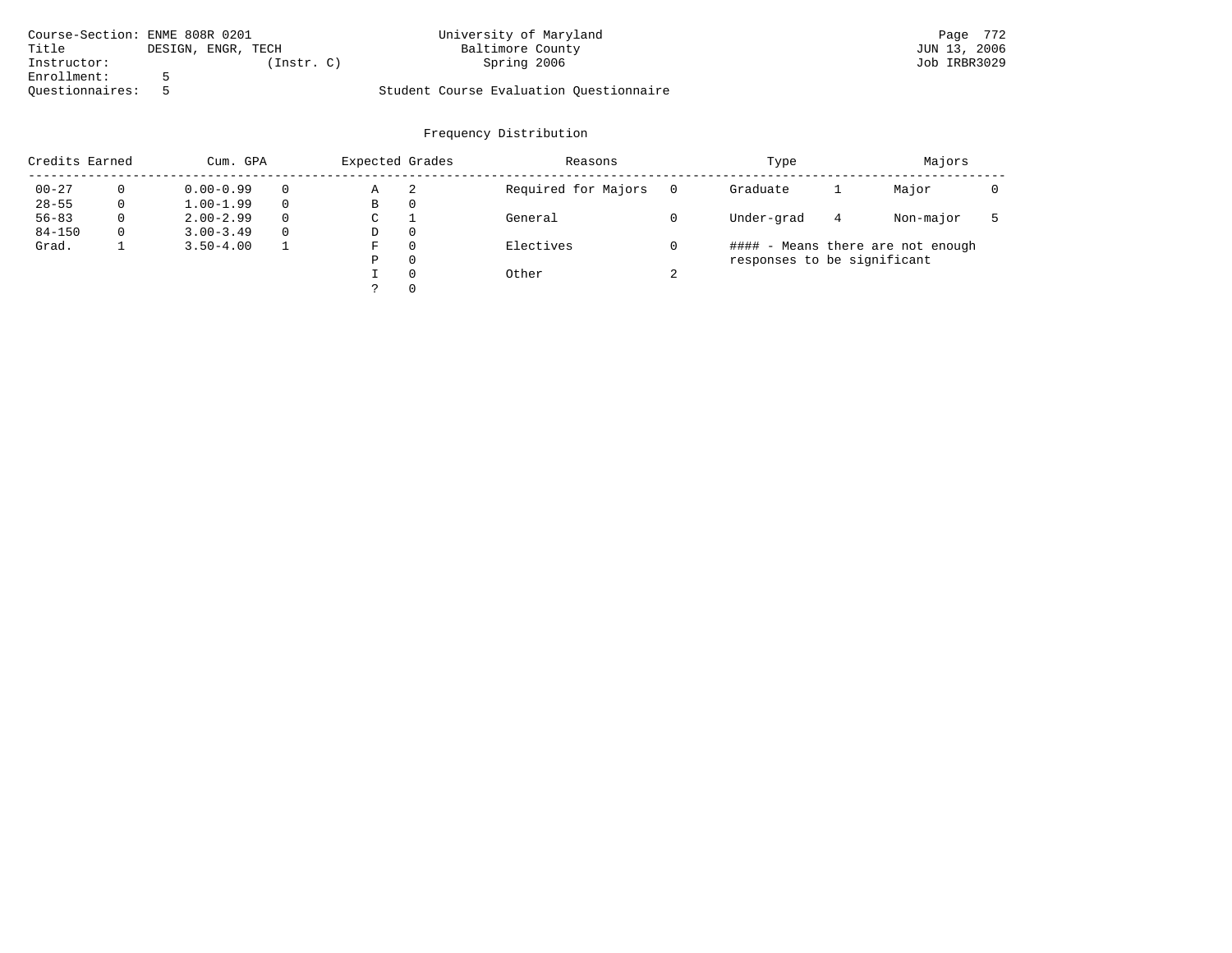| Course-Section: ENME 808R 0201 |                    | University of Maryland                  | Page 772     |
|--------------------------------|--------------------|-----------------------------------------|--------------|
| Title                          | DESIGN, ENGR, TECH | Baltimore County                        | JUN 13, 2006 |
| Instructor:                    | Instr. C)          | Spring 2006                             | Job IRBR3029 |
| Enrollment:                    |                    |                                         |              |
| Ouestionnaires:                |                    | Student Course Evaluation Questionnaire |              |

| Credits Earned |          | Cum. GPA      |          | Expected Grades |          | Reasons             | Type   |                             |   |                                   |  |  |
|----------------|----------|---------------|----------|-----------------|----------|---------------------|--------|-----------------------------|---|-----------------------------------|--|--|
| $00 - 27$      |          | $0.00 - 0.99$ |          | Α               | -2       | Required for Majors |        | Graduate                    |   | Major                             |  |  |
| $28 - 55$      | 0        | $1.00 - 1.99$ |          | В               | 0        |                     |        |                             |   |                                   |  |  |
| $56 - 83$      | $\Omega$ | $2.00 - 2.99$ | $\Omega$ | C               |          | General             |        | Under-grad                  | 4 | Non-major                         |  |  |
| $84 - 150$     | $\Omega$ | $3.00 - 3.49$ | $\Omega$ | D               | $\Omega$ |                     |        |                             |   |                                   |  |  |
| Grad.          |          | $3.50 - 4.00$ |          | F               | $\Omega$ | Electives           |        |                             |   | #### - Means there are not enough |  |  |
|                |          |               |          | Ρ               | $\Omega$ |                     |        | responses to be significant |   |                                   |  |  |
|                |          |               |          |                 | $\Omega$ | Other               | $\sim$ |                             |   |                                   |  |  |
|                |          |               |          |                 | $\Omega$ |                     |        |                             |   |                                   |  |  |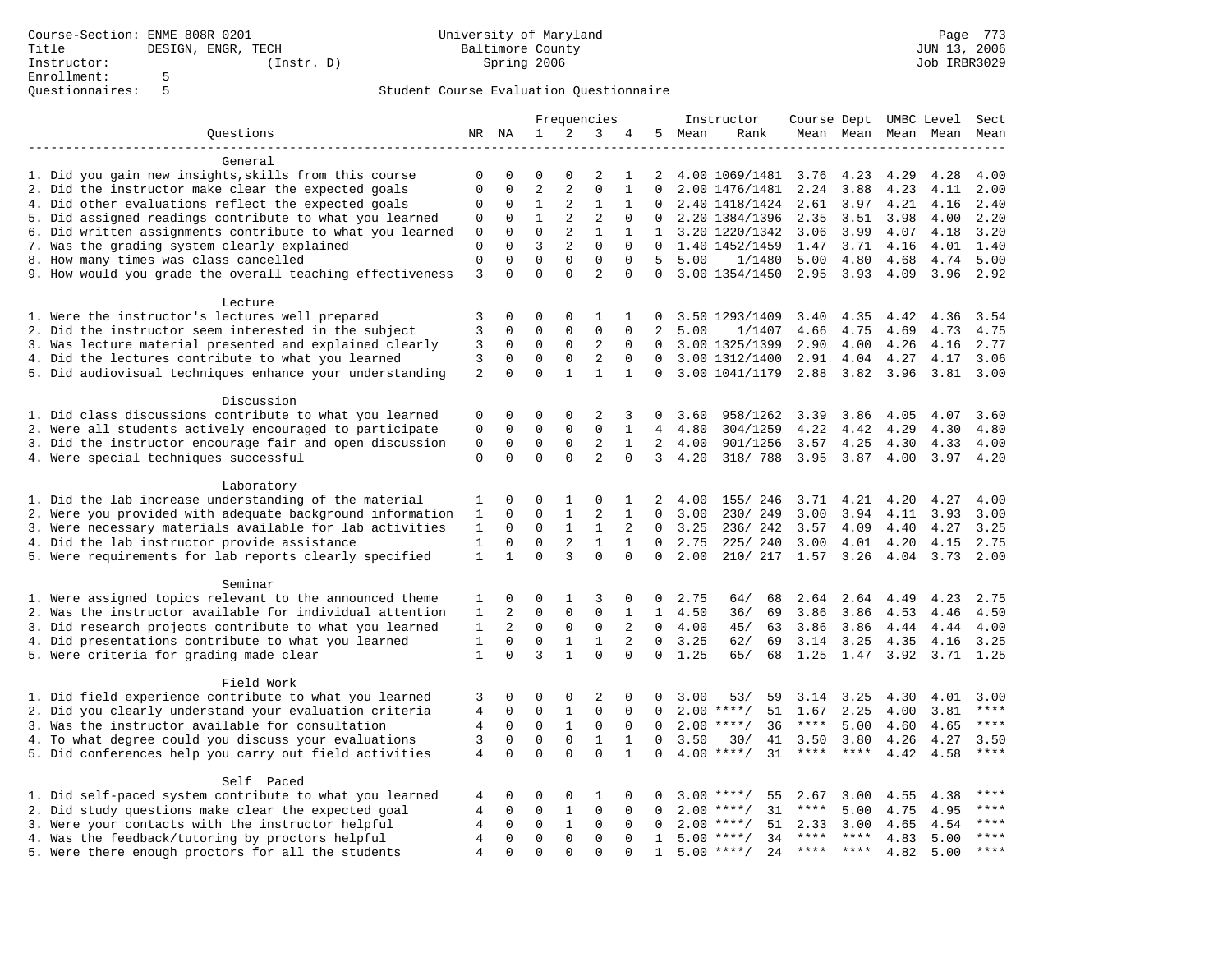|                                                           | Frequencies    |                |                            | Instructor              |                          |              |                | Course Dept UMBC Level Sect |                     |                   |                |      |                     |               |
|-----------------------------------------------------------|----------------|----------------|----------------------------|-------------------------|--------------------------|--------------|----------------|-----------------------------|---------------------|-------------------|----------------|------|---------------------|---------------|
| Questions                                                 |                | NR NA          | 1                          | 2                       | 3                        | 4            |                | 5 Mean                      | Rank                |                   |                |      | Mean Mean Mean Mean | Mean          |
|                                                           |                |                |                            |                         |                          |              |                |                             |                     |                   |                |      |                     |               |
| General                                                   |                |                |                            |                         |                          |              |                |                             |                     |                   |                |      |                     |               |
| 1. Did you gain new insights, skills from this course     | 0              | $\mathbf 0$    | $\Omega$                   | 0                       | 2                        | 1            | 2              |                             | 4.00 1069/1481 3.76 |                   | 4.23           | 4.29 | 4.28                | 4.00          |
| 2. Did the instructor make clear the expected goals       | $\mathbf{0}$   | $\mathbf 0$    | $\overline{2}$             | $\overline{2}$          | $\Omega$                 | $\mathbf{1}$ | $\Omega$       |                             | 2.00 1476/1481      | 2.24              | 3.88           | 4.23 | 4.11                | 2.00          |
| 4. Did other evaluations reflect the expected goals       | 0              | $\mathbf 0$    | $\mathbf{1}$               | 2                       | $\mathbf{1}$             | 1            |                |                             | 2.40 1418/1424      | 2.61              | 3.97           | 4.21 | 4.16                | 2.40          |
| 5. Did assigned readings contribute to what you learned   | 0              | $\mathbf 0$    | $\mathbf{1}$               | 2                       | $\overline{2}$           | 0            | $\Omega$       |                             | 2.20 1384/1396      | 2.35              | 3.51           | 3.98 | 4.00                | 2.20          |
| 6. Did written assignments contribute to what you learned | $\mathbf{0}$   | $\Omega$       | $\Omega$                   | 2                       | $\mathbf{1}$             | $\mathbf{1}$ |                |                             | 1 3.20 1220/1342    | 3.06              | 3.99           | 4.07 | 4.18                | 3.20          |
| 7. Was the grading system clearly explained               | $\mathbf{0}$   | $\Omega$       | 3                          | $\overline{2}$          | $\Omega$                 | $\Omega$     | $\Omega$       |                             | 1.40 1452/1459      | 1.47              | 3.71           | 4.16 | 4.01                | 1.40          |
| 8. How many times was class cancelled                     | $\mathsf 0$    | $\mathbf 0$    | $\mathbf 0$                | $\mathbf 0$             | $\mathbf 0$              | $\mathbf 0$  | 5              | 5.00                        | 1/1480              | 5.00              | 4.80           | 4.68 | 4.74                | 5.00          |
| 9. How would you grade the overall teaching effectiveness | 3              | $\Omega$       | $\Omega$                   | $\Omega$                | $\overline{a}$           | $\Omega$     | $\Omega$       |                             | 3.00 1354/1450      | 2.95              | 3.93           | 4.09 | 3.96                | 2.92          |
| Lecture                                                   |                |                |                            |                         |                          |              |                |                             |                     |                   |                |      |                     |               |
| 1. Were the instructor's lectures well prepared           | 3              | $\Omega$       | $\Omega$                   | $\Omega$                | 1                        | -1           | 0              |                             | 3.50 1293/1409      | 3.40              | 4.35           | 4.42 | 4.36                | 3.54          |
| 2. Did the instructor seem interested in the subject      | 3              | $\mathbf 0$    | $\mathbf 0$                | $\mathbf 0$             | $\mathbf 0$              | $\Omega$     | $\overline{2}$ | 5.00                        | 1/1407              | 4.66              | 4.75           | 4.69 | 4.73                | 4.75          |
| 3. Was lecture material presented and explained clearly   | 3              | 0              | $\mathbf 0$                | $\mathbf 0$             | 2                        | $\mathbf 0$  | $\mathbf{0}$   |                             | 3.00 1325/1399      | 2.90              | 4.00           | 4.26 | 4.16                | 2.77          |
| 4. Did the lectures contribute to what you learned        | 3              | $\mathbf 0$    | $\mathbf 0$                | $\mathbf 0$             | $\overline{2}$           | $\Omega$     | $\Omega$       |                             | 3.00 1312/1400      | 2.91              | 4.04           | 4.27 | 4.17                | 3.06          |
| 5. Did audiovisual techniques enhance your understanding  | 2              | $\Omega$       | $\Omega$                   | $\mathbf{1}$            | $\mathbf{1}$             | $\mathbf{1}$ | $\mathbf{0}$   |                             | 3.00 1041/1179      | 2.88              | 3.82           | 3.96 | 3.81                | 3.00          |
|                                                           |                |                |                            |                         |                          |              |                |                             |                     |                   |                |      |                     |               |
| Discussion                                                |                |                |                            |                         |                          |              |                |                             |                     |                   |                |      |                     |               |
| 1. Did class discussions contribute to what you learned   | $\mathbf 0$    | $\mathbf 0$    | 0                          | $\mathbf 0$             | 2                        | 3            | 0              | 3.60                        | 958/1262            | 3.39              | 3.86           | 4.05 | 4.07                | 3.60          |
| 2. Were all students actively encouraged to participate   | $\mathbf 0$    | $\mathbf 0$    | $\mathbf 0$                | $\mathbf 0$             | $\mathbf 0$              | 1            | 4              | 4.80                        | 304/1259            | 4.22              | 4.42           | 4.29 | 4.30                | 4.80          |
| 3. Did the instructor encourage fair and open discussion  | $\mathsf 0$    | $\mathbf 0$    | $\mathbf 0$                | $\mathbf 0$             | 2                        | $\mathbf{1}$ | 2              | 4.00                        | 901/1256            | 3.57              | 4.25           | 4.30 | 4.33                | 4.00          |
| 4. Were special techniques successful                     | $\mathbf 0$    | $\Omega$       | $\Omega$                   | $\Omega$                | $\overline{2}$           | $\Omega$     | 3              | 4.20                        | 318/ 788            | 3.95              | 3.87           | 4.00 | 3.97                | 4.20          |
|                                                           |                |                |                            |                         |                          |              |                |                             |                     |                   |                |      |                     |               |
| Laboratory                                                |                |                |                            |                         |                          |              |                |                             |                     |                   |                |      |                     |               |
| 1. Did the lab increase understanding of the material     | 1              | $\mathbf 0$    | 0                          | 1                       | 0                        | 1            | 2              | 4.00                        | 155/ 246            | 3.71              | 4.21           | 4.20 | 4.27                | 4.00          |
| 2. Were you provided with adequate background information | 1              | $\mathbf 0$    | $\mathbf 0$                | $\mathbf{1}$            | 2                        | 1            | $\mathbf 0$    | 3.00                        | 230/ 249            | 3.00              | 3.94           | 4.11 | 3.93                | 3.00          |
| 3. Were necessary materials available for lab activities  | $\mathbf{1}$   | $\Omega$       | $\Omega$                   | $\mathbf{1}$            | $\mathbf{1}$             | 2            | $\Omega$       | 3.25                        | 236/242             | 3.57              | 4.09           | 4.40 | 4.27                | 3.25          |
| 4. Did the lab instructor provide assistance              | $\mathbf{1}$   | $\mathbf 0$    | $\mathbf 0$                | $\overline{2}$          | $\mathbf{1}$             | $\mathbf{1}$ | $\Omega$       | 2.75                        | 225/240             | 3.00              | 4.01           | 4.20 | 4.15                | 2.75          |
| 5. Were requirements for lab reports clearly specified    | $\mathbf{1}$   | $\mathbf{1}$   | $\Omega$                   | 3                       | $\Omega$                 | $\Omega$     | $\Omega$       | 2.00                        | 210/ 217 1.57       |                   | 3.26           | 4.04 | 3.73                | 2.00          |
| Seminar                                                   |                |                |                            |                         |                          |              |                |                             |                     |                   |                |      |                     |               |
| 1. Were assigned topics relevant to the announced theme   | 1              | $\mathbf 0$    | 0                          | 1                       | 3                        | 0            | 0              | 2.75                        | 64/<br>68           | 2.64              | 2.64           | 4.49 | 4.23                | 2.75          |
| 2. Was the instructor available for individual attention  | $\mathbf{1}$   | $\overline{a}$ | $\Omega$                   | $\Omega$                | $\Omega$                 | $\mathbf{1}$ | $\mathbf{1}$   | 4.50                        | 36/<br>69           | 3.86              | 3.86           | 4.53 | 4.46                | 4.50          |
| 3. Did research projects contribute to what you learned   | $\mathbf{1}$   | $\overline{a}$ | $\Omega$                   | $\mathbf 0$             | $\mathbf 0$              | 2            | $\Omega$       | 4.00                        | 45/<br>63           | 3.86              | 3.86           | 4.44 | 4.44                | 4.00          |
| 4. Did presentations contribute to what you learned       | $\mathbf{1}$   | $\mathbf 0$    | $\mathbf 0$                | $\mathbf{1}$            | $\mathbf{1}$             | 2            | $\mathbf 0$    | 3.25                        | 62/<br>69           | $3.14$ $3.25$     |                | 4.35 | 4.16                | 3.25          |
| 5. Were criteria for grading made clear                   | $\mathbf{1}$   | $\Omega$       | 3                          | $\mathbf{1}$            | $\Omega$                 | $\Omega$     | $\Omega$       | 1.25                        | 65/<br>68           |                   | 1.25 1.47 3.92 |      | 3.71 1.25           |               |
|                                                           |                |                |                            |                         |                          |              |                |                             |                     |                   |                |      |                     |               |
| Field Work                                                |                | $\mathbf{0}$   | $\Omega$                   | $\Omega$                | $\overline{2}$           | $\Omega$     |                | 3.00                        |                     |                   |                |      |                     |               |
| 1. Did field experience contribute to what you learned    | 3              |                | $\mathbf 0$                |                         | $\mathbf 0$              | $\mathbf 0$  | 0<br>$\Omega$  |                             | 53/<br>59           | 3.14              | 3.25           | 4.30 | 4.01                | 3.00<br>$***$ |
| 2. Did you clearly understand your evaluation criteria    | $\overline{4}$ | $\mathbf 0$    |                            | $\mathbf{1}$            |                          |              |                |                             | 51<br>$2.00$ ****/  | 1.67              | 2.25           | 4.00 | 3.81                | $***$         |
| 3. Was the instructor available for consultation          | $\overline{4}$ | $\mathbf 0$    | $\mathbf 0$<br>$\mathbf 0$ | $\mathbf{1}$            | $\mathbf 0$              | $\mathbf 0$  | $\Omega$       |                             | $2.00$ ****/<br>36  | $***$ * * *       | 5.00           | 4.60 | 4.65                |               |
| 4. To what degree could you discuss your evaluations      | 3              | $\mathbf 0$    | $\Omega$                   | $\mathbf 0$<br>$\Omega$ | $\mathbf{1}$<br>$\Omega$ | $\mathbf{1}$ | $\Omega$       | 3.50                        | 30/<br>41           | 3.50<br>$***$ * * | 3.80<br>$***$  | 4.26 | 4.27                | 3.50<br>$***$ |
| 5. Did conferences help you carry out field activities    | $\overline{4}$ | $\Omega$       |                            |                         |                          | $\mathbf{1}$ | $\Omega$       |                             | $4.00$ ****/<br>31  |                   |                | 4.42 | 4.58                |               |
| Self Paced                                                |                |                |                            |                         |                          |              |                |                             |                     |                   |                |      |                     |               |
| 1. Did self-paced system contribute to what you learned   | 4              | $\mathbf 0$    | 0                          | $\mathbf 0$             | 1                        | 0            | 0              | 3.00                        | $***$ /<br>55       | 2.67              | 3.00           | 4.55 | 4.38                | ****          |
| 2. Did study questions make clear the expected goal       | $\overline{4}$ | $\mathbf 0$    | 0                          | $\mathbf{1}$            | $\mathbf 0$              | 0            | 0              | 2.00                        | 31<br>$***$ /       | ****              | 5.00           | 4.75 | 4.95                | ****          |
| 3. Were your contacts with the instructor helpful         | $\overline{4}$ | $\mathbf 0$    | $\mathbf 0$                | $\mathbf{1}$            | $\mathbf 0$              | $\Omega$     | $\Omega$       |                             | $2.00$ ****/<br>51  | 2.33              | 3.00           | 4.65 | 4.54                | $***$         |
| 4. Was the feedback/tutoring by proctors helpful          | $\overline{4}$ | $\Omega$       | $\Omega$                   | $\Omega$                | $\Omega$                 | $\Omega$     | $\mathbf{1}$   |                             | $5.00$ ****/<br>34  | $***$ * *         | $***$ *        | 4.83 | 5.00                | $***$ * * *   |
| 5. Were there enough proctors for all the students        | $\overline{4}$ | $\mathbf 0$    | $\mathbf 0$                | $\Omega$                | $\Omega$                 | $\Omega$     | $\mathbf{1}$   |                             | 24<br>$5.00$ ****/  | **** ****         |                | 4.82 | 5.00                | $***$         |
|                                                           |                |                |                            |                         |                          |              |                |                             |                     |                   |                |      |                     |               |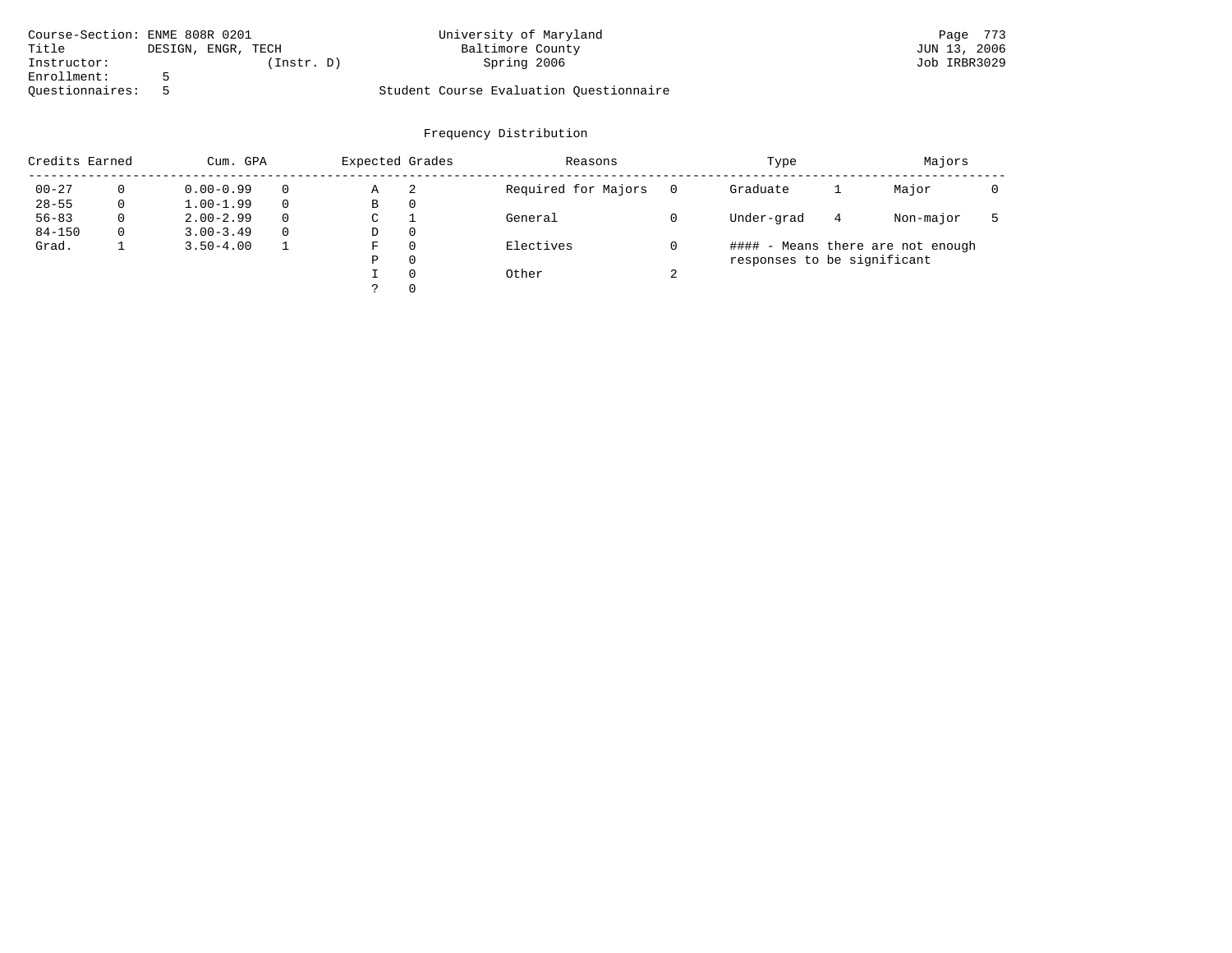| Course-Section: ENME 808R 0201 |                    | University of Maryland                  | Page 773     |
|--------------------------------|--------------------|-----------------------------------------|--------------|
| Title                          | DESIGN, ENGR, TECH | Baltimore County                        | JUN 13, 2006 |
| Instructor:                    | Instr. D)          | Spring 2006                             | Job IRBR3029 |
| Enrollment:                    |                    |                                         |              |
| Ouestionnaires:                |                    | Student Course Evaluation Questionnaire |              |

| Credits Earned |   | Cum. GPA      |   | Expected Grades |          | Reasons             |        | Type                        | Majors |                                   |  |
|----------------|---|---------------|---|-----------------|----------|---------------------|--------|-----------------------------|--------|-----------------------------------|--|
| $00 - 27$      | 0 | $0.00 - 0.99$ |   | Α               | 2        | Required for Majors | 0      | Graduate                    |        | Major                             |  |
| $28 - 55$      | 0 | $1.00 - 1.99$ |   | В               | 0        |                     |        |                             |        |                                   |  |
| $56 - 83$      | 0 | $2.00 - 2.99$ | 0 | $\sim$<br>◡     |          | General             |        | Under-grad                  | 4      | Non-major                         |  |
| $84 - 150$     | 0 | $3.00 - 3.49$ |   | D               | 0        |                     |        |                             |        |                                   |  |
| Grad.          |   | $3.50 - 4.00$ |   | F               | 0        | Electives           |        |                             |        | #### - Means there are not enough |  |
|                |   |               |   | Ρ               | 0        |                     |        | responses to be significant |        |                                   |  |
|                |   |               |   |                 | $\Omega$ | Other               | $\sim$ |                             |        |                                   |  |
|                |   |               |   | C               |          |                     |        |                             |        |                                   |  |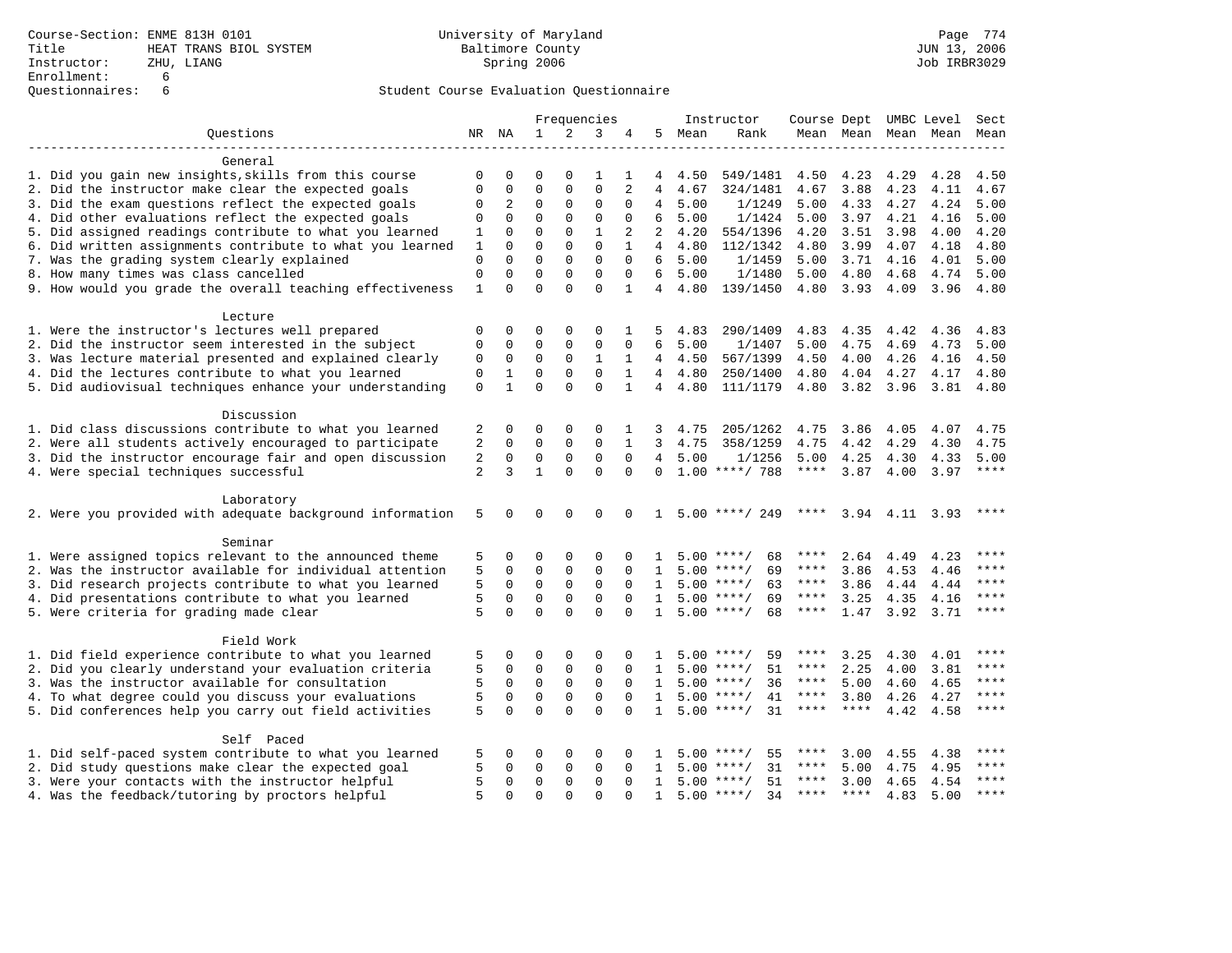|                                                           | Frequencies    |                |              | Instructor   |              |              |                | Course Dept UMBC Level Sect |                    |             |             |      |                          |             |
|-----------------------------------------------------------|----------------|----------------|--------------|--------------|--------------|--------------|----------------|-----------------------------|--------------------|-------------|-------------|------|--------------------------|-------------|
| Ouestions                                                 |                | NR NA          | $\mathbf{1}$ | 2            | 3            | 4            |                | 5 Mean                      | Rank               |             |             |      | Mean Mean Mean Mean Mean |             |
|                                                           |                |                |              |              |              |              |                |                             |                    |             |             |      |                          |             |
| General                                                   |                |                |              |              |              |              |                |                             |                    |             |             |      |                          |             |
| 1. Did you gain new insights, skills from this course     | $\Omega$       | 0              | $\Omega$     | 0            | 1            | 1            | 4              | 4.50                        | 549/1481           | 4.50        | 4.23        | 4.29 | 4.28                     | 4.50        |
| 2. Did the instructor make clear the expected goals       | $\Omega$       | 0              | $\Omega$     | 0            | $\Omega$     | 2            | 4              | 4.67                        | 324/1481           | 4.67        | 3.88        | 4.23 | 4.11                     | 4.67        |
| 3. Did the exam questions reflect the expected goals      | $\Omega$       | $\overline{2}$ | $\Omega$     | $\Omega$     | $\Omega$     | $\Omega$     | 4              | 5.00                        | 1/1249             | 5.00        | 4.33        | 4.27 | 4.24                     | 5.00        |
| 4. Did other evaluations reflect the expected goals       | $\Omega$       | $\Omega$       | $\Omega$     | $\Omega$     | $\Omega$     | $\Omega$     | 6              | 5.00                        | 1/1424             | 5.00        | 3.97        | 4.21 | 4.16                     | 5.00        |
| 5. Did assigned readings contribute to what you learned   | 1              | $\Omega$       | $\Omega$     | $\Omega$     | $\mathbf{1}$ | 2            | 2              | 4.20                        | 554/1396           | 4.20        | 3.51        | 3.98 | 4.00                     | 4.20        |
| 6. Did written assignments contribute to what you learned | 1              | $\Omega$       | $\Omega$     | $\Omega$     | $\Omega$     | $\mathbf{1}$ | $\overline{4}$ | 4.80                        | 112/1342           | 4.80        | 3.99        | 4.07 | 4.18                     | 4.80        |
| 7. Was the grading system clearly explained               | $\mathbf 0$    | $\Omega$       | $\Omega$     | $\Omega$     | $\Omega$     | $\Omega$     | 6              | 5.00                        | 1/1459             | 5.00        | 3.71        | 4.16 | 4.01                     | 5.00        |
| 8. How many times was class cancelled                     | 0              | $\Omega$       | $\Omega$     | $\Omega$     | $\Omega$     | $\Omega$     | 6              | 5.00                        | 1/1480             | 5.00        | 4.80        | 4.68 | 4.74                     | 5.00        |
| 9. How would you grade the overall teaching effectiveness | 1              | $\Omega$       | $\Omega$     | $\Omega$     | $\Omega$     | $\mathbf{1}$ | 4              | 4.80                        | 139/1450           | 4.80        | 3.93        | 4.09 | 3.96                     | 4.80        |
|                                                           |                |                |              |              |              |              |                |                             |                    |             |             |      |                          |             |
| Lecture                                                   |                |                |              |              |              |              |                |                             |                    |             |             |      |                          |             |
| 1. Were the instructor's lectures well prepared           | 0              | $\Omega$       | 0            | $\Omega$     | 0            | 1            | 5              | 4.83                        | 290/1409           | 4.83        | 4.35        | 4.42 | 4.36                     | 4.83        |
| 2. Did the instructor seem interested in the subject      | 0              | $\mathbf 0$    | $\mathbf 0$  | $\mathbf{0}$ | $\mathbf 0$  | 0            | 6              | 5.00                        | 1/1407             | 5.00        | 4.75        | 4.69 | 4.73                     | 5.00        |
| 3. Was lecture material presented and explained clearly   | 0              | 0              | $\mathbf 0$  | $\mathbf{0}$ | $\mathbf{1}$ | 1            |                | 4 4.50                      | 567/1399           | 4.50        | 4.00        | 4.26 | 4.16                     | 4.50        |
| 4. Did the lectures contribute to what you learned        | 0              | 1              | 0            | $\mathbf 0$  | $\mathbf 0$  | 1            | $\overline{4}$ | 4.80                        | 250/1400           | 4.80        | 4.04        | 4.27 | 4.17                     | 4.80        |
| 5. Did audiovisual techniques enhance your understanding  | $\mathbf 0$    | $\mathbf{1}$   | $\Omega$     | $\Omega$     | $\Omega$     | $\mathbf{1}$ |                | 4 4.80                      | 111/1179           | 4.80        | 3.82 3.96   |      | 3.81                     | 4.80        |
| Discussion                                                |                |                |              |              |              |              |                |                             |                    |             |             |      |                          |             |
| 1. Did class discussions contribute to what you learned   | 2              | 0              | 0            | $\mathbf 0$  | $\Omega$     |              | 3              | 4.75                        | 205/1262           | 4.75        | 3.86        | 4.05 | 4.07                     | 4.75        |
| 2. Were all students actively encouraged to participate   | 2              | $\mathbf 0$    | $\mathbf 0$  | $\mathbf{0}$ | $\mathbf 0$  | $\mathbf{1}$ | 3              | 4.75                        | 358/1259           | 4.75        | 4.42        | 4.29 | 4.30                     | 4.75        |
| 3. Did the instructor encourage fair and open discussion  | 2              | $\mathbf 0$    | $\mathbf 0$  | $\mathbf 0$  | $\Omega$     | $\Omega$     | 4              | 5.00                        | 1/1256             | 5.00        | 4.25        | 4.30 | 4.33                     | 5.00        |
| 4. Were special techniques successful                     | $\overline{a}$ | 3              | $\mathbf{1}$ | $\Omega$     | $\Omega$     | $\Omega$     | $\Omega$       |                             | $1.00$ ****/ 788   | $***$ * * * | 3.87        | 4.00 | 3.97                     | $* * * * *$ |
|                                                           |                |                |              |              |              |              |                |                             |                    |             |             |      |                          |             |
| Laboratory                                                |                |                |              |              |              |              |                |                             |                    |             |             |      |                          |             |
| 2. Were you provided with adequate background information | 5              | $\Omega$       | 0            | $\Omega$     | 0            | $\Omega$     | 1              |                             | $5.00$ ****/ 249   | ****        |             |      | $3.94$ $4.11$ $3.93$     | ****        |
|                                                           |                |                |              |              |              |              |                |                             |                    |             |             |      |                          |             |
| Seminar                                                   |                |                |              |              |              |              |                |                             |                    |             |             |      |                          |             |
| 1. Were assigned topics relevant to the announced theme   | 5              | $\Omega$       | 0            | $\mathbf 0$  | $\Omega$     | $\Omega$     |                |                             | $5.00$ ****/<br>68 | ****        | 2.64        | 4.49 | 4.23                     | $***$ * * * |
| 2. Was the instructor available for individual attention  | 5              | $\mathbf 0$    | $\mathbf 0$  | $\mathbf{0}$ | $\mathbf 0$  | $\Omega$     | 1              |                             | $5.00$ ****/<br>69 | $***$ * * * | 3.86        | 4.53 | 4.46                     | ****        |
| 3. Did research projects contribute to what you learned   | 5              | $\Omega$       | $\Omega$     | 0            | 0            | $\Omega$     | $\mathbf{1}$   |                             | $5.00$ ****/<br>63 | ****        | 3.86        | 4.44 | 4.44                     | $***$       |
| 4. Did presentations contribute to what you learned       | 5              | $\mathbf 0$    | $\mathbf 0$  | $\mathbf{0}$ | $\mathbf 0$  | $\Omega$     | $\mathbf{1}$   |                             | $5.00$ ****/<br>69 | $***$ * * * | 3.25        | 4.35 | 4.16                     | ****        |
| 5. Were criteria for grading made clear                   | 5              | $\Omega$       | $\Omega$     | $\Omega$     | $\Omega$     | $\Omega$     | $\mathbf{1}$   |                             | $5.00$ ****/<br>68 | ****        | 1.47        | 3.92 | 3.71                     | $***$       |
| Field Work                                                |                |                |              |              |              |              |                |                             |                    |             |             |      |                          |             |
| 1. Did field experience contribute to what you learned    | 5              | 0              | $\Omega$     | 0            | $\Omega$     | $\Omega$     |                |                             | 59<br>$5.00$ ****/ | ****        | 3.25        | 4.30 | 4.01                     | ****        |
| 2. Did you clearly understand your evaluation criteria    | 5              | 0              | $\mathbf 0$  | 0            | $\mathbf 0$  | 0            | 1              |                             | $5.00$ ****/<br>51 | ****        | 2.25        | 4.00 | 3.81                     | ****        |
| 3. Was the instructor available for consultation          | 5              | $\Omega$       | $\mathbf 0$  | $\mathbf 0$  | $\mathbf 0$  | $\Omega$     | 1              |                             | $5.00$ ****/<br>36 | $***$ * * * | 5.00        | 4.60 | 4.65                     | ****        |
| 4. To what degree could you discuss your evaluations      | 5              | $\Omega$       | $\Omega$     | $\mathbf{0}$ | $\mathbf 0$  | $\Omega$     | $\mathbf{1}$   |                             | $5.00$ ****/<br>41 | ****        | 3.80        | 4.26 | 4.27                     | $***$       |
| 5. Did conferences help you carry out field activities    | 5              | $\Omega$       | $\Omega$     | $\Omega$     | $\Omega$     | $\Omega$     | 1              |                             | $5.00$ ****/<br>31 | $***$ * * * | $***$ * * * | 4.42 | 4.58                     | $***$       |
|                                                           |                |                |              |              |              |              |                |                             |                    |             |             |      |                          |             |
| Self Paced                                                |                |                |              |              |              |              |                |                             |                    |             |             |      |                          |             |
| 1. Did self-paced system contribute to what you learned   | 5              | 0              | 0            | 0            | $\Omega$     | 0            | Т.             |                             | $5.00$ ****/<br>55 | ****        | 3.00        | 4.55 | 4.38                     |             |
| 2. Did study questions make clear the expected goal       | 5              | $\mathbf 0$    | $\mathbf 0$  | 0            | $\mathbf 0$  | $\Omega$     | $\mathbf{1}$   | 5.00                        | 31<br>$***$ /      | ****        | 5.00        | 4.75 | 4.95                     | ****        |
| 3. Were your contacts with the instructor helpful         | 5              | $\Omega$       | $\mathbf 0$  | 0            | $\mathbf 0$  | $\Omega$     | $\mathbf{1}$   |                             | $5.00$ ****/<br>51 | $***$ * * * | 3.00        | 4.65 | 4.54                     | ****        |
| 4. Was the feedback/tutoring by proctors helpful          | 5              | $\Omega$       | $\Omega$     | $\Omega$     | $\Omega$     | $\Omega$     | $\mathbf{1}$   |                             | $5.00$ ****/<br>34 |             | **** ****   | 4.83 | 5.00                     | ****        |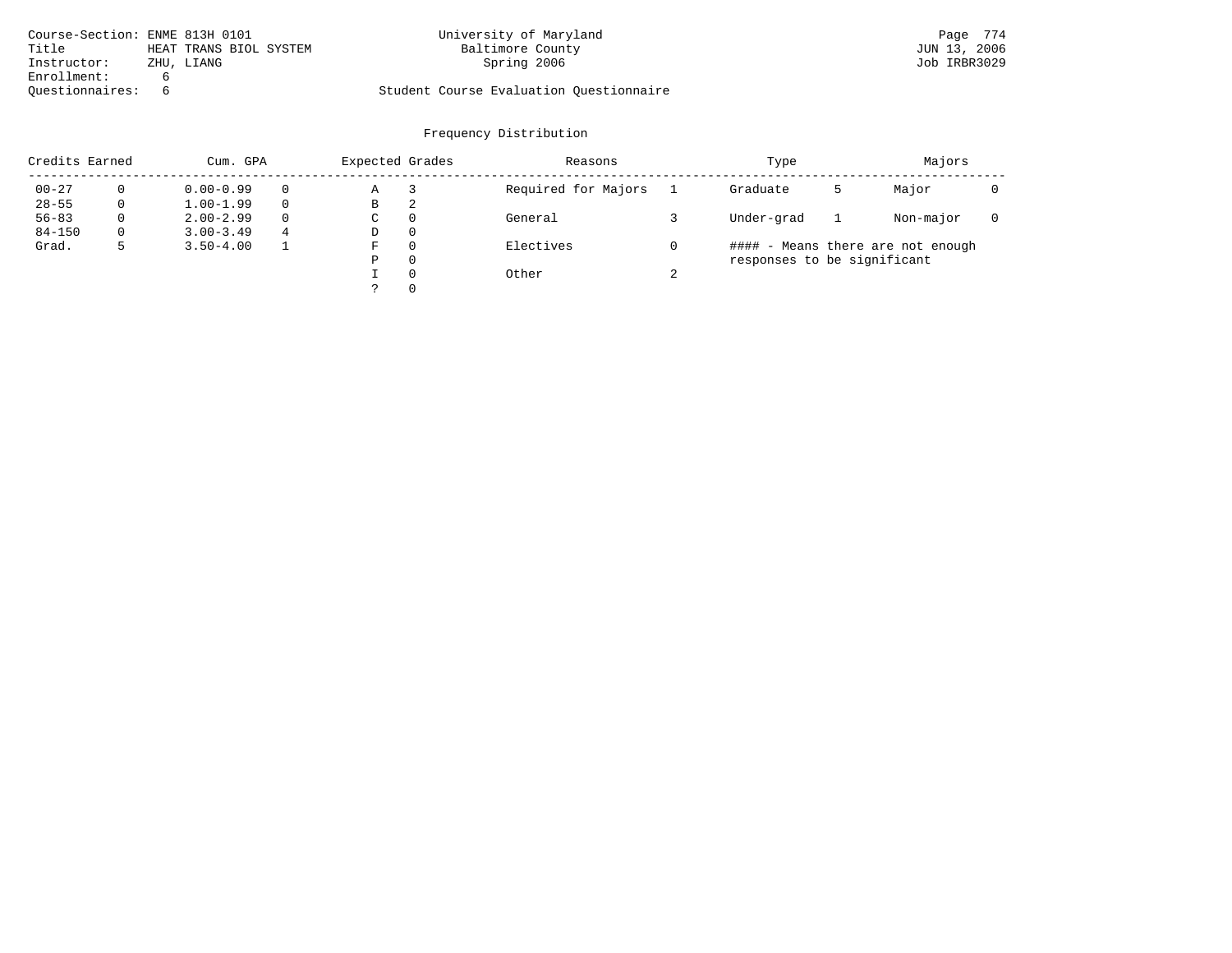| Course-Section: ENME 813H 0101 |                        | University of Maryland                  | Page 774     |
|--------------------------------|------------------------|-----------------------------------------|--------------|
| Title                          | HEAT TRANS BIOL SYSTEM | Baltimore County                        | JUN 13, 2006 |
| Instructor:                    | ZHU, LIANG             | Spring 2006                             | Job IRBR3029 |
| Enrollment:                    |                        |                                         |              |
| Ouestionnaires:                |                        | Student Course Evaluation Questionnaire |              |

| Credits Earned<br>Cum. GPA |          |               |          | Expected Grades |              | Reasons             |   | Type                        | Majors |                                   |  |
|----------------------------|----------|---------------|----------|-----------------|--------------|---------------------|---|-----------------------------|--------|-----------------------------------|--|
| $00 - 27$                  |          | $0.00 - 0.99$ | $\Omega$ | Α               |              | Required for Majors |   | Graduate                    |        | Major                             |  |
| $28 - 55$                  | 0        | $1.00 - 1.99$ | $\Omega$ | в               | 2            |                     |   |                             |        |                                   |  |
| $56 - 83$                  | $\Omega$ | $2.00 - 2.99$ | $\Omega$ | C               | 0            | General             |   | Under-grad                  |        | Non-major                         |  |
| $84 - 150$                 | 0        | $3.00 - 3.49$ | 4        | D               | 0            |                     |   |                             |        |                                   |  |
| Grad.                      |          | $3.50 - 4.00$ |          | F               | $\Omega$     | Electives           |   |                             |        | #### - Means there are not enough |  |
|                            |          |               |          | Ρ               | $\Omega$     |                     |   | responses to be significant |        |                                   |  |
|                            |          |               |          |                 | $\Omega$     | Other               | ◠ |                             |        |                                   |  |
|                            |          |               |          |                 | $\mathbf{0}$ |                     |   |                             |        |                                   |  |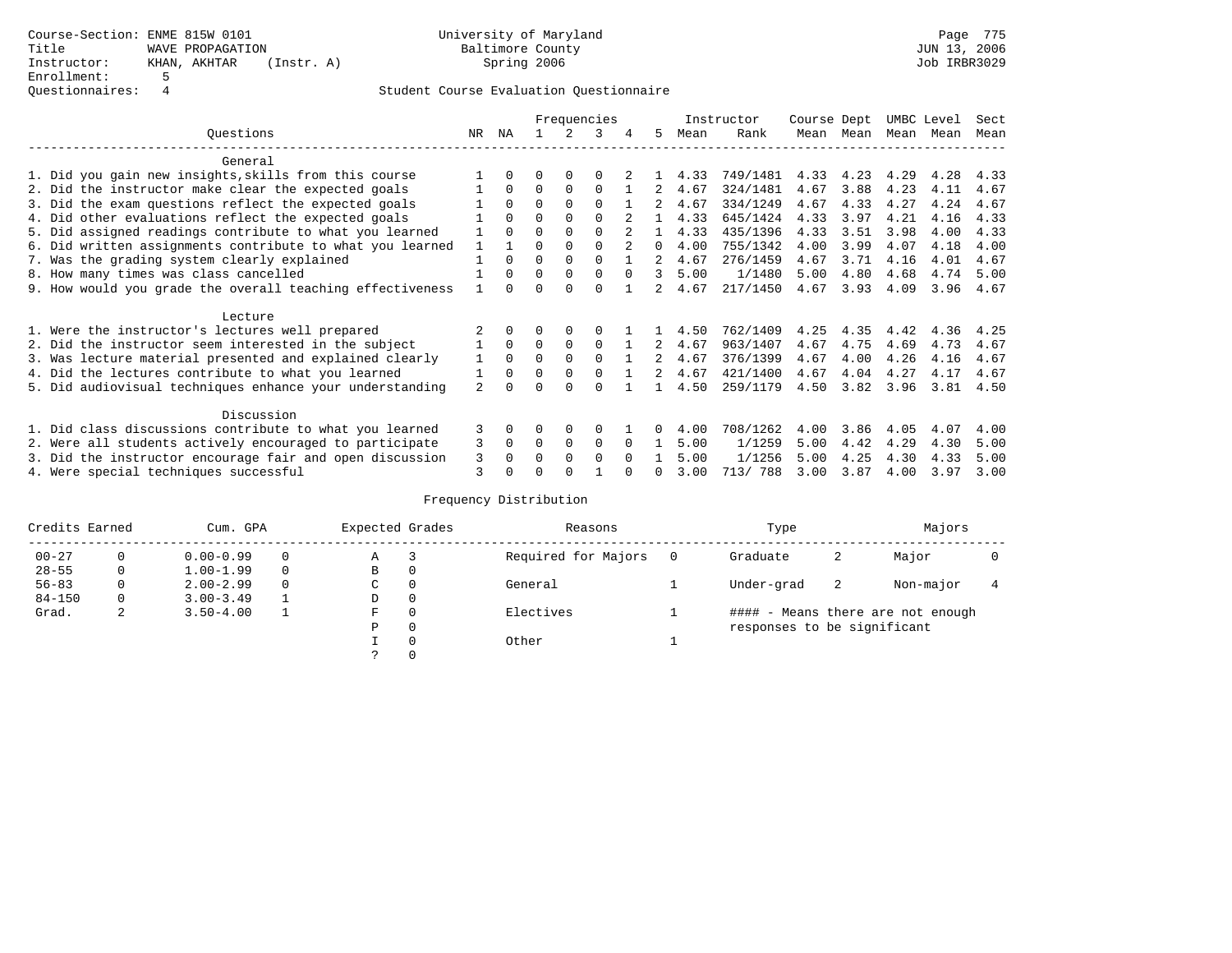|                                                           |                |              |          |             | Frequencies |          |              |      | Instructor | Course Dept |      | UMBC Level |      | Sect |
|-----------------------------------------------------------|----------------|--------------|----------|-------------|-------------|----------|--------------|------|------------|-------------|------|------------|------|------|
| Ouestions                                                 | NR             | ΝA           |          |             |             | 4        | 5            | Mean | Rank       | Mean        | Mean | Mean       | Mean | Mean |
| General                                                   |                |              |          |             |             |          |              |      |            |             |      |            |      |      |
| 1. Did you gain new insights, skills from this course     |                |              |          | $\Omega$    |             |          |              | 4.33 | 749/1481   | 4.33        | 4.23 | 4.29       | 4.28 | 4.33 |
| 2. Did the instructor make clear the expected goals       |                | $\Omega$     | $\Omega$ | $\Omega$    | $\Omega$    |          |              | 4.67 | 324/1481   | 4.67        | 3.88 | 4.23       | 4.11 | 4.67 |
| 3. Did the exam questions reflect the expected goals      |                | $\Omega$     | 0        | $\Omega$    | $\Omega$    |          |              | 4.67 | 334/1249   | 4.67        | 4.33 | 4.27       | 4.24 | 4.67 |
| 4. Did other evaluations reflect the expected goals       |                | $\Omega$     | 0        | $\Omega$    | $\Omega$    |          |              | 4.33 | 645/1424   | 4.33        | 3.97 | 4.21       | 4.16 | 4.33 |
| 5. Did assigned readings contribute to what you learned   |                | $\Omega$     |          |             | $\Omega$    |          |              | 4.33 | 435/1396   | 4.33        | 3.51 | 3.98       | 4.00 | 4.33 |
| 6. Did written assignments contribute to what you learned |                |              |          |             |             |          | <sup>n</sup> | 4.00 | 755/1342   | 4.00        | 3.99 | 4.07       | 4.18 | 4.00 |
| 7. Was the grading system clearly explained               |                | $\Omega$     | $\Omega$ | $\Omega$    | $\Omega$    |          |              | 4.67 | 276/1459   | 4.67        | 3.71 | 4.16       | 4.01 | 4.67 |
| 8. How many times was class cancelled                     |                | $\Omega$     | $\Omega$ | $\Omega$    | $\Omega$    | $\cap$   | 3            | 5.00 | 1/1480     | 5.00        | 4.80 | 4.68       | 4.74 | 5.00 |
| 9. How would you grade the overall teaching effectiveness |                | <sup>n</sup> |          |             | U           |          |              | 4.67 | 217/1450   | 4.67        | 3.93 | 4.09       | 3.96 | 4.67 |
| Lecture                                                   |                |              |          |             |             |          |              |      |            |             |      |            |      |      |
| 1. Were the instructor's lectures well prepared           |                |              |          |             |             |          |              | 4.50 | 762/1409   | 4.25        | 4.35 | 4.42       | 4.36 | 4.25 |
| 2. Did the instructor seem interested in the subject      |                | $\Omega$     | $\Omega$ | $\mathbf 0$ | $\Omega$    |          | 2            | 4.67 | 963/1407   | 4.67        | 4.75 | 4.69       | 4.73 | 4.67 |
| 3. Was lecture material presented and explained clearly   |                | $\Omega$     | O        |             | $\Omega$    |          |              | 4.67 | 376/1399   | 4.67        | 4.00 | 4.26       | 4.16 | 4.67 |
| 4. Did the lectures contribute to what you learned        |                | $\Omega$     | $\Omega$ | $\Omega$    | $\Omega$    |          |              | 4.67 | 421/1400   | 4.67        | 4.04 | 4.27       | 4.17 | 4.67 |
| 5. Did audiovisual techniques enhance your understanding  | $\overline{a}$ | $\cap$       |          |             | $\cap$      |          |              | 4.50 | 259/1179   | 4.50        | 3.82 | 3.96       | 3.81 | 4.50 |
| Discussion                                                |                |              |          |             |             |          |              |      |            |             |      |            |      |      |
| 1. Did class discussions contribute to what you learned   | 3              | 0            | 0        | $\Omega$    | $\Omega$    |          |              | 4.00 | 708/1262   | 4.00        | 3.86 | 4.05       | 4.07 | 4.00 |
| 2. Were all students actively encouraged to participate   | 3              | $\Omega$     | $\Omega$ | $\Omega$    | $\Omega$    |          |              | 5.00 | 1/1259     | 5.00        | 4.42 | 4.29       | 4.30 | 5.00 |
| 3. Did the instructor encourage fair and open discussion  | 3              |              | O        | $\Omega$    | $\Omega$    | $\Omega$ |              | 5.00 | 1/1256     | 5.00        | 4.25 | 4.30       | 4.33 | 5.00 |
| 4. Were special techniques successful                     | 3              |              |          |             |             |          |              | 3.00 | 713/ 788   | 3.00        | 3.87 | 4.00       | 3.97 | 3.00 |

| Credits Earned |          | Cum. GPA      | Expected Grades |          | Reasons             |   | Type                        |    |                                   |  |
|----------------|----------|---------------|-----------------|----------|---------------------|---|-----------------------------|----|-----------------------------------|--|
| $00 - 27$      | $\Omega$ | $0.00 - 0.99$ | Α               |          | Required for Majors | 0 | Graduate                    | 2  | Major                             |  |
| $28 - 55$      | 0        | $1.00 - 1.99$ | В               | 0        |                     |   |                             |    |                                   |  |
| $56 - 83$      | 0        | $2.00 - 2.99$ | $\sim$<br>◡     | 0        | General             |   | Under-grad                  | -2 | Non-major                         |  |
| $84 - 150$     | 0        | $3.00 - 3.49$ | D               | 0        |                     |   |                             |    |                                   |  |
| Grad.          | 2        | $3.50 - 4.00$ | F               | 0        | Electives           |   |                             |    | #### - Means there are not enough |  |
|                |          |               | Ρ               | 0        |                     |   | responses to be significant |    |                                   |  |
|                |          |               |                 | $\Omega$ | Other               |   |                             |    |                                   |  |
|                |          |               |                 |          |                     |   |                             |    |                                   |  |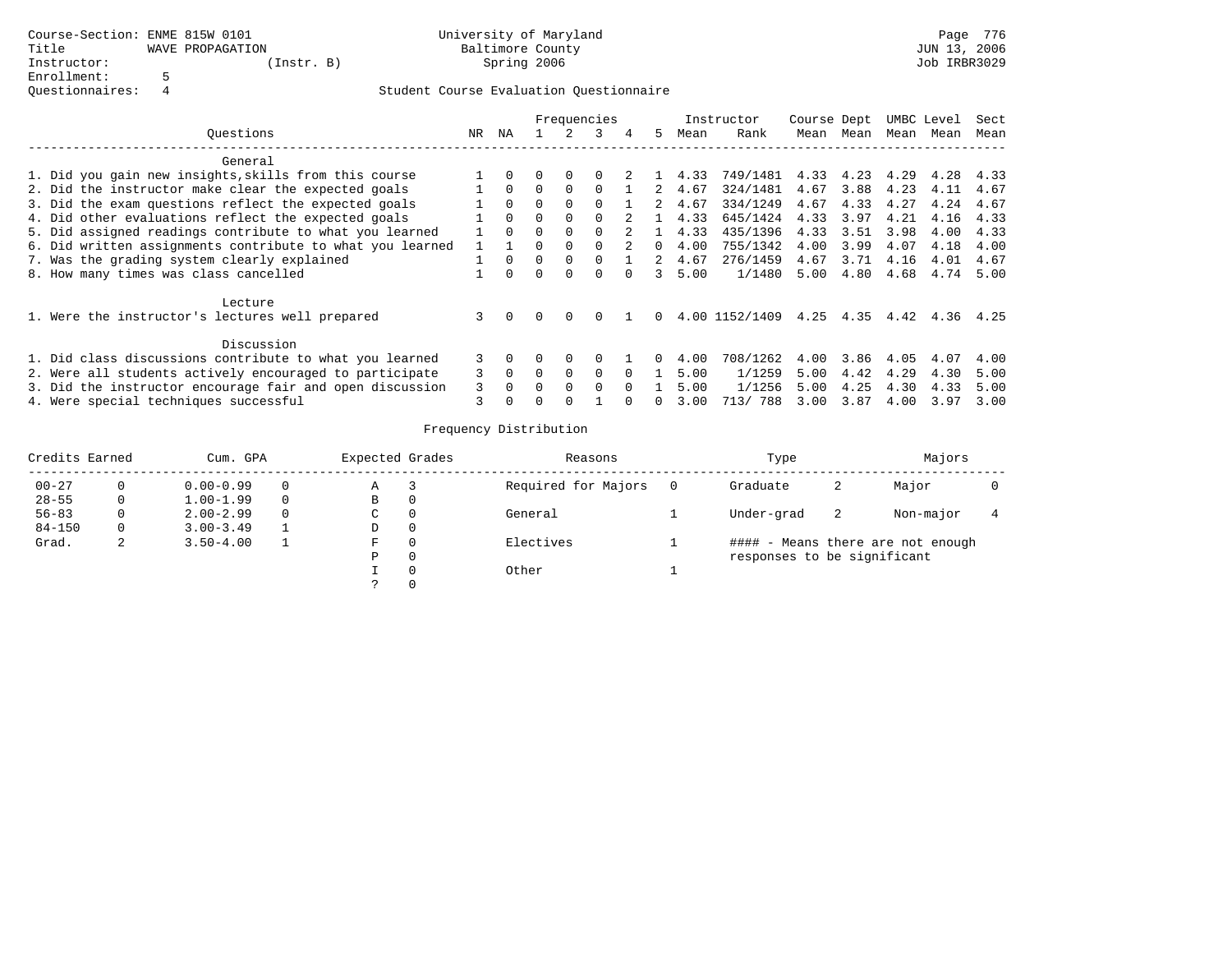|                                                          |                                                           |    |          |              |          | Frequencies  |        |                |      | Instructor     | Course Dept |           | UMBC Level |           | Sect |  |
|----------------------------------------------------------|-----------------------------------------------------------|----|----------|--------------|----------|--------------|--------|----------------|------|----------------|-------------|-----------|------------|-----------|------|--|
|                                                          | Ouestions                                                 | NR | ΝA       |              |          | ર            |        | 5.             | Mean | Rank           | Mean        | Mean      | Mean       | Mean      | Mean |  |
|                                                          | General                                                   |    |          |              |          |              |        |                |      |                |             |           |            |           |      |  |
|                                                          | 1. Did you gain new insights, skills from this course     |    |          |              | $\Omega$ | <sup>0</sup> |        |                | 4.33 | 749/1481 4.33  |             | 4.23      | 4.29       | 4.28      | 4.33 |  |
|                                                          | 2. Did the instructor make clear the expected goals       |    | $\Omega$ |              |          |              |        | 2              | 4.67 | 324/1481       | 4.67        | 3.88      | 4.23       | 4.11      | 4.67 |  |
|                                                          | 3. Did the exam questions reflect the expected goals      |    | $\Omega$ | $\Omega$     | $\Omega$ |              |        |                | 4.67 | 334/1249       | 4.67        | 4.33      | 4.27       | 4.24      | 4.67 |  |
|                                                          | 4. Did other evaluations reflect the expected goals       |    | $\Omega$ | <sup>n</sup> | $\Omega$ | $\Omega$     |        |                | 4.33 | 645/1424       | 4.33        | 3.97      | 4.21       | 4.16      | 4.33 |  |
|                                                          | 5. Did assigned readings contribute to what you learned   |    | $\Omega$ | $\cap$       | $\Omega$ |              |        |                | 4.33 | 435/1396       | 4.33        | 3.51      | 3.98       | 4.00      | 4.33 |  |
|                                                          | 6. Did written assignments contribute to what you learned |    |          |              | $\Omega$ | 0            |        | 0              | 4.00 | 755/1342       | 4.00        | 3.99      | 4.07       | 4.18      | 4.00 |  |
|                                                          | 7. Was the grading system clearly explained               |    | $\Omega$ |              |          |              |        | $\overline{2}$ | 4.67 | 276/1459       | 4.67        | 3.71      | 4.16       | 4.01      | 4.67 |  |
|                                                          | 8. How many times was class cancelled                     |    | $\Omega$ | U            | $\Omega$ | $\Omega$     | $\cap$ | $\mathcal{L}$  | 5.00 | 1/1480         | 5.00        | 4.80      | 4.68       | 4.74      | 5.00 |  |
|                                                          | Lecture                                                   |    |          |              |          |              |        |                |      |                |             |           |            |           |      |  |
|                                                          | 1. Were the instructor's lectures well prepared           | 3  | $\Omega$ | $\Omega$     | $\Omega$ | <sup>0</sup> |        | $\Omega$       |      | 4.00 1152/1409 |             | 4.25 4.35 |            | 4.42 4.36 | 4.25 |  |
|                                                          | Discussion                                                |    |          |              |          |              |        |                |      |                |             |           |            |           |      |  |
|                                                          | 1. Did class discussions contribute to what you learned   | 3  |          |              |          |              |        |                | 4.00 | 708/1262       | 4.00        | 3.86      | 4.05       | 4.07      | 4.00 |  |
|                                                          | 2. Were all students actively encouraged to participate   | 3  | $\Omega$ | $\Omega$     | $\Omega$ | $\Omega$     |        |                | 5.00 | 1/1259         | 5.00        | 4.42      | 4.29       | 4.30      | 5.00 |  |
| 3. Did the instructor encourage fair and open discussion |                                                           |    |          |              |          | $\Omega$     |        |                | 5.00 | 1/1256         | 5.00        | 4.25      | 4.30       | 4.33      | 5.00 |  |
|                                                          | 4. Were special techniques successful                     |    |          |              |          |              |        | 0              | 3.00 | 713/ 788       | 3.00        | 3.87      | 4.00       | 3.97      | 3.00 |  |

| Credits Earned |   | Cum. GPA      | Expected Grades |          | Reasons             | Type                        | Majors |                                   |  |
|----------------|---|---------------|-----------------|----------|---------------------|-----------------------------|--------|-----------------------------------|--|
| $00 - 27$      |   | $0.00 - 0.99$ | Α               |          | Required for Majors | Graduate                    | 2      | Major                             |  |
| $28 - 55$      | 0 | $1.00 - 1.99$ | B               | 0        |                     |                             |        |                                   |  |
| $56 - 83$      |   | $2.00 - 2.99$ | C               | 0        | General             | Under-grad                  | -2     | Non-major                         |  |
| $84 - 150$     | 0 | $3.00 - 3.49$ | D               | 0        |                     |                             |        |                                   |  |
| Grad.          | 2 | $3.50 - 4.00$ | F               | 0        | Electives           |                             |        | #### - Means there are not enough |  |
|                |   |               | Ρ               | 0        |                     | responses to be significant |        |                                   |  |
|                |   |               |                 | $\Omega$ | Other               |                             |        |                                   |  |
|                |   |               |                 |          |                     |                             |        |                                   |  |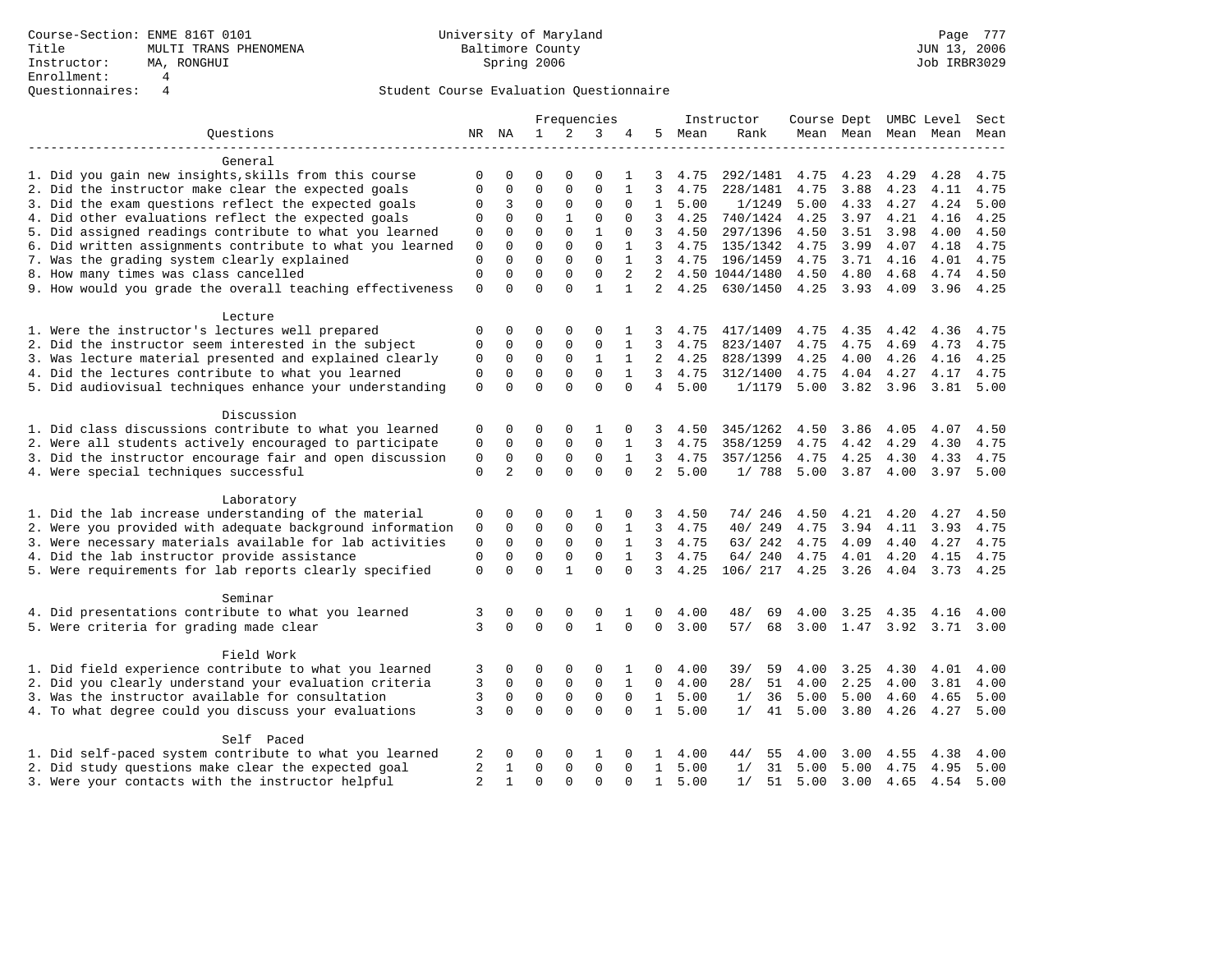|                                                           |                |                |              |              | Frequencies  |              |                |         | Instructor     |      |      | Course Dept UMBC Level |                     | Sect      |
|-----------------------------------------------------------|----------------|----------------|--------------|--------------|--------------|--------------|----------------|---------|----------------|------|------|------------------------|---------------------|-----------|
| Questions                                                 |                | NR NA          | $\mathbf{1}$ | 2            | 3            |              | 5              | Mean    | Rank           |      |      |                        | Mean Mean Mean Mean | Mean      |
| General                                                   |                |                |              |              |              |              |                |         |                |      |      |                        |                     |           |
| 1. Did you gain new insights, skills from this course     | 0              | 0              | $\Omega$     | 0            | $\Omega$     | 1            | 3              | 4.75    | 292/1481       | 4.75 | 4.23 | 4.29                   | 4.28                | 4.75      |
| 2. Did the instructor make clear the expected goals       |                |                | $\Omega$     | $\mathbf{0}$ | $\Omega$     | $\mathbf{1}$ | 3              | 4.75    | 228/1481       | 4.75 | 3.88 | 4.23                   | 4.11                | 4.75      |
| 3. Did the exam questions reflect the expected goals      | 0              | 3              | $\mathbf 0$  | $\mathbf{0}$ | $\Omega$     | $\Omega$     | $\mathbf{1}$   | 5.00    | 1/1249         | 5.00 | 4.33 | 4.27                   | 4.24                | 5.00      |
| 4. Did other evaluations reflect the expected goals       | $\Omega$       | $\mathbf 0$    | $\mathbf 0$  | $\mathbf{1}$ | $\mathbf{0}$ | $\Omega$     | 3              | 4.25    | 740/1424       | 4.25 | 3.97 | 4.21                   | 4.16                | 4.25      |
| 5. Did assigned readings contribute to what you learned   | 0              | $\Omega$       | $\Omega$     | $\Omega$     | $\mathbf{1}$ | $\Omega$     | 3              | 4.50    | 297/1396       | 4.50 | 3.51 | 3.98                   | 4.00                | 4.50      |
| 6. Did written assignments contribute to what you learned | $\mathbf 0$    | $\mathbf 0$    | $\mathbf 0$  | $\mathbf 0$  | $\mathbf 0$  | 1            | $\overline{3}$ | 4.75    | 135/1342       | 4.75 | 3.99 | 4.07                   | 4.18                | 4.75      |
| 7. Was the grading system clearly explained               | $\mathbf{0}$   | $\mathbf{0}$   | $\mathbf 0$  | $\mathbf{0}$ | $\mathbf 0$  | $\mathbf{1}$ | 3              | 4.75    | 196/1459       | 4.75 | 3.71 | 4.16                   | 4.01                | 4.75      |
| 8. How many times was class cancelled                     | $\mathbf 0$    | $\mathbf{0}$   | $\mathbf 0$  | $\mathbf 0$  | $\mathbf 0$  | 2            | 2              |         | 4.50 1044/1480 | 4.50 | 4.80 | 4.68                   | 4.74                | 4.50      |
| 9. How would you grade the overall teaching effectiveness | $\mathbf{0}$   | $\Omega$       | $\Omega$     | $\Omega$     | $\mathbf{1}$ | $\mathbf{1}$ | $\overline{2}$ | 4.25    | 630/1450       | 4.25 | 3.93 | 4.09                   |                     | 3.96 4.25 |
| Lecture                                                   |                |                |              |              |              |              |                |         |                |      |      |                        |                     |           |
| 1. Were the instructor's lectures well prepared           | 0              | 0              | 0            | 0            | $\Omega$     | 1            | 3              | 4.75    | 417/1409       | 4.75 | 4.35 | 4.42                   | 4.36                | 4.75      |
| 2. Did the instructor seem interested in the subject      | $\mathbf 0$    | $\mathbf 0$    | $\mathbf 0$  | $\mathbf{0}$ | 0            | 1            | 3              | 4.75    | 823/1407       | 4.75 | 4.75 | 4.69                   | 4.73                | 4.75      |
| 3. Was lecture material presented and explained clearly   | 0              | $\mathbf 0$    | $\mathbf 0$  | $\mathbf 0$  | 1            | 1            | 2              | 4.25    | 828/1399       | 4.25 | 4.00 | 4.26                   | 4.16                | 4.25      |
| 4. Did the lectures contribute to what you learned        | $\mathbf 0$    | $\mathbf 0$    | $\mathbf 0$  | $\mathbf 0$  | $\Omega$     | $\mathbf{1}$ | 3              | 4.75    | 312/1400       | 4.75 | 4.04 | 4.27                   | 4.17                | 4.75      |
| 5. Did audiovisual techniques enhance your understanding  | $\Omega$       | $\Omega$       | $\Omega$     | $\Omega$     | $\Omega$     | $\Omega$     | $\overline{4}$ | 5.00    | 1/1179         | 5.00 | 3.82 | 3.96                   | 3.81                | 5.00      |
| Discussion                                                |                |                |              |              |              |              |                |         |                |      |      |                        |                     |           |
| 1. Did class discussions contribute to what you learned   | 0              | 0              | 0            | 0            | 1            | 0            | 3              | 4.50    | 345/1262       | 4.50 | 3.86 | 4.05                   | 4.07                | 4.50      |
| 2. Were all students actively encouraged to participate   | 0              | 0              | 0            | $\mathsf 0$  | $\mathbf 0$  | 1            | 3              | 4.75    | 358/1259       | 4.75 | 4.42 | 4.29                   | 4.30                | 4.75      |
| 3. Did the instructor encourage fair and open discussion  | $\mathbf 0$    | $\mathbf 0$    | $\mathbf 0$  | $\mathsf 0$  | $\mathbf 0$  | $\mathbf{1}$ | 3              | 4.75    | 357/1256       | 4.75 | 4.25 | 4.30                   | 4.33                | 4.75      |
| 4. Were special techniques successful                     | $\mathbf 0$    | $\overline{a}$ | $\Omega$     | $\Omega$     | $\Omega$     | $\Omega$     | $\overline{a}$ | 5.00    | 1/788          | 5.00 | 3.87 | 4.00                   | 3.97                | 5.00      |
| Laboratory                                                |                |                |              |              |              |              |                |         |                |      |      |                        |                     |           |
| 1. Did the lab increase understanding of the material     | 0              | 0              | 0            | 0            | 1            | 0            | 3              | 4.50    | 74/ 246        | 4.50 | 4.21 | 4.20                   | 4.27                | 4.50      |
| 2. Were you provided with adequate background information | 0              | $\mathbf 0$    | $\mathbf 0$  | 0            | 0            | 1            | 3              | 4.75    | 40/ 249        | 4.75 | 3.94 | 4.11                   | 3.93                | 4.75      |
| 3. Were necessary materials available for lab activities  | $\mathsf 0$    | $\mathbf 0$    | $\mathbf 0$  | $\mathbf 0$  | $\mathbf 0$  | 1            | 3              | 4.75    | 63/242         | 4.75 | 4.09 | 4.40                   | 4.27                | 4.75      |
| 4. Did the lab instructor provide assistance              | $\mathbf{0}$   | $\mathbf 0$    | $\mathbf 0$  | $\mathbf 0$  | $\mathbf 0$  | $\mathbf{1}$ | 3              | 4.75    | 64/ 240        | 4.75 | 4.01 | 4.20                   | 4.15                | 4.75      |
| 5. Were requirements for lab reports clearly specified    | $\mathbf 0$    | $\Omega$       | $\Omega$     | $\mathbf{1}$ | $\Omega$     | $\Omega$     | 3              | 4.25    | 106/ 217       | 4.25 | 3.26 | 4.04                   | 3.73                | 4.25      |
| Seminar                                                   |                |                |              |              |              |              |                |         |                |      |      |                        |                     |           |
| 4. Did presentations contribute to what you learned       | 3              | 0              | 0            | 0            | 0            | 1            | 0              | 4.00    | 48/<br>69      | 4.00 | 3.25 | 4.35                   | 4.16                | 4.00      |
| 5. Were criteria for grading made clear                   | 3              | $\Omega$       | $\Omega$     | $\Omega$     | $\mathbf{1}$ | $\Omega$     | $\mathbf 0$    | 3.00    | 57/<br>68      | 3.00 |      |                        | 1.47 3.92 3.71 3.00 |           |
| Field Work                                                |                |                |              |              |              |              |                |         |                |      |      |                        |                     |           |
| 1. Did field experience contribute to what you learned    | 3              | 0              | 0            | 0            | $\Omega$     |              | 0              | 4.00    | 39/<br>59      | 4.00 | 3.25 | 4.30                   | 4.01                | 4.00      |
| 2. Did you clearly understand your evaluation criteria    | 3              | 0              | $\mathbf 0$  | 0            | $\mathbf 0$  | $\mathbf{1}$ | $\mathbf 0$    | 4.00    | 28/<br>51      | 4.00 | 2.25 | 4.00                   | 3.81                | 4.00      |
| 3. Was the instructor available for consultation          | 3              | $\mathbf 0$    | $\mathbf 0$  | $\mathsf 0$  | $\mathbf 0$  | $\Omega$     | $\mathbf{1}$   | 5.00    | 1/<br>36       | 5.00 | 5.00 | 4.60                   | 4.65                | 5.00      |
| 4. To what degree could you discuss your evaluations      | 3              | $\Omega$       | $\Omega$     | $\Omega$     | $\Omega$     | $\Omega$     |                | 1, 5.00 | 1/<br>41       | 5.00 | 3.80 | 4.26                   | 4.27                | 5.00      |
| Self Paced                                                |                |                |              |              |              |              |                |         |                |      |      |                        |                     |           |
| 1. Did self-paced system contribute to what you learned   | 2              | 0              | 0            | 0            | 1            | 0            | 1.             | 4.00    | 44/<br>55      | 4.00 | 3.00 | 4.55                   | 4.38                | 4.00      |
| 2. Did study questions make clear the expected goal       | $\overline{2}$ | 1              | $\mathbf 0$  | $\mathbf{0}$ | $\mathbf 0$  | 0            | $\mathbf{1}$   | 5.00    | 31<br>1/       | 5.00 | 5.00 | 4.75                   | 4.95                | 5.00      |
| 3. Were your contacts with the instructor helpful         | $\overline{2}$ | $\mathbf{1}$   | $\Omega$     | $\Omega$     | $\Omega$     | $\Omega$     | $\mathbf{1}$   | 5.00    | 1/<br>51       | 5.00 | 3.00 | 4.65                   | 4.54                | 5.00      |